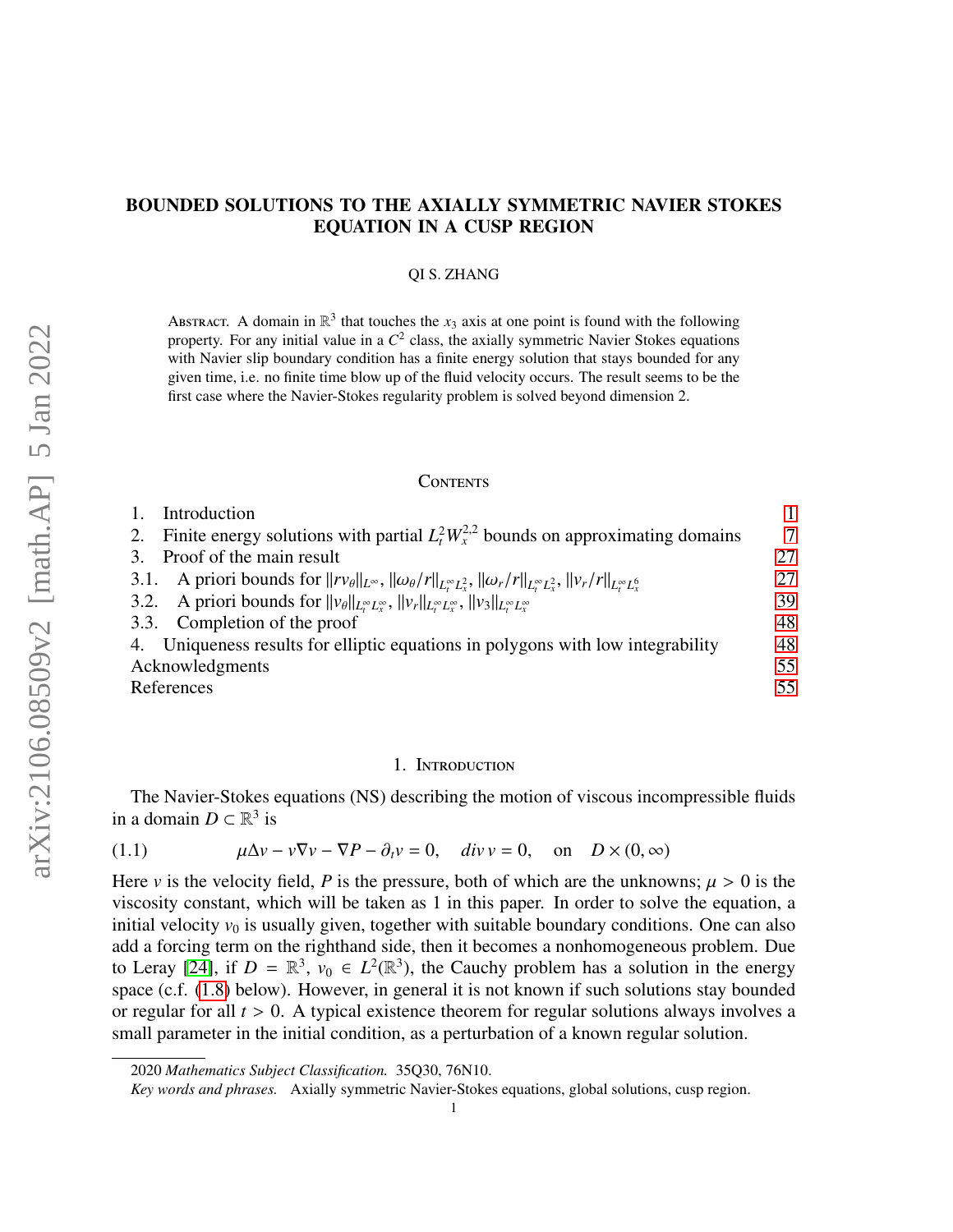# BOUNDED SOLUTIONS TO THE AXIALLY SYMMETRIC NAVIER STOKES EQUATION IN A CUSP REGION

## QI S. ZHANG

ABSTRACT. A domain in  $\mathbb{R}^3$  that touches the  $x_3$  axis at one point is found with the following property. For any initial value in a *C* 2 class, the axially symmetric Navier Stokes equations with Navier slip boundary condition has a finite energy solution that stays bounded for any given time, i.e. no finite time blow up of the fluid velocity occurs. The result seems to be the first case where the Navier-Stokes regularity problem is solved beyond dimension 2.

# **CONTENTS**

| Introduction                                                                                                                                                                                          |        |
|-------------------------------------------------------------------------------------------------------------------------------------------------------------------------------------------------------|--------|
| Finite energy solutions with partial $L^2 W_x^{2,2}$ bounds on approximating domains                                                                                                                  | $\tau$ |
| 3. Proof of the main result                                                                                                                                                                           | 27     |
| 3.1. A priori bounds for $  r v_{\theta}  _{L^{\infty}}$ , $  \omega_{\theta}/r  _{L^{\infty}_{t}L^{2}_{x}}$ , $  \omega_{r}/r  _{L^{\infty}_{t}L^{2}_{x}}$ , $  v_{r}/r  _{L^{\infty}_{t}L^{6}_{x}}$ | 27     |
| 3.2. A priori bounds for $  v_{\theta}  _{L^{\infty}_{t}L^{\infty}_{x}}$ , $  v_{r}  _{L^{\infty}_{t}L^{\infty}_{x}}$ , $  v_{3}  _{L^{\infty}_{t}L^{\infty}_{x}}$                                    | 39     |
| 3.3. Completion of the proof                                                                                                                                                                          | 48     |
| 4. Uniqueness results for elliptic equations in polygons with low integrability                                                                                                                       | 48     |
| Acknowledgments                                                                                                                                                                                       | 55     |
| References                                                                                                                                                                                            | 55     |

#### 1. Introduction

<span id="page-0-0"></span>The Navier-Stokes equations (NS) describing the motion of viscous incompressible fluids in a domain  $D \subset \mathbb{R}^3$  is

<span id="page-0-1"></span>(1.1) 
$$
\mu \Delta v - v \nabla v - \nabla P - \partial_t v = 0, \quad \text{div } v = 0, \quad \text{on} \quad D \times (0, \infty)
$$

Here *v* is the velocity field, *P* is the pressure, both of which are the unknowns;  $\mu > 0$  is the viscosity constant, which will be taken as 1 in this paper. In order to solve the equation, a initial velocity  $v_0$  is usually given, together with suitable boundary conditions. One can also add a forcing term on the righthand side, then it becomes a nonhomogeneous problem. Due to Leray [\[24\]](#page-55-0), if  $D = \mathbb{R}^3$ ,  $v_0 \in L^2(\mathbb{R}^3)$ , the Cauchy problem has a solution in the energy space (c.f. [\(1.8\)](#page-3-0) below). However, in general it is not known if such solutions stay bounded or regular for all *<sup>t</sup>* > 0. A typical existence theorem for regular solutions always involves a small parameter in the initial condition, as a perturbation of a known regular solution.

<sup>2020</sup> *Mathematics Subject Classification.* 35Q30, 76N10.

*Key words and phrases.* Axially symmetric Navier-Stokes equations, global solutions, cusp region.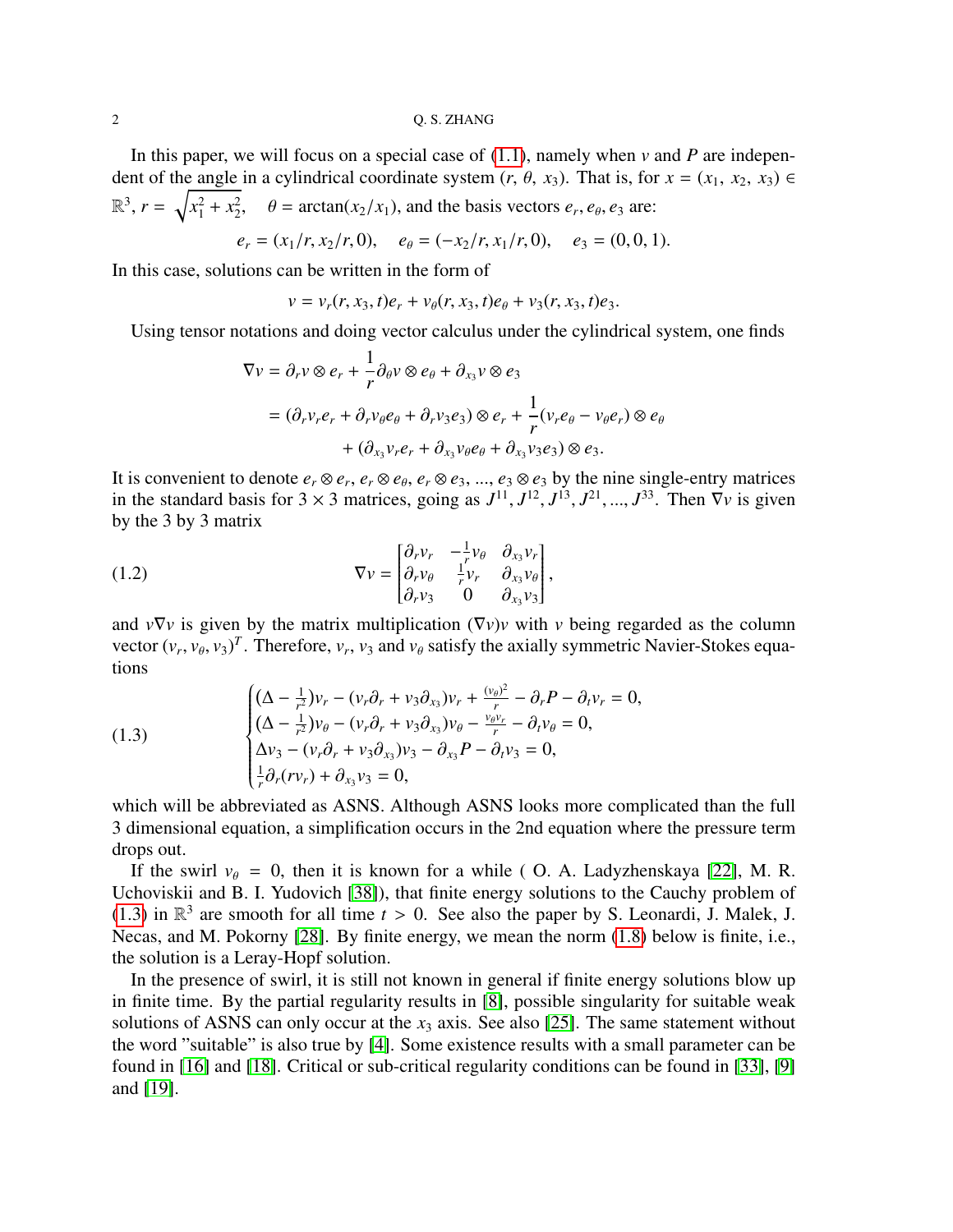In this paper, we will focus on a special case of [\(1.1\)](#page-0-1), namely when *v* and *P* are independent of the angle in a cylindrical coordinate system  $(r, \theta, x_3)$ . That is, for  $x = (x_1, x_2, x_3) \in$  $\mathbb{R}^3$ ,  $r = \sqrt{x_1^2 + x_2^2}$  $\theta = \arctan(x_2/x_1)$ , and the basis vectors  $e_r$ ,  $e_\theta$ ,  $e_3$  are:

$$
e_r = (x_1/r, x_2/r, 0), \quad e_\theta = (-x_2/r, x_1/r, 0), \quad e_3 = (0, 0, 1).
$$

In this case, solutions can be written in the form of

$$
v = v_r(r, x_3, t)e_r + v_\theta(r, x_3, t)e_\theta + v_3(r, x_3, t)e_3.
$$

Using tensor notations and doing vector calculus under the cylindrical system, one finds

<span id="page-1-1"></span>
$$
\nabla v = \partial_r v \otimes e_r + \frac{1}{r} \partial_\theta v \otimes e_\theta + \partial_{x_3} v \otimes e_3
$$
  
=  $(\partial_r v_r e_r + \partial_r v_\theta e_\theta + \partial_r v_3 e_3) \otimes e_r + \frac{1}{r} (v_r e_\theta - v_\theta e_r) \otimes e_\theta$   
+  $(\partial_{x_3} v_r e_r + \partial_{x_3} v_\theta e_\theta + \partial_{x_3} v_3 e_3) \otimes e_3$ .

It is convenient to denote  $e_r \otimes e_r$ ,  $e_r \otimes e_\theta$ ,  $e_r \otimes e_3$ , ...,  $e_3 \otimes e_3$  by the nine single-entry matrices<br>in the standard hosis for 2  $\times$  2 matrices, going as  $I_{11}^{11}$ ,  $I_{12}^{12}$ ,  $I_{13}^{13}$ ,  $I_{21}^{21}$ ,  $I$ in the standard basis for  $3 \times 3$  matrices, going as  $J^{11}$ ,  $J^{12}$ ,  $J^{13}$ ,  $J^{21}$ , ...,  $J^{33}$ . Then  $\nabla v$  is given<br>by the 3 by 3 matrix by the 3 by 3 matrix

(1.2) 
$$
\nabla v = \begin{bmatrix} \partial_r v_r & -\frac{1}{r} v_\theta & \partial_{x_3} v_r \\ \partial_r v_\theta & \frac{1}{r} v_r & \partial_{x_3} v_\theta \\ \partial_r v_3 & 0 & \partial_{x_3} v_3 \end{bmatrix},
$$

and  $v\nabla v$  is given by the matrix multiplication  $(\nabla v)v$  with *v* being regarded as the column vector  $(v_r, v_\theta, v_3)^T$ . Therefore,  $v_r$ ,  $v_3$  and  $v_\theta$  satisfy the axially symmetric Navier-Stokes equations

<span id="page-1-0"></span>(1.3)  
\n
$$
\begin{cases}\n(\Delta - \frac{1}{r^2})v_r - (v_r \partial_r + v_3 \partial_{x_3})v_r + \frac{(v_\theta)^2}{r} - \partial_r P - \partial_t v_r = 0, \\
(\Delta - \frac{1}{r^2})v_\theta - (v_r \partial_r + v_3 \partial_{x_3})v_\theta - \frac{v_\theta v_r}{r} - \partial_t v_\theta = 0, \\
\Delta v_3 - (v_r \partial_r + v_3 \partial_{x_3})v_3 - \partial_{x_3} P - \partial_t v_3 = 0, \\
\frac{1}{r} \partial_r (r v_r) + \partial_{x_3} v_3 = 0,\n\end{cases}
$$

which will be abbreviated as ASNS. Although ASNS looks more complicated than the full 3 dimensional equation, a simplification occurs in the 2nd equation where the pressure term drops out.

If the swirl  $v_{\theta} = 0$ , then it is known for a while (O. A. Ladyzhenskaya [\[22\]](#page-55-1), M. R. Uchoviskii and B. I. Yudovich [\[38\]](#page-56-0)), that finite energy solutions to the Cauchy problem of [\(1.3\)](#page-1-0) in  $\mathbb{R}^3$  are smooth for all time  $t > 0$ . See also the paper by S. Leonardi, J. Malek, J. Necas and M. Pokorny [28]. By finite energy, we mean the norm (1.8) below is finite i.e. Necas, and M. Pokorny [\[28\]](#page-55-2). By finite energy, we mean the norm [\(1.8\)](#page-3-0) below is finite, i.e., the solution is a Leray-Hopf solution.

In the presence of swirl, it is still not known in general if finite energy solutions blow up in finite time. By the partial regularity results in [\[8\]](#page-55-3), possible singularity for suitable weak solutions of ASNS can only occur at the  $x_3$  axis. See also [\[25\]](#page-55-4). The same statement without the word "suitable" is also true by [\[4\]](#page-54-2). Some existence results with a small parameter can be found in [\[16\]](#page-55-5) and [\[18\]](#page-55-6). Critical or sub-critical regularity conditions can be found in [\[33\]](#page-56-1), [\[9\]](#page-55-7) and [\[19\]](#page-55-8).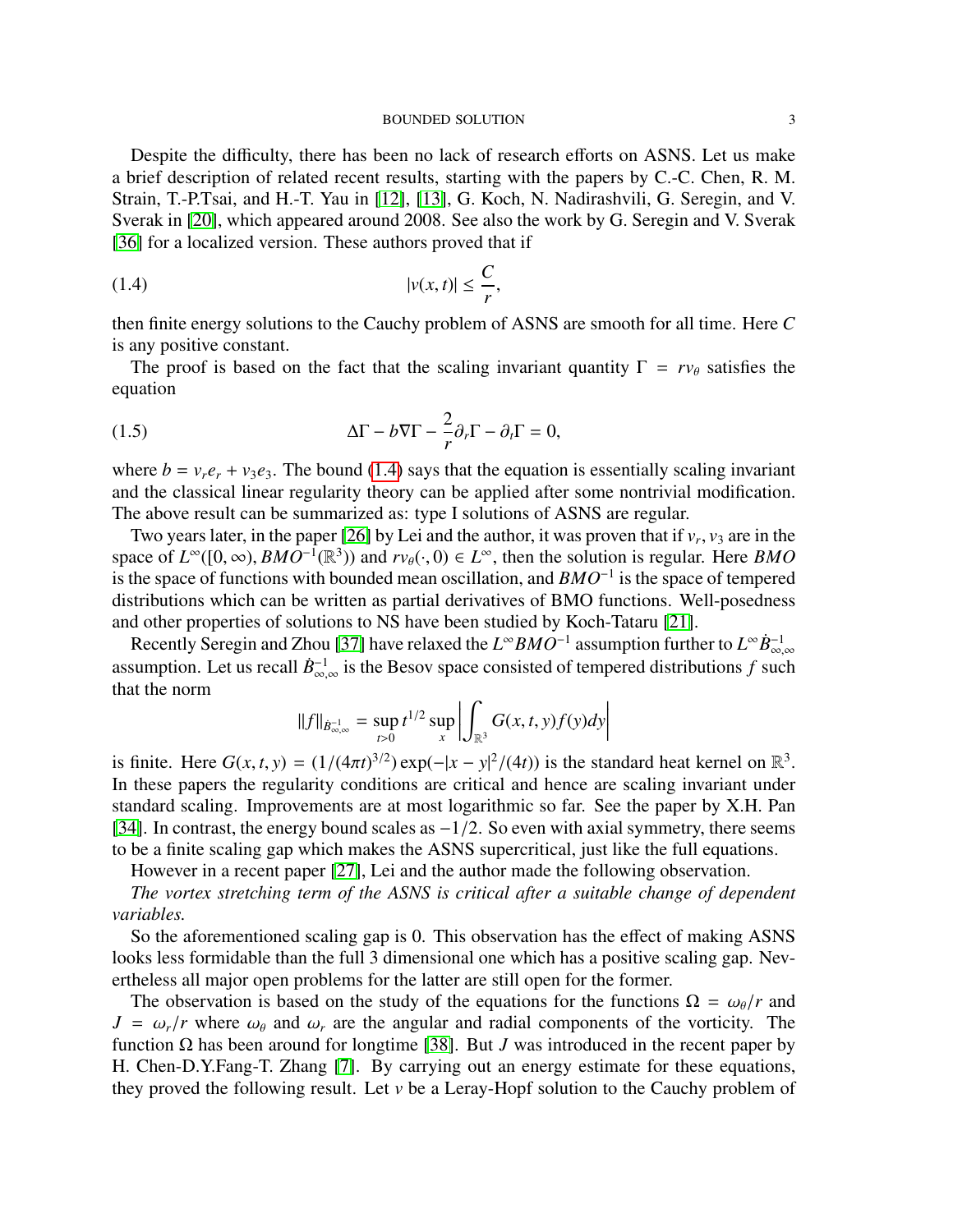Despite the difficulty, there has been no lack of research efforts on ASNS. Let us make a brief description of related recent results, starting with the papers by C.-C. Chen, R. M. Strain, T.-P.Tsai, and H.-T. Yau in [\[12\]](#page-55-9), [\[13\]](#page-55-10), G. Koch, N. Nadirashvili, G. Seregin, and V. Sverak in [\[20\]](#page-55-11), which appeared around 2008. See also the work by G. Seregin and V. Sverak [\[36\]](#page-56-2) for a localized version. These authors proved that if

<span id="page-2-0"></span>
$$
|v(x,t)| \leq \frac{C}{r},
$$

then finite energy solutions to the Cauchy problem of ASNS are smooth for all time. Here *C* is any positive constant.

The proof is based on the fact that the scaling invariant quantity  $\Gamma = rv_\theta$  satisfies the equation

<span id="page-2-1"></span>(1.5) 
$$
\Delta \Gamma - b \nabla \Gamma - \frac{2}{r} \partial_r \Gamma - \partial_t \Gamma = 0,
$$

where  $b = v_r e_r + v_3 e_3$ . The bound [\(1.4\)](#page-2-0) says that the equation is essentially scaling invariant and the classical linear regularity theory can be applied after some nontrivial modification. The above result can be summarized as: type I solutions of ASNS are regular.

Two years later, in the paper [\[26\]](#page-55-12) by Lei and the author, it was proven that if  $v_r$ ,  $v_3$  are in the pace of  $I^{\infty}(10, \infty)$ .  $BMO^{-1}(\mathbb{R}^3)$  and  $rv_t(\cdot, 0) \in I^{\infty}$  then the solution is regular. Here  $BMO$ space of  $L^{\infty}([0,\infty), BMO^{-1}(\mathbb{R}^3))$  and  $rv_{\theta}(\cdot, 0) \in L^{\infty}$ , then the solution is regular. Here *BMO* is the space of functions with bounded mean oscillation and *RMO*<sup>-1</sup> is the space of tempered is the space of functions with bounded mean oscillation, and *BMO*<sup>−</sup><sup>1</sup> is the space of tempered distributions which can be written as partial derivatives of BMO functions. Well-posedness and other properties of solutions to NS have been studied by Koch-Tataru [\[21\]](#page-55-13).

Recently Seregin and Zhou [\[37\]](#page-56-3) have relaxed the  $L^{\infty}BMO^{-1}$  assumption further to  $L^{\infty}B_{\infty}^{-1}$ . Recently seteght and Zhou [37] have relaxed the *L* BMO assumption further to *L* B<sub>∞,∞</sub> assumption. Let us recall  $\dot{B}_{\infty,\infty}^{-1}$  is the Besov space consisted of tempered distributions *f* such that the norm that the norm

$$
||f||_{\dot{B}^{-1}_{\infty,\infty}} = \sup_{t>0} t^{1/2} \sup_{x} \left| \int_{\mathbb{R}^3} G(x,t,y)f(y)dy \right|
$$

is finite. Here  $G(x, t, y) = (1/(4\pi t)^{3/2}) \exp(-|x - y|^2/(4t))$  is the standard heat kernel on  $\mathbb{R}^3$ .<br>In these papers the regularity conditions are critical and hence are scaling invariant under In these papers the regularity conditions are critical and hence are scaling invariant under standard scaling. Improvements are at most logarithmic so far. See the paper by X.H. Pan [\[34\]](#page-56-4). In contrast, the energy bound scales as  $-1/2$ . So even with axial symmetry, there seems to be a finite scaling gap which makes the ASNS supercritical, just like the full equations.

However in a recent paper [\[27\]](#page-55-14), Lei and the author made the following observation.

*The vortex stretching term of the ASNS is critical after a suitable change of dependent variables.*

So the aforementioned scaling gap is 0. This observation has the effect of making ASNS looks less formidable than the full 3 dimensional one which has a positive scaling gap. Nevertheless all major open problems for the latter are still open for the former.

The observation is based on the study of the equations for the functions  $\Omega = \omega_{\theta}/r$  and  $J = \omega_r/r$  where  $\omega_\theta$  and  $\omega_r$  are the angular and radial components of the vorticity. The function Ω has been around for longtime [\[38\]](#page-56-0). But *J* was introduced in the recent paper by H. Chen-D.Y.Fang-T. Zhang [\[7\]](#page-54-3). By carrying out an energy estimate for these equations, they proved the following result. Let *v* be a Leray-Hopf solution to the Cauchy problem of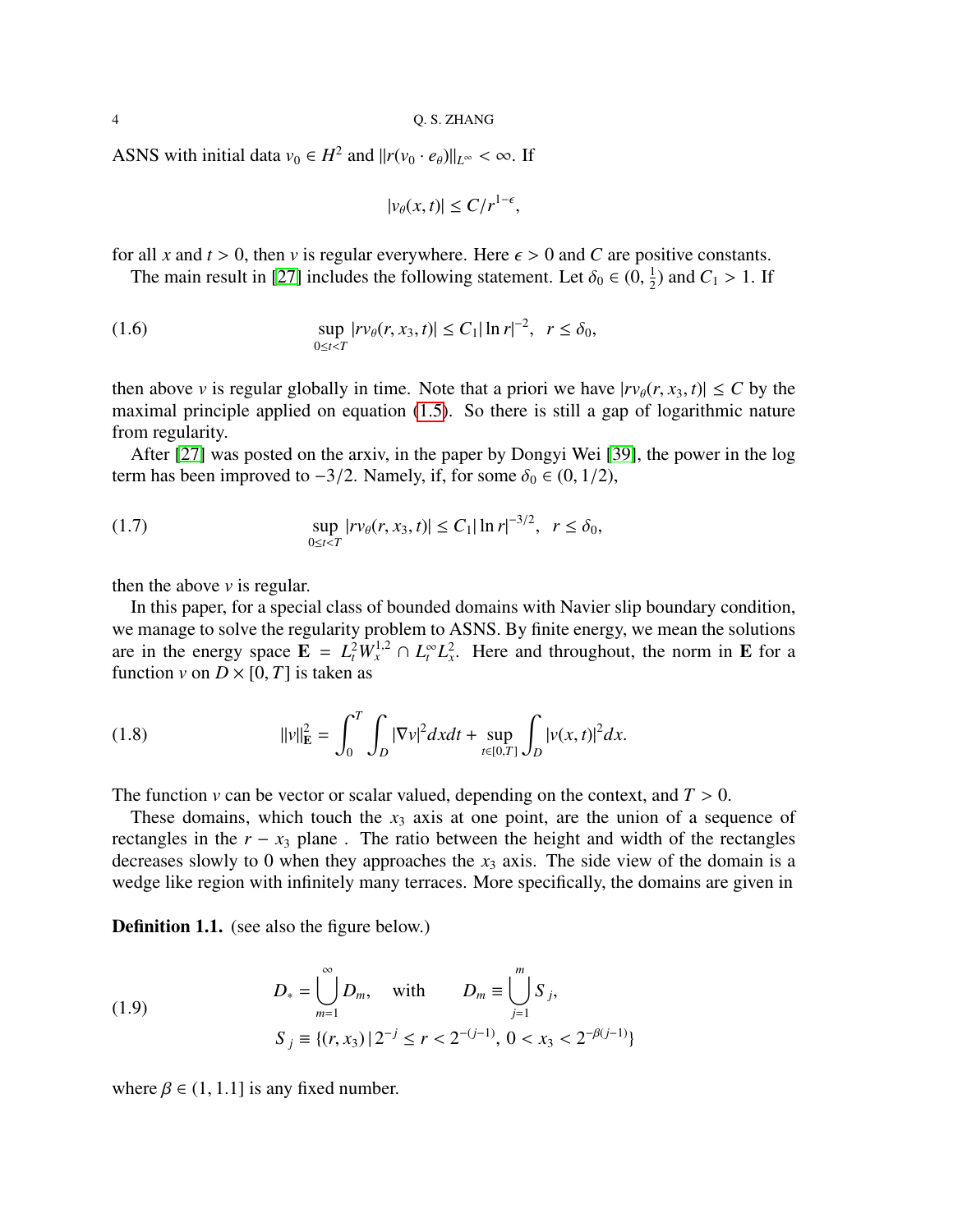ASNS with initial data  $v_0 \in H^2$  and  $||r(v_0 \cdot e_{\theta})||_{L^{\infty}} < \infty$ . If

$$
|v_{\theta}(x,t)| \leq C/r^{1-\epsilon},
$$

for all *x* and  $t > 0$ , then *v* is regular everywhere. Here  $\epsilon > 0$  and *C* are positive constants.

The main result in [\[27\]](#page-55-14) includes the following statement. Let  $\delta_0 \in (0, \frac{1}{2})$  $(\frac{1}{2})$  and  $C_1 > 1$ . If

(1.6) 
$$
\sup_{0 \le t < T} |rv_{\theta}(r, x_3, t)| \le C_1 |\ln r|^{-2}, \ \ r \le \delta_0,
$$

then above *v* is regular globally in time. Note that a priori we have  $|r v_{\theta}(r, x_3, t)| \leq C$  by the maximal principle applied on equation [\(1.5\)](#page-2-1). So there is still a gap of logarithmic nature from regularity.

After [\[27\]](#page-55-14) was posted on the arxiv, in the paper by Dongyi Wei [\[39\]](#page-56-5), the power in the log term has been improved to  $-3/2$ . Namely, if, for some  $\delta_0$  ∈ (0, 1/2),

(1.7) 
$$
\sup_{0 \le t < T} |rv_{\theta}(r, x_3, t)| \le C_1 |\ln r|^{-3/2}, \quad r \le \delta_0,
$$

then the above *v* is regular.

In this paper, for a special class of bounded domains with Navier slip boundary condition, we manage to solve the regularity problem to ASNS. By finite energy, we mean the solutions are in the energy space  $\mathbf{E} = L_t^2 W_x^{1,2} \cap L_t^{\infty} L_x^2$ . Here and throughout, the norm in  $\mathbf{E}$  for a function *v* on  $D \times [0, T]$  is taken as

<span id="page-3-0"></span>(1.8) 
$$
||v||_{\mathbf{E}}^{2} = \int_{0}^{T} \int_{D} |\nabla v|^{2} dx dt + \sup_{t \in [0,T]} \int_{D} |v(x,t)|^{2} dx.
$$

The function *v* can be vector or scalar valued, depending on the context, and  $T > 0$ .

These domains, which touch the  $x_3$  axis at one point, are the union of a sequence of rectangles in the  $r - x_3$  plane. The ratio between the height and width of the rectangles decreases slowly to 0 when they approaches the  $x_3$  axis. The side view of the domain is a wedge like region with infinitely many terraces. More specifically, the domains are given in

Definition 1.1. (see also the figure below.)

<span id="page-3-1"></span>(1.9) 
$$
D_{*} = \bigcup_{m=1}^{\infty} D_{m}, \text{ with } D_{m} \equiv \bigcup_{j=1}^{m} S_{j},
$$

$$
S_{j} \equiv \{(r, x_{3}) | 2^{-j} \leq r < 2^{-(j-1)}, 0 < x_{3} < 2^{-\beta(j-1)}\}
$$

where  $\beta \in (1, 1.1]$  is any fixed number.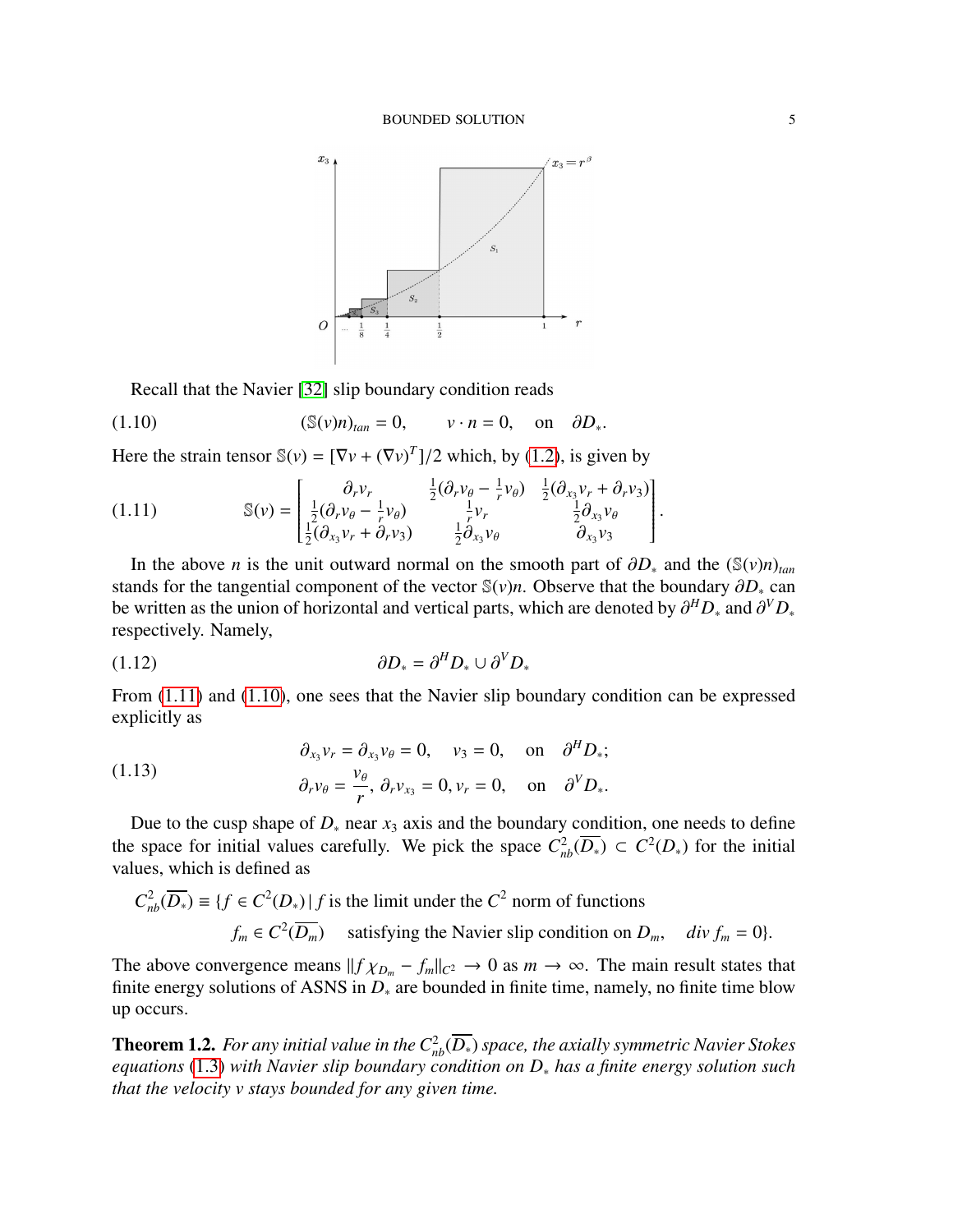

<span id="page-4-1"></span>Recall that the Navier [\[32\]](#page-55-15) slip boundary condition reads

(1.10) 
$$
(\mathbb{S}(v)n)_{tan} = 0, \qquad v \cdot n = 0, \text{ on } \partial D_*.
$$

Here the strain tensor  $\mathbb{S}(v) = [\nabla v + (\nabla v)^T]/2$  which, by [\(1.2\)](#page-1-1), is given by

<span id="page-4-0"></span>(1.11) 
$$
\mathbb{S}(\nu) = \begin{bmatrix} \frac{\partial_r v_r}{\partial x_1} & \frac{1}{2}(\frac{\partial_r v_\theta - \frac{1}{r}v_\theta)}{\frac{1}{r}v_r} & \frac{1}{2}(\frac{\partial_{x_3}v_r + \partial_r v_3}{\frac{1}{2}\partial_{x_3}v_\theta} \\ \frac{1}{2}(\frac{\partial_{x_3}v_r + \partial_r v_3}{\partial_{x_3}v_\theta}) & \frac{1}{2}\frac{\partial_{x_3}v_\theta}{\partial_{x_3}v_\theta} & \frac{\partial_{x_3}v_3}{\partial_{x_3}v_3} \end{bmatrix}.
$$

In the above *n* is the unit outward normal on the smooth part of  $\partial D_*$  and the ( $\mathcal{S}(v)n$ )<sub>tan</sub> stands for the tangential component of the vector <sup>S</sup>(*v*)*n*. Observe that the boundary <sup>∂</sup>*D*<sup>∗</sup> can be written as the union of horizontal and vertical parts, which are denoted by  $\partial^H D_*$  and  $\partial^V D_*$ <br>respectively Namely respectively. Namely,

$$
\partial D_* = \partial^H D_* \cup \partial^V D_*
$$

From  $(1.11)$  and  $(1.10)$ , one sees that the Navier slip boundary condition can be expressed explicitly as

(1.13) 
$$
\begin{aligned}\n\partial_{x_3} v_r &= \partial_{x_3} v_\theta = 0, \quad v_3 = 0, \quad \text{on} \quad \partial^H D_*; \\
\partial_r v_\theta &= \frac{v_\theta}{r}, \ \partial_r v_{x_3} = 0, v_r = 0, \quad \text{on} \quad \partial^V D_*.\n\end{aligned}
$$

Due to the cusp shape of  $D_*$  near  $x_3$  axis and the boundary condition, one needs to define the space for initial values carefully. We pick the space  $C_{nb}^2(\overline{D_*)} \subset C^2(D_*)$  for the initial values, which is defined as

$$
C_{nb}^{2}(\overline{D_{*}}) \equiv \{f \in C^{2}(D_{*}) | f \text{ is the limit under the } C^{2} \text{ norm of functions}
$$
  

$$
f_{m} \in C^{2}(\overline{D_{m}}) \quad \text{satisfying the Navier slip condition on } D_{m}, \quad \text{div } f_{m} = 0\}.
$$

The above convergence means  $||f \chi_{D_m} - f_m||_{C^2} \to 0$  as  $m \to \infty$ . The main result states that finite energy solutions of ASNS in  $D_*$  are bounded in finite time, namely, no finite time blow up occurs.

**Theorem 1.2.** *For any initial value in the*  $C^2_{nb}(\overline{D_*})$  *space, the axially symmetric Navier Stokes equations* [\(1.3\)](#page-1-0) *with Navier slip boundary condition on D*<sup>∗</sup> *has a finite energy solution such that the velocity v stays bounded for any given time.*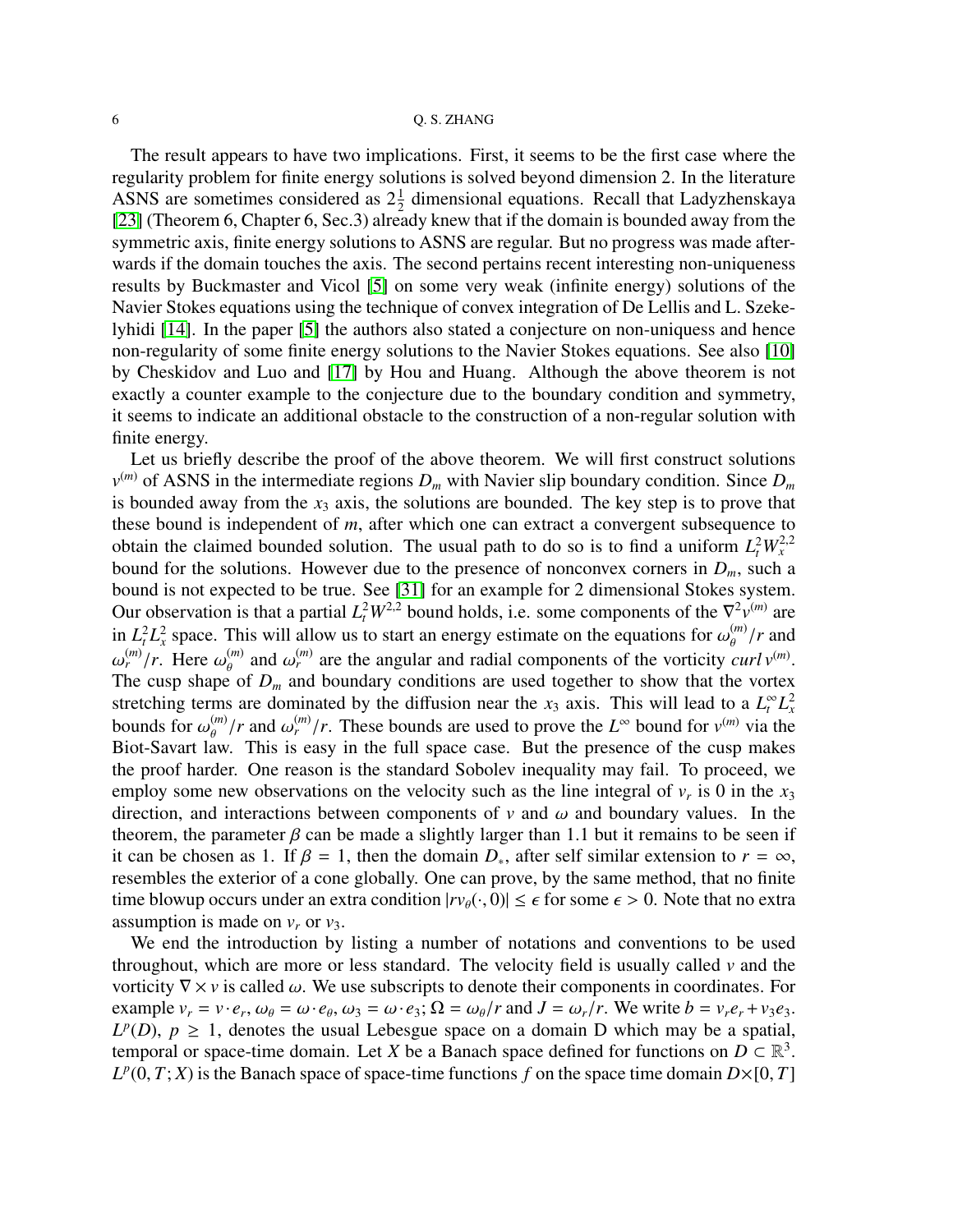The result appears to have two implications. First, it seems to be the first case where the regularity problem for finite energy solutions is solved beyond dimension 2. In the literature ASNS are sometimes considered as  $2\frac{1}{2}$  dimensional equations. Recall that Ladyzhenskaya [\[23\]](#page-55-16) (Theorem 6, Chapter 6, Sec.3) already knew that if the domain is bounded away from the symmetric axis, finite energy solutions to ASNS are regular. But no progress was made afterwards if the domain touches the axis. The second pertains recent interesting non-uniqueness results by Buckmaster and Vicol [\[5\]](#page-54-4) on some very weak (infinite energy) solutions of the Navier Stokes equations using the technique of convex integration of De Lellis and L. Szekelyhidi [\[14\]](#page-55-17). In the paper [\[5\]](#page-54-4) the authors also stated a conjecture on non-uniquess and hence non-regularity of some finite energy solutions to the Navier Stokes equations. See also [\[10\]](#page-55-18) by Cheskidov and Luo and [\[17\]](#page-55-19) by Hou and Huang. Although the above theorem is not exactly a counter example to the conjecture due to the boundary condition and symmetry, it seems to indicate an additional obstacle to the construction of a non-regular solution with finite energy.

Let us briefly describe the proof of the above theorem. We will first construct solutions  $v^{(m)}$  of ASNS in the intermediate regions  $D_m$  with Navier slip boundary condition. Since  $D_m$ is bounded away from the  $x_3$  axis, the solutions are bounded. The key step is to prove that these bound is independent of *m*, after which one can extract a convergent subsequence to obtain the claimed bounded solution. The usual path to do so is to find a uniform  $L_t^2 W_x^{2,2}$ bound for the solutions. However due to the presence of nonconvex corners in  $D_m$ , such a bound is not expected to be true. See [\[31\]](#page-55-20) for an example for 2 dimensional Stokes system. Our observation is that a partial  $L_t^2 W^{2,2}$  bound holds, i.e. some components of the  $\nabla^2 v^{(m)}$  are in  $L_t^2 L_x^2$  space. This will allow us to start an energy estimate on the equations for  $\omega_{\theta}^{(m)}/r$  and  $\omega_{\theta}^{(m)}$ ,  $\Gamma$  and  $\omega_{\theta}^{(m)}$ , and  $\omega_{\theta}^{(m)}$  and  $\omega_{\theta}^{(m)}$  are the engular and radial components of t  $\frac{m}{r}$ /*r*. Here  $\omega_{\theta}^{(m)}$  and  $\omega_{r}^{(m)}$  are the angular and radial components of the vorticity *curl v*<sup>(*m*)</sup>.<br>he cusp shape of *D* and boundary conditions are used together to show that the vortex The cusp shape of  $D_m$  and boundary conditions are used together to show that the vortex stretching terms are dominated by the diffusion near the  $x_3$  axis. This will lead to a  $L_t^{\infty} L_x^2$ bounds for  $\omega_{\theta}^{(m)}/r$  and  $\omega_{r}^{(m)}/r$ . These bounds are used to prove the *L*<sup>∞</sup> bound for  $v^{(m)}$  via the Biot-Savart law. This is easy in the full space case. But the presence of the cusp makes θ Biot-Savart law. This is easy in the full space case. But the presence of the cusp makes the proof harder. One reason is the standard Sobolev inequality may fail. To proceed, we employ some new observations on the velocity such as the line integral of  $v_r$  is 0 in the  $x_3$ direction, and interactions between components of  $v$  and  $\omega$  and boundary values. In the theorem, the parameter  $\beta$  can be made a slightly larger than 1.1 but it remains to be seen if it can be chosen as 1. If  $\beta = 1$ , then the domain  $D_{*}$ , after self similar extension to  $r = \infty$ , resembles the exterior of a cone globally. One can prove, by the same method, that no finite time blowup occurs under an extra condition  $|rv_{\theta}(\cdot,0)| \leq \epsilon$  for some  $\epsilon > 0$ . Note that no extra assumption is made on  $v_r$  or  $v_3$ .

We end the introduction by listing a number of notations and conventions to be used throughout, which are more or less standard. The velocity field is usually called *v* and the vorticity  $\nabla \times v$  is called  $\omega$ . We use subscripts to denote their components in coordinates. For example  $v_r = v \cdot e_r$ ,  $\omega_\theta = \omega \cdot e_\theta$ ,  $\omega_3 = \omega \cdot e_3$ ;  $\Omega = \omega_\theta/r$  and  $J = \omega_r/r$ . We write  $b = v_r e_r + v_3 e_3$ .<br> $I^p(D)$   $n > 1$  denotes the usual Lebesque space on a domain D which may be a spatial  $L^p(D)$ ,  $p \geq 1$ , denotes the usual Lebesgue space on a domain D which may be a spatial, temporal or space-time domain. Let *X* be a Banach space defined for functions on  $D \subset \mathbb{R}^3$ .  $L^p(0, T; X)$  is the Banach space of space-time functions *f* on the space time domain  $D\times [0, T]$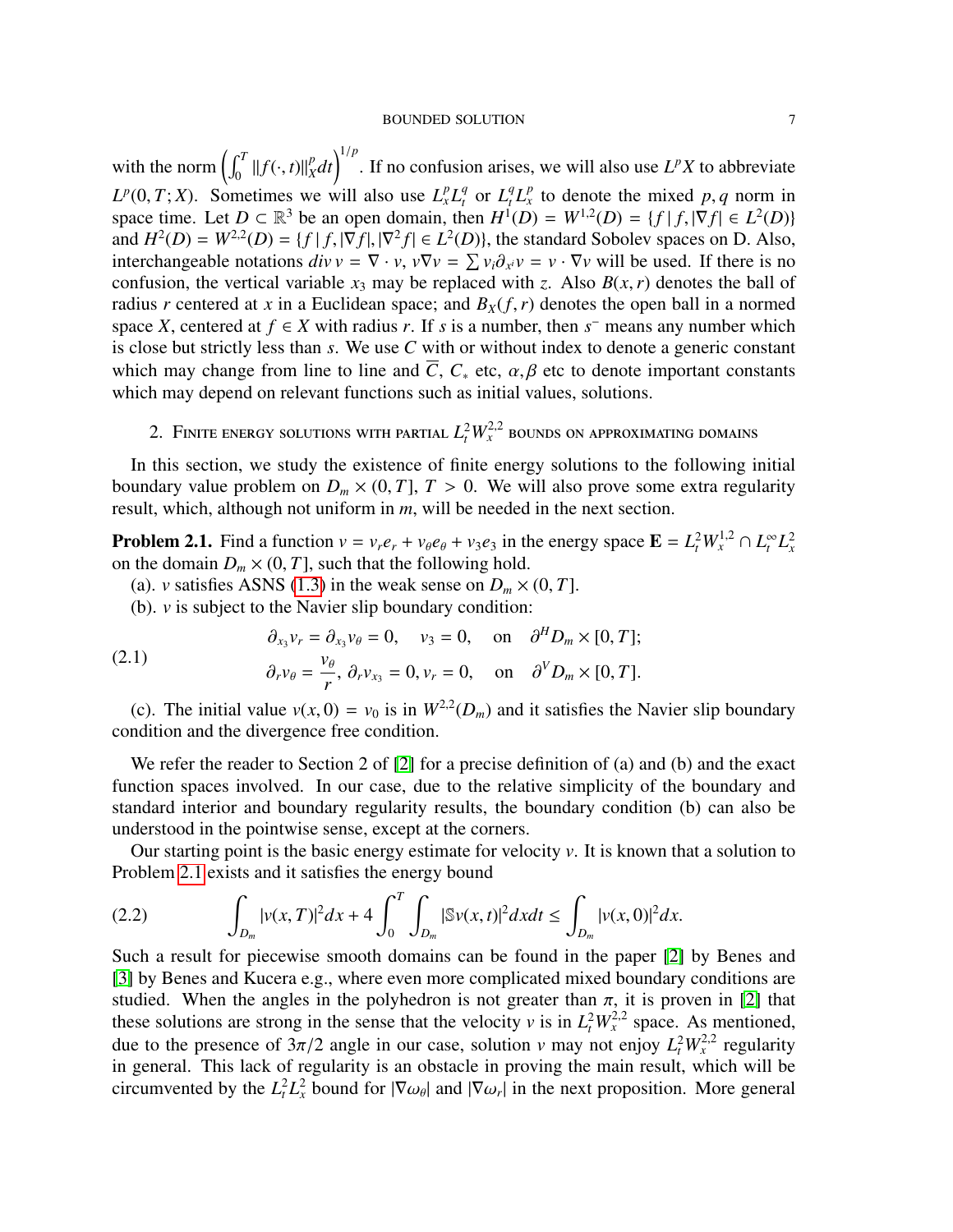with the norm  $\left( \int_0^T ||f(\cdot, t)||_X^p \right)$  $\int_{X}^{p} dt$ <sup>1/*p*</sup>. If no confusion arises, we will also use *L<sup>p</sup>X* to abbreviate  $L^p(0,T;X)$ . Sometimes we will also use  $L_x^p L_t^q$  or  $L_t^q L_x^p$  to denote the mixed p, q norm in space time. Let  $D \subset \mathbb{R}^3$  be an open domain, then  $H^1(D) = W^{1,2}(D) = \{f | f | \nabla f | \in L^2(D)\}$ space time. Let  $D \subset \mathbb{R}^3$  be an open domain, then  $H^1(D) = W^{1,2}(D) = \{f | f, |\nabla f| \in L^2(D)\}$ <br>and  $H^2(D) - W^{2,2}(D) - \{f | f | \nabla f | |\nabla^2 f| \in L^2(D)\}$  the standard Sobolev spaces on D. Also and  $H^2(D) = W^{2,2}(D) = \{f | f, |\nabla f|, |\nabla^2 f| \in L^2(D)\}$ , the standard Sobolev spaces on D. Also, interchangeable notations  $\dim V = \nabla \cdot V \cdot \nabla v = \nabla \cdot \partial \cdot V = \nabla \cdot \nabla v$  will be used. If there is no interchangeable notations  $div v = \nabla \cdot v$ ,  $v\nabla v = \sum v_i \partial_{x_i} v = v \cdot \nabla v$  will be used. If there is no<br>confusion the vertical variable  $x_0$  may be replaced with z. Also  $R(x, r)$  denotes the ball of confusion, the vertical variable  $x_3$  may be replaced with *z*. Also  $B(x, r)$  denotes the ball of radius *r* centered at *x* in a Euclidean space; and  $B_X(f, r)$  denotes the open ball in a normed space *X*, centered at  $f \in X$  with radius *r*. If *s* is a number, then  $s^-$  means any number which is close but strictly less than *s*. We use *C* with or without index to denote a generic constant which may change from line to line and  $\overline{C}$ ,  $C_*$  etc,  $\alpha, \beta$  etc to denote important constants which may depend on relevant functions such as initial values, solutions.

# 2. Finite energy solutions with partial  $L_t^2 W_x^{2,2}$  bounds on approximating domains

<span id="page-6-0"></span>In this section, we study the existence of finite energy solutions to the following initial boundary value problem on  $D_m \times (0, T]$ ,  $T > 0$ . We will also prove some extra regularity result, which, although not uniform in *m*, will be needed in the next section.

<span id="page-6-1"></span>**Problem 2.1.** Find a function  $v = v_r e_r + v_\theta e_\theta + v_3 e_3$  in the energy space  $\mathbf{E} = L_t^2 W_x^{1,2} \cap L_t^\infty L_x^2$ on the domain  $D_m \times (0, T]$ , such that the following hold.

- (a). *v* satisfies ASNS [\(1.3\)](#page-1-0) in the weak sense on  $D_m \times (0, T]$ .
- (b). *v* is subject to the Navier slip boundary condition:

(2.1) 
$$
\begin{aligned}\n\partial_{x_3} v_r &= \partial_{x_3} v_\theta = 0, \quad v_3 = 0, \quad \text{on} \quad \partial^H D_m \times [0, T]; \\
\partial_r v_\theta &= \frac{v_\theta}{r}, \ \partial_r v_{x_3} = 0, v_r = 0, \quad \text{on} \quad \partial^V D_m \times [0, T].\n\end{aligned}
$$

(c). The initial value  $v(x, 0) = v_0$  is in  $W^{2,2}(D_m)$  and it satisfies the Navier slip boundary notition and the divergence free condition condition and the divergence free condition.

We refer the reader to Section 2 of [\[2\]](#page-54-5) for a precise definition of (a) and (b) and the exact function spaces involved. In our case, due to the relative simplicity of the boundary and standard interior and boundary regularity results, the boundary condition (b) can also be understood in the pointwise sense, except at the corners.

Our starting point is the basic energy estimate for velocity *v*. It is known that a solution to Problem [2.1](#page-6-1) exists and it satisfies the energy bound

<span id="page-6-2"></span>(2.2) 
$$
\int_{D_m} |v(x,T)|^2 dx + 4 \int_0^T \int_{D_m} |\mathbb{S}v(x,t)|^2 dx dt \leq \int_{D_m} |v(x,0)|^2 dx.
$$

Such a result for piecewise smooth domains can be found in the paper [\[2\]](#page-54-5) by Benes and [\[3\]](#page-54-6) by Benes and Kucera e.g., where even more complicated mixed boundary conditions are studied. When the angles in the polyhedron is not greater than  $\pi$ , it is proven in [\[2\]](#page-54-5) that these solutions are strong in the sense that the velocity *v* is in  $L_t^2 W_x^{2,2}$  space. As mentioned, due to the presence of  $3\pi/2$  angle in our case, solution *v* may not enjoy  $L_t^2 W_x^{2,2}$  regularity in general. This lack of regularity is an obstacle in proving the main result, which will be in general. This lack of regularity is an obstacle in proving the main result, which will be circumvented by the  $L_t^2 L_x^2$  bound for  $|\nabla \omega_{\theta}|$  and  $|\nabla \omega_r|$  in the next proposition. More general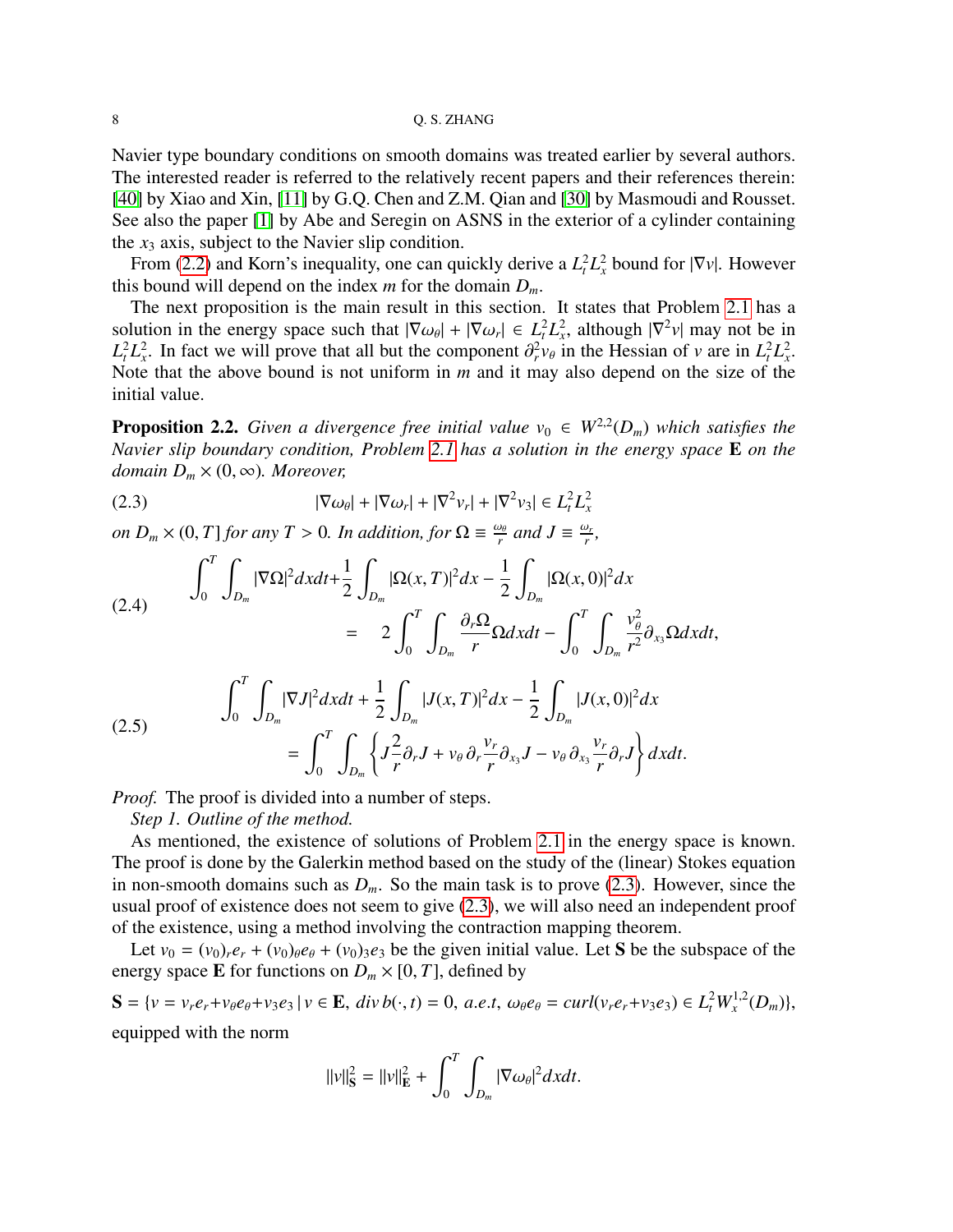Navier type boundary conditions on smooth domains was treated earlier by several authors. The interested reader is referred to the relatively recent papers and their references therein: [\[40\]](#page-56-6) by Xiao and Xin, [\[11\]](#page-55-21) by G.Q. Chen and Z.M. Qian and [\[30\]](#page-55-22) by Masmoudi and Rousset. See also the paper [\[1\]](#page-54-7) by Abe and Seregin on ASNS in the exterior of a cylinder containing the  $x_3$  axis, subject to the Navier slip condition.

From [\(2.2\)](#page-6-2) and Korn's inequality, one can quickly derive a  $L_t^2 L_x^2$  bound for  $|\nabla v|$ . However this bound will depend on the index  $m$  for the domain  $D_m$ .

The next proposition is the main result in this section. It states that Problem [2.1](#page-6-1) has a solution in the energy space such that  $|\nabla \omega_{\theta}| + |\nabla \omega_{r}| \in L_t^2 L_x^2$ , although  $|\nabla^2 v|$  may not be in  $L^2 L^2$ . In fact we will prove that all but the component  $\frac{\partial^2 v_{\theta}}{\partial x^2}$  in the Hessian of v are in  $L^2 L^2$  $L_t^2 L_x^2$ . In fact we will prove that all but the component  $\partial_r^2 v_\theta$  in the Hessian of *v* are in  $L_t^2 L_x^2$ .<br>Note that the above bound is not uniform in *m* and it may also depend on the size of the Note that the above bound is not uniform in *m* and it may also depend on the size of the initial value.

<span id="page-7-3"></span>**Proposition 2.2.** Given a divergence free initial value  $v_0 \in W^{2,2}(D_m)$  which satisfies the *Navier slip boundary condition, Problem [2.1](#page-6-1) has a solution in the energy space* E *on the domain*  $D_m \times (0, \infty)$ *. Moreover,* 

<span id="page-7-0"></span>(2.3) 
$$
|\nabla \omega_{\theta}| + |\nabla \omega_{r}| + |\nabla^2 v_{r}| + |\nabla^2 v_{3}| \in L_t^2 L_x^2
$$

*on*  $D_m \times (0, T]$  *for any*  $T > 0$ *. In addition, for*  $\Omega \equiv \frac{\omega_\theta}{r}$  *and*  $J \equiv \frac{\omega_r}{r}$ *,* 

<span id="page-7-1"></span>(2.4) 
$$
\int_{0}^{T} \int_{D_{m}} |\nabla \Omega|^{2} dxdt + \frac{1}{2} \int_{D_{m}} |\Omega(x, T)|^{2} dx - \frac{1}{2} \int_{D_{m}} |\Omega(x, 0)|^{2} dx
$$

$$
= 2 \int_{0}^{T} \int_{D_{m}} \frac{\partial_{r} \Omega}{r} \Omega dxdt - \int_{0}^{T} \int_{D_{m}} \frac{v_{\theta}^{2}}{r^{2}} \partial_{x_{3}} \Omega dxdt,
$$

$$
\int_{0}^{T} \int_{D_{m}} |\nabla J|^{2} dxdt + \frac{1}{2} \int_{D_{m}} |J(x, T)|^{2} dx - \frac{1}{2} \int_{D_{m}} |J(x, 0)|^{2} dx
$$

$$
= \int_{0}^{T} \int_{D_{m}} \left\{ J \frac{2}{r} \partial_{r} J + v_{\theta} \partial_{r} \frac{v_{r}}{r} \partial_{x_{3}} J - v_{\theta} \partial_{x_{3}} \frac{v_{r}}{r} \partial_{r} J \right\} dxdt.
$$

<span id="page-7-2"></span>*Proof.* The proof is divided into a number of steps.

*Step 1. Outline of the method.*

As mentioned, the existence of solutions of Problem [2.1](#page-6-1) in the energy space is known. The proof is done by the Galerkin method based on the study of the (linear) Stokes equation in non-smooth domains such as  $D_m$ . So the main task is to prove [\(2.3\)](#page-7-0). However, since the usual proof of existence does not seem to give [\(2.3\)](#page-7-0), we will also need an independent proof of the existence, using a method involving the contraction mapping theorem.

Let  $v_0 = (v_0)_r e_r + (v_0)_\theta e_\theta + (v_0)_3 e_3$  be the given initial value. Let S be the subspace of the energy space **E** for functions on  $D_m \times [0, T]$ , defined by

$$
\mathbf{S} = \{v = v_r e_r + v_\theta e_\theta + v_3 e_3 \mid v \in \mathbf{E}, \text{div } b(\cdot, t) = 0, \text{ a.e.} t, \omega_\theta e_\theta = \text{curl}(v_r e_r + v_3 e_3) \in L_t^2 W_x^{1,2}(D_m) \},
$$
 equipped with the norm

$$
||v||_{\mathbf{S}}^2 = ||v||_{\mathbf{E}}^2 + \int_0^T \int_{D_m} |\nabla \omega_\theta|^2 dxdt.
$$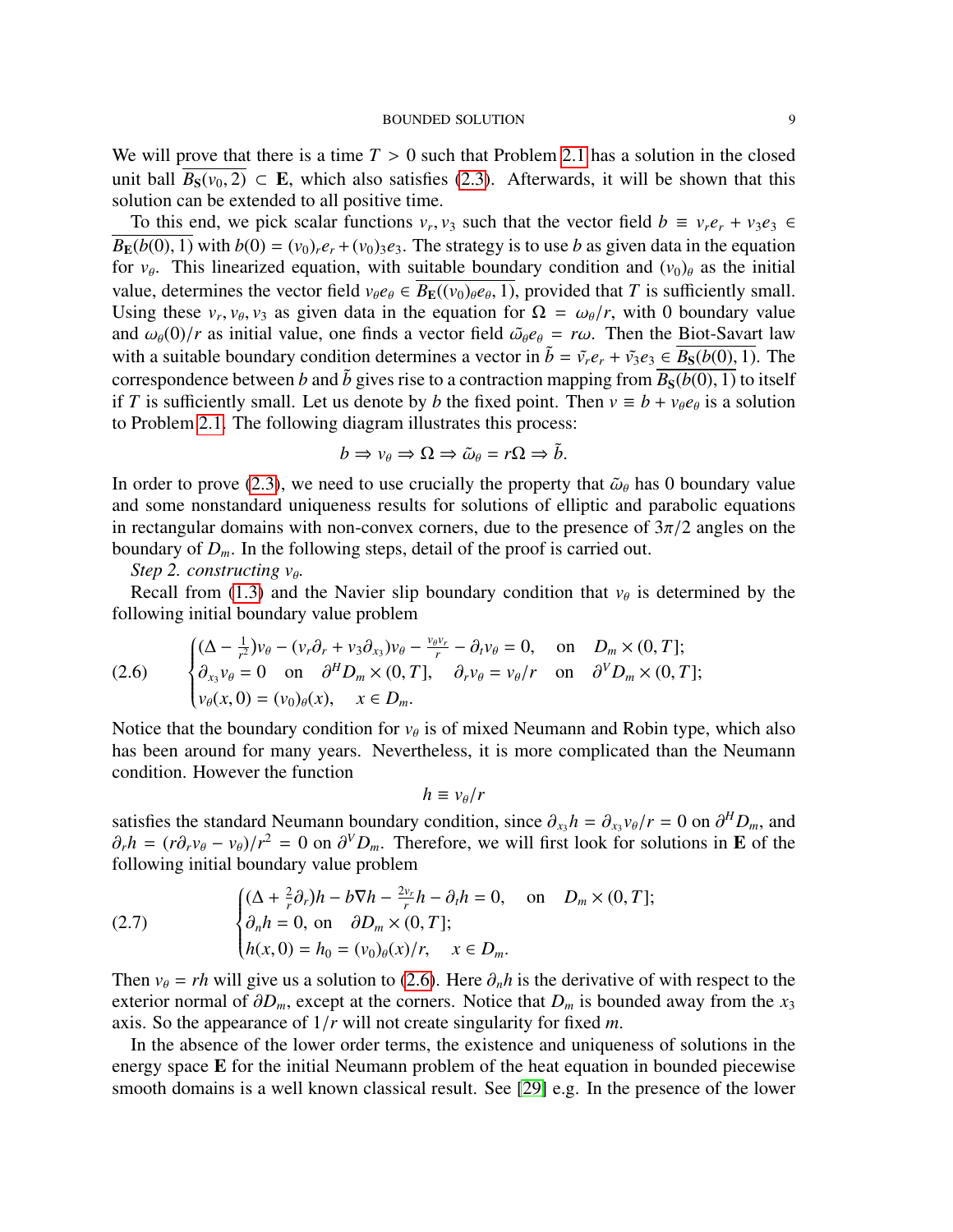We will prove that there is a time  $T > 0$  such that Problem [2.1](#page-6-1) has a solution in the closed unit ball  $\overline{B_S(v_0, 2)} \subset \mathbf{E}$ , which also satisfies [\(2.3\)](#page-7-0). Afterwards, it will be shown that this solution can be extended to all positive time.

To this end, we pick scalar functions  $v_r$ ,  $v_3$  such that the vector field  $b \equiv v_r e_r + v_3 e_3 \in$ <br>(*b*(0) 1) with *b*(0) = (*y*<sub>0</sub>)  $e_r + (y_0)e_r$ . The strategy is to use *b* as given data in the equation  $B_{\mathbf{E}}(b(0), 1)$  with  $b(0) = (v_0)_r e_r + (v_0)_3 e_3$ . The strategy is to use *b* as given data in the equation for  $v_{\theta}$ . This linearized equation, with suitable boundary condition and  $(v_0)_{\theta}$  as the initial value, determines the vector field  $v_{\theta}e_{\theta} \in B_{\mathbf{E}}((v_0)_{\theta}e_{\theta}, 1)$ , provided that *T* is sufficiently small.<br>Using these *y y*<sub>0</sub> *y*<sub>2</sub> as given data in the equation for  $O = \omega_0/r$  with 0 boundary value Using these  $v_r$ ,  $v_\theta$ ,  $v_3$  as given data in the equation for  $\Omega = \omega_\theta/r$ , with 0 boundary value and  $\omega_\theta(0)/r$  as initial value, one finds a vector field  $\tilde{\omega}_\theta e_\theta - r\omega$ . Then the Biot-Savart law and  $\omega_{\theta}(0)/r$  as initial value, one finds a vector field  $\tilde{\omega}_{\theta}e_{\theta} = r\omega$ . Then the Biot-Savart law with a suitable boundary condition determines a vector in  $\tilde{b} = \tilde{v}_r e_r + \tilde{v}_3 e_3 \in B_S(b(0), 1)$ . The correspondence between *b* and  $\tilde{b}$  gives rise to a contraction mapping from  $\overline{B_S(b(0), 1)}$  to itself if *T* is sufficiently small. Let us denote by *b* the fixed point. Then  $v \equiv b + v_{\theta}e_{\theta}$  is a solution to Problem 2.1. The following diagram illustrates this process: to Problem [2.1.](#page-6-1) The following diagram illustrates this process:

$$
b \Rightarrow v_{\theta} \Rightarrow \Omega \Rightarrow \tilde{\omega}_{\theta} = r\Omega \Rightarrow \tilde{b}.
$$

In order to prove [\(2.3\)](#page-7-0), we need to use crucially the property that  $\tilde{\omega}_{\theta}$  has 0 boundary value and some nonstandard uniqueness results for solutions of elliptic and parabolic equations in rectangular domains with non-convex corners, due to the presence of  $3\pi/2$  angles on the boundary of  $D_m$ . In the following steps, detail of the proof is carried out.

*Step 2. constructing*  $v_{\theta}$ *.*<br>**Pegell from**  $(1, 3)$  and

Recall from [\(1.3\)](#page-1-0) and the Navier slip boundary condition that  $v_{\theta}$  is determined by the lawing initial boundary value anoblem. following initial boundary value problem

<span id="page-8-0"></span>(2.6) 
$$
\begin{cases} (\Delta - \frac{1}{r^2})v_{\theta} - (v_r \partial_r + v_3 \partial_{x_3})v_{\theta} - \frac{v_{\theta}v_r}{r} - \partial_t v_{\theta} = 0, & \text{on } D_m \times (0, T]; \\ \partial_{x_3} v_{\theta} = 0 & \text{on } \partial^H D_m \times (0, T], \partial_r v_{\theta} = v_{\theta}/r & \text{on } \partial^V D_m \times (0, T]; \\ v_{\theta}(x, 0) = (v_0)_{\theta}(x), & x \in D_m. \end{cases}
$$

Notice that the boundary condition for  $v_{\theta}$  is of mixed Neumann and Robin type, which also<br>has been example for many years. Nevertheless, it is more complicated than the Neumann has been around for many years. Nevertheless, it is more complicated than the Neumann condition. However the function

$$
h \equiv v_{\theta}/r
$$

satisfies the standard Neumann boundary condition, since  $\partial_{x_3} h = \partial_{x_3} v_{\theta}/r = 0$  on  $\partial^H D_m$ , and  $\partial h = (r \partial v_{\theta} - v_{\theta})/r^2 = 0$  on  $\partial^V D$ . Therefore, we will first look for solutions in **E** of the  $\partial_r h = (r \partial_r v_\theta - v_\theta)/r^2 = 0$  on  $\partial^V D_m$ . Therefore, we will first look for solutions in **E** of the following initial boundary value problem following initial boundary value problem

<span id="page-8-1"></span>(2.7) 
$$
\begin{cases} (\Delta + \frac{2}{r}\partial_r)h - b\nabla h - \frac{2v_r}{r}h - \partial_t h = 0, & \text{on} \quad D_m \times (0, T]; \\ \partial_n h = 0, & \text{on} \quad \partial D_m \times (0, T]; \\ h(x, 0) = h_0 = (v_0)_{\theta}(x)/r, & x \in D_m. \end{cases}
$$

Then  $v_{\theta} = rh$  will give us a solution to [\(2.6\)](#page-8-0). Here  $\partial_n h$  is the derivative of with respect to the exterior normal of  $\partial D_m$ , except at the corners. Notice that  $D_m$  is bounded away from the  $x_3$ axis. So the appearance of 1/*<sup>r</sup>* will not create singularity for fixed *<sup>m</sup>*.

In the absence of the lower order terms, the existence and uniqueness of solutions in the energy space **E** for the initial Neumann problem of the heat equation in bounded piecewise smooth domains is a well known classical result. See [\[29\]](#page-55-23) e.g. In the presence of the lower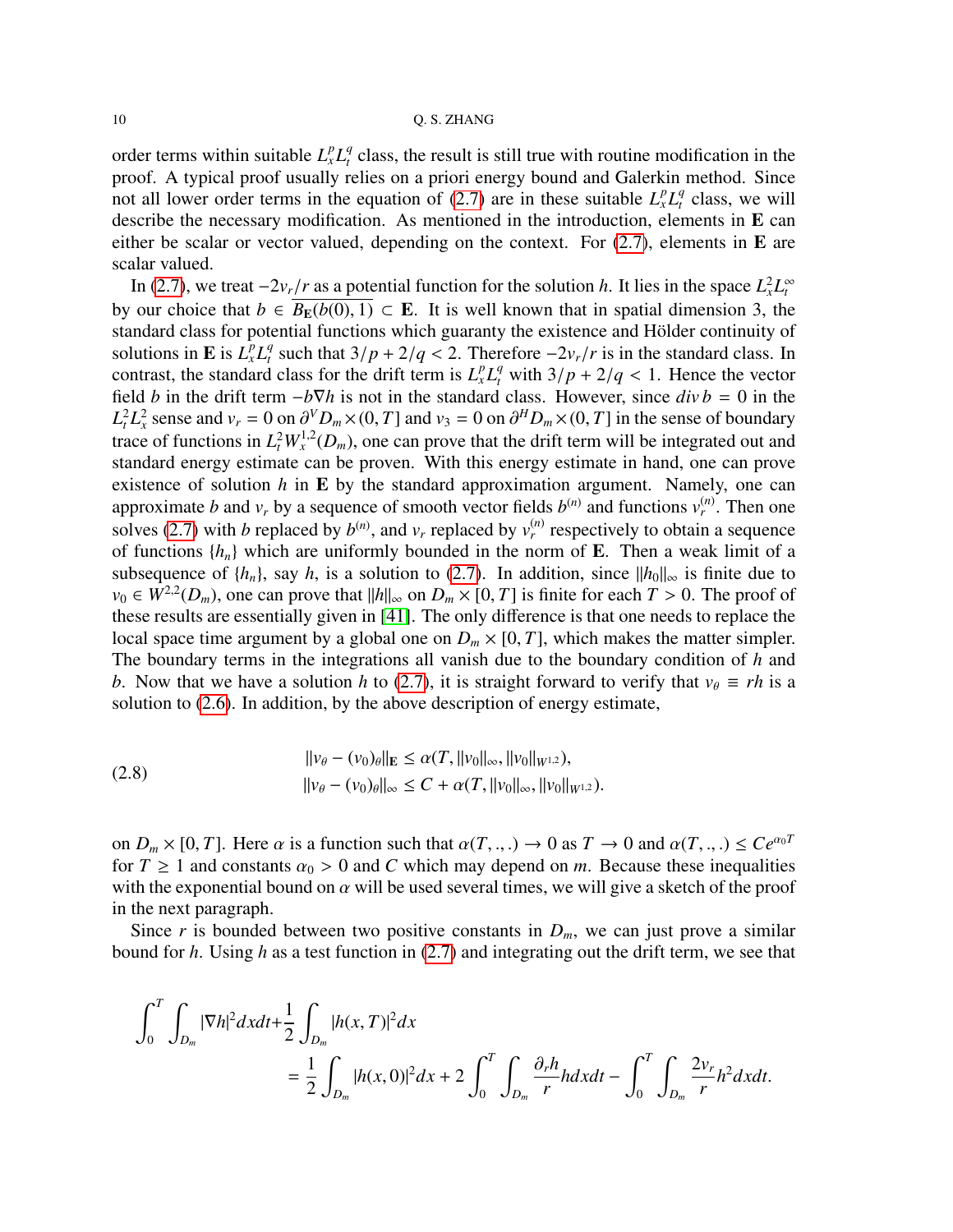order terms within suitable  $L_x^p L_t^q$  $t_t^q$  class, the result is still true with routine modification in the proof. A typical proof usually relies on a priori energy bound and Galerkin method. Since not all lower order terms in the equation of [\(2.7\)](#page-8-1) are in these suitable  $L_x^p L_t^q$  $t_t^q$  class, we will describe the necessary modification. As mentioned in the introduction, elements in E can either be scalar or vector valued, depending on the context. For  $(2.7)$ , elements in **E** are scalar valued.

In [\(2.7\)](#page-8-1), we treat  $-2v_r/r$  as a potential function for the solution *h*. It lies in the space  $L_x^2 L_t^\infty$ <br>our choice that  $h \in \mathbb{R}^{\perp}(\mathfrak{b}(0), 1) \subset \mathbb{F}$ . It is well known that in spatial dimension 3, the by our choice that  $b \in \overline{B_{\mathbb{E}}(b(0), 1)} \subset \mathbb{E}$ . It is well known that in spatial dimension 3, the standard class for potential functions which guaranty the existence and Hölder continuity of solutions in **E** is  $L_x^p L_t^q$ <sup>*q*</sup> such that  $3/p + 2/q < 2$ . Therefore  $-2v_r/r$  is in the standard class. In declaration of  $I^pI^q$  with  $3/p + 2/q < 1$ . Hence the vector contrast, the standard class for the drift term is  $L_x^p L_y^q$  with  $3/p + 2/q < 1$ . Hence the vector field *b* in the drift term  $-b\nabla h$  is not in the standard class. However, since  $div h = 0$  in the field *b* in the drift term  $-b\nabla h$  is not in the standard class. However, since  $div b = 0$  in the  $L_t^2 L_x^2$  sense and  $v_r = 0$  on  $\partial^V D_m \times (0, T]$  and  $v_3 = 0$  on  $\partial^H D_m \times (0, T]$  in the sense of boundary<br>trace of functions in  $L^2 W^{1,2}(D)$  one can prove that the drift term will be integrated out and trace of functions in  $L_t^2 W_x^{1,2}(D_m)$ , one can prove that the drift term will be integrated out and standard energy estimate can be proven. With this energy estimate in hand, one can prove existence of solution *h* in E by the standard approximation argument. Namely, one can approximate *b* and  $v_r$  by a sequence of smooth vector fields  $b^{(n)}$  and functions  $v_r^{(n)}$ . Then one solves [\(2.7\)](#page-8-1) with *b* replaced by  $b^{(n)}$ , and  $v_r$  replaced by  $v_r^{(n)}$  respectively to obtain a sequence of functions  ${h_n}$  which are uniformly bounded in the norm of **E**. Then a weak limit of a subsequence of  $\{h_n\}$ , say *h*, is a solution to [\(2.7\)](#page-8-1). In addition, since  $\|h_0\|_{\infty}$  is finite due to *v*<sub>0</sub> ∈ *W*<sup>2,2</sup>(*D<sub>m</sub>*), one can prove that  $||h||_{\infty}$  on  $D_m \times [0, T]$  is finite for each  $T > 0$ . The proof of these results are essentially given in [411]. The only difference is that one needs to replace the these results are essentially given in [\[41\]](#page-56-7). The only difference is that one needs to replace the local space time argument by a global one on  $D_m \times [0, T]$ , which makes the matter simpler. The boundary terms in the integrations all vanish due to the boundary condition of *h* and *b*. Now that we have a solution *h* to [\(2.7\)](#page-8-1), it is straight forward to verify that  $v_\theta \equiv rh$  is a solution to [\(2.6\)](#page-8-0). In addition, by the above description of energy estimate,

<span id="page-9-0"></span>(2.8) 
$$
||v_{\theta} - (v_0)_{\theta}||_{\mathbf{E}} \leq \alpha(T, ||v_0||_{\infty}, ||v_0||_{W^{1,2}}),
$$

$$
||v_{\theta} - (v_0)_{\theta}||_{\infty} \leq C + \alpha(T, ||v_0||_{\infty}, ||v_0||_{W^{1,2}}).
$$

on  $D_m \times [0, T]$ . Here  $\alpha$  is a function such that  $\alpha(T, \ldots) \to 0$  as  $T \to 0$  and  $\alpha(T, \ldots) \le Ce^{\alpha_0 T}$ for  $T \ge 1$  and constants  $\alpha_0 > 0$  and C which may depend on *m*. Because these inequalities with the exponential bound on  $\alpha$  will be used several times, we will give a sketch of the proof in the next paragraph.

Since *r* is bounded between two positive constants in  $D_m$ , we can just prove a similar bound for *h*. Using *h* as a test function in [\(2.7\)](#page-8-1) and integrating out the drift term, we see that

$$
\int_0^T \int_{D_m} |\nabla h|^2 dx dt + \frac{1}{2} \int_{D_m} |h(x, T)|^2 dx
$$
  
=  $\frac{1}{2} \int_{D_m} |h(x, 0)|^2 dx + 2 \int_0^T \int_{D_m} \frac{\partial_r h}{r} h dx dt - \int_0^T \int_{D_m} \frac{2v_r}{r} h^2 dx dt.$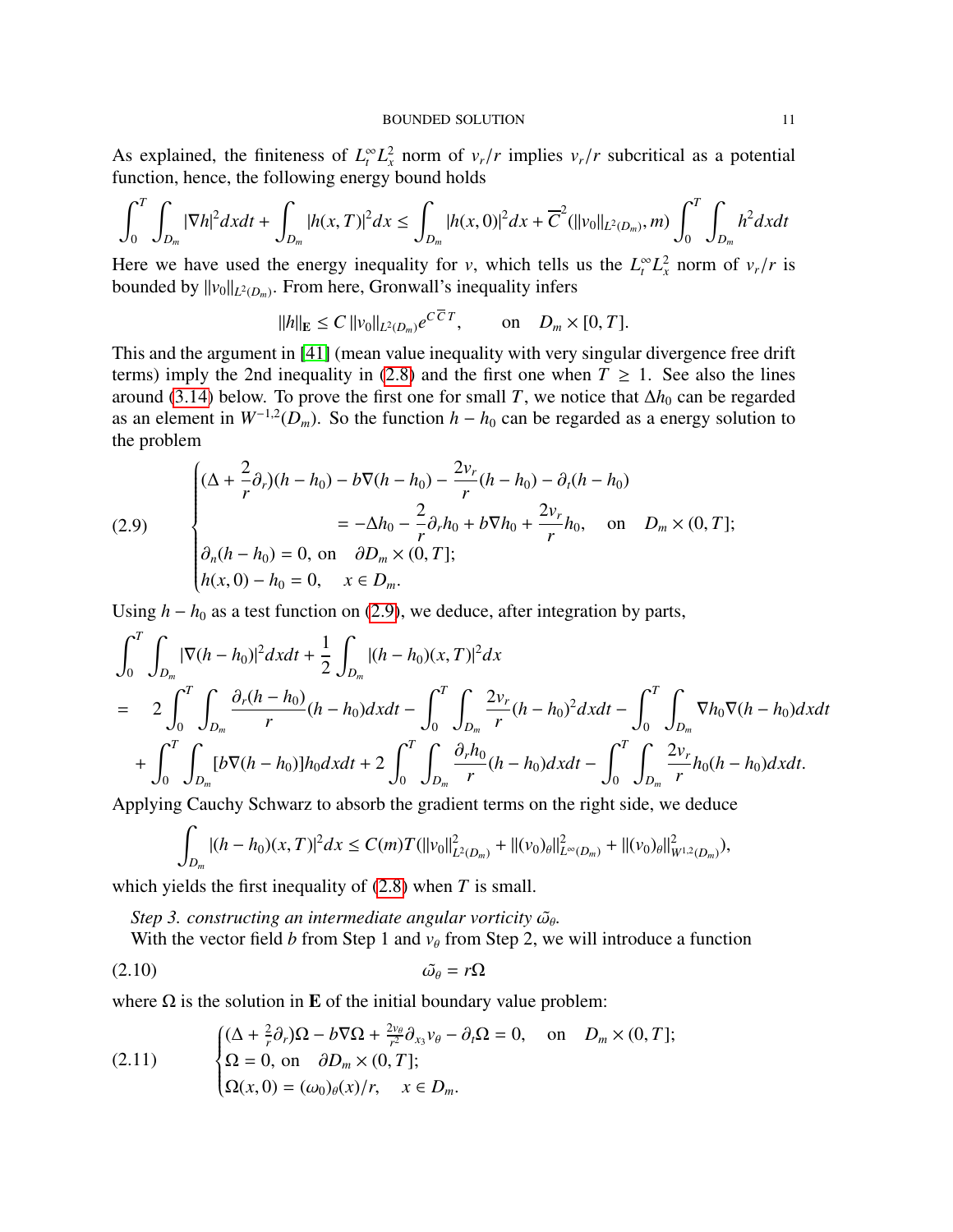As explained, the finiteness of  $L_t^{\infty} L_x^2$  norm of  $v_r/r$  implies  $v_r/r$  subcritical as a potential function hence the following energy bound holds function, hence, the following energy bound holds

$$
\int_0^T \int_{D_m} |\nabla h|^2 dxdt + \int_{D_m} |h(x,T)|^2 dx \leq \int_{D_m} |h(x,0)|^2 dx + \overline{C}^2(||v_0||_{L^2(D_m)},m) \int_0^T \int_{D_m} h^2 dxdt
$$

Here we have used the energy inequality for *v*, which tells us the  $L_t^{\infty} L_x^2$  norm of  $v_r/r$  is bounded by  $||v_0||_{L^2(\Omega)}$ . From here Gronwall's inequality infers bounded by  $||v_0||_{L^2(D_m)}$ . From here, Gronwall's inequality infers

$$
||h||_E \le C ||v_0||_{L^2(D_m)} e^{CCT}
$$
, on  $D_m \times [0, T]$ .

This and the argument in [\[41\]](#page-56-7) (mean value inequality with very singular divergence free drift terms) imply the 2nd inequality in [\(2.8\)](#page-9-0) and the first one when  $T \ge 1$ . See also the lines around [\(3.14\)](#page-30-0) below. To prove the first one for small *T*, we notice that  $\Delta h_0$  can be regarded as an element in  $W^{-1,2}(D_m)$ . So the function  $h - h_0$  can be regarded as a energy solution to the problem

<span id="page-10-0"></span>(2.9)  
\n
$$
\begin{cases}\n(\Delta + \frac{2}{r}\partial_r)(h - h_0) - b\nabla(h - h_0) - \frac{2v_r}{r}(h - h_0) - \partial_t(h - h_0) \\
= -\Delta h_0 - \frac{2}{r}\partial_r h_0 + b\nabla h_0 + \frac{2v_r}{r}h_0, \text{ on } D_m \times (0, T]; \\
\partial_n(h - h_0) = 0, \text{ on } \partial D_m \times (0, T]; \\
h(x, 0) - h_0 = 0, \quad x \in D_m.\n\end{cases}
$$

Using  $h - h_0$  as a test function on [\(2.9\)](#page-10-0), we deduce, after integration by parts,

$$
\int_{0}^{T} \int_{D_{m}} |\nabla (h - h_{0})|^{2} dxdt + \frac{1}{2} \int_{D_{m}} |(h - h_{0})(x, T)|^{2} dx
$$
\n
$$
= 2 \int_{0}^{T} \int_{D_{m}} \frac{\partial_{r} (h - h_{0})}{r} (h - h_{0}) dxdt - \int_{0}^{T} \int_{D_{m}} \frac{2v_{r}}{r} (h - h_{0})^{2} dxdt - \int_{0}^{T} \int_{D_{m}} \nabla h_{0} \nabla (h - h_{0}) dxdt
$$
\n
$$
+ \int_{0}^{T} \int_{D_{m}} [b \nabla (h - h_{0})] h_{0} dxdt + 2 \int_{0}^{T} \int_{D_{m}} \frac{\partial_{r} h_{0}}{r} (h - h_{0}) dxdt - \int_{0}^{T} \int_{D_{m}} \frac{2v_{r}}{r} h_{0} (h - h_{0}) dxdt.
$$

Applying Cauchy Schwarz to absorb the gradient terms on the right side, we deduce

<span id="page-10-2"></span>
$$
\int_{D_m} |(h-h_0)(x,T)|^2 dx \leq C(m)T(||v_0||^2_{L^2(D_m)} + ||(v_0)_{\theta}||^2_{L^{\infty}(D_m)} + ||(v_0)_{\theta}||^2_{W^{1,2}(D_m)}),
$$

which yields the first inequality of [\(2.8\)](#page-9-0) when *T* is small.

*Step 3. constructing an intermediate angular vorticity*  $\tilde{\omega}_{\theta}$ *.*<br>With the vector field *b* from Step 1 and νe from Step 2, we

With the vector field  $b$  from Step 1 and  $v_\theta$  from Step 2, we will introduce a function

$$
\tilde{\omega}_{\theta} = r\Omega
$$

where  $\Omega$  is the solution in **E** of the initial boundary value problem:

<span id="page-10-1"></span>(2.11) 
$$
\begin{cases} (\Delta + \frac{2}{r}\partial_r)\Omega - b\nabla\Omega + \frac{2\nu_\theta}{r^2}\partial_{x_3}\nu_\theta - \partial_t\Omega = 0, & \text{on} \quad D_m \times (0, T]; \\ \Omega = 0, & \text{on} \quad \partial D_m \times (0, T]; \\ \Omega(x, 0) = (\omega_0)_\theta(x)/r, & x \in D_m. \end{cases}
$$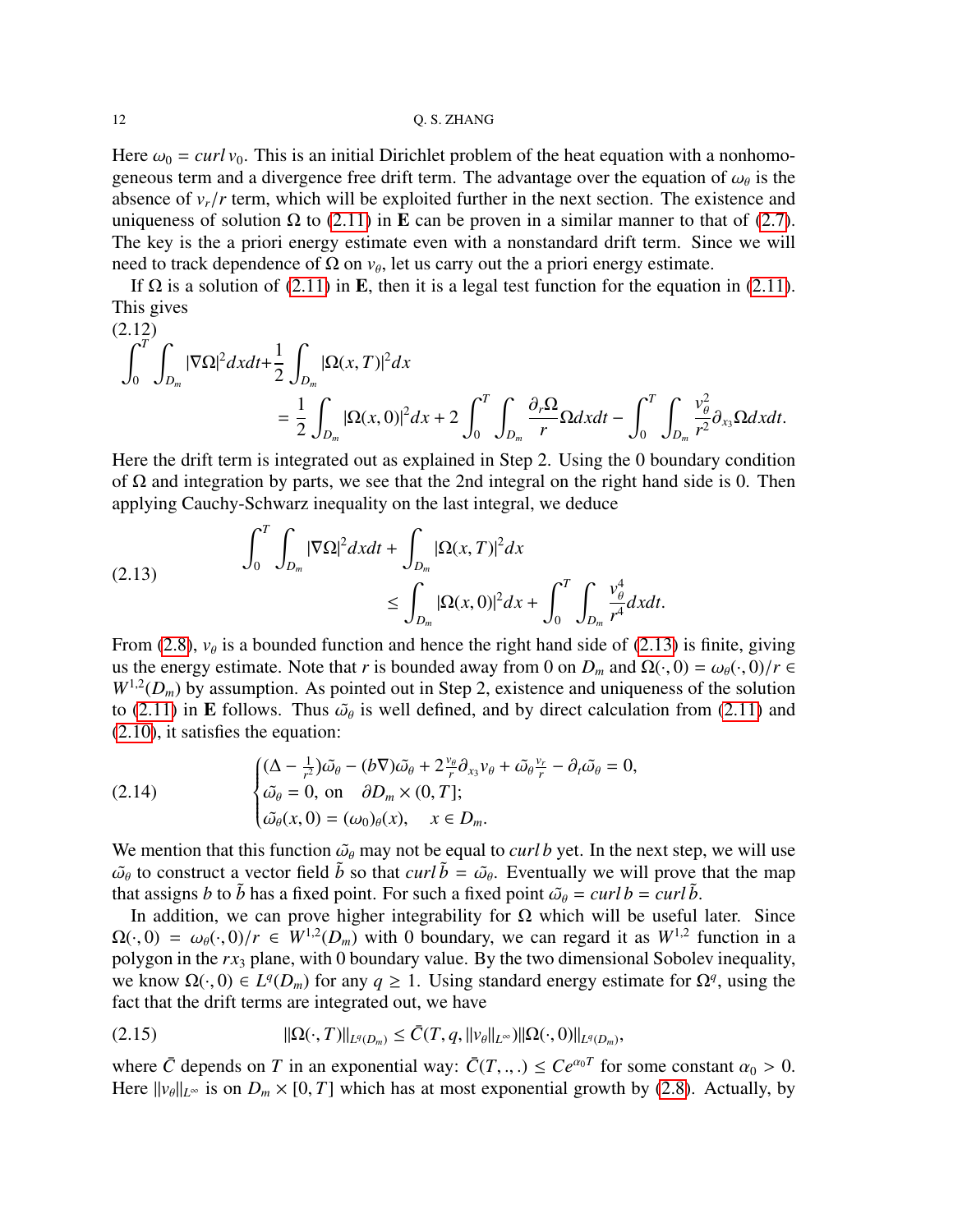Here  $\omega_0 = \frac{curl v_0}{v_0}$ . This is an initial Dirichlet problem of the heat equation with a nonhomogeneous term and a divergence free drift term. The advantage over the equation of  $\omega_{\theta}$  is the absence of  $v/r$  term, which will be exploited further in the next section. The existence and absence of  $v_r/r$  term, which will be exploited further in the next section. The existence and uniqueness of solution Ω to [\(2.11\)](#page-10-1) in **E** can be proven in a similar manner to that of [\(2.7\)](#page-8-1). The key is the a priori energy estimate even with a nonstandard drift term. Since we will need to track dependence of  $\Omega$  on  $v_{\theta}$ , let us carry out the a priori energy estimate.<br>If  $\Omega$  is a solution of  $(2, 11)$  in **F**, then it is a local test function for the aquation

If  $\Omega$  is a solution of [\(2.11\)](#page-10-1) in **E**, then it is a legal test function for the equation in (2.11). This gives  $(2.12)$ 

<span id="page-11-3"></span>
$$
\int_0^T \int_{D_m} |\nabla \Omega|^2 dx dt + \frac{1}{2} \int_{D_m} |\Omega(x, T)|^2 dx
$$
  
= 
$$
\frac{1}{2} \int_{D_m} |\Omega(x, 0)|^2 dx + 2 \int_0^T \int_{D_m} \frac{\partial_r \Omega}{r} \Omega dx dt - \int_0^T \int_{D_m} \frac{v_\theta^2}{r^2} \partial_{x_3} \Omega dx dt.
$$

Here the drift term is integrated out as explained in Step 2. Using the 0 boundary condition of  $\Omega$  and integration by parts, we see that the 2nd integral on the right hand side is 0. Then applying Cauchy-Schwarz inequality on the last integral, we deduce

<span id="page-11-0"></span>(2.13) 
$$
\int_0^T \int_{D_m} |\nabla \Omega|^2 dx dt + \int_{D_m} |\Omega(x, T)|^2 dx \leq \int_{D_m} |\Omega(x, 0)|^2 dx + \int_0^T \int_{D_m} \frac{v_\theta^4}{r^4} dx dt.
$$

From [\(2.8\)](#page-9-0),  $v_\theta$  is a bounded function and hence the right hand side of [\(2.13\)](#page-11-0) is finite, giving<br>us the energy estimate. Note that r is hounded sure from 0 on D, and  $Q(0) = \omega_0 (0)/\pi G$ us the energy estimate. Note that *r* is bounded away from 0 on  $D_m$  and  $\Omega(\cdot, 0) = \omega_\theta(\cdot, 0)/r \in$  $W^{1,2}(D_m)$  by assumption. As pointed out in Step 2, existence and uniqueness of the solution to [\(2.11\)](#page-10-1) in **E** follows. Thus  $\tilde{\omega}_{\theta}$  is well defined, and by direct calculation from (2.11) and (2.10) it satisfies the equation: [\(2.10\)](#page-10-2), it satisfies the equation:

<span id="page-11-2"></span>(2.14) 
$$
\begin{cases} (\Delta - \frac{1}{r^2})\tilde{\omega}_{\theta} - (b\nabla)\tilde{\omega}_{\theta} + 2\frac{v_{\theta}}{r}\partial_{x_3}v_{\theta} + \tilde{\omega}_{\theta}\frac{v_r}{r} - \partial_t\tilde{\omega}_{\theta} = 0, \\ \tilde{\omega}_{\theta} = 0, \text{ on } \partial D_m \times (0, T]; \\ \tilde{\omega}_{\theta}(x, 0) = (\omega_0)_{\theta}(x), \quad x \in D_m. \end{cases}
$$

We mention that this function  $\tilde{\omega}_{\theta}$  may not be equal to *curl b* yet. In the next step, we will use  $\tilde{\omega}_{\theta}$  to construct a vector field  $\tilde{b}$  so that *curl*  $\tilde{b} = \tilde{\omega}_{\theta}$ . Eventually we will prove that the map that assigns *h* to  $\tilde{b}$  has a fixed point. For such a fixed point  $\tilde{\omega}_{\theta} = curl b = curl \tilde{b}$ that assigns *b* to  $\tilde{b}$  has a fixed point. For such a fixed point  $\tilde{\omega}_{\theta} = \frac{curl b}{\tilde{b}}$ .

In addition, we can prove higher integrability for  $\Omega$  which will be useful later. Since  $\Omega(\cdot,0) = \omega_{\theta}(\cdot,0)/r \in W^{1,2}(D_m)$  with 0 boundary, we can regard it as  $W^{1,2}$  function in a polygon in the rx, plane with 0 boundary value. By the two dimensional Sobolev inequality polygon in the *rx*<sup>3</sup> plane, with 0 boundary value. By the two dimensional Sobolev inequality, we know  $\Omega(\cdot, 0) \in L^q(D_m)$  for any  $q \ge 1$ . Using standard energy estimate for  $\Omega^q$ , using the fact that the drift terms are integrated out, we have fact that the drift terms are integrated out, we have

<span id="page-11-1"></span>
$$
(2.15) \t ||\Omega(\cdot,T)||_{L^{q}(D_m)} \leq \bar{C}(T,q,||v_{\theta}||_{L^{\infty}})||\Omega(\cdot,0)||_{L^{q}(D_m)},
$$

where  $\bar{C}$  depends on  $T$  in an exponential way:  $\bar{C}(T, \dots) \leq Ce^{\alpha_0 T}$  for some constant  $\alpha_0 > 0$ .<br>Here  $||y_0||_{L^{\infty}}$  is on  $D \times [0, T]$  which has at most exponential growth by (2.8). Actually by Here  $||v_{\theta}||_{L^{\infty}}$  is on  $D_m \times [0, T]$  which has at most exponential growth by [\(2.8\)](#page-9-0). Actually, by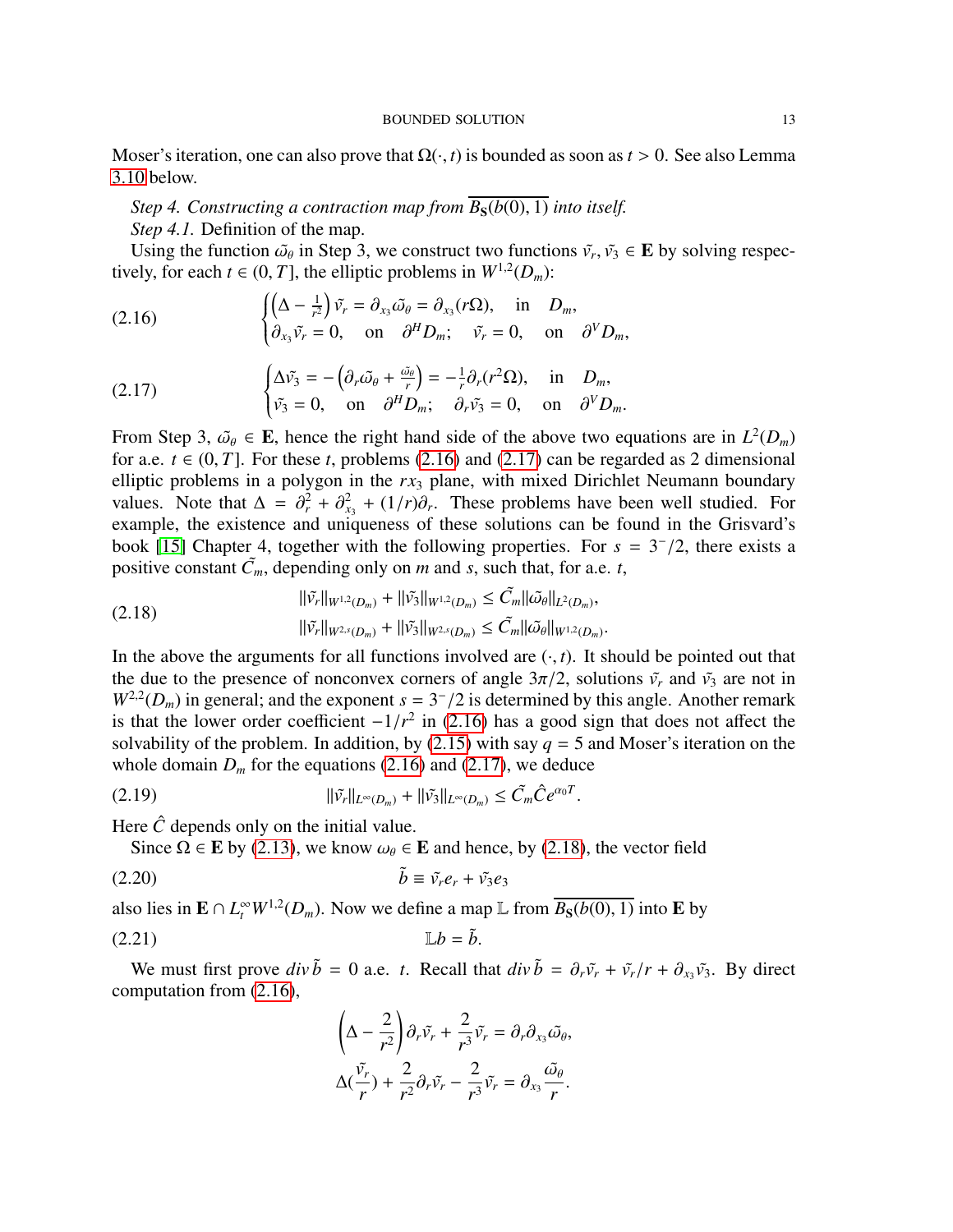Moser's iteration, one can also prove that  $\Omega(\cdot, t)$  is bounded as soon as  $t > 0$ . See also Lemma [3.10](#page-42-0) below.

# *Step 4. Constructing a contraction map from*  $\overline{B_S(b(0), 1)}$  *into itself. Step 4.1.* Definition of the map.

Using the function  $\tilde{\omega}_{\theta}$  in Step 3, we construct two functions  $\tilde{v}_r$ ,  $\tilde{v}_3 \in \mathbf{E}$  by solving respec-<br>ely for each  $t \in (0, T]$  the elliptic problems in  $W^{1,2}(D)$ . tively, for each  $t \in (0, T]$ , the elliptic problems in  $W^{1,2}(D_m)$ :

<span id="page-12-0"></span>(2.16) 
$$
\begin{cases} \left(\Delta - \frac{1}{r^2}\right)\tilde{v_r} = \partial_{x_3}\tilde{\omega_{\theta}} = \partial_{x_3}(r\Omega), & \text{in } D_m, \\ \partial_{x_3}\tilde{v_r} = 0, & \text{on } \partial^HD_m; \quad \tilde{v_r} = 0, & \text{on } \partial^VD_m, \end{cases}
$$

<span id="page-12-1"></span>(2.17) 
$$
\begin{cases} \Delta \tilde{v_3} = -(\partial_r \tilde{\omega_\theta} + \frac{\tilde{\omega_\theta}}{r}) = -\frac{1}{r} \partial_r (r^2 \Omega), & \text{in } D_m, \\ \tilde{v_3} = 0, & \text{on } \partial^H D_m; \partial_r \tilde{v_3} = 0, & \text{on } \partial^V D_m. \end{cases}
$$

From Step 3,  $\tilde{\omega}_{\theta} \in \mathbf{E}$ , hence the right hand side of the above two equations are in  $L^2(D_m)$ <br>for a e  $t \in (0, T]$ . For these t problems (2.16) and (2.17) can be regarded as 2 dimensional for a.e.  $t \in (0, T]$ . For these *t*, problems [\(2.16\)](#page-12-0) and [\(2.17\)](#page-12-1) can be regarded as 2 dimensional elliptic problems in a polygon in the *rx*<sup>3</sup> plane, with mixed Dirichlet Neumann boundary values. Note that  $\Delta = \partial_r^2 + \partial_{x_3}^2 + (1/r)\partial_r$ . These problems have been well studied. For<br>example, the existence and uniqueness of these solutions can be found in the Grisvard's example, the existence and uniqueness of these solutions can be found in the Grisvard's book [\[15\]](#page-55-24) Chapter 4, together with the following properties. For  $s = 3^{-}/2$ , there exists a positive constant  $\tilde{C}$  depending only on *m* and *s* such that for a e t positive constant  $\tilde{C}_m$ , depending only on *m* and *s*, such that, for a.e. *t*,

<span id="page-12-2"></span>(2.18) 
$$
\|\tilde{v_r}\|_{W^{1,2}(D_m)} + \|\tilde{v_3}\|_{W^{1,2}(D_m)} \leq \tilde{C}_m \|\tilde{\omega}_{\theta}\|_{L^2(D_m)},
$$

$$
\|\tilde{v_r}\|_{W^{2,s}(D_m)} + \|\tilde{v_3}\|_{W^{2,s}(D_m)} \leq \tilde{C}_m \|\tilde{\omega}_{\theta}\|_{W^{1,2}(D_m)}.
$$

In the above the arguments for all functions involved are  $(\cdot, t)$ . It should be pointed out that the due to the presence of ponconvex corpers of angle  $3\pi/2$  solutions  $\tilde{v}$  and  $\tilde{v}$  are not in the due to the presence of nonconvex corners of angle  $3\pi/2$ , solutions  $\tilde{v}_r$  and  $\tilde{v}_3$  are not in  $W^{2,2}(D_m)$  in general; and the exponent  $s = 3^{-}/2$  is determined by this angle. Another remark<br>is that the lower order coefficient  $-1/r^2$  in (2.16) has a good sign that does not affect the is that the lower order coefficient  $-1/r^2$  in [\(2.16\)](#page-12-0) has a good sign that does not affect the solvability of the problem. In addition by (2.15) with say  $a = 5$  and Moser's iteration on the solvability of the problem. In addition, by  $(2.15)$  with say  $q = 5$  and Moser's iteration on the whole domain  $D_m$  for the equations [\(2.16\)](#page-12-0) and [\(2.17\)](#page-12-1), we deduce

(2.19) 
$$
\|\tilde{v_r}\|_{L^{\infty}(D_m)} + \|\tilde{v_3}\|_{L^{\infty}(D_m)} \leq \tilde{C}_m \hat{C} e^{\alpha_0 T}
$$

Here  $\hat{C}$  depends only on the initial value.

<span id="page-12-4"></span>Since  $\Omega \in \mathbf{E}$  by [\(2.13\)](#page-11-0), we know  $\omega_{\theta} \in \mathbf{E}$  and hence, by [\(2.18\)](#page-12-2), the vector field

(2.20) *b*˜ ≡ *v*˜*re<sup>r</sup>* + *v*˜3*e*<sup>3</sup>

also lies in  $\mathbf{E} \cap L_t^{\infty} W^{1,2}(D_m)$ . Now we define a map  $\mathbb{L}$  from  $\overline{B_S(b(0), 1)}$  into  $\mathbf{E}$  by

$$
\mathbb{L}b = \tilde{b}.
$$

We must first prove  $div \tilde{b} = 0$  a.e. *t*. Recall that  $div \tilde{b} = \partial_r \tilde{v}_r + \tilde{v}_r/r + \partial_{x_3} \tilde{v}_3$ . By direct moutation from (2.16) computation from [\(2.16\)](#page-12-0),

<span id="page-12-3"></span>
$$
\left(\Delta - \frac{2}{r^2}\right)\partial_r \tilde{v}_r + \frac{2}{r^3} \tilde{v}_r = \partial_r \partial_{x_3} \tilde{\omega}_{\theta},
$$
  

$$
\Delta(\frac{\tilde{v}_r}{r}) + \frac{2}{r^2} \partial_r \tilde{v}_r - \frac{2}{r^3} \tilde{v}_r = \partial_{x_3} \frac{\tilde{\omega}_{\theta}}{r}.
$$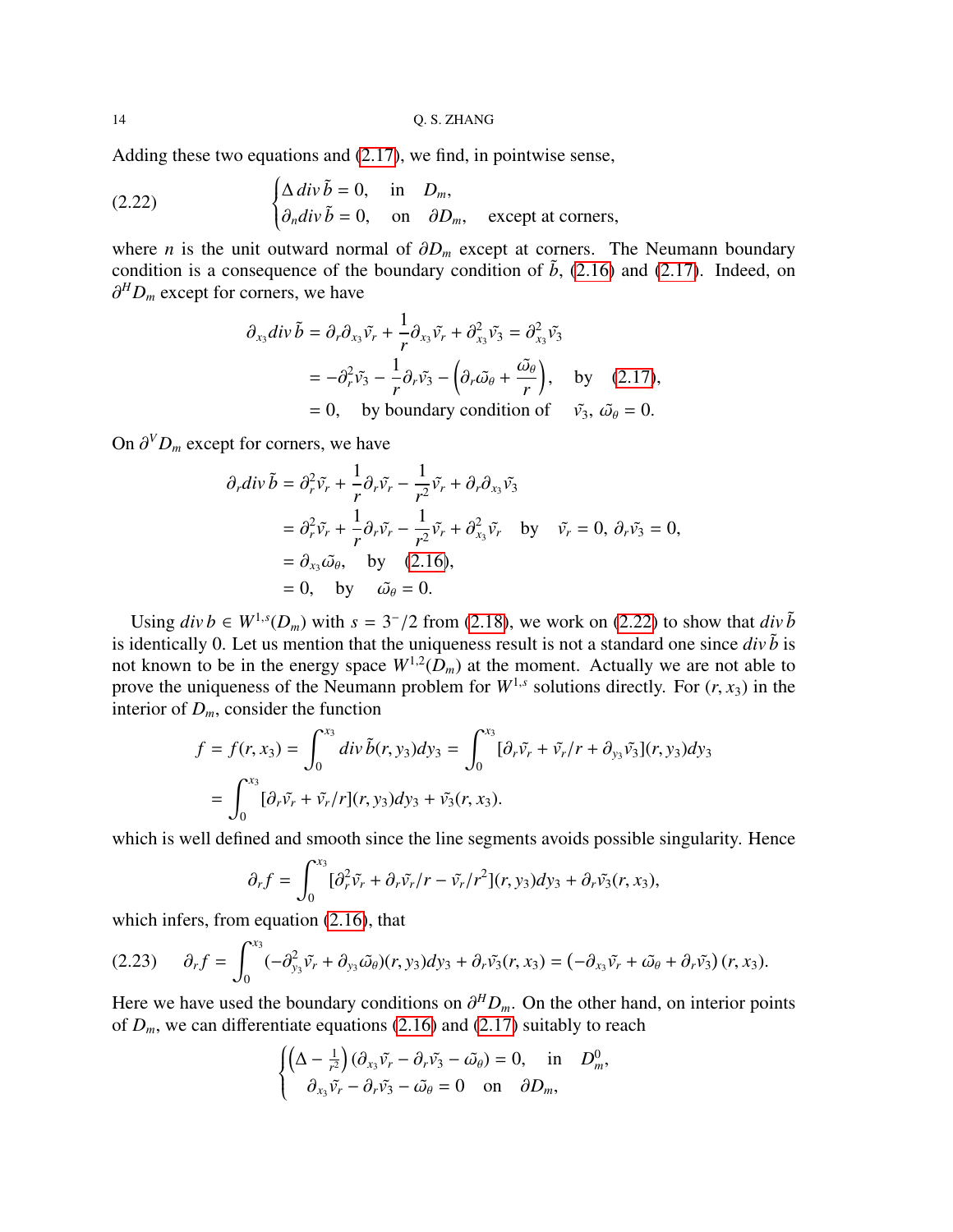Adding these two equations and [\(2.17\)](#page-12-1), we find, in pointwise sense,

(2.22) 
$$
\begin{cases} \Delta \, div \, \tilde{b} = 0, & \text{in } D_m, \\ \partial_n div \, \tilde{b} = 0, & \text{on } \partial D_m, \text{ except at corners,} \end{cases}
$$

where *n* is the unit outward normal of  $\partial D_m$  except at corners. The Neumann boundary condition is a consequence of the boundary condition of  $\tilde{b}$ , [\(2.16\)](#page-12-0) and [\(2.17\)](#page-12-1). Indeed, on ∂ *<sup>H</sup> D<sup>m</sup>* except for corners, we have

<span id="page-13-0"></span>
$$
\partial_{x_3} \text{div } \tilde{b} = \partial_r \partial_{x_3} \tilde{v}_r + \frac{1}{r} \partial_{x_3} \tilde{v}_r + \partial_{x_3}^2 \tilde{v}_3 = \partial_{x_3}^2 \tilde{v}_3
$$
\n
$$
= -\partial_r^2 \tilde{v}_3 - \frac{1}{r} \partial_r \tilde{v}_3 - \left( \partial_r \tilde{\omega}_{\theta} + \frac{\tilde{\omega}_{\theta}}{r} \right), \quad \text{by} \quad (2.17),
$$
\n
$$
= 0, \quad \text{by boundary condition of} \quad \tilde{v}_3, \ \tilde{\omega}_{\theta} = 0.
$$

On  $\partial^V D_m$  except for corners, we have

$$
\partial_r div \tilde{b} = \partial_r^2 \tilde{v}_r + \frac{1}{r} \partial_r \tilde{v}_r - \frac{1}{r^2} \tilde{v}_r + \partial_r \partial_{x_3} \tilde{v}_3
$$
  
\n
$$
= \partial_r^2 \tilde{v}_r + \frac{1}{r} \partial_r \tilde{v}_r - \frac{1}{r^2} \tilde{v}_r + \partial_{x_3}^2 \tilde{v}_r \quad \text{by} \quad \tilde{v}_r = 0, \ \partial_r \tilde{v}_3 = 0,
$$
  
\n
$$
= \partial_{x_3} \tilde{\omega}_{\theta}, \quad \text{by} \quad (2.16),
$$
  
\n
$$
= 0, \quad \text{by} \quad \tilde{\omega}_{\theta} = 0.
$$

Using  $div b \in W^{1,s}(D_m)$  with  $s = 3^{-}/2$  from [\(2.18\)](#page-12-2), we work on [\(2.22\)](#page-13-0) to show that  $div \tilde{b}$ <br>identically 0. Let us mention that the uniqueness result is not a standard one since  $div \tilde{b}$  is is identically 0. Let us mention that the uniqueness result is not a standard one since  $div \tilde{b}$  is not known to be in the energy space  $W^{1,2}(D_m)$  at the moment. Actually we are not able to prove the uniqueness of the Neumann problem for  $W^{1,s}$  solutions directly. For  $(r, x_3)$  in the interior of *D* consider the function interior of  $D_m$ , consider the function

$$
f = f(r, x_3) = \int_0^{x_3} div \, \tilde{b}(r, y_3) dy_3 = \int_0^{x_3} [\partial_r \tilde{v}_r + \tilde{v}_r/r + \partial_{y_3} \tilde{v}_3](r, y_3) dy_3
$$
  
= 
$$
\int_0^{x_3} [\partial_r \tilde{v}_r + \tilde{v}_r/r](r, y_3) dy_3 + \tilde{v}_3(r, x_3).
$$

which is well defined and smooth since the line segments avoids possible singularity. Hence

$$
\partial_r f = \int_0^{x_3} [\partial_r^2 \tilde{v}_r + \partial_r \tilde{v}_r/r - \tilde{v}_r/r^2](r, y_3) dy_3 + \partial_r \tilde{v}_3(r, x_3),
$$

which infers, from equation  $(2.16)$ , that

<span id="page-13-1"></span>
$$
(2.23) \qquad \partial_r f = \int_0^{x_3} (-\partial_{y_3}^2 \tilde{v}_r + \partial_{y_3} \tilde{\omega}_{\theta})(r, y_3) dy_3 + \partial_r \tilde{v}_3(r, x_3) = (-\partial_{x_3} \tilde{v}_r + \tilde{\omega}_{\theta} + \partial_r \tilde{v}_3)(r, x_3).
$$

Here we have used the boundary conditions on  $\partial^HD_m$ . On the other hand, on interior points of *D* we can differentiate equations (2.16) and (2.17) suitably to reach of  $D_m$ , we can differentiate equations [\(2.16\)](#page-12-0) and [\(2.17\)](#page-12-1) suitably to reach

$$
\begin{cases}\n\left(\Delta - \frac{1}{r^2}\right)\left(\partial_{x_3}\tilde{v_r} - \partial_r\tilde{v_3} - \tilde{\omega}_{\theta}\right) = 0, & \text{in } D_m^0, \\
\partial_{x_3}\tilde{v_r} - \partial_r\tilde{v_3} - \tilde{\omega}_{\theta} = 0 & \text{on } \partial D_m,\n\end{cases}
$$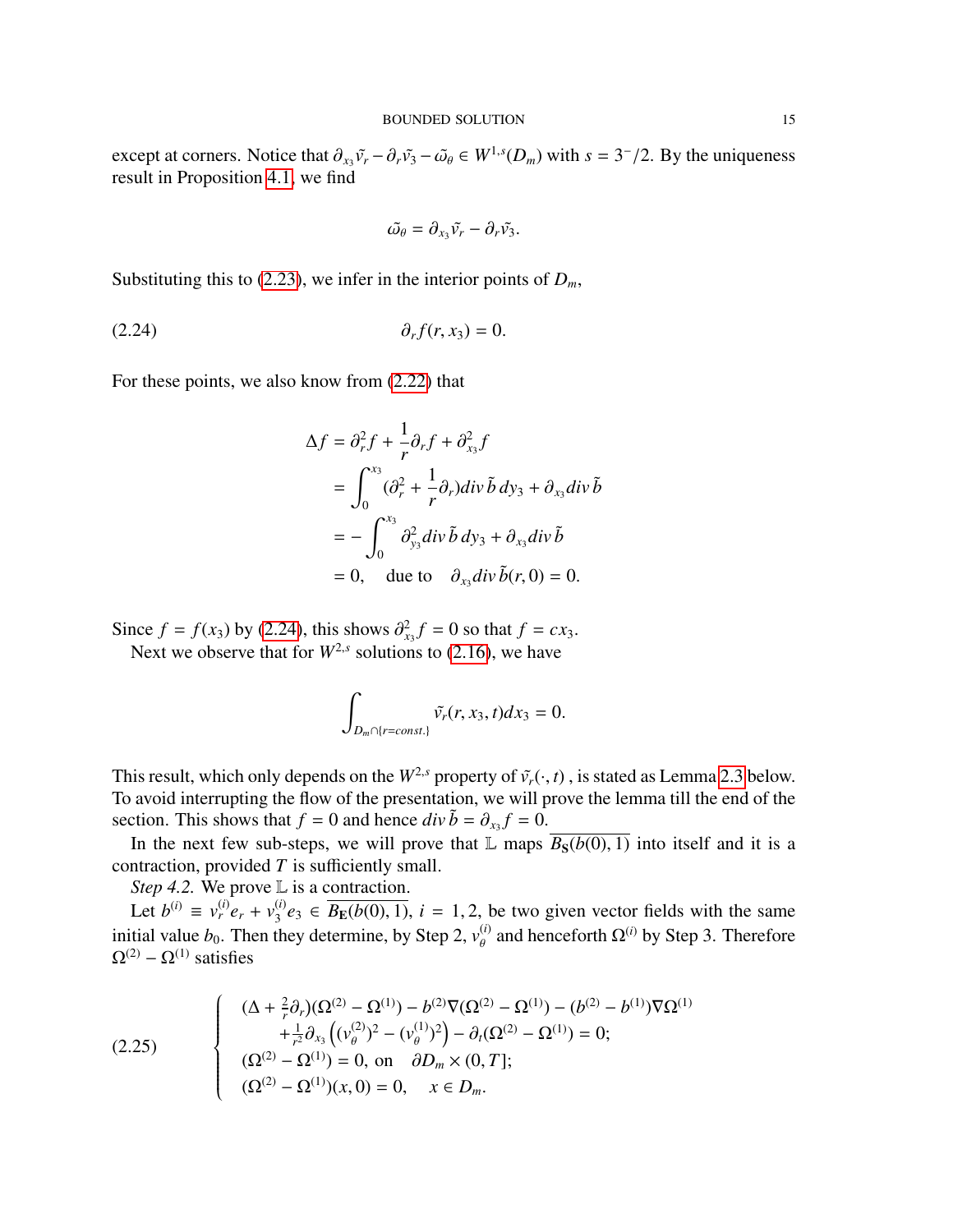except at corners. Notice that  $\partial_{x_3} \tilde{v}_r - \partial_r \tilde{v}_3 - \tilde{\omega}_{\theta} \in W^{1,s}(D_m)$  with  $s = 3^-/2$ . By the uniqueness result in Proposition 4.1, we find result in Proposition [4.1,](#page-47-2) we find

<span id="page-14-0"></span>
$$
\tilde{\omega}_{\theta}=\partial_{x_3}\tilde{v_r}-\partial_r\tilde{v_3}.
$$

Substituting this to [\(2.23\)](#page-13-1), we infer in the interior points of  $D_m$ ,

$$
\partial_r f(r, x_3) = 0.
$$

For these points, we also know from [\(2.22\)](#page-13-0) that

$$
\Delta f = \partial_r^2 f + \frac{1}{r} \partial_r f + \partial_{x_3}^2 f
$$
  
= 
$$
\int_0^{x_3} (\partial_r^2 + \frac{1}{r} \partial_r) div \tilde{b} dy_3 + \partial_{x_3} div \tilde{b}
$$
  
= 
$$
- \int_0^{x_3} \partial_{y_3}^2 div \tilde{b} dy_3 + \partial_{x_3} div \tilde{b}
$$
  
= 0, due to 
$$
\partial_{x_3} div \tilde{b}(r, 0) = 0.
$$

Since  $f = f(x_3)$  by [\(2.24\)](#page-14-0), this shows  $\partial_{x_3}^2 f = 0$  so that  $f = cx_3$ .<br>Next we observe that for  $W^{2,s}$  solutions to (2.16), we have Next we observe that for  $W^{2,s}$  solutions to [\(2.16\)](#page-12-0), we have

$$
\int_{D_m \cap \{r=const.\}} \tilde{v}_r(r, x_3, t) dx_3 = 0.
$$

This result, which only depends on the  $W^{2,s}$  property of  $\tilde{v}_r(\cdot,t)$ , is stated as Lemma [2.3](#page-25-0) below. To avoid interrupting the flow of the presentation, we will prove the lemma till the end of the section. This shows that  $f = 0$  and hence  $div \tilde{b} = \partial_{x_3} f = 0$ .<br>In the next few sub stons, we will prove that  $\mathbb{I}$  mans.

In the next few sub-steps, we will prove that L maps  $\overline{B_S(b(0), 1)}$  into itself and it is a contraction, provided *T* is sufficiently small.

*Step 4.2.* We prove L is a contraction.

Let  $b^{(i)} \equiv v_r^{(i)} e_r + v_3^{(i)}$  $\mathcal{L}_3^{(i)}e_3$  ∈  $B_E(b(0), 1)$ ,  $i = 1, 2$ , be two given vector fields with the same<br>they determine by Stap 2,  $x^{(i)}$  and hapesforth  $O^{(i)}$  by Stap 3. Therefore initial value *b*<sub>0</sub>. Then they determine, by Step 2,  $v_{\theta}^{(i)}$  and henceforth Ω<sup>(*i*)</sup> by Step 3. Therefore  $\Omega^{(2)} - \Omega^{(1)}$  satisfies

(2.25) 
$$
\begin{cases}\n(\Delta + \frac{2}{r}\partial_r)(\Omega^{(2)} - \Omega^{(1)}) - b^{(2)}\nabla(\Omega^{(2)} - \Omega^{(1)}) - (b^{(2)} - b^{(1)})\nabla\Omega^{(1)} \\
+ \frac{1}{r^2}\partial_{x_3}((v_\theta^{(2)})^2 - (v_\theta^{(1)})^2) - \partial_t(\Omega^{(2)} - \Omega^{(1)}) = 0; \\
(\Omega^{(2)} - \Omega^{(1)}) = 0, \text{ on } \partial D_m \times (0, T]; \\
(\Omega^{(2)} - \Omega^{(1)})(x, 0) = 0, \quad x \in D_m.\n\end{cases}
$$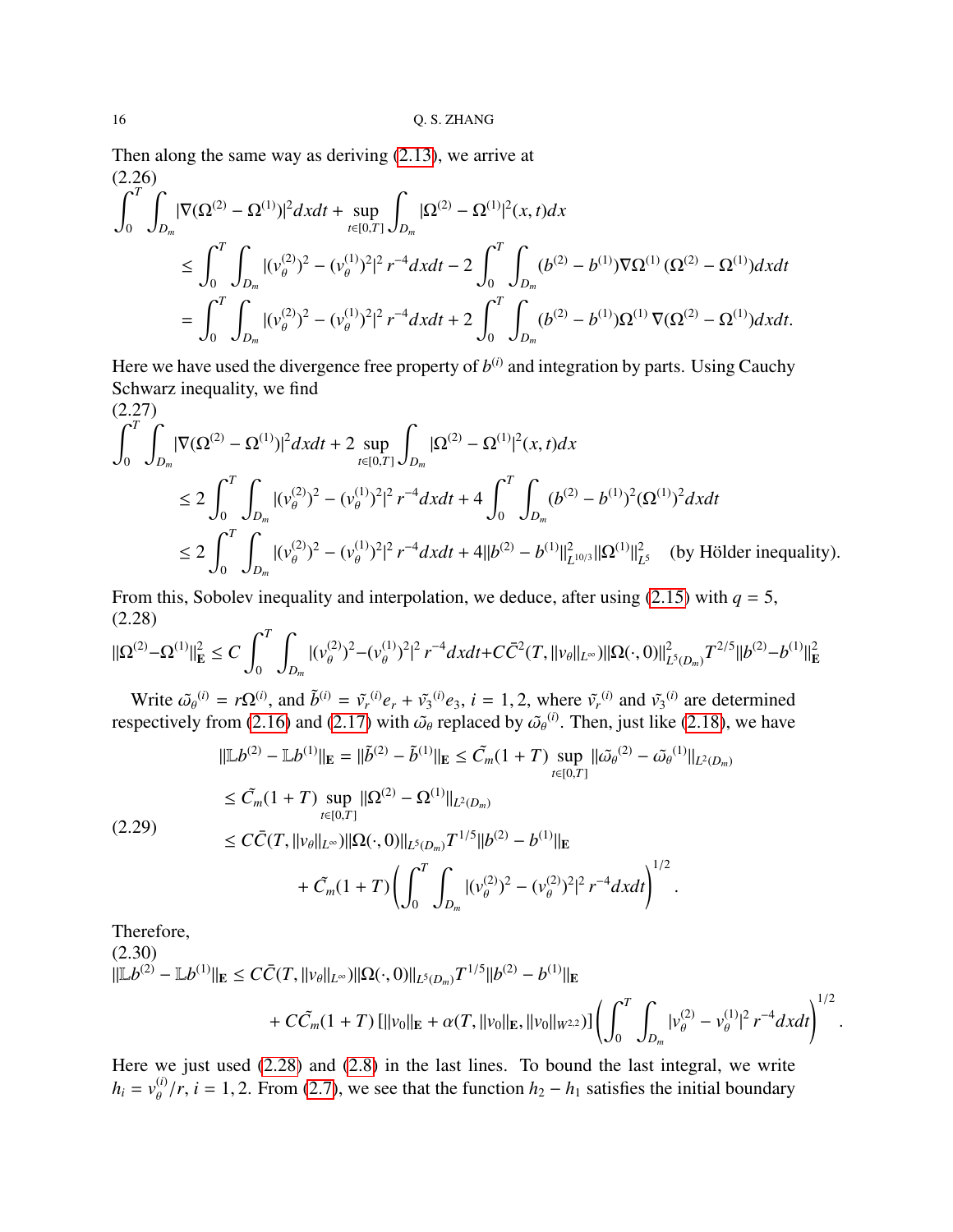Then along the same way as deriving [\(2.13\)](#page-11-0), we arrive at (2.26)

$$
\int_{0}^{T} \int_{D_{m}} |\nabla(\Omega^{(2)} - \Omega^{(1)})|^{2} dxdt + \sup_{t \in [0,T]} \int_{D_{m}} |\Omega^{(2)} - \Omega^{(1)}|^{2} (x, t) dx
$$
\n
$$
\leq \int_{0}^{T} \int_{D_{m}} |(v_{\theta}^{(2)})^{2} - (v_{\theta}^{(1)})^{2}|^{2} r^{-4} dxdt - 2 \int_{0}^{T} \int_{D_{m}} (b^{(2)} - b^{(1)}) \nabla \Omega^{(1)} (\Omega^{(2)} - \Omega^{(1)}) dxdt
$$
\n
$$
= \int_{0}^{T} \int_{D_{m}} |(v_{\theta}^{(2)})^{2} - (v_{\theta}^{(1)})^{2}|^{2} r^{-4} dxdt + 2 \int_{0}^{T} \int_{D_{m}} (b^{(2)} - b^{(1)}) \Omega^{(1)} \nabla(\Omega^{(2)} - \Omega^{(1)}) dxdt.
$$

Here we have used the divergence free property of  $b^{(i)}$  and integration by parts. Using Cauchy Schwarz inequality, we find

$$
(2.27)
$$
\n
$$
\int_{0}^{T} \int_{D_{m}} |\nabla(\Omega^{(2)} - \Omega^{(1)})|^{2} dx dt + 2 \sup_{t \in [0,T]} \int_{D_{m}} |\Omega^{(2)} - \Omega^{(1)}|^{2} (x, t) dx
$$
\n
$$
\leq 2 \int_{0}^{T} \int_{D_{m}} |(v_{\theta}^{(2)})^{2} - (v_{\theta}^{(1)})^{2}|^{2} r^{-4} dx dt + 4 \int_{0}^{T} \int_{D_{m}} (b^{(2)} - b^{(1)})^{2} (\Omega^{(1)})^{2} dx dt
$$
\n
$$
\leq 2 \int_{0}^{T} \int_{D_{m}} |(v_{\theta}^{(2)})^{2} - (v_{\theta}^{(1)})^{2}|^{2} r^{-4} dx dt + 4||b^{(2)} - b^{(1)}||_{L^{10/3}}^{2} ||\Omega^{(1)}||_{L^{5}}^{2} \quad \text{(by Hölder inequality)}.
$$

From this, Sobolev inequality and interpolation, we deduce, after using  $(2.15)$  with  $q = 5$ , (2.28)

<span id="page-15-0"></span>
$$
\|\Omega^{(2)} - \Omega^{(1)}\|_{\mathbf{E}}^2 \le C \int_0^T \int_{D_m} |(v^{(2)}_\theta)^2 - (v^{(1)}_\theta)^2|^2 r^{-4} dx dt + C \bar{C}^2(T, ||v_\theta||_{L^\infty}) \|\Omega(\cdot, 0)\|_{L^5(D_m)}^2 T^{2/5} ||b^{(2)} - b^{(1)}\|_{\mathbf{E}}^2
$$

Write  $\tilde{\omega}_{\theta}^{(i)} = r\Omega^{(i)}$ , and  $\tilde{b}^{(i)} = \tilde{v}_r^{(i)}e_r + \tilde{v}_3^{(i)}e_3$ ,  $i = 1, 2$ , where  $\tilde{v}_r^{(i)}$  and  $\tilde{v}_3^{(i)}$  are determined respectively from [\(2.16\)](#page-12-0) and [\(2.17\)](#page-12-1) with  $\tilde{\omega}_{\theta}$  replaced by  $\tilde{\omega}_{\theta}^{(i)}$ . Then, just like [\(2.18\)](#page-12-2), we have

<span id="page-15-2"></span>
$$
\|\mathbb{L}b^{(2)} - \mathbb{L}b^{(1)}\|_{\mathbf{E}} = \|\tilde{b}^{(2)} - \tilde{b}^{(1)}\|_{\mathbf{E}} \leq \tilde{C}_m(1+T) \sup_{t \in [0,T]} \|\tilde{\omega}_{\theta}^{(2)} - \tilde{\omega}_{\theta}^{(1)}\|_{L^2(D_m)}
$$
  
\n
$$
\leq \tilde{C}_m(1+T) \sup_{t \in [0,T]} \|\Omega^{(2)} - \Omega^{(1)}\|_{L^2(D_m)}
$$
  
\n
$$
\leq C\bar{C}(T, \|\nu_{\theta}\|_{L^{\infty}}) \|\Omega(\cdot, 0)\|_{L^5(D_m)} T^{1/5} \|b^{(2)} - b^{(1)}\|_{\mathbf{E}}
$$
  
\n
$$
+ \tilde{C}_m(1+T) \left( \int_0^T \int_{D_m} |(\nu_{\theta}^{(2)})^2 - (\nu_{\theta}^{(2)})^2|^2 r^{-4} dx dt \right)^{1/2}.
$$

Therefore,

<span id="page-15-1"></span>
$$
(2.30)
$$
  
\n
$$
||\mathbb{L}b^{(2)} - \mathbb{L}b^{(1)}||_{\mathbf{E}} \leq C\bar{C}(T, ||v_{\theta}||_{L^{\infty}})||\Omega(\cdot, 0)||_{L^{5}(D_{m})}T^{1/5}||b^{(2)} - b^{(1)}||_{\mathbf{E}}\n+ C\tilde{C}_{m}(1+T) [||v_{0}||_{\mathbf{E}} + \alpha(T, ||v_{0}||_{\mathbf{E}}, ||v_{0}||_{W^{2,2}})] \left(\int_{0}^{T} \int_{D_{m}} |v_{\theta}^{(2)} - v_{\theta}^{(1)}|^{2} r^{-4} dxdt\right)^{1/2}.
$$

Here we just used [\(2.28\)](#page-15-0) and [\(2.8\)](#page-9-0) in the last lines. To bound the last integral, we write  $h_i = v_{\theta}^{(i)} / r$ , *i* = 1, 2. From [\(2.7\)](#page-8-1), we see that the function  $h_2 - h_1$  satisfies the initial boundary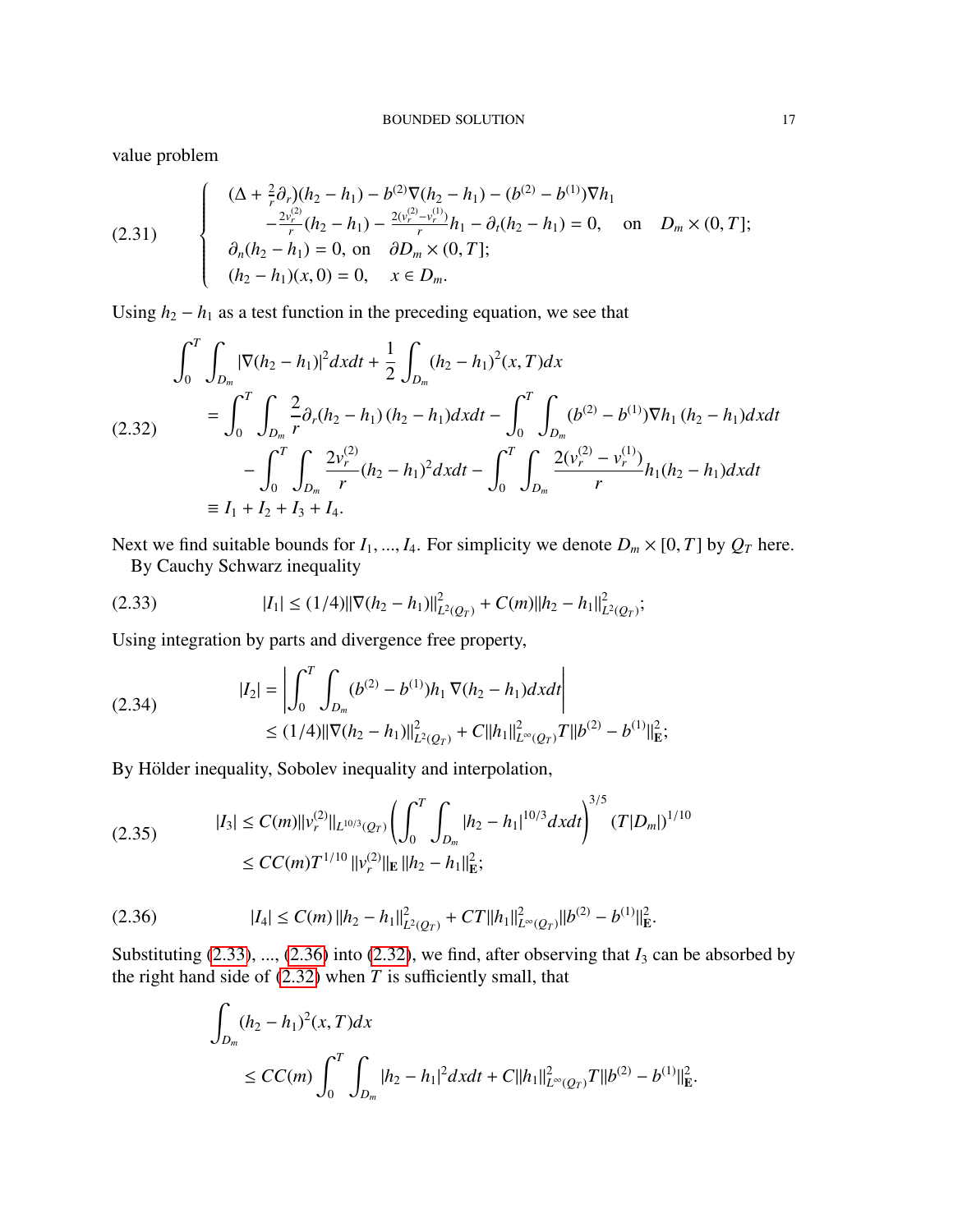value problem

(2.31) 
$$
\begin{cases} (\Delta + \frac{2}{r}\partial_r)(h_2 - h_1) - b^{(2)}\nabla(h_2 - h_1) - (b^{(2)} - b^{(1)})\nabla h_1 \\ -\frac{2v_r^{(2)}}{r}(h_2 - h_1) - \frac{2(v_r^{(2)} - v_r^{(1)})}{r}h_1 - \partial_t(h_2 - h_1) = 0, \text{ on } D_m \times (0, T]; \\ \partial_n(h_2 - h_1) = 0, \text{ on } \partial D_m \times (0, T]; \\ (h_2 - h_1)(x, 0) = 0, \quad x \in D_m. \end{cases}
$$

Using  $h_2 - h_1$  as a test function in the preceding equation, we see that

<span id="page-16-2"></span>
$$
\int_{0}^{T} \int_{D_{m}} |\nabla (h_{2} - h_{1})|^{2} dxdt + \frac{1}{2} \int_{D_{m}} (h_{2} - h_{1})^{2} (x, T) dx
$$
\n
$$
= \int_{0}^{T} \int_{D_{m}} \frac{2}{r} \partial_{r} (h_{2} - h_{1}) (h_{2} - h_{1}) dxdt - \int_{0}^{T} \int_{D_{m}} (b^{(2)} - b^{(1)}) \nabla h_{1} (h_{2} - h_{1}) dxdt
$$
\n
$$
- \int_{0}^{T} \int_{D_{m}} \frac{2v_{r}^{(2)}}{r} (h_{2} - h_{1})^{2} dxdt - \int_{0}^{T} \int_{D_{m}} \frac{2(v_{r}^{(2)} - v_{r}^{(1)})}{r} h_{1}(h_{2} - h_{1}) dxdt
$$
\n
$$
\equiv I_{1} + I_{2} + I_{3} + I_{4}.
$$

Next we find suitable bounds for  $I_1, ..., I_4$ . For simplicity we denote  $D_m \times [0, T]$  by  $Q_T$  here.

<span id="page-16-0"></span>By Cauchy Schwarz inequality

$$
(2.33) \t\t |I_1| \le (1/4) \|\nabla(h_2 - h_1)\|_{L^2(Q_T)}^2 + C(m) \|h_2 - h_1\|_{L^2(Q_T)}^2;
$$

Using integration by parts and divergence free property,

(2.34) 
$$
|I_2| = \left| \int_0^T \int_{D_m} (b^{(2)} - b^{(1)}) h_1 \nabla (h_2 - h_1) dx dt \right|
$$
  
 
$$
\leq (1/4) ||\nabla (h_2 - h_1)||^2_{L^2(Q_T)} + C ||h_1||^2_{L^\infty(Q_T)} T ||b^{(2)} - b^{(1)}||^2_E;
$$

By Hölder inequality, Sobolev inequality and interpolation,

$$
(2.35) \t|I_3| \le C(m) \|v_r^{(2)}\|_{L^{10/3}(Q_T)} \left(\int_0^T \int_{D_m} |h_2 - h_1|^{10/3} dxdt\right)^{3/5} (T|D_m|)^{1/10}
$$
  

$$
\le CC(m)T^{1/10} \|v_r^{(2)}\|_{\mathbf{E}} \|h_2 - h_1\|_{\mathbf{E}}^2;
$$

$$
(2.36) \t\t |I_4| \leq C(m) \|h_2 - h_1\|_{L^2(Q_T)}^2 + CT \|h_1\|_{L^\infty(Q_T)}^2 \|b^{(2)} - b^{(1)}\|_{\mathbf{E}}^2.
$$

Substituting  $(2.33)$ , ...,  $(2.36)$  into  $(2.32)$ , we find, after observing that  $I_3$  can be absorbed by the right hand side of  $(2.32)$  when  $T$  is sufficiently small, that

<span id="page-16-1"></span>
$$
\int_{D_m} (h_2 - h_1)^2(x, T) dx
$$
  
\n
$$
\leq CC(m) \int_0^T \int_{D_m} |h_2 - h_1|^2 dx dt + C ||h_1||^2_{L^{\infty}(Q_T)} T ||b^{(2)} - b^{(1)}||^2_{\mathbf{E}}.
$$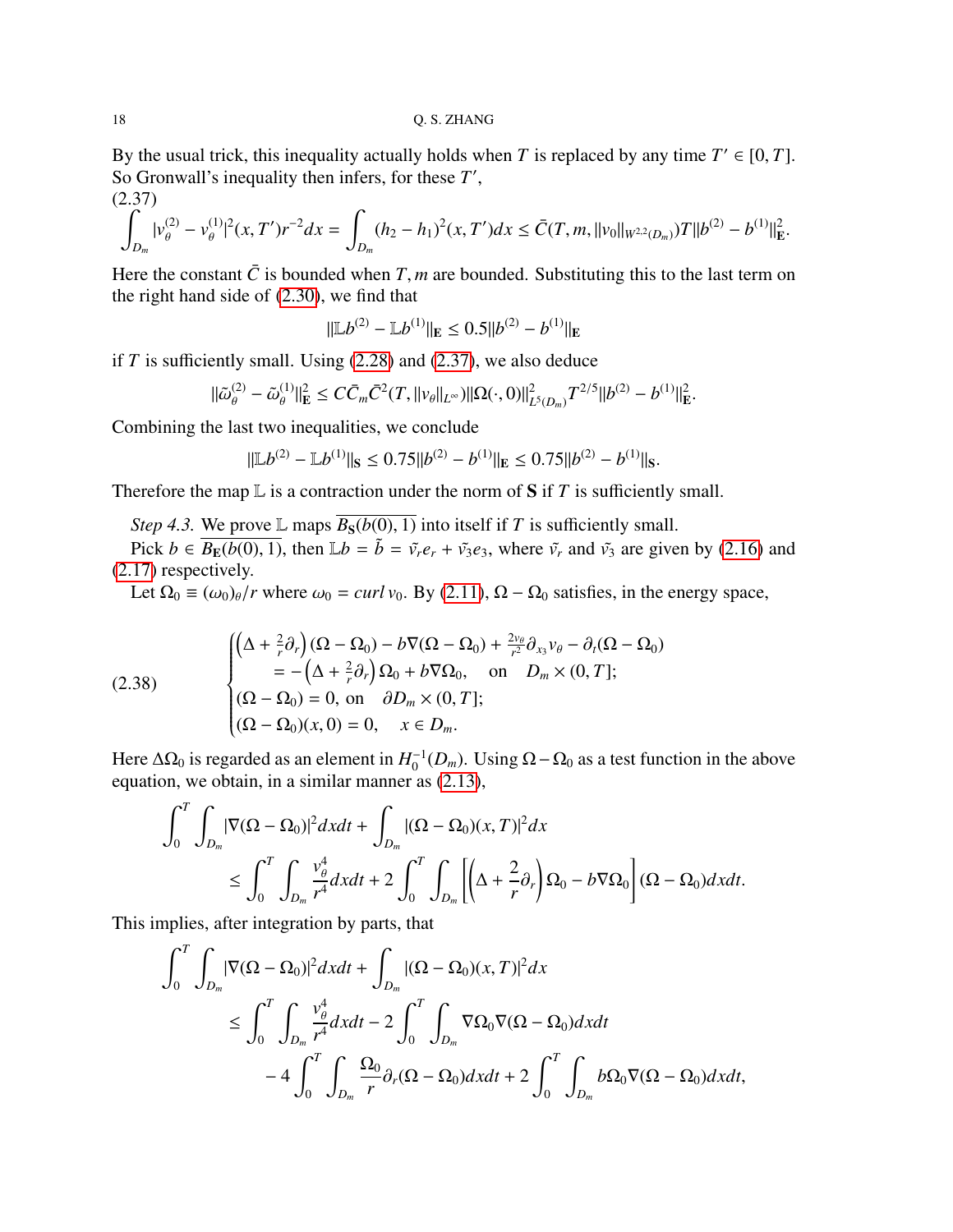By the usual trick, this inequality actually holds when *T* is replaced by any time  $T' \in [0, T]$ .<br>So Gropwall's inequality then infers for these *T'* So Gronwall's inequality then infers, for these T',

(2.37)

<span id="page-17-0"></span>
$$
\int_{D_m} |\nu_{\theta}^{(2)} - \nu_{\theta}^{(1)}|^2 (x, T') r^{-2} dx = \int_{D_m} (h_2 - h_1)^2 (x, T') dx \le \bar{C}(T, m, ||\nu_0||_{W^{2,2}(D_m)}) T ||b^{(2)} - b^{(1)}||_{\mathbf{E}}^2.
$$

Here the constant  $\bar{C}$  is bounded when *T*, *m* are bounded. Substituting this to the last term on the right hand side of [\(2.30\)](#page-15-1), we find that

$$
\|\mathbb{L}b^{(2)} - \mathbb{L}b^{(1)}\|_{\mathbb{E}} \le 0.5||b^{(2)} - b^{(1)}\|_{\mathbb{E}}
$$

if  $T$  is sufficiently small. Using  $(2.28)$  and  $(2.37)$ , we also deduce

$$
\|\tilde{\omega}_{\theta}^{(2)} - \tilde{\omega}_{\theta}^{(1)}\|_{\mathbf{E}}^2 \leq C\bar{C}_m \bar{C}^2(T, \|v_{\theta}\|_{L^{\infty}}) \|\Omega(\cdot, 0)\|_{L^5(D_m)}^2 T^{2/5} \|b^{(2)} - b^{(1)}\|_{\mathbf{E}}^2.
$$

Combining the last two inequalities, we conclude

$$
\|\mathbb{L}b^{(2)} - \mathbb{L}b^{(1)}\|_{\mathbf{S}} \le 0.75||b^{(2)} - b^{(1)}||_{\mathbf{E}} \le 0.75||b^{(2)} - b^{(1)}||_{\mathbf{S}}.
$$

Therefore the map  $\mathbb L$  is a contraction under the norm of **S** if *T* is sufficiently small.

*Step 4.3.* We prove L maps  $\overline{B_S(b(0), 1)}$  into itself if *T* is sufficiently small.

Pick  $b \in \overline{B_{\mathbb{E}}(b(0), 1)}$ , then  $\mathbb{L}b = \tilde{b} = \tilde{v_r}e_r + \tilde{v_3}e_3$ , where  $\tilde{v_r}$  and  $\tilde{v_3}$  are given by [\(2.16\)](#page-12-0) and [\(2.17\)](#page-12-1) respectively.

Let  $\Omega_0 \equiv (\omega_0)_\theta/r$  where  $\omega_0 = \frac{curl v_0}{v_0}$ . By [\(2.11\)](#page-10-1),  $\Omega - \Omega_0$  satisfies, in the energy space,

(2.38)  
\n
$$
\begin{cases}\n\left(\Delta + \frac{2}{r}\partial_r\right)(\Omega - \Omega_0) - b\nabla(\Omega - \Omega_0) + \frac{2v_\theta}{r^2}\partial_{x_3}v_\theta - \partial_t(\Omega - \Omega_0) \\
= -\left(\Delta + \frac{2}{r}\partial_r\right)\Omega_0 + b\nabla\Omega_0, \text{ on } D_m \times (0, T]; \\
(\Omega - \Omega_0) = 0, \text{ on } \partial D_m \times (0, T]; \\
(\Omega - \Omega_0)(x, 0) = 0, \quad x \in D_m.\n\end{cases}
$$

Here  $\Delta\Omega_0$  is regarded as an element in  $H_0^{-1}$  $\int_0^{-1}(D_m)$ . Using Ω − Ω<sub>0</sub> as a test function in the above equation, we obtain, in a similar manner as [\(2.13\)](#page-11-0),

$$
\int_0^T \int_{D_m} |\nabla(\Omega - \Omega_0)|^2 dx dt + \int_{D_m} |(\Omega - \Omega_0)(x, T)|^2 dx
$$
  
\n
$$
\leq \int_0^T \int_{D_m} \frac{v_\theta^4}{r^4} dx dt + 2 \int_0^T \int_{D_m} \left[ \left( \Delta + \frac{2}{r} \partial_r \right) \Omega_0 - b \nabla \Omega_0 \right] (\Omega - \Omega_0) dx dt.
$$

This implies, after integration by parts, that

$$
\int_0^T \int_{D_m} |\nabla(\Omega - \Omega_0)|^2 dx dt + \int_{D_m} |(\Omega - \Omega_0)(x, T)|^2 dx
$$
  
\n
$$
\leq \int_0^T \int_{D_m} \frac{v_\theta^4}{r^4} dx dt - 2 \int_0^T \int_{D_m} \nabla \Omega_0 \nabla(\Omega - \Omega_0) dx dt
$$
  
\n
$$
-4 \int_0^T \int_{D_m} \frac{\Omega_0}{r} \partial_r(\Omega - \Omega_0) dx dt + 2 \int_0^T \int_{D_m} b\Omega_0 \nabla(\Omega - \Omega_0) dx dt,
$$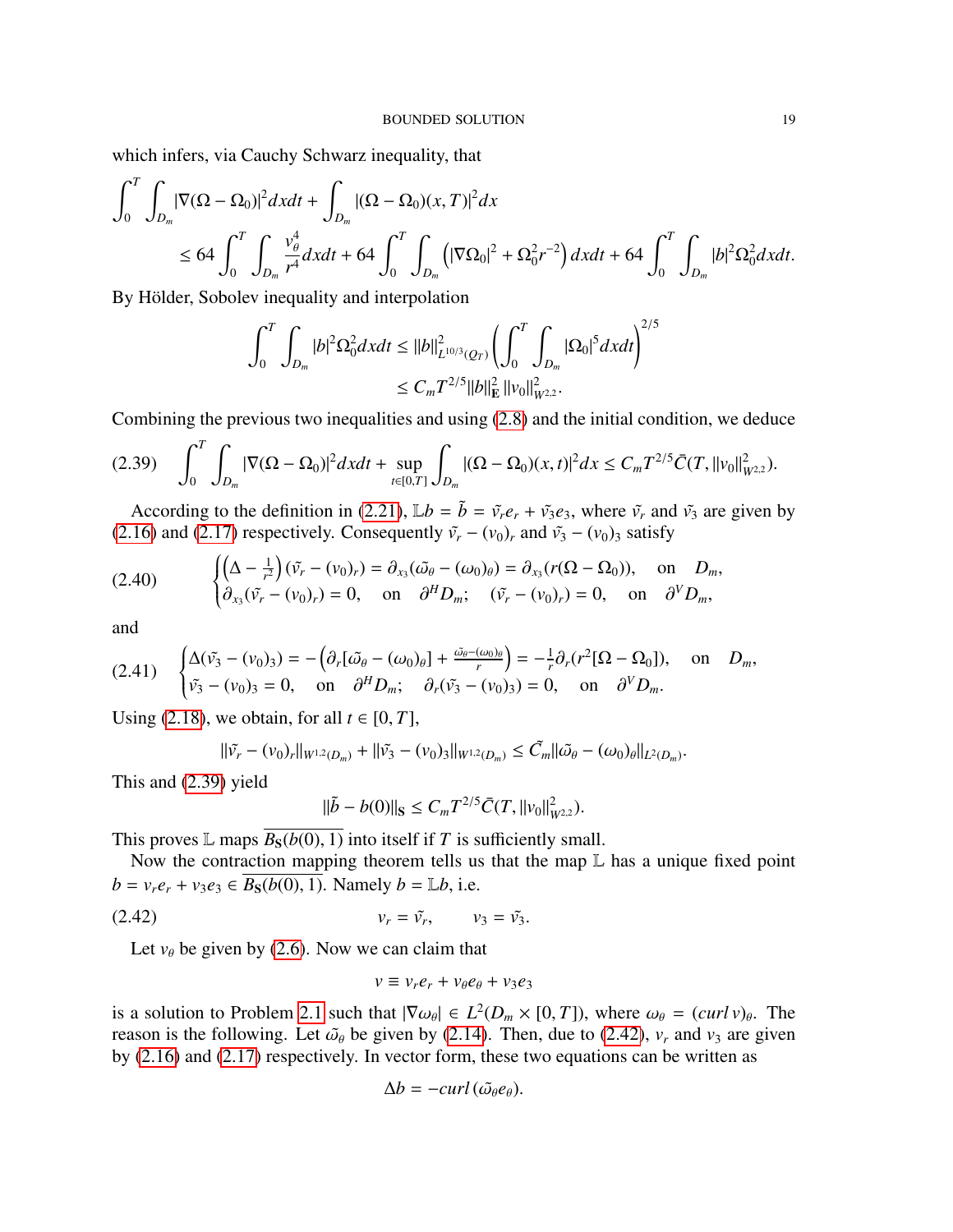which infers, via Cauchy Schwarz inequality, that

$$
\int_0^T \int_{D_m} |\nabla(\Omega - \Omega_0)|^2 dx dt + \int_{D_m} |(\Omega - \Omega_0)(x, T)|^2 dx
$$
  
\n
$$
\leq 64 \int_0^T \int_{D_m} \frac{v_\theta^4}{r^4} dx dt + 64 \int_0^T \int_{D_m} (|\nabla \Omega_0|^2 + \Omega_0^2 r^{-2}) dx dt + 64 \int_0^T \int_{D_m} |b|^2 \Omega_0^2 dx dt.
$$

By Hölder, Sobolev inequality and interpolation

$$
\int_0^T \int_{D_m} |b|^2 \Omega_0^2 dx dt \leq ||b||_{L^{10/3}(Q_T)}^2 \left( \int_0^T \int_{D_m} |\Omega_0|^5 dx dt \right)^{2/5}
$$
  

$$
\leq C_m T^{2/5} ||b||_{\mathbf{E}}^2 ||v_0||_{W^{2,2}}^2.
$$

Combining the previous two inequalities and using [\(2.8\)](#page-9-0) and the initial condition, we deduce

<span id="page-18-0"></span>
$$
(2.39) \quad \int_0^T \int_{D_m} |\nabla(\Omega - \Omega_0)|^2 dx dt + \sup_{t \in [0,T]} \int_{D_m} |(\Omega - \Omega_0)(x,t)|^2 dx \leq C_m T^{2/5} \bar{C}(T, \|v_0\|_{W^{2,2}}^2).
$$

According to the definition in [\(2.21\)](#page-12-3),  $\mathbb{L}b = \tilde{b} = \tilde{v}_r e_r + \tilde{v}_3 e_3$ , where  $\tilde{v}_r$  and  $\tilde{v}_3$  are given by [\(2.16\)](#page-12-0) and [\(2.17\)](#page-12-1) respectively. Consequently  $\tilde{v}_r - (v_0)_r$  and  $\tilde{v}_3 - (v_0)_3$  satisfy

(2.40) 
$$
\begin{cases} \left(\Delta - \frac{1}{r^2}\right)(\tilde{v}_r - (v_0)_r) = \partial_{x_3}(\tilde{\omega}_{\theta} - (\omega_0)_{\theta}) = \partial_{x_3}(r(\Omega - \Omega_0)), & \text{on } D_m, \\ \partial_{x_3}(\tilde{v}_r - (v_0)_r) = 0, & \text{on } \partial^HD_m; \quad (\tilde{v}_r - (v_0)_r) = 0, & \text{on } \partial^VD_m, \end{cases}
$$

and

$$
(2.41) \quad\n\begin{cases}\n\Delta(\tilde{v_3} - (v_0)_3) = -\left(\partial_r[\tilde{\omega_\theta} - (\omega_0)_\theta] + \frac{\tilde{\omega_\theta} - (\omega_0)_\theta}{r}\right) = -\frac{1}{r}\partial_r(r^2[\Omega - \Omega_0]), \quad \text{on} \quad D_m, \\
\tilde{v_3} - (v_0)_3 = 0, \quad \text{on} \quad \partial^HD_m; \quad \partial_r(\tilde{v_3} - (v_0)_3) = 0, \quad \text{on} \quad \partial^VD_m.\n\end{cases}
$$

Using [\(2.18\)](#page-12-2), we obtain, for all  $t \in [0, T]$ ,

$$
\|\tilde{v_r} - (v_0)_r\|_{W^{1,2}(D_m)} + \|\tilde{v_3} - (v_0)_3\|_{W^{1,2}(D_m)} \leq \tilde{C}_m \|\tilde{\omega}_{\theta} - (\omega_0)_{\theta}\|_{L^2(D_m)}.
$$

This and [\(2.39\)](#page-18-0) yield

$$
\|\tilde{b} - b(0)\|_{\mathbf{S}} \leq C_m T^{2/5} \bar{C}(T, \|v_0\|_{W^{2,2}}^2).
$$

This proves L maps  $\overline{B_S(b(0), 1)}$  into itself if *T* is sufficiently small.

Now the contraction mapping theorem tells us that the map  $L$  has a unique fixed point *b* =  $v_r e_r + v_3 e_3 \in \overline{B_S(b(0), 1)}$ . Namely *b* = L*b*, i.e.

$$
v_r = \tilde{v_r}, \qquad v_3 = \tilde{v_3}.
$$

Let  $v_{\theta}$  be given by [\(2.6\)](#page-8-0). Now we can claim that

<span id="page-18-1"></span>
$$
v \equiv v_r e_r + v_\theta e_\theta + v_3 e_3
$$

is a solution to Problem [2.1](#page-6-1) such that  $|\nabla \omega_{\theta}| \in L^2(D_m \times [0, T])$ , where  $\omega_{\theta} = (curl v)_{\theta}$ . The reason is the following Let  $\tilde{\omega}_{\theta}$  be given by (2.14). Then due to (2.42), v and v<sub>2</sub> are given reason is the following. Let  $\tilde{\omega}_{\theta}$  be given by [\(2.14\)](#page-11-2). Then, due to [\(2.42\)](#page-18-1),  $v_r$  and  $v_3$  are given by [\(2.16\)](#page-12-0) and [\(2.17\)](#page-12-1) respectively. In vector form, these two equations can be written as

$$
\Delta b = -curl(\tilde{\omega_{\theta}}e_{\theta}).
$$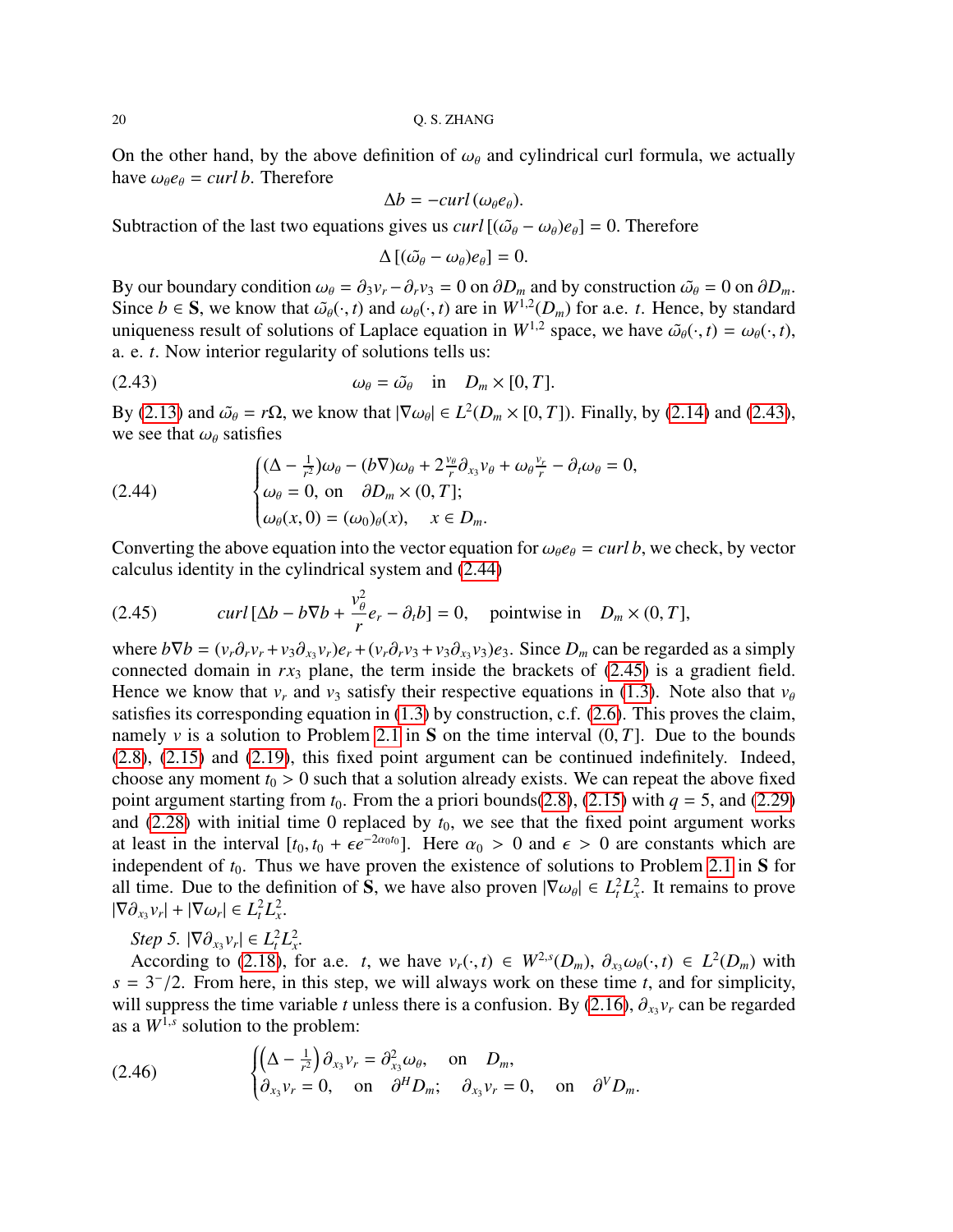On the other hand, by the above definition of  $\omega_{\theta}$  and cylindrical curl formula, we actually have  $\omega_{\theta}e_{\theta} = \frac{curl}{b}$ . Therefore

$$
\Delta b = -curl(\omega_{\theta}e_{\theta}).
$$

Subtraction of the last two equations gives us *curl*  $[(\tilde{\omega}_{\theta} - \omega_{\theta})e_{\theta}] = 0$ . Therefore

<span id="page-19-0"></span>
$$
\Delta [(\tilde{\omega}_{\theta} - \omega_{\theta})e_{\theta}] = 0.
$$

By our boundary condition  $\omega_{\theta} = \partial_3 v_r - \partial_r v_3 = 0$  on  $\partial D_m$  and by construction  $\tilde{\omega}_{\theta} = 0$  on  $\partial D_m$ .<br>Since  $h \in S$ , we know that  $\tilde{\omega}_{\theta}(\cdot, t)$  and  $\omega_{\theta}(\cdot, t)$  are in  $W^{1,2}(D_{\theta})$  for a e. t. Hence, by standard Since  $b \in S$ , we know that  $\tilde{\omega}_{\theta}(\cdot, t)$  and  $\omega_{\theta}(\cdot, t)$  are in  $W^{1,2}(D_m)$  for a.e. *t*. Hence, by standard uniqueness result of solutions of Laplace equation in  $W^{1,2}$  space, we have  $\tilde{\omega}_{\theta}(\cdot, t) = \omega_{\theta}(\cdot, t)$ . uniqueness result of solutions of Laplace equation in  $W^{1,2}$  space, we have  $\tilde{\omega}_{\theta}(\cdot, t) = \omega_{\theta}(\cdot, t)$ , a. e. *t*. Now interior regularity of solutions tells us:

(2.43) 
$$
\omega_{\theta} = \tilde{\omega}_{\theta} \quad \text{in} \quad D_m \times [0, T].
$$

By [\(2.13\)](#page-11-0) and  $\tilde{\omega}_{\theta} = r\Omega$ , we know that  $|\nabla \omega_{\theta}| \in L^2(D_m \times [0, T])$ . Finally, by [\(2.14\)](#page-11-2) and [\(2.43\)](#page-19-0), we see that  $\omega_{\theta}$  satisfies we see that  $\omega_{\theta}$  satisfies

<span id="page-19-1"></span>(2.44) 
$$
\begin{cases} (\Delta - \frac{1}{r^2})\omega_{\theta} - (b\nabla)\omega_{\theta} + 2\frac{v_{\theta}}{r}\partial_{x_3}v_{\theta} + \omega_{\theta}\frac{v_r}{r} - \partial_t\omega_{\theta} = 0, \\ \omega_{\theta} = 0, \text{ on } \partial D_m \times (0, T]; \\ \omega_{\theta}(x, 0) = (\omega_0)_{\theta}(x), \quad x \in D_m. \end{cases}
$$

Converting the above equation into the vector equation for  $\omega_{\theta}e_{\theta} = \frac{curl b}{dt}$ , we check, by vector calculus identity in the cylindrical system and [\(2.44\)](#page-19-1)

<span id="page-19-2"></span>(2.45) 
$$
curl [\Delta b - b \nabla b + \frac{v_{\theta}^2}{r} e_r - \partial_t b] = 0, \text{ pointwise in } D_m \times (0, T],
$$

where  $b\nabla b = (v_r \partial_r v_r + v_3 \partial_{x_3} v_r)e_r + (v_r \partial_r v_3 + v_3 \partial_{x_3} v_3)e_3$ . Since  $D_m$  can be regarded as a simply connected domain in rx, plane, the term inside the brackets of (2.45) is a gradient field connected domain in  $rx_3$  plane, the term inside the brackets of  $(2.45)$  is a gradient field. Hence we know that  $v_r$  and  $v_3$  satisfy their respective equations in [\(1.3\)](#page-1-0). Note also that  $v_\theta$ satisfies its corresponding equation in [\(1.3\)](#page-1-0) by construction, c.f. [\(2.6\)](#page-8-0). This proves the claim, namely  $\nu$  is a solution to Problem [2.1](#page-6-1) in S on the time interval  $(0, T]$ . Due to the bounds [\(2.8\)](#page-9-0), [\(2.15\)](#page-11-1) and [\(2.19\)](#page-12-4), this fixed point argument can be continued indefinitely. Indeed, choose any moment  $t_0 > 0$  such that a solution already exists. We can repeat the above fixed point argument starting from  $t_0$ . From the a priori bounds[\(2.8\)](#page-9-0), [\(2.15\)](#page-11-1) with  $q = 5$ , and [\(2.29\)](#page-15-2) and  $(2.28)$  with initial time 0 replaced by  $t_0$ , we see that the fixed point argument works at least in the interval  $[t_0, t_0 + \epsilon e^{-2\alpha_0 t_0}]$ . Here  $\alpha_0 > 0$  and  $\epsilon > 0$  are constants which are independent of  $t_0$ . Thus we have proven the existence of solutions to Problem 2.1 in S for independent of  $t_0$ . Thus we have proven the existence of solutions to Problem [2.1](#page-6-1) in S for all time. Due to the definition of **S**, we have also proven  $|\nabla \omega_{\theta}| \in L^2_t L^2_x$ . It remains to prove  $|\nabla \omega_{\theta}| \leq L^2 |\nabla \omega_{\theta}| \leq L^2 |\nabla \omega_{\theta}|$  $|\nabla \partial_{x_3} v_r| + |\nabla \omega_r| \in L^2_t L^2_x.$ 

*Step 5.*  $|\nabla \partial_{x_3} v_r| \in L^2_t L^2_x$ .<br>According to (2.18) for

According to [\(2.18\)](#page-12-2), for a.e. *t*, we have  $v_r(\cdot, t) \in W^{2,s}(D_m)$ ,  $\partial_{x_3} \omega_\theta(\cdot, t) \in L^2(D_m)$  with  $-3^{-1/2}$ . From here in this step, we will always work on these time *t* and for simplicity  $s = 3^{-}/2$ . From here, in this step, we will always work on these time *t*, and for simplicity, will suppress the time variable *t* unless there is a confusion. By (2.16)  $\partial_{y}$  can be regarded will suppress the time variable *t* unless there is a confusion. By [\(2.16\)](#page-12-0),  $\partial_{x_3} v_r$  can be regarded as a  $W^{1,s}$  solution to the problem: as a  $W^{1,s}$  solution to the problem:

(2.46) 
$$
\begin{cases} \left(\Delta - \frac{1}{r^2}\right) \partial_{x_3} v_r = \partial_{x_3}^2 \omega_\theta, & \text{on } D_m, \\ \partial_{x_3} v_r = 0, & \text{on } \partial^H D_m; \partial_{x_3} v_r = 0, & \text{on } \partial^V D_m. \end{cases}
$$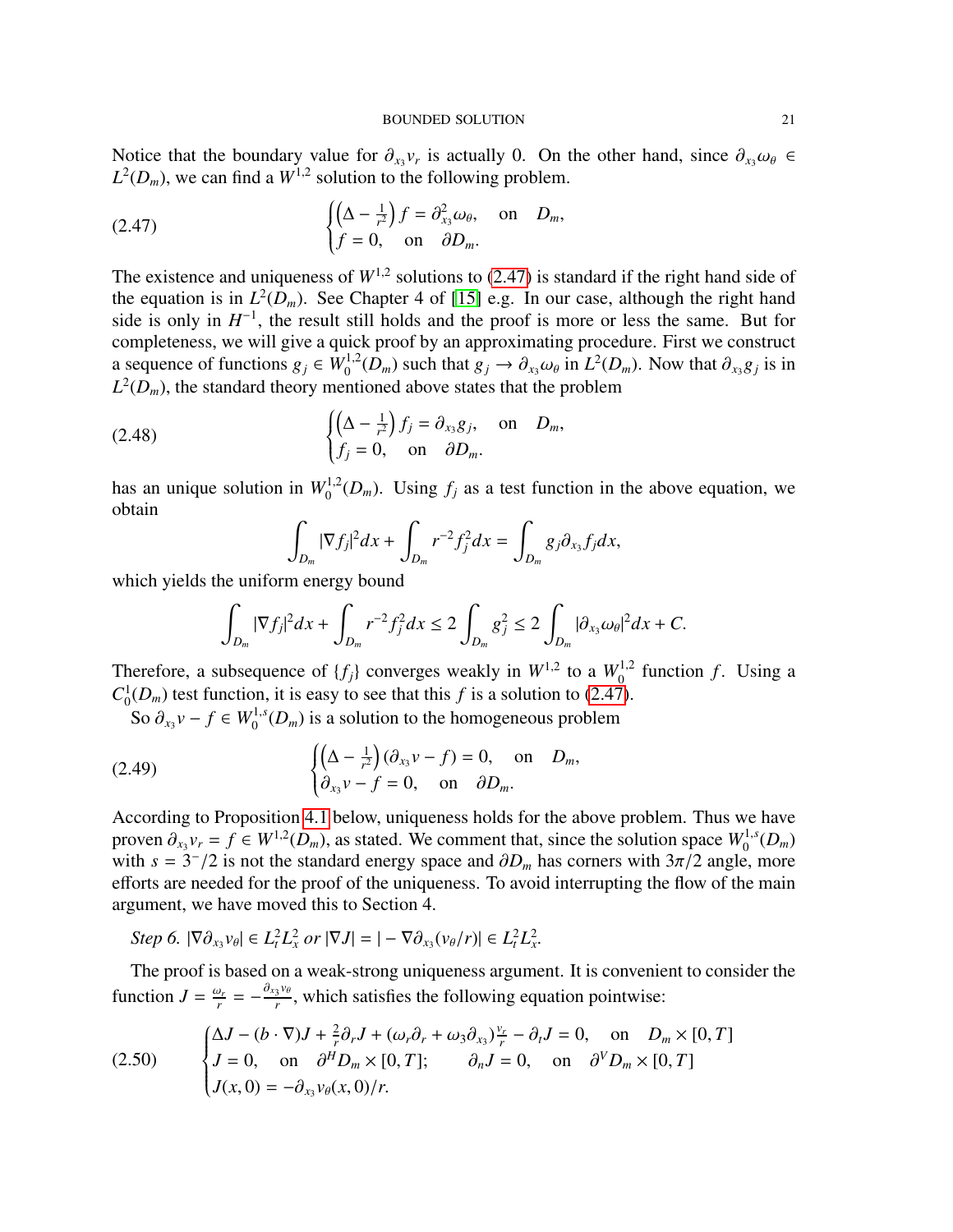Notice that the boundary value for  $\partial_{x_3} v_r$  is actually 0. On the other hand, since  $\partial_{x_3} \omega_\theta \in L^2(D)$  we can find a  $W^{1,2}$  solution to the following problem  $L^2(D_m)$ , we can find a  $W^{1,2}$  solution to the following problem.

<span id="page-20-0"></span>(2.47) 
$$
\begin{cases} \left(\Delta - \frac{1}{r^2}\right)f = \partial_{x_3}^2 \omega_\theta, & \text{on } D_m, \\ f = 0, & \text{on } \partial D_m. \end{cases}
$$

The existence and uniqueness of  $W^{1,2}$  solutions to [\(2.47\)](#page-20-0) is standard if the right hand side of the equation is in  $L^2(D_m)$ . See Chapter 4 of [\[15\]](#page-55-24) e.g. In our case, although the right hand side is only in  $H^{-1}$ , the result still holds and the proof is more or less the same. But for completeness, we will give a quick proof by an approximating procedure. First we construct a sequence of functions  $g_j \in W_0^{1,2}(D_m)$  such that  $g_j \to \partial_{x_3} \omega_\theta$  in  $L^2(D_m)$ . Now that  $\partial_{x_3} g_j$  is in  $L^2(D_n)$  the standard theory mentioned above states that the problem  $L^2(D_m)$ , the standard theory mentioned above states that the problem

(2.48) 
$$
\begin{cases} \left(\Delta - \frac{1}{r^2}\right) f_j = \partial_{x_3} g_j, & \text{on } D_m, \\ f_j = 0, & \text{on } \partial D_m. \end{cases}
$$

has an unique solution in  $W_0^{1,2}(D_m)$ . Using  $f_j$  as a test function in the above equation, we obtain

$$
\int_{D_m} |\nabla f_j|^2 dx + \int_{D_m} r^{-2} f_j^2 dx = \int_{D_m} g_j \partial_{x_3} f_j dx,
$$

which yields the uniform energy bound

$$
\int_{D_m} |\nabla f_j|^2 dx + \int_{D_m} r^{-2} f_j^2 dx \le 2 \int_{D_m} g_j^2 \le 2 \int_{D_m} |\partial_{x_3} \omega_\theta|^2 dx + C.
$$

Therefore, a subsequence of  $\{f_j\}$  converges weakly in  $W^{1,2}$  to a  $W_0^{1,2}$  function  $f$ . Using a  $C_0^1$  $^{1}_{0}(D_{m})$  test function, it is easy to see that this *f* is a solution to [\(2.47\)](#page-20-0).

So  $\partial_{x_3} v - f \in W_0^{1,s}(D_m)$  is a solution to the homogeneous problem

(2.49) 
$$
\begin{cases} \left(\Delta - \frac{1}{r^2}\right)(\partial_{x_3} v - f) = 0, & \text{on } D_m, \\ \partial_{x_3} v - f = 0, & \text{on } \partial D_m. \end{cases}
$$

According to Proposition [4.1](#page-47-2) below, uniqueness holds for the above problem. Thus we have proven  $\partial_{x_3} v_r = f \in W^{1,2}(D_m)$ , as stated. We comment that, since the solution space  $W_0^{1,s}(D_m)$ <br>with  $s = 3^{-}/2$  is not the standard energy space and  $\partial D$ , has corners with  $3\pi/2$  angle more with  $s = 3^{-}/2$  is not the standard energy space and  $\partial D_m$  has corners with  $3\pi/2$  angle, more efforts are needed for the proof of the uniqueness. To avoid interrupting the flow of the main efforts are needed for the proof of the uniqueness. To avoid interrupting the flow of the main argument, we have moved this to Section 4.

Step 6. 
$$
|\nabla \partial_{x_3} v_\theta| \in L^2_t L^2_x
$$
 or  $|\nabla J| = |- \nabla \partial_{x_3} (v_\theta/r)| \in L^2_t L^2_x$ .

The proof is based on a weak-strong uniqueness argument. It is convenient to consider the function  $J = \frac{\omega_r}{r} = -\frac{\partial_{x_3}v_{\theta}}{r}$ , which satisfies the following equation pointwise:

<span id="page-20-1"></span>(2.50) 
$$
\begin{cases} \Delta J - (b \cdot \nabla)J + \frac{2}{r}\partial_r J + (\omega_r \partial_r + \omega_3 \partial_{x_3}) \frac{v_r}{r} - \partial_t J = 0, & \text{on } D_m \times [0, T] \\ J = 0, & \text{on } \partial^H D_m \times [0, T]; \qquad \partial_n J = 0, & \text{on } \partial^V D_m \times [0, T] \\ J(x, 0) = -\partial_{x_3} v_\theta(x, 0) / r. \end{cases}
$$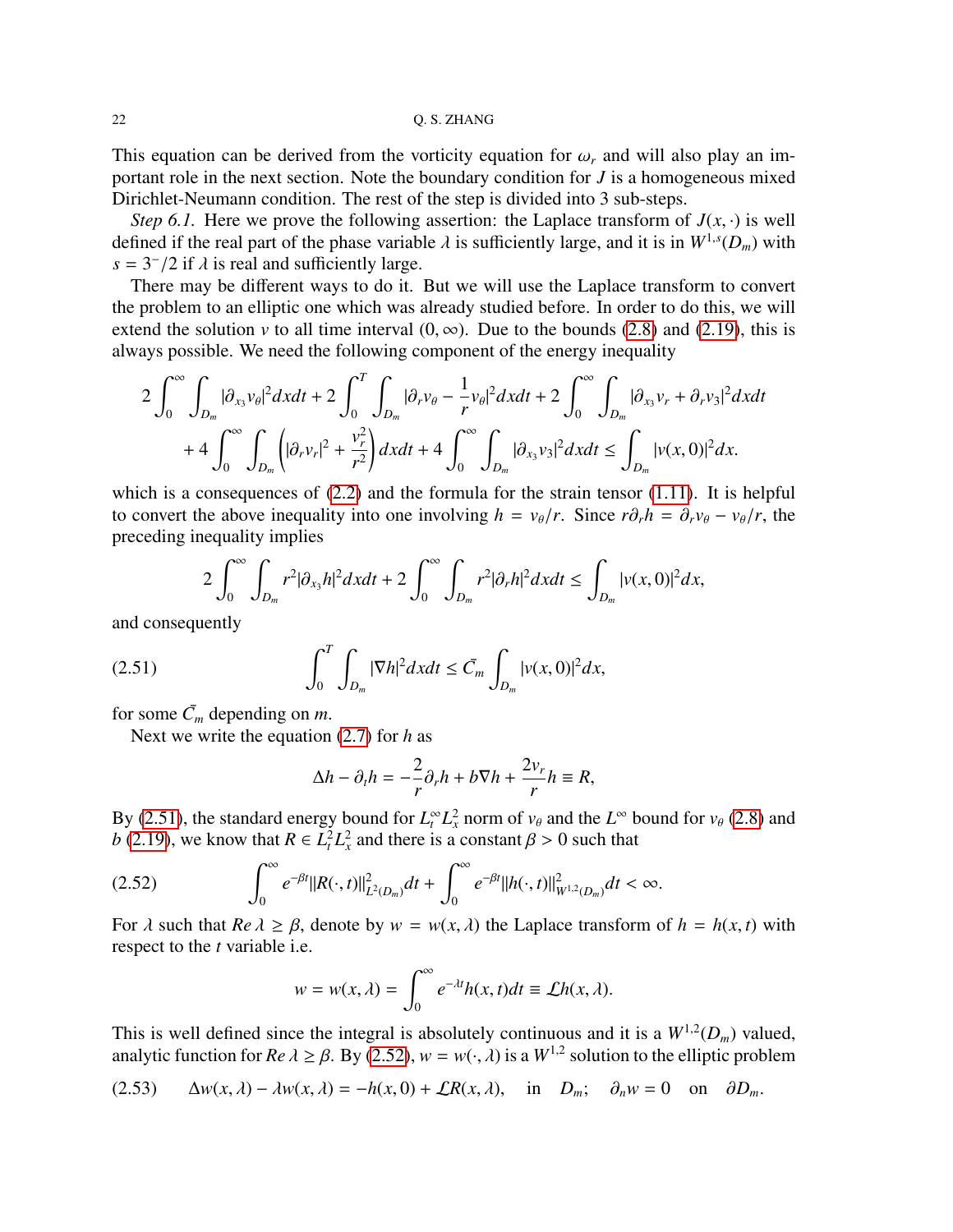This equation can be derived from the vorticity equation for  $\omega_r$  and will also play an important role in the next section. Note the boundary condition for *J* is a homogeneous mixed Dirichlet-Neumann condition. The rest of the step is divided into 3 sub-steps.

*Step 6.1.* Here we prove the following assertion: the Laplace transform of  $J(x, \cdot)$  is well defined if the real part of the phase variable  $\lambda$  is sufficiently large, and it is in  $W^{1,s}(D_m)$  with  $s = 3^{-}/2$  if  $\lambda$  is real and sufficiently large  $s = 3^{-}/2$  if  $\lambda$  is real and sufficiently large.<br>There may be different ways to do it

There may be different ways to do it. But we will use the Laplace transform to convert the problem to an elliptic one which was already studied before. In order to do this, we will extend the solution *v* to all time interval  $(0, \infty)$ . Due to the bounds [\(2.8\)](#page-9-0) and [\(2.19\)](#page-12-4), this is always possible. We need the following component of the energy inequality

$$
2\int_0^{\infty}\int_{D_m}|\partial_{x_3}v_{\theta}|^2dxdt+2\int_0^T\int_{D_m}|\partial_r v_{\theta}-\frac{1}{r}v_{\theta}|^2dxdt+2\int_0^{\infty}\int_{D_m}|\partial_{x_3}v_r+\partial_r v_3|^2dxdt+4\int_0^{\infty}\int_{D_m}\left(|\partial_r v_r|^2+\frac{v_r^2}{r^2}\right)dxdt+4\int_0^{\infty}\int_{D_m}|\partial_{x_3}v_3|^2dxdt\leq \int_{D_m}|v(x,0)|^2dx.
$$

which is a consequences of  $(2.2)$  and the formula for the strain tensor  $(1.11)$ . It is helpful to convert the above inequality into one involving  $h = v_{\theta}/r$ . Since  $r\partial_r h = \partial_r v_{\theta} - v_{\theta}/r$ , the preceding inequality implies

$$
2\int_0^{\infty}\int_{D_m}r^2|\partial_{x_3}h|^2dxdt+2\int_0^{\infty}\int_{D_m}r^2|\partial_rh|^2dxdt\leq \int_{D_m}|v(x,0)|^2dx,
$$

and consequently

(2.51) 
$$
\int_0^T \int_{D_m} |\nabla h|^2 dx dt \leq \bar{C}_m \int_{D_m} |v(x,0)|^2 dx,
$$

for some  $\bar{C}_m$  depending on *m*.

Next we write the equation [\(2.7\)](#page-8-1) for *h* as

<span id="page-21-0"></span>
$$
\Delta h - \partial_t h = -\frac{2}{r} \partial_r h + b \nabla h + \frac{2v_r}{r} h \equiv R,
$$

By [\(2.51\)](#page-21-0), the standard energy bound for  $L_t^{\infty} L_x^2$  norm of  $v_{\theta}$  and the  $L^{\infty}$  bound for  $v_{\theta}$  [\(2.8\)](#page-9-0) and  $h(2,10)$ , we know that  $R \subseteq L_t^2 L_x^2$  and there is a constant  $\theta > 0$  such that *b* [\(2.19\)](#page-12-4), we know that  $R \in L_t^2 L_x^2$  and there is a constant  $\beta > 0$  such that

$$
(2.52) \qquad \qquad \int_0^\infty e^{-\beta t} \|R(\cdot,t)\|_{L^2(D_m)}^2 dt + \int_0^\infty e^{-\beta t} \|h(\cdot,t)\|_{W^{1,2}(D_m)}^2 dt < \infty.
$$

For  $\lambda$  such that  $Re \lambda \ge \beta$ , denote by  $w = w(x, \lambda)$  the Laplace transform of  $h = h(x, t)$  with respect to the *t* variable i.e.

<span id="page-21-1"></span>
$$
w = w(x, \lambda) = \int_0^\infty e^{-\lambda t} h(x, t) dt \equiv \mathcal{L}h(x, \lambda).
$$

This is well defined since the integral is absolutely continuous and it is a  $W^{1,2}(D_m)$  valued, analytic function for *Re*  $\lambda \ge \beta$ . By [\(2.52\)](#page-21-1),  $w = w(\cdot, \lambda)$  is a  $W^{1,2}$  solution to the elliptic problem

<span id="page-21-2"></span>(2.53) 
$$
\Delta w(x,\lambda) - \lambda w(x,\lambda) = -h(x,0) + \mathcal{L}R(x,\lambda), \text{ in } D_m; \quad \partial_n w = 0 \text{ on } \partial D_m.
$$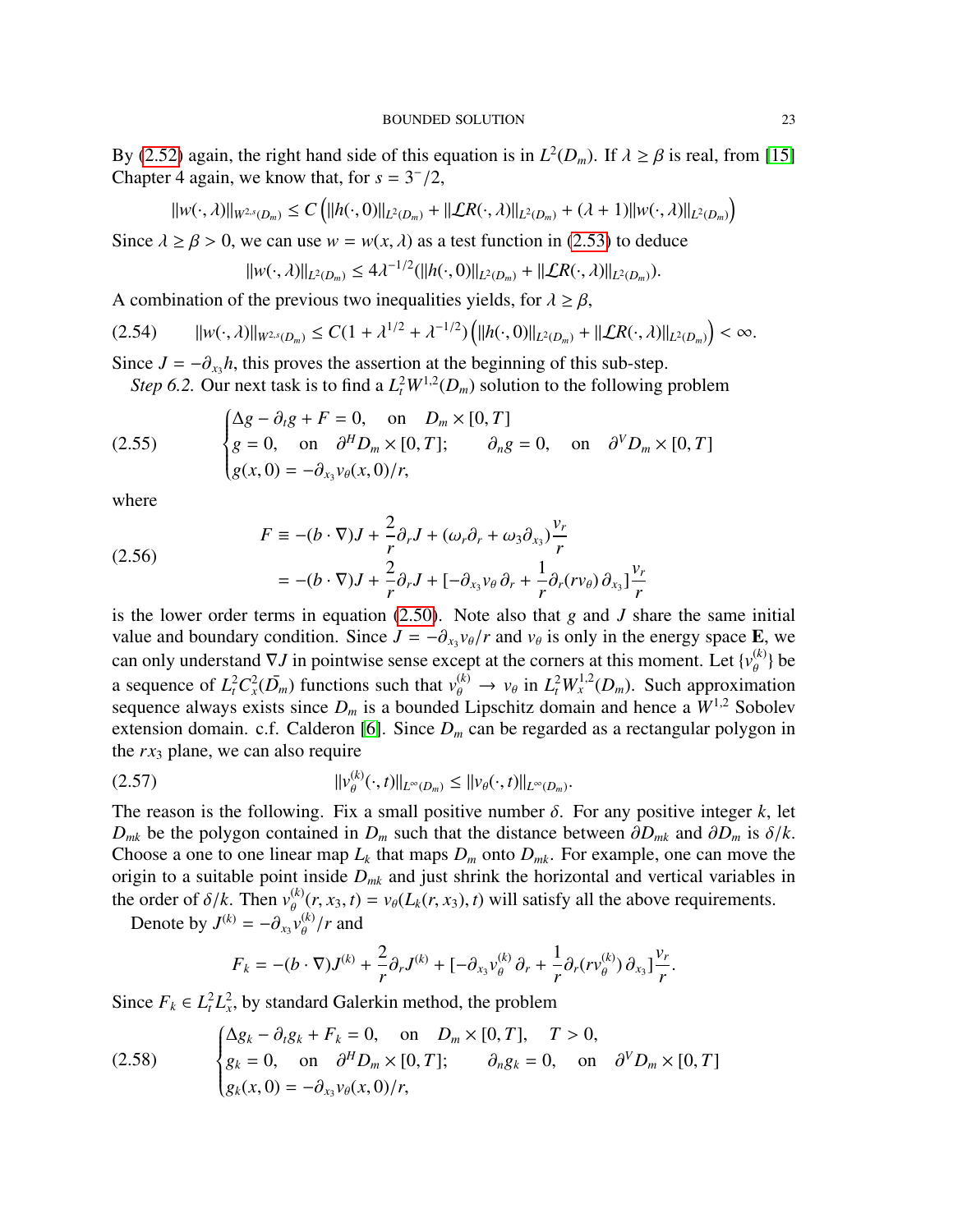By [\(2.52\)](#page-21-1) again, the right hand side of this equation is in  $L^2(D_m)$ . If  $\lambda \ge \beta$  is real, from [\[15\]](#page-55-24) Chapter 4 again, we know that for  $s = 3^{-}/2$ Chapter 4 again, we know that, for  $s = 3^{-}/2$ ,

$$
||w(\cdot,\lambda)||_{W^{2,s}(D_m)} \leq C \left( ||h(\cdot,0)||_{L^2(D_m)} + ||\mathcal{L}R(\cdot,\lambda)||_{L^2(D_m)} + (\lambda+1)||w(\cdot,\lambda)||_{L^2(D_m)} \right)
$$

Since  $\lambda \ge \beta > 0$ , we can use  $w = w(x, \lambda)$  as a test function in [\(2.53\)](#page-21-2) to deduce

$$
||w(\cdot,\lambda)||_{L^2(D_m)} \le 4\lambda^{-1/2}(||h(\cdot,0)||_{L^2(D_m)} + ||\mathcal{L}R(\cdot,\lambda)||_{L^2(D_m)}).
$$

A combination of the previous two inequalities yields, for  $\lambda \ge \beta$ ,

$$
(2.54) \qquad ||w(\cdot,\lambda)||_{W^{2,s}(D_m)} \leq C(1+\lambda^{1/2}+\lambda^{-1/2})\left(||h(\cdot,0)||_{L^2(D_m)}+||\mathcal{L}R(\cdot,\lambda)||_{L^2(D_m)}\right)<\infty.
$$

Since  $J = -\partial_{x_3}h$ , this proves the assertion at the beginning of this sub-step.<br>Step 6.2. Our pext task is to find a  $I^2W^{1,2}(D)$  solution to the following.

<span id="page-22-2"></span>*Step 6.2.* Our next task is to find a  $L_t^2 W^{1,2}(D_m)$  solution to the following problem

(2.55) 
$$
\begin{cases} \Delta g - \partial_t g + F = 0, & \text{on } D_m \times [0, T] \\ g = 0, & \text{on } \partial^H D_m \times [0, T]; \qquad \partial_n g = 0, & \text{on } \partial^V D_m \times [0, T] \\ g(x, 0) = -\partial_{x_3} v_\theta(x, 0) / r, \end{cases}
$$

where

(2.56)  
\n
$$
F \equiv -(b \cdot \nabla)J + \frac{2}{r}\partial_r J + (\omega_r \partial_r + \omega_3 \partial_{x_3}) \frac{v_r}{r}
$$
\n
$$
= -(b \cdot \nabla)J + \frac{2}{r}\partial_r J + [-\partial_{x_3} v_\theta \partial_r + \frac{1}{r}\partial_r (r v_\theta) \partial_{x_3}] \frac{v_r}{r}
$$

is the lower order terms in equation [\(2.50\)](#page-20-1). Note also that *g* and *J* share the same initial value and boundary condition. Since  $J = -\partial_{x_3} v_{\theta}/r$  and  $v_{\theta}$  is only in the energy space **E**, we can only understand  $\nabla J$  in pointwise sense except at the corners at this moment. Let  $J_v^{(k)}$  be can only understand  $\nabla J$  in pointwise sense except at the corners at this moment. Let  $\{v_{\theta}^{(k)}\}$  be a sequence of  $L_t^2 C_x^2(D_m)$  functions such that  $v_\theta^{(k)} \to v_\theta$  in  $L_t^2 W_x^{1,2}(D_m)$ . Such approximation<br>sequence always exists since *D* is a bounded I insolvized omain and hence a  $W^{1,2}$  Sobolev sequence always exists since  $D_m$  is a bounded Lipschitz domain and hence a  $W^{1,2}$  Sobolev extension domain. c.f. Calderon [\[6\]](#page-54-8). Since  $D_m$  can be regarded as a rectangular polygon in the *rx*<sup>3</sup> plane, we can also require

$$
||v_{\theta}^{(k)}(\cdot,t)||_{L^{\infty}(D_m)} \leq ||v_{\theta}(\cdot,t)||_{L^{\infty}(D_m)}.
$$

The reason is the following. Fix a small positive number  $\delta$ . For any positive integer *k*, let  $D_{\epsilon}$  be the polygon contained in  $D_{\epsilon}$  such that the distance between  $\partial D_{\epsilon}$  and  $\partial D_{\epsilon}$  is  $\delta / k$  $D_{mk}$  be the polygon contained in  $D_m$  such that the distance between  $\partial D_{mk}$  and  $\partial D_m$  is  $\delta/k$ . Choose a one to one linear map  $L_k$  that maps  $D_m$  onto  $D_{mk}$ . For example, one can move the origin to a suitable point inside *Dmk* and just shrink the horizontal and vertical variables in the order of  $\delta/k$ . Then  $v_{\theta}^{(k)}(r, x_3, t) = v_{\theta}(L_k(r, x_3), t)$  will satisfy all the above requirements.<br>Denote by  $I_k^{(k)} = -\frac{3}{2}v_{\theta}^{(k)}/r$  and

Denote by  $J^{(k)} = -\partial_{x_3} v_{\theta}^{(k)}/r$  and

<span id="page-22-1"></span><span id="page-22-0"></span>
$$
F_k = -(b \cdot \nabla)J^{(k)} + \frac{2}{r}\partial_r J^{(k)} + [-\partial_{x_3} v_{\theta}^{(k)} \partial_r + \frac{1}{r}\partial_r (r v_{\theta}^{(k)}) \partial_{x_3}] \frac{v_r}{r}.
$$

Since  $F_k \in L_t^2 L_x^2$ , by standard Galerkin method, the problem

(2.58) 
$$
\begin{cases} \Delta g_k - \partial_t g_k + F_k = 0, & \text{on} \quad D_m \times [0, T], \quad T > 0, \\ g_k = 0, & \text{on} \quad \partial^H D_m \times [0, T]; \quad \partial_n g_k = 0, & \text{on} \quad \partial^V D_m \times [0, T] \\ g_k(x, 0) = -\partial_{x_3} v_\theta(x, 0) / r, \end{cases}
$$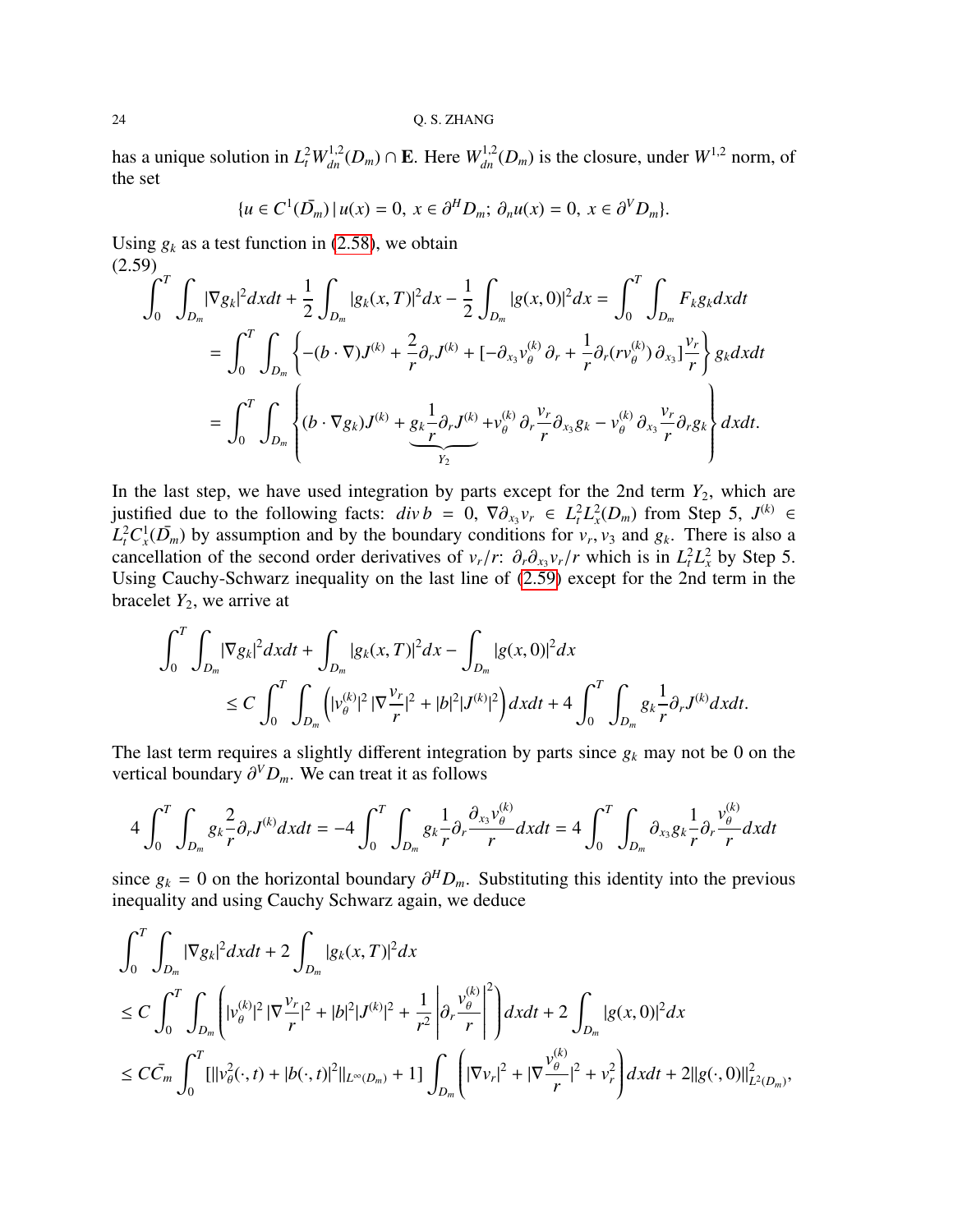has a unique solution in  $L_t^2 W_{dn}^{1,2}(D_m) \cap \mathbf{E}$ . Here  $W_{dn}^{1,2}(D_m)$  is the closure, under  $W^{1,2}$  norm, of the set

$$
\{u \in C^1(\overline{D}_m) \mid u(x) = 0, \ x \in \partial^H D_m; \ \partial_n u(x) = 0, \ x \in \partial^V D_m\}.
$$

Using  $g_k$  as a test function in [\(2.58\)](#page-22-0), we obtain  $(2.59)$ 

<span id="page-23-0"></span>
$$
\int_{0}^{T} \int_{D_{m}} |\nabla g_{k}|^{2} dxdt + \frac{1}{2} \int_{D_{m}} |g_{k}(x, T)|^{2} dx - \frac{1}{2} \int_{D_{m}} |g(x, 0)|^{2} dx = \int_{0}^{T} \int_{D_{m}} F_{k} g_{k} dxdt
$$
  
\n
$$
= \int_{0}^{T} \int_{D_{m}} \left\{ -(b \cdot \nabla)J^{(k)} + \frac{2}{r} \partial_{r} J^{(k)} + [-\partial_{x_{3}} v_{\theta}^{(k)} \partial_{r} + \frac{1}{r} \partial_{r} (r v_{\theta}^{(k)}) \partial_{x_{3}}] \frac{v_{r}}{r} \right\} g_{k} dxdt
$$
  
\n
$$
= \int_{0}^{T} \int_{D_{m}} \left\{ (b \cdot \nabla g_{k})J^{(k)} + \underbrace{g_{k} \frac{1}{r} \partial_{r} J^{(k)}}_{Y_{2}} + v_{\theta}^{(k)} \partial_{r} \frac{v_{r}}{r} \partial_{x_{3}} g_{k} - v_{\theta}^{(k)} \partial_{x_{3}} \frac{v_{r}}{r} \partial_{r} g_{k} \right\} dxdt.
$$

In the last step, we have used integration by parts except for the 2nd term  $Y_2$ , which are justified due to the following facts:  $div b = 0$ ,  $\nabla \partial_{x_3} v_r \in L^2_t L^2_x(D_m)$  from Step 5,  $J^{(k)} \in L^2_t C^1(\overline{D})$  by assumption and by the boundary conditions for  $v, v_2$  and  $g$ . There is also a  $L_t^2 C_x^1(\bar{D}_m)$  by assumption and by the boundary conditions for  $v_r$ ,  $v_3$  and  $g_k$ . There is also a cancellation of the second order derivatives of  $v / r$ ;  $\partial \partial v / r$  which is in  $L^2 L^2$  by Step 5 cancellation of the second order derivatives of  $v_r/r$ :  $\partial_r \partial_{x_3} v_r/r$  which is in  $L_t^2 L_x^2$  by Step 5.<br>Hsing Cauchy-Schwarz inequality on the last line of (2.59) except for the 2nd term in the Using Cauchy-Schwarz inequality on the last line of [\(2.59\)](#page-23-0) except for the 2nd term in the bracelet  $Y_2$ , we arrive at

$$
\int_0^T \int_{D_m} |\nabla g_k|^2 dxdt + \int_{D_m} |g_k(x,T)|^2 dx - \int_{D_m} |g(x,0)|^2 dx
$$
  
\n
$$
\leq C \int_0^T \int_{D_m} \left( |v_{\theta}^{(k)}|^2 |\nabla \frac{v_r}{r}|^2 + |b|^2 |J^{(k)}|^2 \right) dxdt + 4 \int_0^T \int_{D_m} g_k \frac{1}{r} \partial_r J^{(k)} dxdt.
$$

The last term requires a slightly different integration by parts since  $g_k$  may not be 0 on the vertical boundary ∂ *<sup>V</sup>Dm*. We can treat it as follows

$$
4\int_0^T \int_{D_m} g_k \frac{2}{r} \partial_r J^{(k)} dx dt = -4 \int_0^T \int_{D_m} g_k \frac{1}{r} \partial_r \frac{\partial_{x_3} v_\theta^{(k)}}{r} dx dt = 4 \int_0^T \int_{D_m} \partial_{x_3} g_k \frac{1}{r} \partial_r \frac{v_\theta^{(k)}}{r} dx dt
$$

since  $g_k = 0$  on the horizontal boundary  $\partial^H D_m$ . Substituting this identity into the previous inequality and using Cauchy Schwarz again, we deduce inequality and using Cauchy Schwarz again, we deduce

$$
\int_0^T \int_{D_m} |\nabla g_k|^2 dxdt + 2 \int_{D_m} |g_k(x, T)|^2 dx
$$
  
\n
$$
\leq C \int_0^T \int_{D_m} \left( |v_{\theta}^{(k)}|^2 |\nabla \frac{v_r}{r}|^2 + |b|^2 |J^{(k)}|^2 + \frac{1}{r^2} \left| \partial_r \frac{v_{\theta}^{(k)}}{r} \right|^2 \right) dxdt + 2 \int_{D_m} |g(x, 0)|^2 dx
$$
  
\n
$$
\leq C \bar{C}_m \int_0^T \left[ ||v_{\theta}^2(\cdot, t) + |b(\cdot, t)|^2 ||_{L^{\infty}(D_m)} + 1 \right] \int_{D_m} \left( |\nabla v_r|^2 + |\nabla \frac{v_{\theta}^{(k)}}{r}|^2 + v_r^2 \right) dxdt + 2||g(\cdot, 0)||_{L^2(D_m)}^2,
$$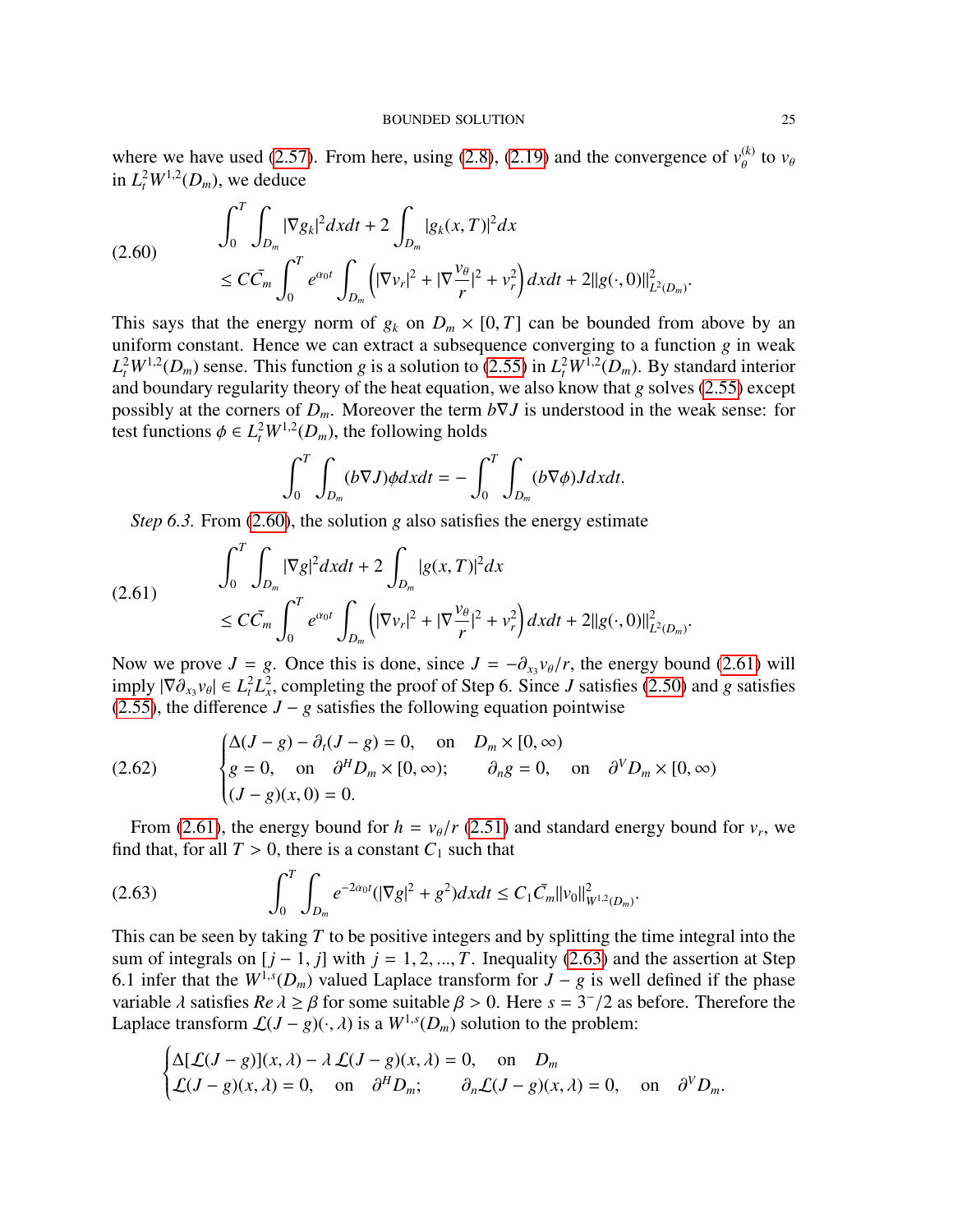where we have used [\(2.57\)](#page-22-1). From here, using [\(2.8\)](#page-9-0), [\(2.19\)](#page-12-4) and the convergence of  $v_{\theta}^{(k)}$  to  $v_{\theta}$ in  $L_t^2 W^{1,2}(D_m)$ , we deduce

<span id="page-24-0"></span>
$$
(2.60) \qquad \int_0^T \int_{D_m} |\nabla g_k|^2 dx dt + 2 \int_{D_m} |g_k(x, T)|^2 dx
$$
  

$$
\leq C \bar{C}_m \int_0^T e^{\alpha_0 t} \int_{D_m} \left( |\nabla v_r|^2 + |\nabla \frac{v_\theta}{r}|^2 + v_r^2 \right) dx dt + 2||g(\cdot, 0)||^2_{L^2(D_m)}
$$

This says that the energy norm of  $g_k$  on  $D_m \times [0, T]$  can be bounded from above by an uniform constant. Hence we can extract a subsequence converging to a function *g* in weak  $L_t^2 W^{1,2}(D_m)$  sense. This function *g* is a solution to [\(2.55\)](#page-22-2) in  $L_t^2 W^{1,2}(D_m)$ . By standard interior and boundary regularity theory of the heat equation, we also know that *g* solves [\(2.55\)](#page-22-2) except possibly at the corners of  $D_m$ . Moreover the term  $b\nabla J$  is understood in the weak sense: for test functions  $\phi \in L^2_t W^{1,2}(D_m)$ , the following holds

$$
\int_0^T \int_{D_m} (b\nabla J)\phi dx dt = -\int_0^T \int_{D_m} (b\nabla \phi)J dx dt.
$$

<span id="page-24-1"></span>*Step 6.3.* From [\(2.60\)](#page-24-0), the solution *g* also satisfies the energy estimate

$$
(2.61) \qquad \qquad \int_0^T \int_{D_m} |\nabla g|^2 dx dt + 2 \int_{D_m} |g(x,T)|^2 dx \n\leq C \bar{C}_m \int_0^T e^{\alpha_0 t} \int_{D_m} \left( |\nabla v_r|^2 + |\nabla \frac{v_\theta}{r}|^2 + v_r^2 \right) dx dt + 2||g(\cdot, 0)||^2_{L^2(D_m)}
$$

Now we prove *J* = *g*. Once this is done, since  $J = -\partial_{x_3} v_{\theta}/r$ , the energy bound [\(2.61\)](#page-24-1) will imply  $|\nabla \partial v_{\theta}| \in L^2 L^2$  completing the proof of Step 6. Since *I* satisfies (2.50) and *g* satisfies imply  $|\nabla \partial_{x_3} v_\theta|$  ∈  $L_t^2 L_x^2$ , completing the proof of Step 6. Since *J* satisfies [\(2.50\)](#page-20-1) and *g* satisfies (2.50) and *g* satisfies (2.50) and *g* satisfies [\(2.55\)](#page-22-2), the difference  $J - g$  satisfies the following equation pointwise

(2.62) 
$$
\begin{cases} \Delta(J-g) - \partial_t (J-g) = 0, & \text{on } D_m \times [0, \infty) \\ g = 0, & \text{on } \partial^H D_m \times [0, \infty); \qquad \partial_n g = 0, & \text{on } \partial^V D_m \times [0, \infty) \\ (J-g)(x, 0) = 0. \end{cases}
$$

From [\(2.61\)](#page-24-1), the energy bound for  $h = v_{\theta}/r$  [\(2.51\)](#page-21-0) and standard energy bound for  $v_r$ , we d that for all  $T > 0$  there is a constant  $C_1$  such that find that, for all  $T > 0$ , there is a constant  $C_1$  such that

<span id="page-24-2"></span>
$$
(2.63) \qquad \qquad \int_0^T \int_{D_m} e^{-2\alpha_0 t} (|\nabla g|^2 + g^2) dx dt \le C_1 \bar{C}_m ||v_0||^2_{W^{1,2}(D_m)}.
$$

This can be seen by taking *T* to be positive integers and by splitting the time integral into the sum of integrals on  $[j - 1, j]$  with  $j = 1, 2, ..., T$ . Inequality [\(2.63\)](#page-24-2) and the assertion at Step 6.1 infer that the  $W^{1,s}(D_m)$  valued Laplace transform for  $J - g$  is well defined if the phase variable  $\lambda$  satisfies  $Re \lambda \ge \beta$  for some suitable  $\beta > 0$ . Here  $s = 3^{-}/2$  as before. Therefore the Landace transform  $f(L = \alpha)(\lambda)$  is a  $W^{1,s}(D_{\lambda})$  solution to the problem: Laplace transform  $\mathcal{L}(J - g)(\cdot, \lambda)$  is a  $W^{1,s}(D_m)$  solution to the problem:

$$
\begin{cases} \Delta[\mathcal{L}(J-g)](x,\lambda) - \lambda \mathcal{L}(J-g)(x,\lambda) = 0, & \text{on } D_m \\ \mathcal{L}(J-g)(x,\lambda) = 0, & \text{on } \partial^H D_m; & \partial_n \mathcal{L}(J-g)(x,\lambda) = 0, & \text{on } \partial^V D_m. \end{cases}
$$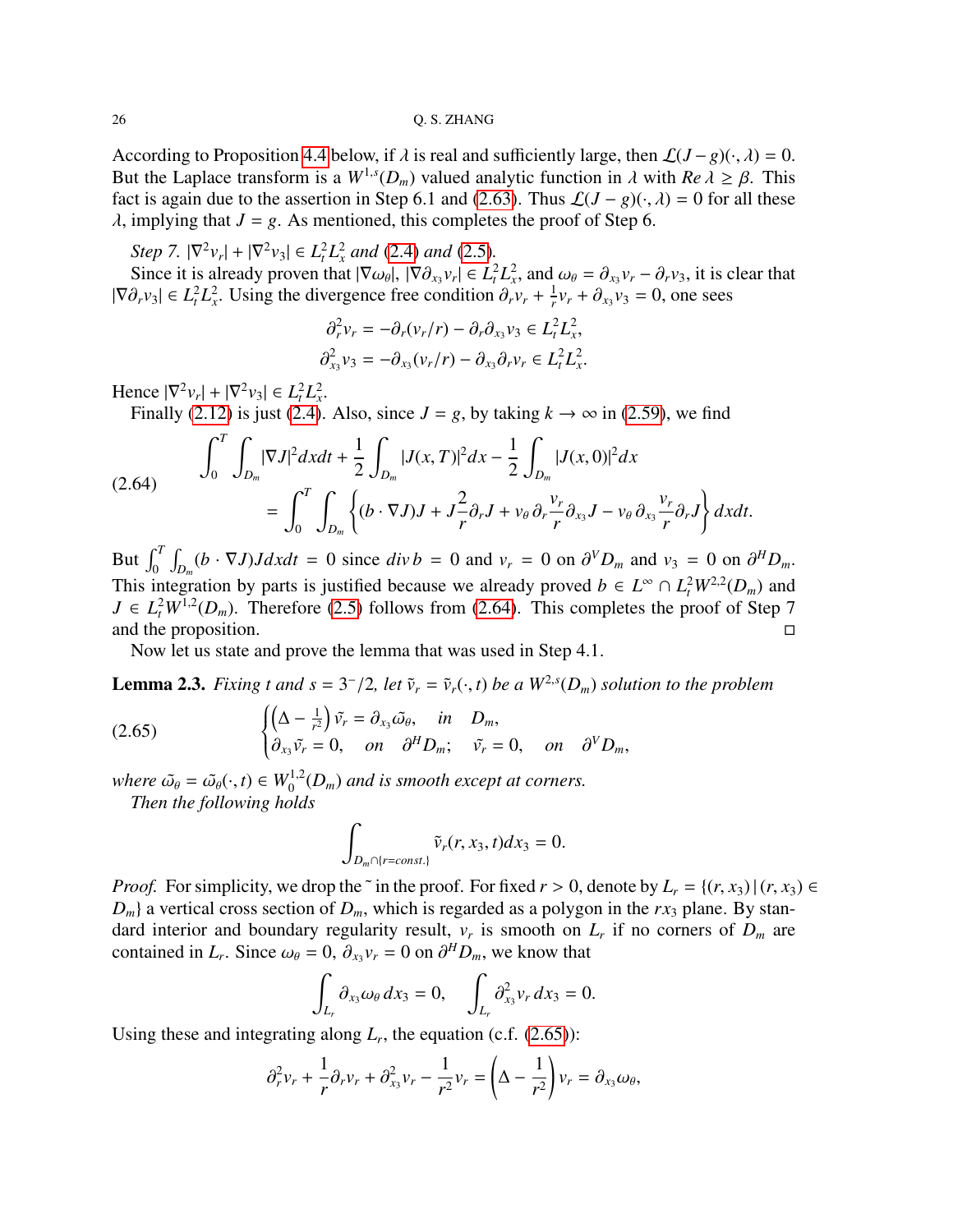According to Proposition [4.4](#page-53-0) below, if  $\lambda$  is real and sufficiently large, then  $\mathcal{L}(J-g)(\cdot, \lambda) = 0$ . But the Laplace transform is a  $W^{1,s}(D_m)$  valued analytic function in  $\lambda$  with  $Re \lambda \ge \beta$ . This fact is again due to the assertion in Step 6.1 and (2.63). Thus  $f(I - g)(\cdot, \lambda) = 0$  for all these fact is again due to the assertion in Step 6.1 and [\(2.63\)](#page-24-2). Thus  $\mathcal{L}(J - g)(\cdot, \lambda) = 0$  for all these  $\lambda$ , implying that  $J = g$ . As mentioned, this completes the proof of Step 6.

*Step 7.*  $|\nabla^2 v_r| + |\nabla^2 v_3| \in L_t^2 L_x^2$  *and* [\(2.4\)](#page-7-1) *and* [\(2.5\)](#page-7-2)*.* 

Since it is already proven that  $|\nabla \omega_{\theta}|$ ,  $|\nabla \partial_{x_3} v_r| \in L^2_t L^2_x$ , and  $\omega_{\theta} = \partial_{x_3} v_r - \partial_r v_3$ , it is clear that  $\partial_{x_3} v_{\theta} \in L^2 L^2$ . Using the divergence free condition  $\partial_x v_{\theta} + \frac{1}{2} v_{\theta} + \partial_x v_3 = 0$ , one  $|\nabla \partial_r v_3| \in L^2_t L^2_x$ . Using the divergence free condition  $\partial_r v_r + \frac{1}{r}$  $\frac{1}{r}v_r + \partial_{x_3}v_3 = 0$ , one sees

$$
\partial_r^2 v_r = -\partial_r (v_r/r) - \partial_r \partial_{x_3} v_3 \in L_t^2 L_x^2,
$$
  

$$
\partial_{x_3}^2 v_3 = -\partial_{x_3} (v_r/r) - \partial_{x_3} \partial_r v_r \in L_t^2 L_x^2.
$$

Hence  $|\nabla^2 v_r| + |\nabla^2 v_3| \in L_t^2 L_x^2$ .

Finally [\(2.12\)](#page-11-3) is just [\(2.4\)](#page-7-1). Also, since  $J = g$ , by taking  $k \to \infty$  in [\(2.59\)](#page-23-0), we find

<span id="page-25-1"></span>(2.64) 
$$
\int_0^T \int_{D_m} |\nabla J|^2 dx dt + \frac{1}{2} \int_{D_m} |J(x, T)|^2 dx - \frac{1}{2} \int_{D_m} |J(x, 0)|^2 dx
$$

$$
= \int_0^T \int_{D_m} \left\{ (b \cdot \nabla J) J + J \frac{2}{r} \partial_r J + v_\theta \partial_r \frac{v_r}{r} \partial_{x_3} J - v_\theta \partial_{x_3} \frac{v_r}{r} \partial_r J \right\} dx dt.
$$

But  $\int_0^T \int_{D_m} (b \cdot \nabla J) J dx dt = 0$  since  $div b = 0$  and  $v_r = 0$  on  $\partial^V D_m$  and  $v_3 = 0$  on  $\partial^H D_m$ . This integration by parts is justified because we already proved  $b \in L^{\infty} \cap L^2_t W^{2,2}(D_m)$  and  $J \in L^2_t W^{1,2}(D_m)$ . Therefore [\(2.5\)](#page-7-2) follows from [\(2.64\)](#page-25-1). This completes the proof of Step 7 and the proposition.

Now let us state and prove the lemma that was used in Step 4.1.

<span id="page-25-0"></span>**Lemma 2.3.** *Fixing t and s* =  $3^{-}/2$ *, let*  $\tilde{v}_r = \tilde{v}_r(\cdot, t)$  *be a*  $W^{2,s}(D_m)$  *solution to the problem* 

(2.65) 
$$
\begin{cases} \left(\Delta - \frac{1}{r^2}\right)\tilde{v_r} = \partial_{x_3}\tilde{\omega_{\theta}}, & \text{in} \quad D_m, \\ \partial_{x_3}\tilde{v_r} = 0, & \text{on} \quad \partial^HD_m; \quad \tilde{v_r} = 0, & \text{on} \quad \partial^VD_m, \end{cases}
$$

*where*  $\tilde{\omega}_{\theta} = \tilde{\omega}_{\theta}(\cdot, t) \in W_0^{1,2}(D_m)$  *and is smooth except at corners.*<br>Then the following holds

*Then the following holds*

<span id="page-25-2"></span>
$$
\int_{D_m \cap \{r=const.\}} \tilde{\nu}_r(r, x_3, t) dx_3 = 0.
$$

*Proof.* For simplicity, we drop the ~ in the proof. For fixed  $r > 0$ , denote by  $L_r = \{(r, x_3) | (r, x_3) \in$  $D_m$  a vertical cross section of  $D_m$ , which is regarded as a polygon in the  $rx_3$  plane. By standard interior and boundary regularity result,  $v_r$  is smooth on  $L_r$  if no corners of  $D_m$  are contained in *L<sub>r</sub>*. Since  $\omega_{\theta} = 0$ ,  $\partial_{x_3} v_r = 0$  on  $\partial^H D_m$ , we know that

$$
\int_{L_r} \partial_{x_3} \omega_\theta \, dx_3 = 0, \quad \int_{L_r} \partial_{x_3}^2 v_r \, dx_3 = 0.
$$

Using these and integrating along  $L_r$ , the equation (c.f.  $(2.65)$ ):

$$
\partial_r^2 v_r + \frac{1}{r} \partial_r v_r + \partial_{x_3}^2 v_r - \frac{1}{r^2} v_r = \left(\Delta - \frac{1}{r^2}\right) v_r = \partial_{x_3} \omega_\theta,
$$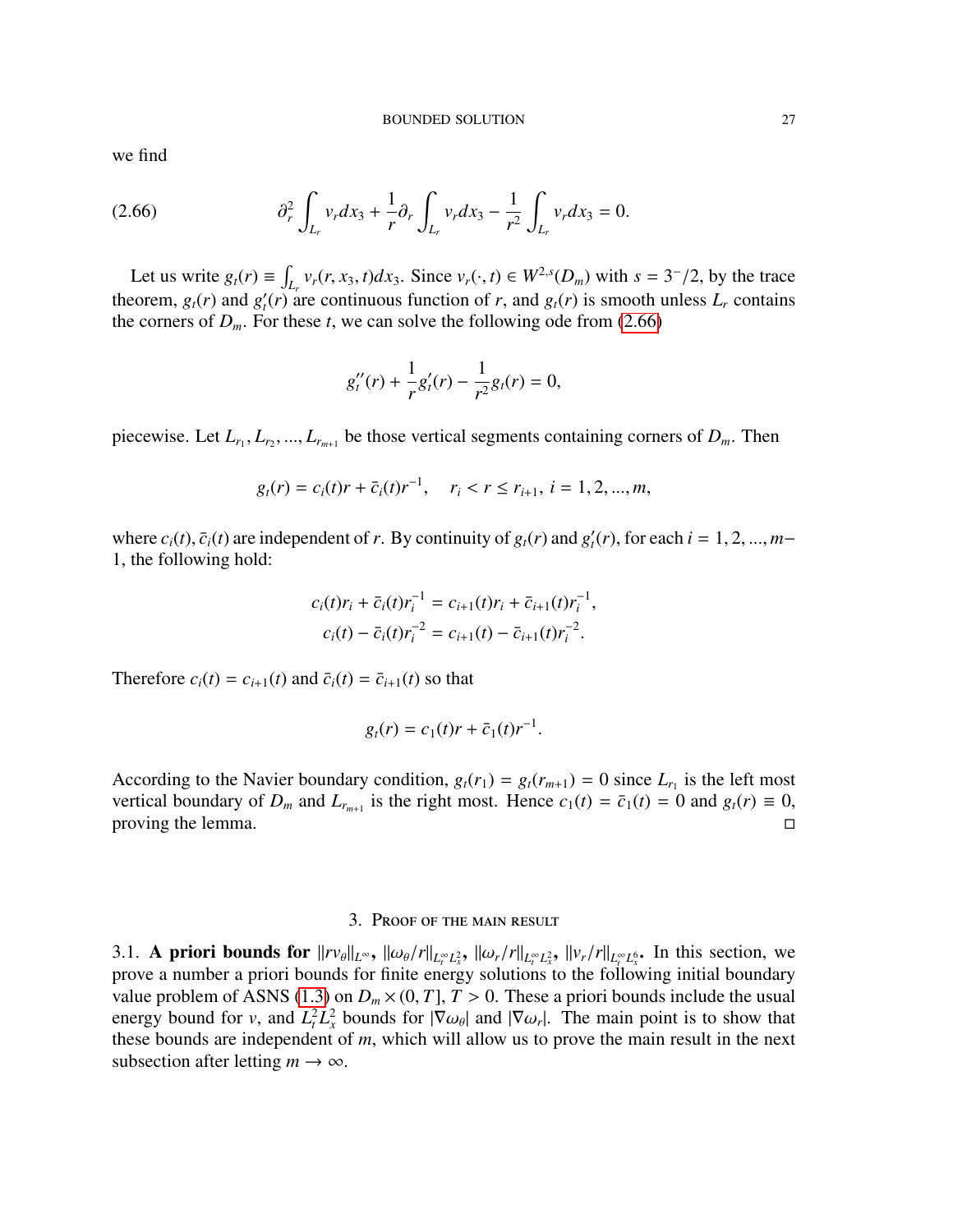we find

<span id="page-26-2"></span>
$$
(2.66) \t\t\t\t\t\partial_r^2 \int_{L_r} v_r dx_3 + \frac{1}{r} \partial_r \int_{L_r} v_r dx_3 - \frac{1}{r^2} \int_{L_r} v_r dx_3 = 0.
$$

Let us write  $g_t(r) \equiv \int_{L_r} v_r(r, x_3, t) dx_3$ . Since  $v_r(\cdot, t) \in W^{2,s}(D_m)$  with  $s = 3^{-}/2$ , by the trace theorem,  $g_t(r)$  and  $g'_t(r)$  are continuous function of *r*, and  $g_t(r)$  is smooth unless  $L_r$  contains the corners of  $D_m$ . For these *t*, we can solve the following ode from [\(2.66\)](#page-26-2)

$$
g_t''(r) + \frac{1}{r}g_t'(r) - \frac{1}{r^2}g_t(r) = 0,
$$

piecewise. Let  $L_{r_1}, L_{r_2}, ..., L_{r_{m+1}}$  be those vertical segments containing corners of  $D_m$ . Then

$$
g_t(r) = c_i(t)r + \bar{c}_i(t)r^{-1}, \quad r_i < r \le r_{i+1}, i = 1, 2, ..., m,
$$

where  $c_i(t)$ ,  $\bar{c}_i(t)$  are independent of *r*. By continuity of  $g_i(r)$  and  $g'_i(r)$ , for each  $i = 1, 2, ..., m-1$  the following hold: 1, the following hold:

$$
c_i(t)r_i + \bar{c}_i(t)r_i^{-1} = c_{i+1}(t)r_i + \bar{c}_{i+1}(t)r_i^{-1},
$$
  

$$
c_i(t) - \bar{c}_i(t)r_i^{-2} = c_{i+1}(t) - \bar{c}_{i+1}(t)r_i^{-2}.
$$

Therefore  $c_i(t) = c_{i+1}(t)$  and  $\overline{c}_i(t) = \overline{c}_{i+1}(t)$  so that

$$
g_t(r) = c_1(t)r + \bar{c}_1(t)r^{-1}.
$$

According to the Navier boundary condition,  $g_t(r_1) = g_t(r_{m+1}) = 0$  since  $L_{r_1}$  is the left most vertical boundary of  $D_m$  and  $L_{r_{m+1}}$  is the right most. Hence  $c_1(t) = \bar{c}_1(t) = 0$  and  $g_t(r) \equiv 0$ , proving the lemma.  $\Box$ 

#### 3. Proof of the main result

<span id="page-26-1"></span><span id="page-26-0"></span>3.1. **A priori bounds for**  $||r v_{\theta}||_{L^{\infty}}$ ,  $||\omega_{\theta}/r||_{L^{\infty}_{t}L^{2}_{x}}$ ,  $||\omega_{r}/r||_{L^{\infty}_{t}L^{2}_{x}}$ ,  $||v_{r}/r||_{L^{\infty}_{t}L^{6}_{x}}$ . In this section, we prove a number a priori bounds for finite energy solutions to the followin prove a number a priori bounds for finite energy solutions to the following initial boundary value problem of ASNS [\(1.3\)](#page-1-0) on  $D_m \times (0, T]$ ,  $T > 0$ . These a priori bounds include the usual energy bound for *v*, and  $L_t^2 L_x^2$  bounds for  $|\nabla \omega_\theta|$  and  $|\nabla \omega_r|$ . The main point is to show that these bounds are independent of *m* which will allow us to prove the main result in the next these bounds are independent of *m*, which will allow us to prove the main result in the next subsection after letting  $m \to \infty$ .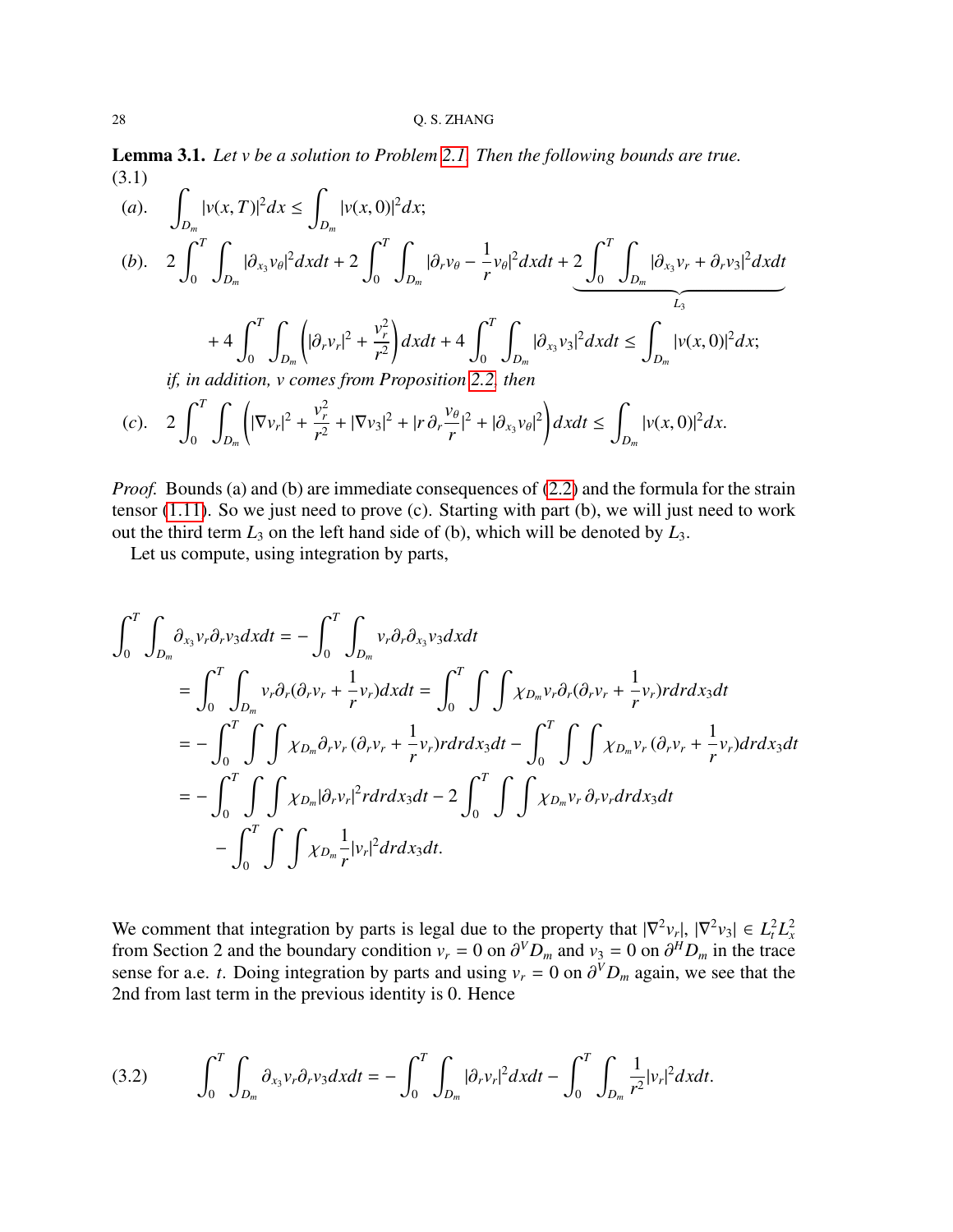<span id="page-27-2"></span>Lemma 3.1. *Let v be a solution to Problem [2.1.](#page-6-1) Then the following bounds are true.* (3.1)

(a). 
$$
\int_{D_m} |v(x,T)|^2 dx \le \int_{D_m} |v(x,0)|^2 dx;
$$
  
\n(b). 
$$
2 \int_0^T \int_{D_m} |\partial_{x_3} v_{\theta}|^2 dx dt + 2 \int_0^T \int_{D_m} |\partial_r v_{\theta} - \frac{1}{r} v_{\theta}|^2 dx dt + 2 \int_0^T \int_{D_m} |\partial_{x_3} v_r + \partial_r v_3|^2 dx dt
$$
  
\n
$$
+ 4 \int_0^T \int_{D_m} (|\partial_r v_r|^2 + \frac{v_r^2}{r^2}) dx dt + 4 \int_0^T \int_{D_m} |\partial_{x_3} v_3|^2 dx dt \le \int_{D_m} |v(x,0)|^2 dx;
$$
  
\n*if, in addition, v comes from Proposition 2.2, then*  
\n(c)  $2 \int_0^T \int_{D_m} |\nabla_{x_3}|^2 + \frac{v_r^2}{r^2} + |\nabla_{x_3}|^2 + |\nabla_{x_3}|^2 + |\nabla_{x_4}|^2 + |\nabla_{x_5}|^2 + |\nabla_{x_6}|^2 + |\nabla_{x_7}|^2 + |\nabla_{x_7}|^2 + |\nabla_{x_7}|^2 + |\nabla_{x_7}|^2 + |\nabla_{x_7}|^2 + |\nabla_{x_7}|^2 + |\nabla_{x_7}|^2 + |\nabla_{x_7}|^2 + |\nabla_{x_7}|^2 + |\nabla_{x_7}|^2 + |\nabla_{x_7}|^2 + |\nabla_{x_7}|^2 + |\nabla_{x_7}|^2 + |\nabla_{x_7}|^2 + |\nabla_{x_7}|^2 + |\nabla_{x_7}|^2 + |\nabla_{x_7}|^2 + |\nabla_{x_7}|^2 + |\nabla_{x_7}|^2 + |\nabla_{x_7}|^2 + |\nabla_{x_7}|^2 + |\nabla_{x_7}|^2 + |\nabla_{x_7}|^2 + |\nabla_{x_7}|^2 + |\nabla_{x_7}|^2 + |\nabla_{x_7}|^2 + |\nabla_{x_7}|^2 + |\nabla_{x_7}|^2 + |\nabla_{x_7}|^2 + |\nabla_{x_7}|^2 + |\nabla_{x_7}|^2 + |\nabla_{x_7}|$ 

<span id="page-27-1"></span>
$$
(c). \quad 2\int_0^T \int_{D_m} \left( |\nabla v_r|^2 + \frac{v_r^2}{r^2} + |\nabla v_3|^2 + |r \partial_r \frac{v_\theta}{r}|^2 + |\partial_{x_3} v_\theta|^2 \right) dx dt \le \int_{D_m} |v(x,0)|^2 dx.
$$

*Proof.* Bounds (a) and (b) are immediate consequences of [\(2.2\)](#page-6-2) and the formula for the strain tensor [\(1.11\)](#page-4-0). So we just need to prove (c). Starting with part (b), we will just need to work out the third term  $L_3$  on the left hand side of (b), which will be denoted by  $L_3$ .

Let us compute, using integration by parts,

$$
\int_{0}^{T} \int_{D_{m}} \partial_{x_{3}} v_{r} \partial_{r} v_{3} dxdt = -\int_{0}^{T} \int_{D_{m}} v_{r} \partial_{r} \partial_{x_{3}} v_{3} dxdt
$$
\n
$$
= \int_{0}^{T} \int_{D_{m}} v_{r} \partial_{r} (\partial_{r} v_{r} + \frac{1}{r} v_{r}) dxdt = \int_{0}^{T} \int \int \chi_{D_{m}} v_{r} \partial_{r} (\partial_{r} v_{r} + \frac{1}{r} v_{r}) r dr dx_{3} dt
$$
\n
$$
= -\int_{0}^{T} \int \int \chi_{D_{m}} \partial_{r} v_{r} (\partial_{r} v_{r} + \frac{1}{r} v_{r}) r dr dx_{3} dt - \int_{0}^{T} \int \int \int \chi_{D_{m}} v_{r} (\partial_{r} v_{r} + \frac{1}{r} v_{r}) dr dx_{3} dt
$$
\n
$$
= -\int_{0}^{T} \int \int \chi_{D_{m}} |\partial_{r} v_{r}|^{2} r dr dx_{3} dt - 2 \int_{0}^{T} \int \int \chi_{D_{m}} v_{r} \partial_{r} v_{r} dr dx_{3} dt
$$
\n
$$
- \int_{0}^{T} \int \int \chi_{D_{m}} \frac{1}{r} |v_{r}|^{2} dr dx_{3} dt.
$$

We comment that integration by parts is legal due to the property that  $|\nabla^2 v_r|, |\nabla^2 v_3| \in L^2_t L^2_x$ <br>from Section 2 and the boundary condition  $v_r = 0$  on  $\partial^V D$  and  $v_3 = 0$  on  $\partial^H D$  in the trace from Section 2 and the boundary condition  $v_r = 0$  on  $\partial^V D_m$  and  $v_3 = 0$  on  $\partial^H D_m$  in the trace<br>sense for a e t Doing integration by parts and using  $v_r = 0$  on  $\partial^V D$  again, we see that the sense for a.e. *t*. Doing integration by parts and using  $v_r = 0$  on  $\partial^V D_m$  again, we see that the 2nd from last term in the previous identity is 0. Hence 2nd from last term in the previous identity is 0. Hence

<span id="page-27-0"></span>(3.2) 
$$
\int_0^T \int_{D_m} \partial_{x_3} v_r \partial_r v_3 dx dt = - \int_0^T \int_{D_m} |\partial_r v_r|^2 dx dt - \int_0^T \int_{D_m} \frac{1}{r^2} |v_r|^2 dx dt.
$$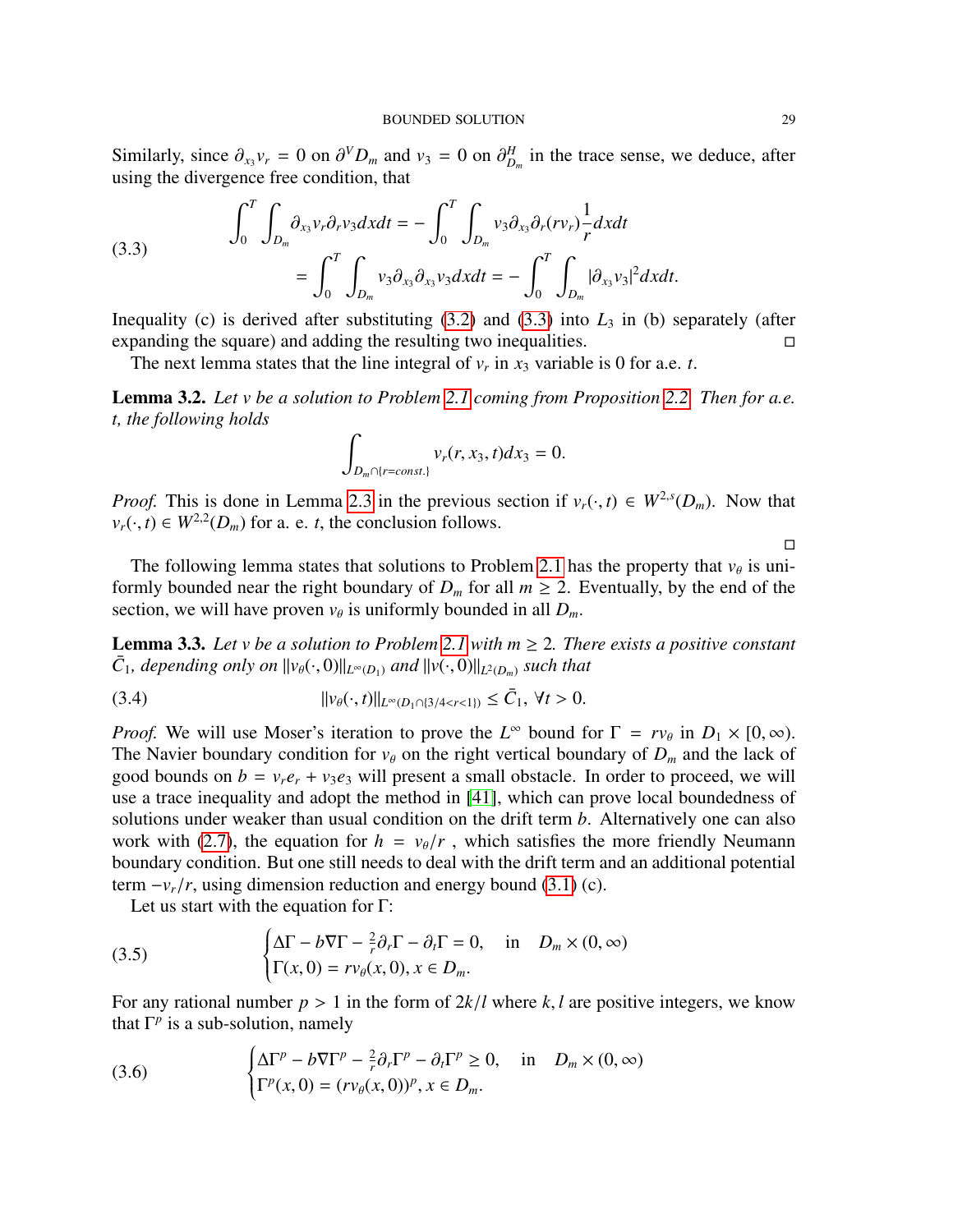Similarly, since  $\partial_{x_3} v_r = 0$  on  $\partial^V D_m$  and  $v_3 = 0$  on  $\partial_{D_m}^H$  in the trace sense, we deduce, after using the divergence free condition that using the divergence free condition, that

<span id="page-28-0"></span>(3.3) 
$$
\int_0^T \int_{D_m} \partial_{x_3} v_r \partial_r v_3 dx dt = - \int_0^T \int_{D_m} v_3 \partial_{x_3} \partial_r (r v_r) \frac{1}{r} dx dt
$$

$$
= \int_0^T \int_{D_m} v_3 \partial_{x_3} \partial_{x_3} v_3 dx dt = - \int_0^T \int_{D_m} |\partial_{x_3} v_3|^2 dx dt.
$$

Inequality (c) is derived after substituting  $(3.2)$  and  $(3.3)$  into  $L_3$  in (b) separately (after expanding the square) and adding the resulting two inequalities.

The next lemma states that the line integral of  $v_r$  in  $x_3$  variable is 0 for a.e. *t*.

<span id="page-28-4"></span>Lemma 3.2. *Let v be a solution to Problem [2.1](#page-6-1) coming from Proposition [2.2.](#page-7-3) Then for a.e. t, the following holds*

$$
\int_{D_m \cap \{r=const.\}} v_r(r, x_3, t) dx_3 = 0.
$$

*Proof.* This is done in Lemma [2.3](#page-25-0) in the previous section if  $v_r(\cdot, t) \in W^{2,s}(D_m)$ . Now that  $v_r(t) \in W^{2,2}(D_r)$  for a e t the conclusion follows  $v_r(\cdot, t) \in W^{2,2}(D_m)$  for a. e. *t*, the conclusion follows.

The following lemma states that solutions to Problem [2.1](#page-6-1) has the property that  $v_{\theta}$  is uni-<br>wells have defined pear the right have derived  $D$ , for all  $m > 2$ . Executivally, by the and of the formly bounded near the right boundary of  $D_m$  for all  $m \geq 2$ . Eventually, by the end of the section, we will have proven  $v_{\theta}$  is uniformly bounded in all  $D_m$ .

<span id="page-28-3"></span>**Lemma 3.3.** Let v be a solution to Problem [2.1](#page-6-1) with  $m \geq 2$ . There exists a positive constant  $\bar{C}_1$ *, depending only on*  $||v_{\theta}(\cdot, 0)||_{L^{\infty}(D_1)}$  *and*  $||v(\cdot, 0)||_{L^2(D_m)}$  *such that* 

<span id="page-28-2"></span>(3.4) 
$$
||v_{\theta}(\cdot,t)||_{L^{\infty}(D_1 \cap \{3/4 < r < 1\})} \leq \bar{C}_1, \forall t > 0.
$$

*Proof.* We will use Moser's iteration to prove the  $L^{\infty}$  bound for  $\Gamma = rv_{\theta}$  in  $D_1 \times [0, \infty)$ .<br>The Navier boundary condition for  $v_{\theta}$  on the right vertical boundary of *D* and the lack of The Navier boundary condition for  $v_{\theta}$  on the right vertical boundary of  $D_m$  and the lack of good bounds on  $b = v_r e_r + v_3 e_3$  will present a small obstacle. In order to proceed, we will use a trace inequality and adopt the method in [\[41\]](#page-56-7), which can prove local boundedness of solutions under weaker than usual condition on the drift term *b*. Alternatively one can also work with [\(2.7\)](#page-8-1), the equation for  $h = v_{\theta}/r$ , which satisfies the more friendly Neumann boundary condition. But one still needs to deal with the drift term and an additional potential term  $-v_r/r$ , using dimension reduction and energy bound [\(3.1\)](#page-27-1) (c).

Let us start with the equation for Γ:

(3.5) 
$$
\begin{cases} \Delta \Gamma - b \nabla \Gamma - \frac{2}{r} \partial_r \Gamma - \partial_t \Gamma = 0, & \text{in} \quad D_m \times (0, \infty) \\ \Gamma(x, 0) = r v_\theta(x, 0), x \in D_m. \end{cases}
$$

For any rational number  $p > 1$  in the form of  $2k/l$  where  $k, l$  are positive integers, we know that  $\Gamma^p$  is a sub-solution, namely

<span id="page-28-1"></span>(3.6) 
$$
\begin{cases} \Delta \Gamma^p - b \nabla \Gamma^p - \frac{2}{r} \partial_r \Gamma^p - \partial_t \Gamma^p \ge 0, & \text{in} \quad D_m \times (0, \infty) \\ \Gamma^p(x, 0) = (r v_\theta(x, 0))^p, x \in D_m. \end{cases}
$$

 $\Box$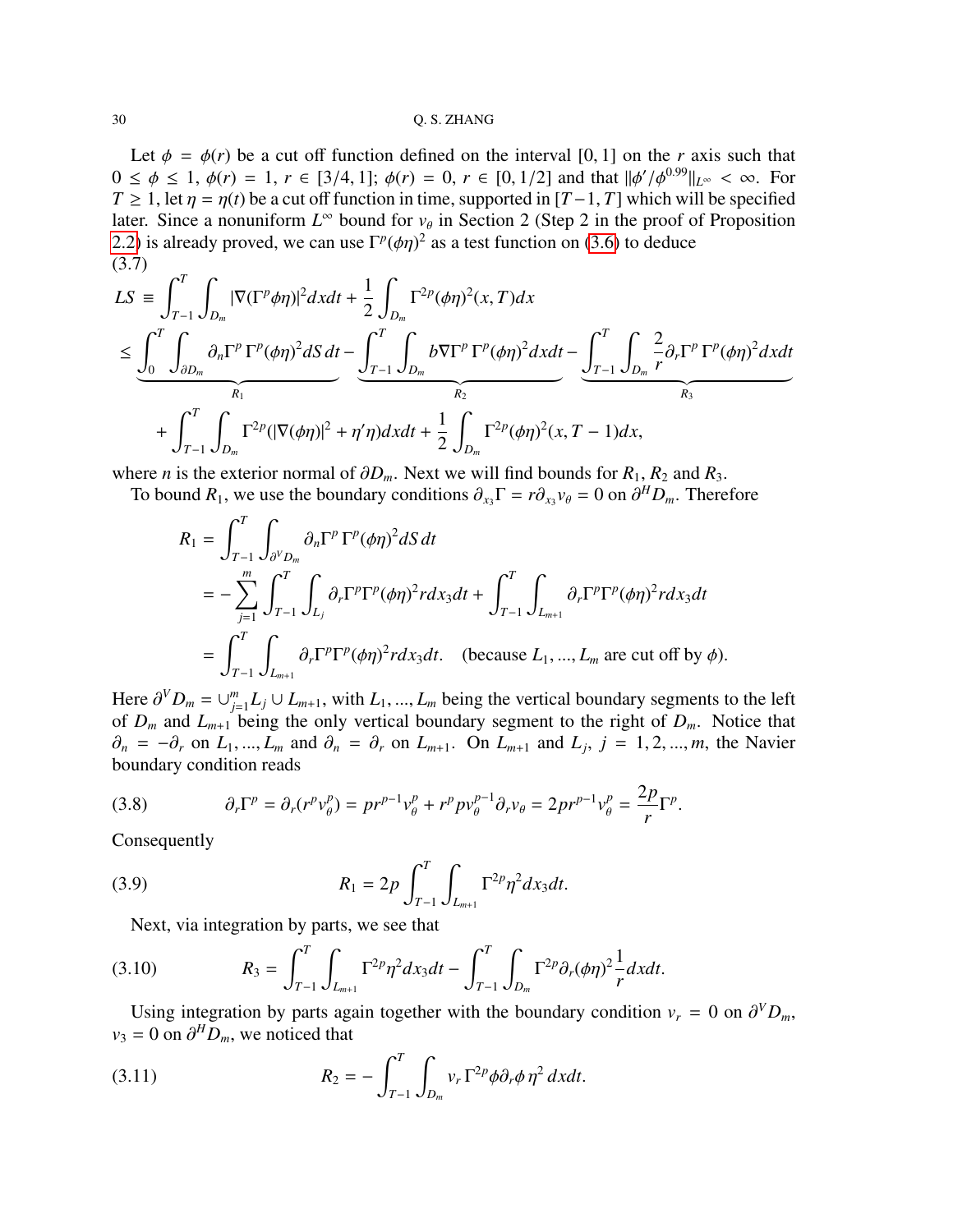Let  $\phi = \phi(r)$  be a cut off function defined on the interval [0, 1] on the *r* axis such that  $0 \le \phi \le 1$ ,  $\phi(r) = 1$ ,  $r \in [3/4, 1]$ ;  $\phi(r) = 0$ ,  $r \in [0, 1/2]$  and that  $\|\phi'/\phi^{0.99}\|_{L^{\infty}} < \infty$ . For  $T > 1$  let  $n = n(t)$  be a cut off function in time, supported in  $[T-1]$  Tl which will be specified *T* ≥ 1, let  $\eta = \eta(t)$  be a cut off function in time, supported in [*T* −1, *T*] which will be specified later. Since a nonuniform  $L^{\infty}$  bound for  $v_{\theta}$  in Section 2 (Step 2 in the proof of Proposition [2.2\)](#page-7-3) is already proved, we can use  $\Gamma^p(\phi \eta)^2$  as a test function on [\(3.6\)](#page-28-1) to deduce (3.7) (3.7)

<span id="page-29-3"></span>
$$
LS \equiv \int_{T-1}^{T} \int_{D_m} |\nabla (\Gamma^p \phi \eta)|^2 dxdt + \frac{1}{2} \int_{D_m} \Gamma^{2p}(\phi \eta)^2 (x, T) dx
$$
  

$$
\leq \underbrace{\int_0^T \int_{\partial D_m} \partial_n \Gamma^p \Gamma^p(\phi \eta)^2 dS dt}_{R_1} - \underbrace{\int_{T-1}^{T} \int_{D_m} b \nabla \Gamma^p \Gamma^p(\phi \eta)^2 dxdt}_{R_2} - \underbrace{\int_{T-1}^{T} \int_{D_m} \frac{2}{r} \partial_r \Gamma^p \Gamma^p(\phi \eta)^2 dxdt}_{R_3}
$$
  
+ 
$$
\int_{T-1}^{T} \int_{D_m} \Gamma^{2p} (|\nabla(\phi \eta)|^2 + \eta' \eta) dxdt + \frac{1}{2} \int_{D_m} \Gamma^{2p}(\phi \eta)^2 (x, T - 1) dx,
$$

where *n* is the exterior normal of  $\partial D_m$ . Next we will find bounds for  $R_1, R_2$  and  $R_3$ .

To bound  $R_1$ , we use the boundary conditions  $\partial_{x_3} \Gamma = r \partial_{x_3} v_{\theta} = 0$  on  $\partial^H D_m$ . Therefore

$$
R_1 = \int_{T-1}^T \int_{\partial^V D_m} \partial_n \Gamma^p \Gamma^p (\phi \eta)^2 dS dt
$$
  
= 
$$
- \sum_{j=1}^m \int_{T-1}^T \int_{L_j} \partial_r \Gamma^p \Gamma^p (\phi \eta)^2 r dx_3 dt + \int_{T-1}^T \int_{L_{m+1}} \partial_r \Gamma^p \Gamma^p (\phi \eta)^2 r dx_3 dt
$$
  
= 
$$
\int_{T-1}^T \int_{L_{m+1}} \partial_r \Gamma^p \Gamma^p (\phi \eta)^2 r dx_3 dt.
$$
 (because  $L_1, ..., L_m$  are cut off by  $\phi$ ).

Here  $\partial^V D_m = \cup_{j=1}^m$ <br>of *D* and *L*  $J_{j=1}^{m} L_j ∪ L_{m+1}$ , with *L*<sub>1</sub>, ..., *L<sub>m</sub>* being the vertical boundary segments to the left<br>being the only vertical boundary segment to the right of *D*. Notice that of  $D_m$  and  $L_{m+1}$  being the only vertical boundary segment to the right of  $D_m$ . Notice that  $\partial_n = -\partial_r$  on  $L_1, ..., L_m$  and  $\partial_n = \partial_r$  on  $L_{m+1}$ . On  $L_{m+1}$  and  $L_j$ ,  $j = 1, 2, ..., m$ , the Navier boundary condition reads boundary condition reads

<span id="page-29-4"></span>(3.8) 
$$
\partial_r \Gamma^p = \partial_r (r^p v_\theta^p) = p r^{p-1} v_\theta^p + r^p p v_\theta^{p-1} \partial_r v_\theta = 2p r^{p-1} v_\theta^p = \frac{2p}{r} \Gamma^p.
$$

Consequently

(3.9) 
$$
R_1 = 2p \int_{T-1}^{T} \int_{L_{m+1}} \Gamma^{2p} \eta^2 dx_3 dt.
$$

<span id="page-29-2"></span><span id="page-29-0"></span>Next, via integration by parts, we see that

(3.10) 
$$
R_3 = \int_{T-1}^T \int_{L_{m+1}} \Gamma^{2p} \eta^2 dx_3 dt - \int_{T-1}^T \int_{D_m} \Gamma^{2p} \partial_r (\phi \eta)^2 \frac{1}{r} dx dt.
$$

Using integration by parts again together with the boundary condition  $v_r = 0$  on  $\partial^V D_m$ ,  $-0$  on  $\partial^H D$  we noticed that  $v_3 = 0$  on  $\partial^H D_m$ , we noticed that

<span id="page-29-1"></span>(3.11) 
$$
R_2 = -\int_{T-1}^T \int_{D_m} v_r \Gamma^{2p} \phi \partial_r \phi \, \eta^2 \, dx dt.
$$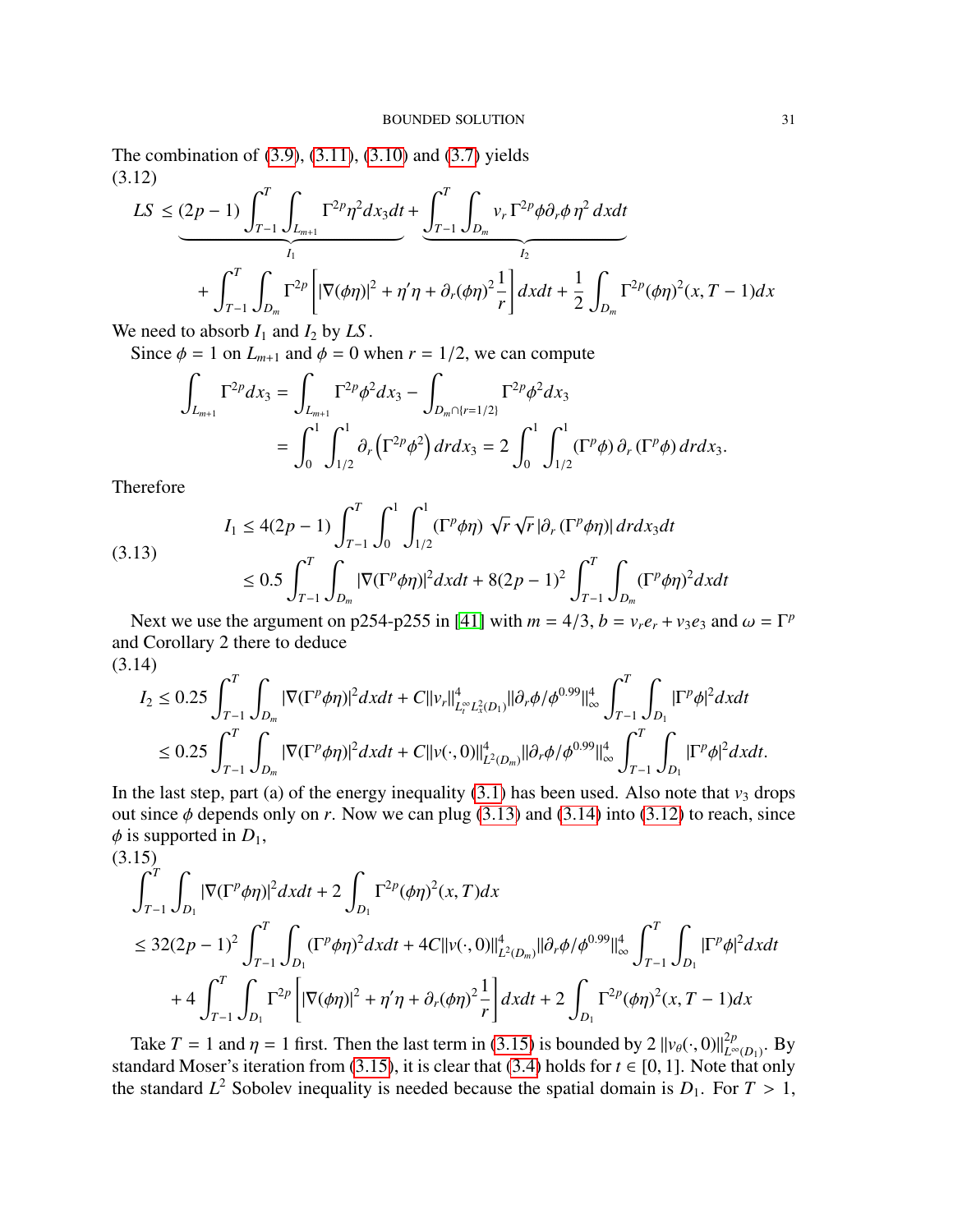The combination of [\(3.9\)](#page-29-0), [\(3.11\)](#page-29-1), [\(3.10\)](#page-29-2) and [\(3.7\)](#page-29-3) yields (3.12)

<span id="page-30-2"></span>
$$
LS \leq (2p - 1) \int_{T-1}^{T} \int_{L_{m+1}} \Gamma^{2p} \eta^2 dx_3 dt + \underbrace{\int_{T-1}^{T} \int_{D_m} v_r \Gamma^{2p} \phi \partial_r \phi \eta^2 dx dt}_{I_2} + \int_{T-1}^{T} \int_{D_m} \Gamma^{2p} \Big[ |\nabla(\phi \eta)|^2 + \eta' \eta + \partial_r(\phi \eta)^2 \frac{1}{r} \Big] dx dt + \frac{1}{2} \int_{D_m} \Gamma^{2p}(\phi \eta)^2 (x, T - 1) dx
$$

We need to absorb  $I_1$  and  $I_2$  by  $LS$ .

Since  $\phi = 1$  on  $L_{m+1}$  and  $\phi = 0$  when  $r = 1/2$ , we can compute

$$
\int_{L_{m+1}} \Gamma^{2p} dx_3 = \int_{L_{m+1}} \Gamma^{2p} \phi^2 dx_3 - \int_{D_m \cap \{r=1/2\}} \Gamma^{2p} \phi^2 dx_3
$$
  
= 
$$
\int_0^1 \int_{1/2}^1 \partial_r \left( \Gamma^{2p} \phi^2 \right) dr dx_3 = 2 \int_0^1 \int_{1/2}^1 (\Gamma^p \phi) \partial_r (\Gamma^p \phi) dr dx_3.
$$

Therefore

<span id="page-30-1"></span>
$$
I_1 \le 4(2p - 1) \int_{T-1}^T \int_0^1 \int_{1/2}^1 (\Gamma^p \phi \eta) \sqrt{r} \sqrt{r} |\partial_r (\Gamma^p \phi \eta)| dr dx_3 dt
$$
  
(3.13)  

$$
\le 0.5 \int_{T-1}^T \int_{D_m} |\nabla (\Gamma^p \phi \eta)|^2 dx dt + 8(2p - 1)^2 \int_{T-1}^T \int_{D_m} (\Gamma^p \phi \eta)^2 dx dt
$$

Next we use the argument on p254-p255 in [\[41\]](#page-56-7) with  $m = 4/3$ ,  $b = v_r e_r + v_3 e_3$  and  $\omega = \Gamma^p$ and Corollary 2 there to deduce (3.14)

<span id="page-30-0"></span>
$$
\begin{split} I_{2} &\leq 0.25 \int_{T-1}^{T} \int_{D_{m}} |\nabla (\Gamma^{p}\phi\eta)|^{2} dx dt + C \|v_{r}\|_{L_{t}^{\infty}L_{x}^{2}(D_{1})}^{4} \| \partial_{r}\phi/\phi^{0.99} \|_{\infty}^{4} \int_{T-1}^{T} \int_{D_{1}} |\Gamma^{p}\phi|^{2} dx dt \\ &\leq 0.25 \int_{T-1}^{T} \int_{D_{m}} |\nabla (\Gamma^{p}\phi\eta)|^{2} dx dt + C \|v(\cdot,0)\|_{L^{2}(D_{m})}^{4} \| \partial_{r}\phi/\phi^{0.99} \|_{\infty}^{4} \int_{T-1}^{T} \int_{D_{1}} |\Gamma^{p}\phi|^{2} dx dt. \end{split}
$$

In the last step, part (a) of the energy inequality  $(3.1)$  has been used. Also note that  $v_3$  drops out since  $\phi$  depends only on *r*. Now we can plug [\(3.13\)](#page-30-1) and [\(3.14\)](#page-30-0) into [\(3.12\)](#page-30-2) to reach, since  $\phi$  is supported in  $D_1$ ,

<span id="page-30-3"></span>
$$
(3.15)
$$
\n
$$
\int_{T-1}^{T} \int_{D_1} |\nabla (\Gamma^p \phi \eta)|^2 dxdt + 2 \int_{D_1} \Gamma^{2p} (\phi \eta)^2 (x, T) dx
$$
\n
$$
\leq 32(2p - 1)^2 \int_{T-1}^{T} \int_{D_1} (\Gamma^p \phi \eta)^2 dxdt + 4C ||v(\cdot, 0)||_{L^2(D_m)}^4 ||\partial_r \phi / \phi^{0.99}||_{\infty}^4 \int_{T-1}^{T} \int_{D_1} |\Gamma^p \phi|^2 dxdt
$$
\n
$$
+ 4 \int_{T-1}^{T} \int_{D_1} \Gamma^{2p} \left[ |\nabla (\phi \eta)|^2 + \eta' \eta + \partial_r (\phi \eta)^2 \frac{1}{r} \right] dxdt + 2 \int_{D_1} \Gamma^{2p} (\phi \eta)^2 (x, T - 1) dx
$$

Take  $T = 1$  and  $\eta = 1$  first. Then the last term in [\(3.15\)](#page-30-3) is bounded by  $2 ||v_{\theta}(\cdot, 0)||_{L^{\infty}}^{2p}$ <br>and and Moser's iteration from (3.15) it is clear that (3.4) holds for  $t \in [0, 1]$ . Note the <sup>2*p*</sup><sub>*L*∞(*D*<sub>1</sub>)</sub>. By standard Moser's iteration from [\(3.15\)](#page-30-3), it is clear that [\(3.4\)](#page-28-2) holds for  $t \in [0, 1]$ . Note that only the standard  $L^2$  Sobolev inequality is needed because the spatial domain is  $D_1$ . For  $T > 1$ ,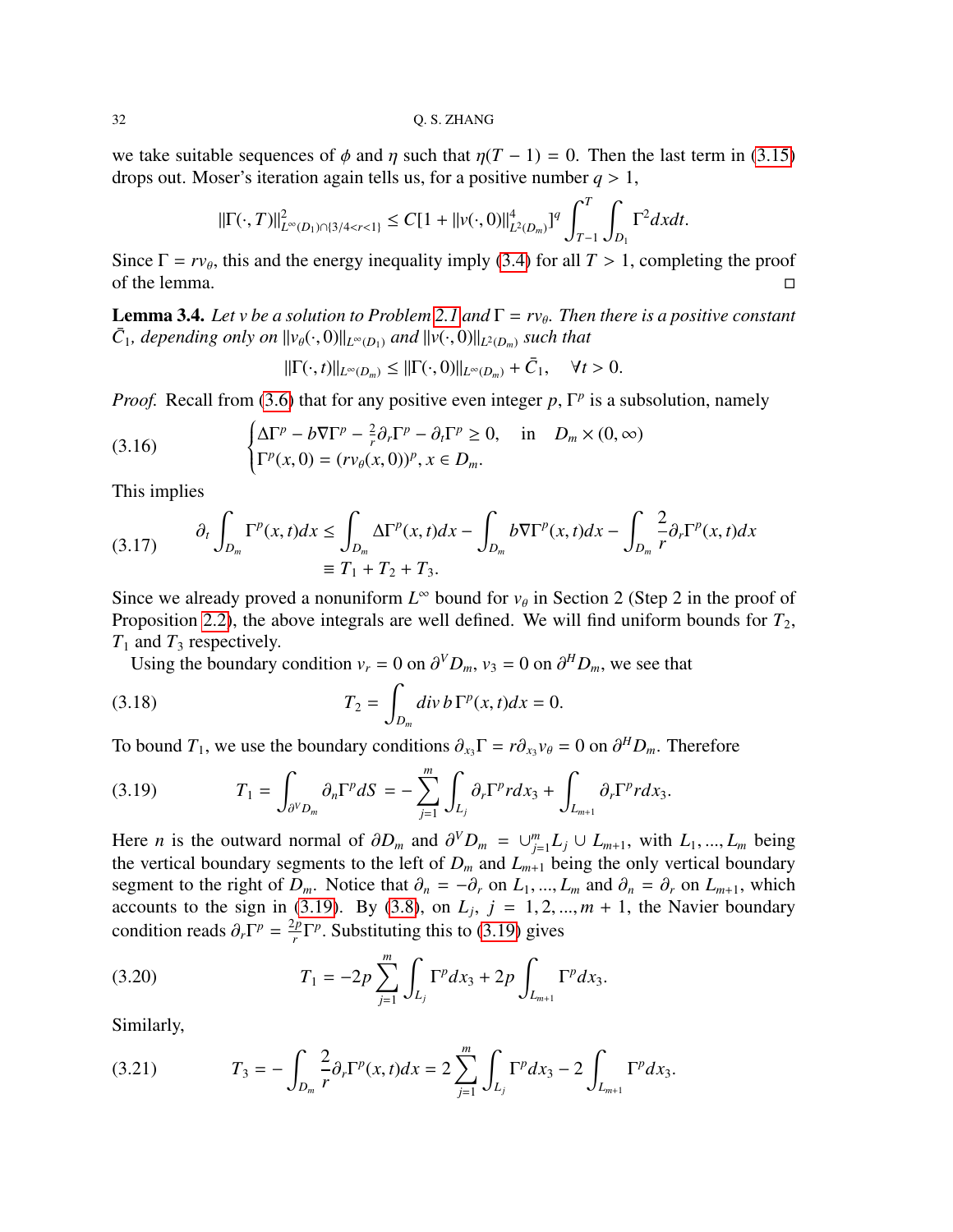we take suitable sequences of  $\phi$  and  $\eta$  such that  $\eta(T - 1) = 0$ . Then the last term in [\(3.15\)](#page-30-3) drops out. Moser's iteration again tells us, for a positive number  $q > 1$ ,

$$
\|\Gamma(\cdot,T)\|_{L^{\infty}(D_1)\cap\{3/4
$$

Since  $\Gamma = r v_{\theta}$ , this and the energy inequality imply [\(3.4\)](#page-28-2) for all  $T > 1$ , completing the proof of the lemma of the lemma.  $\Box$ 

<span id="page-31-5"></span>**Lemma 3.4.** *Let v be a solution to Problem* [2.1](#page-6-1) *and*  $\Gamma = r v_{\theta}$ . *Then there is a positive constant*  $\bar{C}$ , *depending only on*  $||y|| = \text{grad} ||y|| = \text{grad} ||x|$  $\bar{C}_1$ *, depending only on*  $||v_{\theta}(\cdot, 0)||_{L^{\infty}(D_1)}$  *and*  $||v(\cdot, 0)||_{L^2(D_m)}$  *such that* 

$$
\|\Gamma(\cdot,t)\|_{L^{\infty}(D_m)} \leq \|\Gamma(\cdot,0)\|_{L^{\infty}(D_m)} + \bar{C}_1, \quad \forall t > 0.
$$

*Proof.* Recall from [\(3.6\)](#page-28-1) that for any positive even integer  $p$ ,  $\Gamma^p$  is a subsolution, namely

(3.16) 
$$
\begin{cases} \Delta \Gamma^p - b \nabla \Gamma^p - \frac{2}{r} \partial_r \Gamma^p - \partial_t \Gamma^p \ge 0, & \text{in} \quad D_m \times (0, \infty) \\ \Gamma^p(x, 0) = (r v_\theta(x, 0))^p, x \in D_m. \end{cases}
$$

This implies

<span id="page-31-4"></span>(3.17) 
$$
\partial_t \int_{D_m} \Gamma^p(x, t) dx \le \int_{D_m} \Delta \Gamma^p(x, t) dx - \int_{D_m} b \nabla \Gamma^p(x, t) dx - \int_{D_m} \frac{2}{r} \partial_r \Gamma^p(x, t) dx
$$

$$
\equiv T_1 + T_2 + T_3.
$$

Since we already proved a nonuniform  $L^{\infty}$  bound for  $v_{\theta}$  in Section 2 (Step 2 in the proof of Proposition 2.2), the shows integrals are well defined. We will find withorn bounds for T Proposition [2.2\)](#page-7-3), the above integrals are well defined. We will find uniform bounds for  $T_2$ ,  $T_1$  and  $T_3$  respectively.

<span id="page-31-1"></span>Using the boundary condition  $v_r = 0$  on  $\partial^V D_m$ ,  $v_3 = 0$  on  $\partial^H D_m$ , we see that

(3.18) 
$$
T_2 = \int_{D_m} \frac{div \, b \, \Gamma^p(x, t) dx = 0.
$$

To bound  $T_1$ , we use the boundary conditions  $\partial_{x_3} \Gamma = r \partial_{x_3} v_{\theta} = 0$  on  $\partial^H D_m$ . Therefore

<span id="page-31-0"></span>(3.19) 
$$
T_1 = \int_{\partial^V D_m} \partial_n \Gamma^p dS = - \sum_{j=1}^m \int_{L_j} \partial_r \Gamma^p r dx_3 + \int_{L_{m+1}} \partial_r \Gamma^p r dx_3.
$$

Here *n* is the outward normal of  $\partial D_m$  and  $\partial^V D_m = \bigcup_{j=1}^m$ <br>the vertical boundary segments to the left of *D* and *I*  $L_{j=1}^m L_j ∪ L_{m+1}$ , with  $L_1, ..., L_m$  being<br>  $\therefore$  being the only vertical boundary the vertical boundary segments to the left of  $D_m$  and  $L_{m+1}$  being the only vertical boundary segment to the right of *D<sub>m</sub>*. Notice that  $\partial_n = -\partial_r$  on  $L_1, ..., L_m$  and  $\partial_n = \partial_r$  on  $L_{m+1}$ , which accounts to the sign in [\(3.19\)](#page-31-0). By [\(3.8\)](#page-29-4), on  $L_j$ ,  $j = 1, 2, ..., m + 1$ , the Navier boundary<br>condition roads  $\partial \Gamma^p = \frac{2p \Gamma^p}{\pi}$ . Substituting this to (3.19) gives condition reads  $\partial_r \Gamma^p = \frac{2p}{r}$  $\int_{r}^{2p} \Gamma^{p}$ . Substituting this to [\(3.19\)](#page-31-0) gives

<span id="page-31-2"></span>(3.20) 
$$
T_1 = -2p \sum_{j=1}^m \int_{L_j} \Gamma^p dx_3 + 2p \int_{L_{m+1}} \Gamma^p dx_3.
$$

Similarly,

<span id="page-31-3"></span>(3.21) 
$$
T_3 = -\int_{D_m} \frac{2}{r} \partial_r \Gamma^p(x, t) dx = 2 \sum_{j=1}^m \int_{L_j} \Gamma^p dx_3 - 2 \int_{L_{m+1}} \Gamma^p dx_3.
$$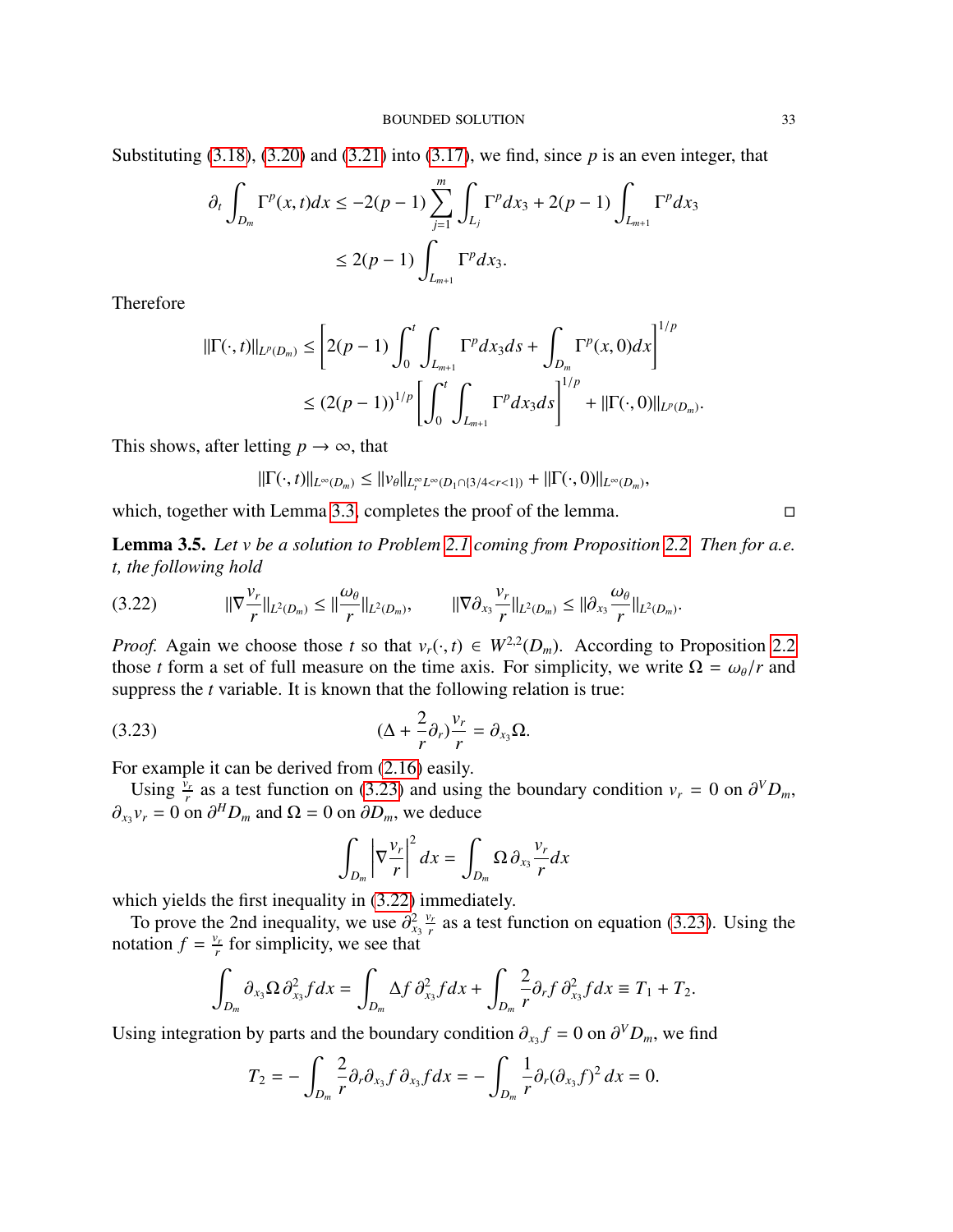Substituting [\(3.18\)](#page-31-1), [\(3.20\)](#page-31-2) and [\(3.21\)](#page-31-3) into [\(3.17\)](#page-31-4), we find, since *p* is an even integer, that

$$
\partial_t \int_{D_m} \Gamma^p(x, t) dx \le -2(p-1) \sum_{j=1}^m \int_{L_j} \Gamma^p dx_3 + 2(p-1) \int_{L_{m+1}} \Gamma^p dx_3
$$
  

$$
\le 2(p-1) \int_{L_{m+1}} \Gamma^p dx_3.
$$

Therefore

$$
\begin{aligned} ||\Gamma(\cdot,t)||_{L^p(D_m)} &\leq \left[2(p-1)\int_0^t \int_{L_{m+1}} \Gamma^p dx_3 ds + \int_{D_m} \Gamma^p(x,0) dx\right]^{1/p} \\ &\leq (2(p-1))^{1/p} \left[\int_0^t \int_{L_{m+1}} \Gamma^p dx_3 ds\right]^{1/p} + ||\Gamma(\cdot,0)||_{L^p(D_m)}. \end{aligned}
$$

This shows, after letting  $p \to \infty$ , that

 $||\Gamma(\cdot, t)||_{L^{\infty}(D_m)} \leq ||v_{\theta}||_{L^{\infty}_t L^{\infty}(D_1 \cap \{3/4 < r < 1\})} + ||\Gamma(\cdot, 0)||_{L^{\infty}(D_m)},$ 

which, together with Lemma [3.3,](#page-28-3) completes the proof of the lemma.

<span id="page-32-2"></span>Lemma 3.5. *Let v be a solution to Problem [2.1](#page-6-1) coming from Proposition [2.2.](#page-7-3) Then for a.e. t, the following hold*

<span id="page-32-1"></span>
$$
(3.22) \t\t ||\nabla \frac{v_r}{r}||_{L^2(D_m)} \leq ||\frac{\omega_\theta}{r}||_{L^2(D_m)}, \t\t ||\nabla \partial_{x_3}\frac{v_r}{r}||_{L^2(D_m)} \leq ||\partial_{x_3}\frac{\omega_\theta}{r}||_{L^2(D_m)}.
$$

*Proof.* Again we choose those *t* so that  $v_r(\cdot, t) \in W^{2,2}(D_m)$ . According to Proposition [2.2](#page-7-3) those *t* form a set of full measure on the time axis. For simplicity we write  $Q = \omega_0/r$  and those *t* form a set of full measure on the time axis. For simplicity, we write  $\Omega = \omega_{\theta}/r$  and suppress the *t* variable. It is known that the following relation is true:

(3.23) 
$$
(\Delta + \frac{2}{r}\partial_r)\frac{v_r}{r} = \partial_{x_3}\Omega.
$$

For example it can be derived from [\(2.16\)](#page-12-0) easily.

Using  $\frac{\bar{v}_r}{r}$  as a test function on [\(3.23\)](#page-32-0) and using the boundary condition  $v_r = 0$  on  $\partial^V D_m$ ,<br>*v*<sub>*r*</sub> = 0 on  $\partial^H D$  and  $Q = 0$  on  $\partial D$  we deduce  $\partial_{x_3} v_r = 0$  on  $\partial^H D_m$  and  $\Omega = 0$  on  $\partial D_m$ , we deduce

<span id="page-32-0"></span>
$$
\int_{D_m} \left| \nabla \frac{v_r}{r} \right|^2 dx = \int_{D_m} \Omega \, \partial_{x_3} \frac{v_r}{r} dx
$$

which yields the first inequality in  $(3.22)$  immediately.

To prove the 2nd inequality, we use  $\partial_{x_3}^2$ <br>tation  $f - \frac{v_r}{2}$  for simplicity, we see that *vr*  $\frac{v_r}{r}$  as a test function on equation [\(3.23\)](#page-32-0). Using the notation  $f = \frac{v_r}{r}$  $\frac{\partial r}{\partial r}$  for simplicity, we see that

$$
\int_{D_m} \partial_{x_3} \Omega \, \partial_{x_3}^2 f dx = \int_{D_m} \Delta f \, \partial_{x_3}^2 f dx + \int_{D_m} \frac{2}{r} \partial_r f \, \partial_{x_3}^2 f dx \equiv T_1 + T_2.
$$

Using integration by parts and the boundary condition  $\partial_{x_3} f = 0$  on  $\partial^V D_m$ , we find

$$
T_2=-\int_{D_m}\frac{2}{r}\partial_r\partial_{x_3}f\,\partial_{x_3}f dx=-\int_{D_m}\frac{1}{r}\partial_r(\partial_{x_3}f)^2\,dx=0.
$$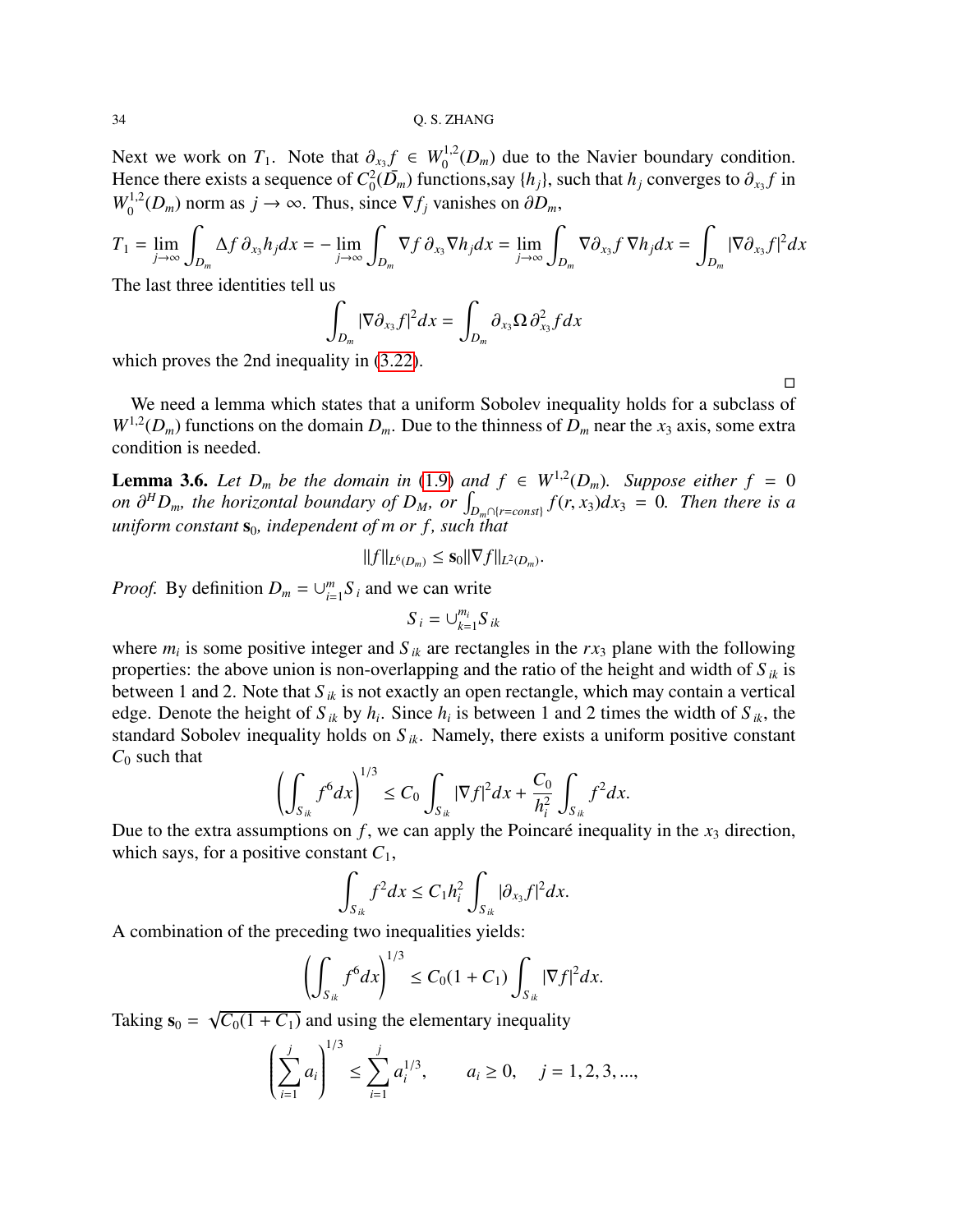Next we work on  $T_1$ . Note that  $\partial_{x_3} f \in W_0^{1,2}(D_m)$  due to the Navier boundary condition.<br>Hence there exists a sequence of  $C^2(\overline{D})$  functions say the such that he converges to  $\partial_{\overline{D}} f$  in Hence there exists a sequence of  $C_0^2$  $\frac{1}{2}(\overline{D}_m)$  functions,say  $\{h_j\}$ , such that  $h_j$  converges to  $\partial_{x_3} f$  in  $W_0^{1,2}(D_m)$  norm as  $j \to \infty$ . Thus, since  $\nabla f_j$  vanishes on  $\partial D_m$ ,

$$
T_1 = \lim_{j \to \infty} \int_{D_m} \Delta f \, \partial_{x_3} h_j dx = - \lim_{j \to \infty} \int_{D_m} \nabla f \, \partial_{x_3} \nabla h_j dx = \lim_{j \to \infty} \int_{D_m} \nabla \partial_{x_3} f \, \nabla h_j dx = \int_{D_m} |\nabla \partial_{x_3} f|^2 dx
$$
  
The last three identities tell us

The last three identities tell us

$$
\int_{D_m} |\nabla \partial_{x_3} f|^2 dx = \int_{D_m} \partial_{x_3} \Omega \, \partial_{x_3}^2 f dx
$$

which proves the 2nd inequality in [\(3.22\)](#page-32-1).

We need a lemma which states that a uniform Sobolev inequality holds for a subclass of  $W^{1,2}(D_m)$  functions on the domain  $D_m$ . Due to the thinness of  $D_m$  near the  $x_3$  axis, some extra condition is needed.

<span id="page-33-0"></span>**Lemma 3.6.** Let  $D_m$  be the domain in [\(1.9\)](#page-3-1) and  $f \in W^{1,2}(D_m)$ . Suppose either  $f = 0$ *on*  $\partial^H D_m$ , the horizontal boundary of  $D_M$ , or  $\int_{D_m \cap \{r = const\}} f(r, x_3) dx_3 = 0$ . Then there is a uniform constants, independent of m or f, such that  $uniform constant$   $s_0$ , independent of *m* or f, such that

$$
||f||_{L^{6}(D_m)} \leq \mathbf{S}_0 ||\nabla f||_{L^{2}(D_m)}.
$$

*Proof.* By definition  $D_m = \bigcup_{i=1}^m$  $_{i=1}^{m}$ *S*<sub>*i*</sub> and we can write

$$
S_i = \bigcup_{k=1}^{m_i} S_{ik}
$$

where  $m_i$  is some positive integer and  $S_{ik}$  are rectangles in the  $rx_3$  plane with the following properties: the above union is non-overlapping and the ratio of the height and width of  $S_{ik}$  is between 1 and 2. Note that *S ik* is not exactly an open rectangle, which may contain a vertical edge. Denote the height of  $S_{ik}$  by  $h_i$ . Since  $h_i$  is between 1 and 2 times the width of  $S_{ik}$ , the standard Sobolev inequality holds on  $S_{ik}$ . Namely, there exists a uniform positive constant  $C_0$  such that

$$
\left(\int_{S_{ik}} f^6 dx\right)^{1/3} \le C_0 \int_{S_{ik}} |\nabla f|^2 dx + \frac{C_0}{h_i^2} \int_{S_{ik}} f^2 dx.
$$

Due to the extra assumptions on  $f$ , we can apply the Poincaré inequality in the  $x_3$  direction, which says, for a positive constant  $C_1$ ,

$$
\int_{S_{ik}} f^2 dx \leq C_1 h_i^2 \int_{S_{ik}} |\partial_{x_3} f|^2 dx.
$$

A combination of the preceding two inequalities yields:

$$
\left(\int_{S_{ik}} f^6 dx\right)^{1/3} \le C_0 (1 + C_1) \int_{S_{ik}} |\nabla f|^2 dx.
$$

Taking  $s_0$  = √  $C_0(1 + C_1)$  and using the elementary inequality

$$
\left(\sum_{i=1}^{j} a_i\right)^{1/3} \le \sum_{i=1}^{j} a_i^{1/3}, \qquad a_i \ge 0, \quad j = 1, 2, 3, \dots,
$$

 $\Box$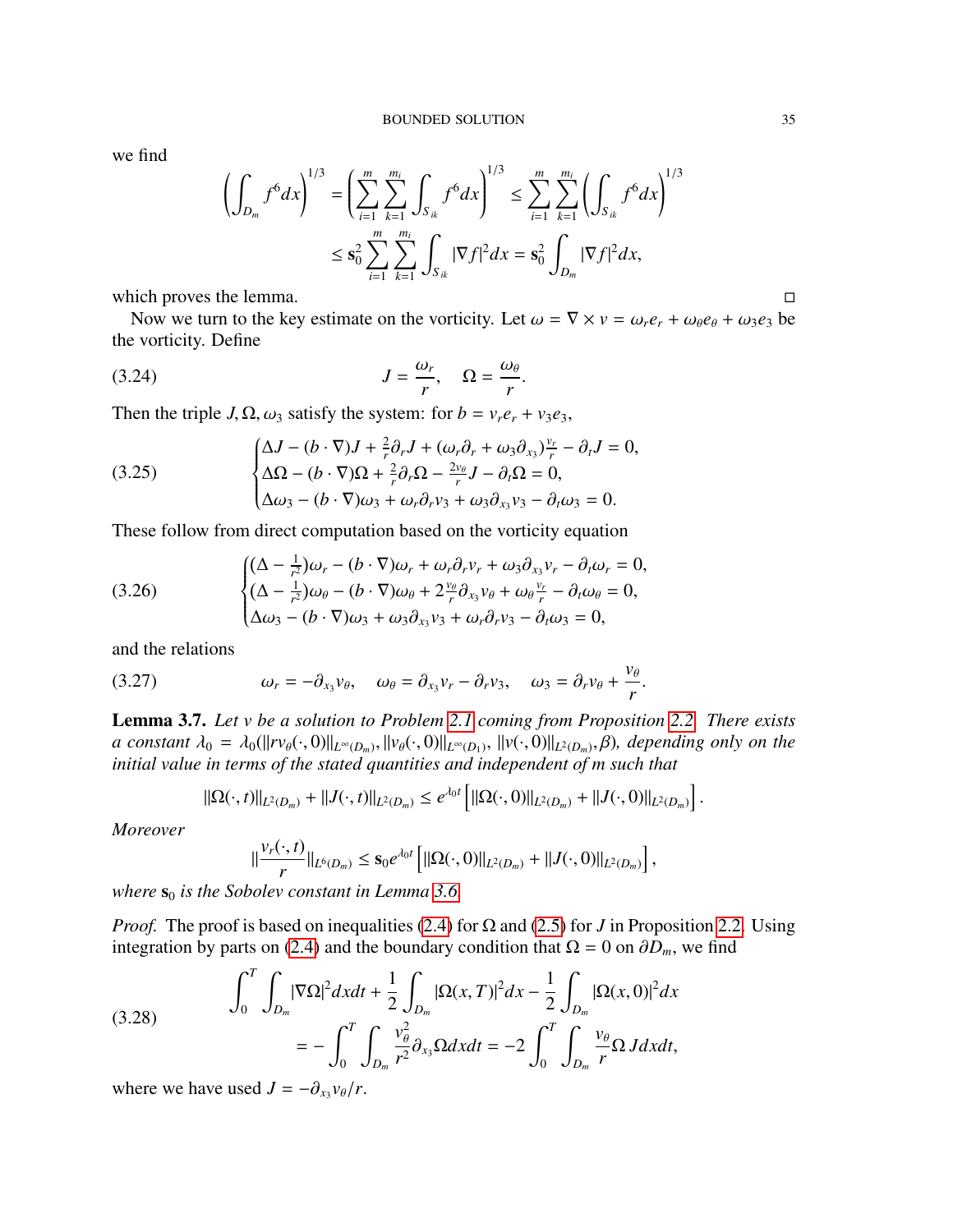we find

$$
\left(\int_{D_m} f^6 dx\right)^{1/3} = \left(\sum_{i=1}^m \sum_{k=1}^{m_i} \int_{S_{ik}} f^6 dx\right)^{1/3} \le \sum_{i=1}^m \sum_{k=1}^{m_i} \left(\int_{S_{ik}} f^6 dx\right)^{1/3}
$$
  

$$
\le \mathbf{s}_0^2 \sum_{i=1}^m \sum_{k=1}^{m_i} \int_{S_{ik}} |\nabla f|^2 dx = \mathbf{s}_0^2 \int_{D_m} |\nabla f|^2 dx,
$$

which proves the lemma.  $\Box$ 

Now we turn to the key estimate on the vorticity. Let  $\omega = \nabla \times v = \omega_r e_r + \omega_\theta e_\theta + \omega_3 e_3$  be the vorticity. Define

$$
(3.24) \t\t\t J = \frac{\omega_r}{r}, \quad \Omega = \frac{\omega_\theta}{r}.
$$

Then the triple *J*,  $\Omega$ ,  $\omega_3$  satisfy the system: for  $b = v_r e_r + v_3 e_3$ ,

(3.25) 
$$
\begin{cases} \Delta J - (b \cdot \nabla)J + \frac{2}{r}\partial_r J + (\omega_r \partial_r + \omega_3 \partial_{x_3})\frac{v_r}{r} - \partial_t J = 0, \\ \Delta \Omega - (b \cdot \nabla)\Omega + \frac{2}{r}\partial_r \Omega - \frac{2v_\theta}{r}J - \partial_t \Omega = 0, \\ \Delta \omega_3 - (b \cdot \nabla)\omega_3 + \omega_r \partial_r v_3 + \omega_3 \partial_{x_3} v_3 - \partial_t \omega_3 = 0. \end{cases}
$$

These follow from direct computation based on the vorticity equation

(3.26) 
$$
\begin{cases} (\Delta - \frac{1}{r^2})\omega_r - (b \cdot \nabla)\omega_r + \omega_r \partial_r v_r + \omega_3 \partial_{x_3} v_r - \partial_t \omega_r = 0, \\ (\Delta - \frac{1}{r^2})\omega_\theta - (b \cdot \nabla)\omega_\theta + 2\frac{v_\theta}{r} \partial_{x_3} v_\theta + \omega_\theta \frac{v_r}{r} - \partial_t \omega_\theta = 0, \\ \Delta \omega_3 - (b \cdot \nabla)\omega_3 + \omega_3 \partial_{x_3} v_3 + \omega_r \partial_r v_3 - \partial_t \omega_3 = 0, \end{cases}
$$

and the relations

(3.27) 
$$
\omega_r = -\partial_{x_3} v_\theta, \quad \omega_\theta = \partial_{x_3} v_r - \partial_r v_3, \quad \omega_3 = \partial_r v_\theta + \frac{v_\theta}{r}.
$$

<span id="page-34-1"></span>Lemma 3.7. *Let v be a solution to Problem [2.1](#page-6-1) coming from Proposition [2.2.](#page-7-3) There exists a* constant  $\lambda_0 = \lambda_0(||rv_{\theta}(·, 0)||_{L^{\infty}(D_m)}, ||v_{\theta}(·, 0)||_{L^{\infty}(D_1)}, ||v(·, 0)||_{L^2(D_m)}, \beta)$ , depending only on the initial value in terms of the stated quantities and independent of m such that *initial value in terms of the stated quantities and independent of m such that*

$$
\|\Omega(\cdot,t)\|_{L^2(D_m)} + \|J(\cdot,t)\|_{L^2(D_m)} \leq e^{\lambda_0 t} \left[ \|\Omega(\cdot,0)\|_{L^2(D_m)} + \|J(\cdot,0)\|_{L^2(D_m)} \right].
$$

*Moreover*

$$
\|\frac{\nu_r(\cdot,t)}{r}\|_{L^6(D_m)}\leq s_0e^{\lambda_0t}\left[\|\Omega(\cdot,0)\|_{L^2(D_m)}+\|J(\cdot,0)\|_{L^2(D_m)}\right],
$$

*where*  $s_0$  *is the Sobolev constant in Lemma [3.6.](#page-33-0)* 

*Proof.* The proof is based on inequalities [\(2.4\)](#page-7-1) for  $\Omega$  and [\(2.5\)](#page-7-2) for *J* in Proposition [2.2.](#page-7-3) Using integration by parts on [\(2.4\)](#page-7-1) and the boundary condition that  $\Omega = 0$  on  $\partial D_m$ , we find

<span id="page-34-0"></span>(3.28) 
$$
\int_0^T \int_{D_m} |\nabla \Omega|^2 dx dt + \frac{1}{2} \int_{D_m} |\Omega(x, T)|^2 dx - \frac{1}{2} \int_{D_m} |\Omega(x, 0)|^2 dx
$$

$$
= - \int_0^T \int_{D_m} \frac{v_\theta^2}{r^2} \partial_{x_3} \Omega dx dt = -2 \int_0^T \int_{D_m} \frac{v_\theta}{r} \Omega J dx dt,
$$

where we have used  $J = -\partial_{x_3} v_{\theta}/r$ .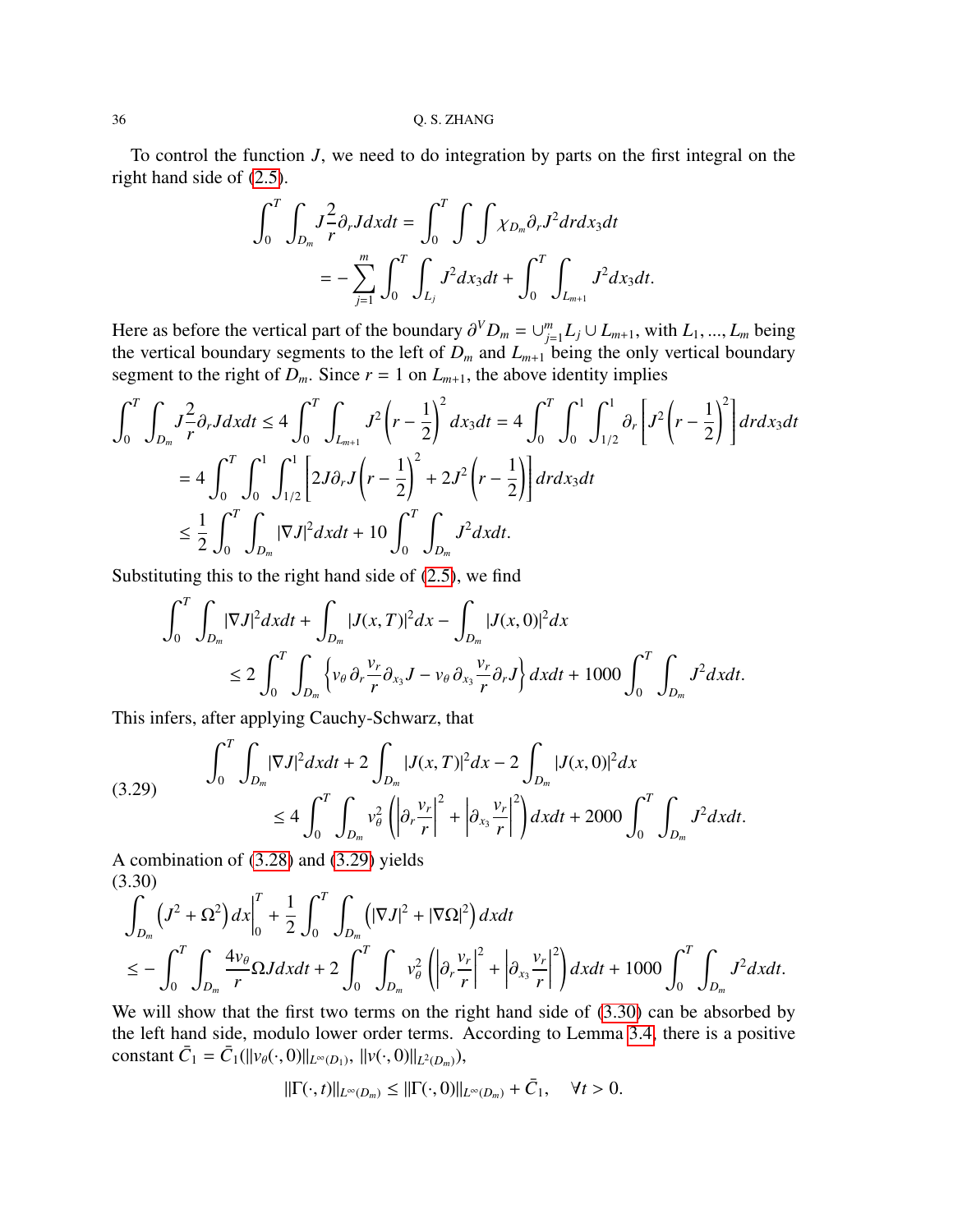To control the function *J*, we need to do integration by parts on the first integral on the right hand side of [\(2.5\)](#page-7-2).

$$
\int_0^T \int_{D_m} J_{r}^2 \partial_r J dx dt = \int_0^T \int \int \chi_{D_m} \partial_r J^2 dr dx_3 dt
$$
  
= 
$$
- \sum_{j=1}^m \int_0^T \int_{L_j} J^2 dx_3 dt + \int_0^T \int_{L_{m+1}} J^2 dx_3 dt.
$$

Here as before the vertical part of the boundary  $\partial^V D_m = \bigcup_{j=1}^m$ <br>the vertical boundary segments to the left of *D*, and *L*  $\sum_{j=1}^{m} L_j \cup L_{m+1}$ , with *L*<sub>1</sub>, ..., *L<sub>m</sub>* being<br>being the only vertical boundary the vertical boundary segments to the left of  $D_m$  and  $L_{m+1}$  being the only vertical boundary segment to the right of  $D_m$ . Since  $r = 1$  on  $L_{m+1}$ , the above identity implies

$$
\int_{0}^{T} \int_{D_{m}} J \frac{2}{r} \partial_{r} J dx dt \le 4 \int_{0}^{T} \int_{L_{m+1}} J^{2} \left(r - \frac{1}{2}\right)^{2} dx_{3} dt = 4 \int_{0}^{T} \int_{0}^{1} \int_{1/2}^{1} \partial_{r} \left[ J^{2} \left(r - \frac{1}{2}\right)^{2} \right] dr dx_{3} dt
$$
  
=  $4 \int_{0}^{T} \int_{0}^{1} \int_{1/2}^{1} \left[ 2J \partial_{r} J \left(r - \frac{1}{2}\right)^{2} + 2J^{2} \left(r - \frac{1}{2}\right) \right] dr dx_{3} dt$   
 $\le \frac{1}{2} \int_{0}^{T} \int_{D_{m}} |\nabla J|^{2} dx dt + 10 \int_{0}^{T} \int_{D_{m}} J^{2} dx dt.$ 

Substituting this to the right hand side of [\(2.5\)](#page-7-2), we find

$$
\int_0^T \int_{D_m} |\nabla J|^2 dxdt + \int_{D_m} |J(x,T)|^2 dx - \int_{D_m} |J(x,0)|^2 dx
$$
  
\n
$$
\leq 2 \int_0^T \int_{D_m} \left\{ v_\theta \partial_r \frac{v_r}{r} \partial_{x_3} J - v_\theta \partial_{x_3} \frac{v_r}{r} \partial_r J \right\} dxdt + 1000 \int_0^T \int_{D_m} J^2 dxdt.
$$

This infers, after applying Cauchy-Schwarz, that

<span id="page-35-0"></span>
$$
(3.29) \qquad \int_0^T \int_{D_m} |\nabla J|^2 dxdt + 2 \int_{D_m} |J(x,T)|^2 dx - 2 \int_{D_m} |J(x,0)|^2 dx
$$
  

$$
\leq 4 \int_0^T \int_{D_m} v_\theta^2 \left( \left| \partial_r \frac{v_r}{r} \right|^2 + \left| \partial_{x_3} \frac{v_r}{r} \right|^2 \right) dxdt + 2000 \int_0^T \int_{D_m} J^2 dxdt.
$$

A combination of [\(3.28\)](#page-34-0) and [\(3.29\)](#page-35-0) yields (3.30)

<span id="page-35-1"></span>
$$
\int_{D_m} \left( J^2 + \Omega^2 \right) dx \bigg|_0^T + \frac{1}{2} \int_0^T \int_{D_m} \left( |\nabla J|^2 + |\nabla \Omega|^2 \right) dx dt
$$
\n
$$
\leq - \int_0^T \int_{D_m} \frac{4v_\theta}{r} \Omega J dx dt + 2 \int_0^T \int_{D_m} v_\theta^2 \left( \left| \partial_r \frac{v_r}{r} \right|^2 + \left| \partial_{x_3} \frac{v_r}{r} \right|^2 \right) dx dt + 1000 \int_0^T \int_{D_m} J^2 dx dt.
$$

We will show that the first two terms on the right hand side of  $(3.30)$  can be absorbed by the left hand side, modulo lower order terms. According to Lemma [3.4,](#page-31-5) there is a positive constant  $\bar{C}_1 = \bar{C}_1(||v_{\theta}(\cdot, 0)||_{L^{\infty}(D_1)}, ||v(\cdot, 0)||_{L^2(D_m)}),$ 

$$
\|\Gamma(\cdot,t)\|_{L^{\infty}(D_m)} \leq \|\Gamma(\cdot,0)\|_{L^{\infty}(D_m)} + \bar{C}_1, \quad \forall t > 0.
$$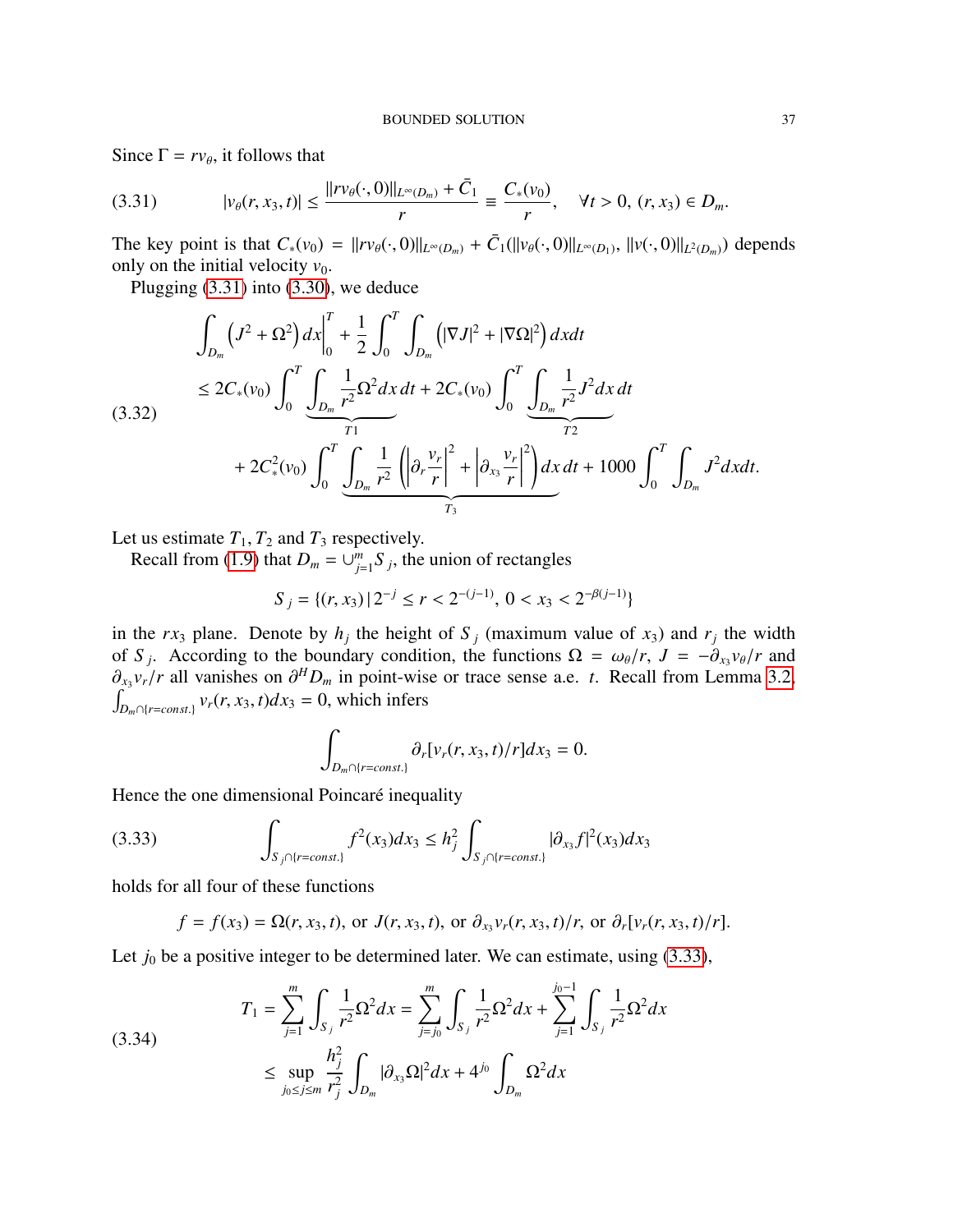Since  $\Gamma = r v_{\theta}$ , it follows that

<span id="page-36-0"></span>
$$
(3.31) \t|v_{\theta}(r,x_3,t)| \leq \frac{\|rv_{\theta}(\cdot,0)\|_{L^{\infty}(D_m)} + \bar{C}_1}{r} \equiv \frac{C_*(v_0)}{r}, \quad \forall t > 0, (r,x_3) \in D_m.
$$

The key point is that  $C_*(v_0) = ||rv_\theta(\cdot, 0)||_{L^\infty(D_m)} + \bar{C}_1(||v_\theta(\cdot, 0)||_{L^\infty(D_1)}, ||v(\cdot, 0)||_{L^2(D_m)})$  depends only on the initial velocity  $v_0$ . only on the initial velocity  $v_0$ .

Plugging [\(3.31\)](#page-36-0) into [\(3.30\)](#page-35-1), we deduce

<span id="page-36-3"></span>
$$
\int_{D_m} (J^2 + \Omega^2) dx \Big|_0^T + \frac{1}{2} \int_0^T \int_{D_m} (|\nabla J|^2 + |\nabla \Omega|^2) dx dt
$$
  
\n
$$
\leq 2C_*(v_0) \int_0^T \underbrace{\int_{D_m} \frac{1}{r^2} \Omega^2 dx dt}_{T_1} + 2C_*(v_0) \int_0^T \underbrace{\int_{D_m} \frac{1}{r^2} J^2 dx dt}_{T_2} + 2C_*^2(v_0) \int_0^T \underbrace{\int_{D_m} \frac{1}{r^2} (\Big| \partial_r \frac{v_r}{r} \Big|^2 + \Big| \partial_{x_3} \frac{v_r}{r} \Big|^2 \Big) dx dt}_{T_3} + 1000 \int_0^T \int_{D_m} J^2 dx dt.
$$

Let us estimate  $T_1$ ,  $T_2$  and  $T_3$  respectively.

Recall from [\(1.9\)](#page-3-1) that  $D_m = \bigcup_{j=1}^m$  $\int_{j=1}^{m} S_j$ , the union of rectangles

$$
S_j = \{(r, x_3) \mid 2^{-j} \le r < 2^{-(j-1)}, \ 0 < x_3 < 2^{-\beta(j-1)}\}
$$

in the  $rx_3$  plane. Denote by  $h_j$  the height of  $S_j$  (maximum value of  $x_3$ ) and  $r_j$  the width of *S*<sub>*j*</sub>. According to the boundary condition, the functions  $\Omega = \omega_{\theta}/r$ ,  $J = -\partial_{x_3}v_{\theta}/r$  and  $\partial_{x_3}v_{\theta}/r$  and  $\partial_{y_3}v_{\theta}/r$  and  $\partial_{y_3}v_{\theta}/r$  and  $\partial_{y_3}v_{\theta}/r$  and  $\partial_{y_3}v_{\theta}/r$  and  $\partial_{y_3}v_{\theta}/r$  and  $\int$ <sup>x<sub>3</sub></sup>  $v_r/r$  all vanishes on  $\partial^H D_m$  in point-wise or trace sense a.e. *t*. Recall from Lemma [3.2,](#page-28-4)  $\int_{D_m \cap \{r = const.\}} v_r(r, x_3, t) dx_3 = 0$ , which infers

<span id="page-36-1"></span>
$$
\int_{D_m \cap \{r=const.\}} \partial_r [v_r(r,x_3,t)/r] dx_3 = 0.
$$

Hence the one dimensional Poincaré inequality

$$
(3.33) \qquad \qquad \int_{S_j \cap \{r=const.\}} f^2(x_3) dx_3 \le h_j^2 \int_{S_j \cap \{r=const.\}} |\partial_{x_3} f|^2(x_3) dx_3
$$

holds for all four of these functions

<span id="page-36-2"></span>
$$
f = f(x_3) = \Omega(r, x_3, t)
$$
, or  $J(r, x_3, t)$ , or  $\partial_{x_3} v_r(r, x_3, t) / r$ , or  $\partial_r [v_r(r, x_3, t) / r]$ .

Let  $j_0$  be a positive integer to be determined later. We can estimate, using  $(3.33)$ ,

$$
(3.34) \tT_1 = \sum_{j=1}^m \int_{S_j} \frac{1}{r^2} \Omega^2 dx = \sum_{j=j_0}^m \int_{S_j} \frac{1}{r^2} \Omega^2 dx + \sum_{j=1}^{j_0-1} \int_{S_j} \frac{1}{r^2} \Omega^2 dx
$$
  

$$
\leq \sup_{j_0 \leq j \leq m} \frac{h_j^2}{r_j^2} \int_{D_m} |\partial_{x_3} \Omega|^2 dx + 4^{j_0} \int_{D_m} \Omega^2 dx
$$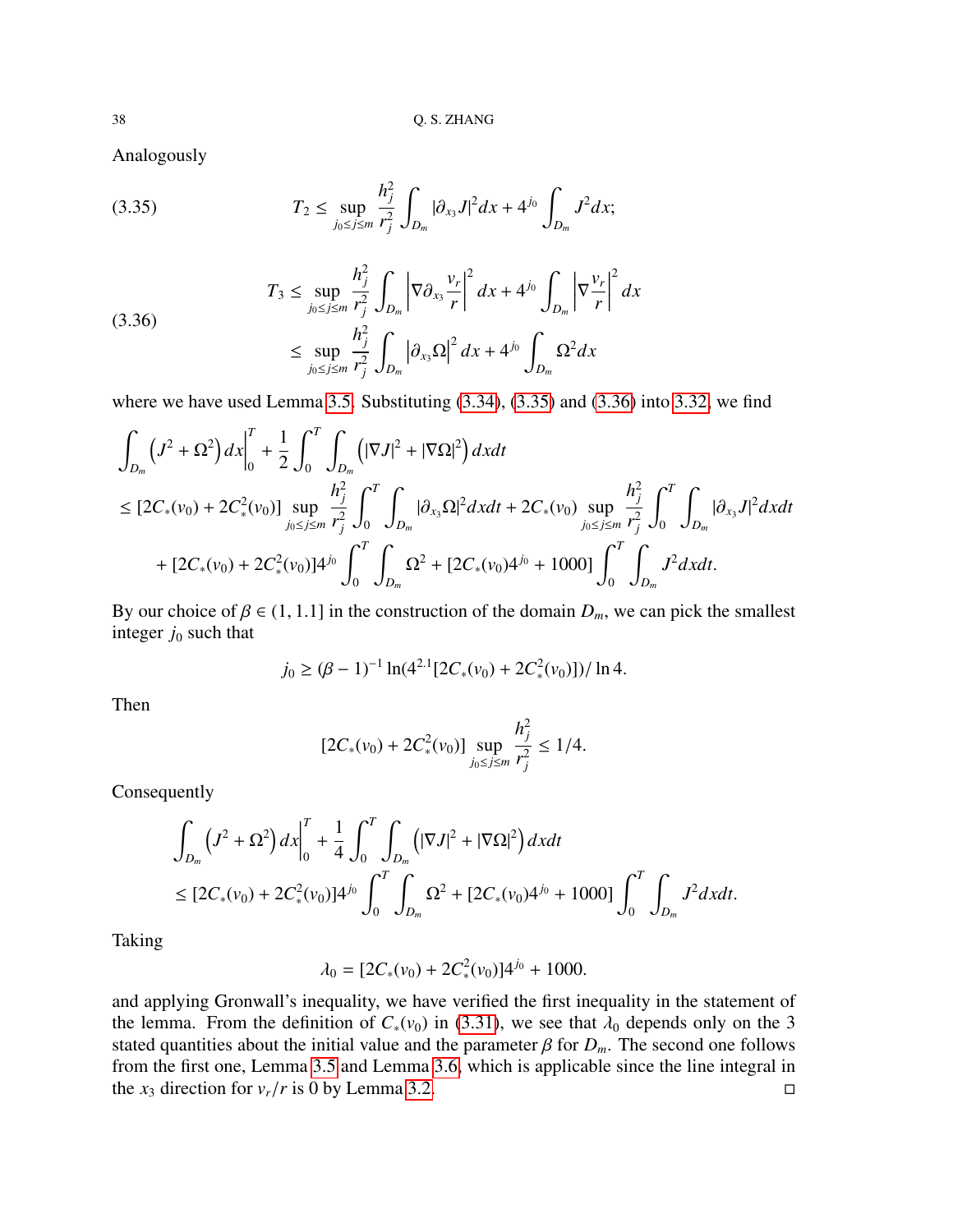Analogously

<span id="page-37-0"></span>(3.35) 
$$
T_2 \leq \sup_{j_0 \leq j \leq m} \frac{h_j^2}{r_j^2} \int_{D_m} |\partial_{x_3} J|^2 dx + 4^{j_0} \int_{D_m} J^2 dx;
$$

<span id="page-37-1"></span>
$$
(3.36)
$$
\n
$$
T_3 \leq \sup_{j_0 \leq j \leq m} \frac{h_j^2}{r_j^2} \int_{D_m} \left| \nabla \partial_{x_3} \frac{v_r}{r} \right|^2 dx + 4^{j_0} \int_{D_m} \left| \nabla \frac{v_r}{r} \right|^2 dx
$$
\n
$$
\leq \sup_{j_0 \leq j \leq m} \frac{h_j^2}{r_j^2} \int_{D_m} |\partial_{x_3} \Omega|^2 dx + 4^{j_0} \int_{D_m} \Omega^2 dx
$$

where we have used Lemma [3.5.](#page-32-2) Substituting  $(3.34)$ ,  $(3.35)$  and  $(3.36)$  into [3.32,](#page-36-3) we find

$$
\int_{D_m} (J^2 + \Omega^2) dx \Big|_0^T + \frac{1}{2} \int_0^T \int_{D_m} (|\nabla J|^2 + |\nabla \Omega|^2) dx dt
$$
\n
$$
\leq [2C_*(v_0) + 2C_*^2(v_0)] \sup_{j_0 \leq j \leq m} \frac{h_j^2}{r_j^2} \int_0^T \int_{D_m} |\partial_{x_3} \Omega|^2 dx dt + 2C_*(v_0) \sup_{j_0 \leq j \leq m} \frac{h_j^2}{r_j^2} \int_0^T \int_{D_m} |\partial_{x_3} J|^2 dx dt
$$
\n
$$
+ [2C_*(v_0) + 2C_*^2(v_0)]4^{j_0} \int_0^T \int_{D_m} \Omega^2 + [2C_*(v_0)4^{j_0} + 1000] \int_0^T \int_{D_m} J^2 dx dt.
$$

By our choice of  $\beta \in (1, 1.1]$  in the construction of the domain  $D_m$ , we can pick the smallest integer  $j_0$  such that

$$
j_0 \ge (\beta - 1)^{-1} \ln(4^{2.1} [2C_*(v_0) + 2C_*^2(v_0)]) / \ln 4.
$$

Then

$$
[2C_*(v_0) + 2C_*^2(v_0)] \sup_{j_0 \le j \le m} \frac{h_j^2}{r_j^2} \le 1/4.
$$

Consequently

$$
\int_{D_m} (J^2 + \Omega^2) dx \Big|_0^T + \frac{1}{4} \int_0^T \int_{D_m} (|\nabla J|^2 + |\nabla \Omega|^2) dx dt
$$
  
\n
$$
\leq [2C_*(v_0) + 2C_*^2(v_0)]4^{j_0} \int_0^T \int_{D_m} \Omega^2 + [2C_*(v_0)4^{j_0} + 1000] \int_0^T \int_{D_m} J^2 dx dt.
$$

Taking

$$
\lambda_0 = [2C_*(v_0) + 2C_*^2(v_0)]4^{j_0} + 1000.
$$

and applying Gronwall's inequality, we have verified the first inequality in the statement of the lemma. From the definition of  $C_*(v_0)$  in [\(3.31\)](#page-36-0), we see that  $\lambda_0$  depends only on the 3 stated quantities about the initial value and the parameter  $\beta$  for  $D_m$ . The second one follows from the first one, Lemma [3.5](#page-32-2) and Lemma [3.6,](#page-33-0) which is applicable since the line integral in the  $x_3$  direction for  $v_r/r$  is 0 by Lemma [3.2.](#page-28-4)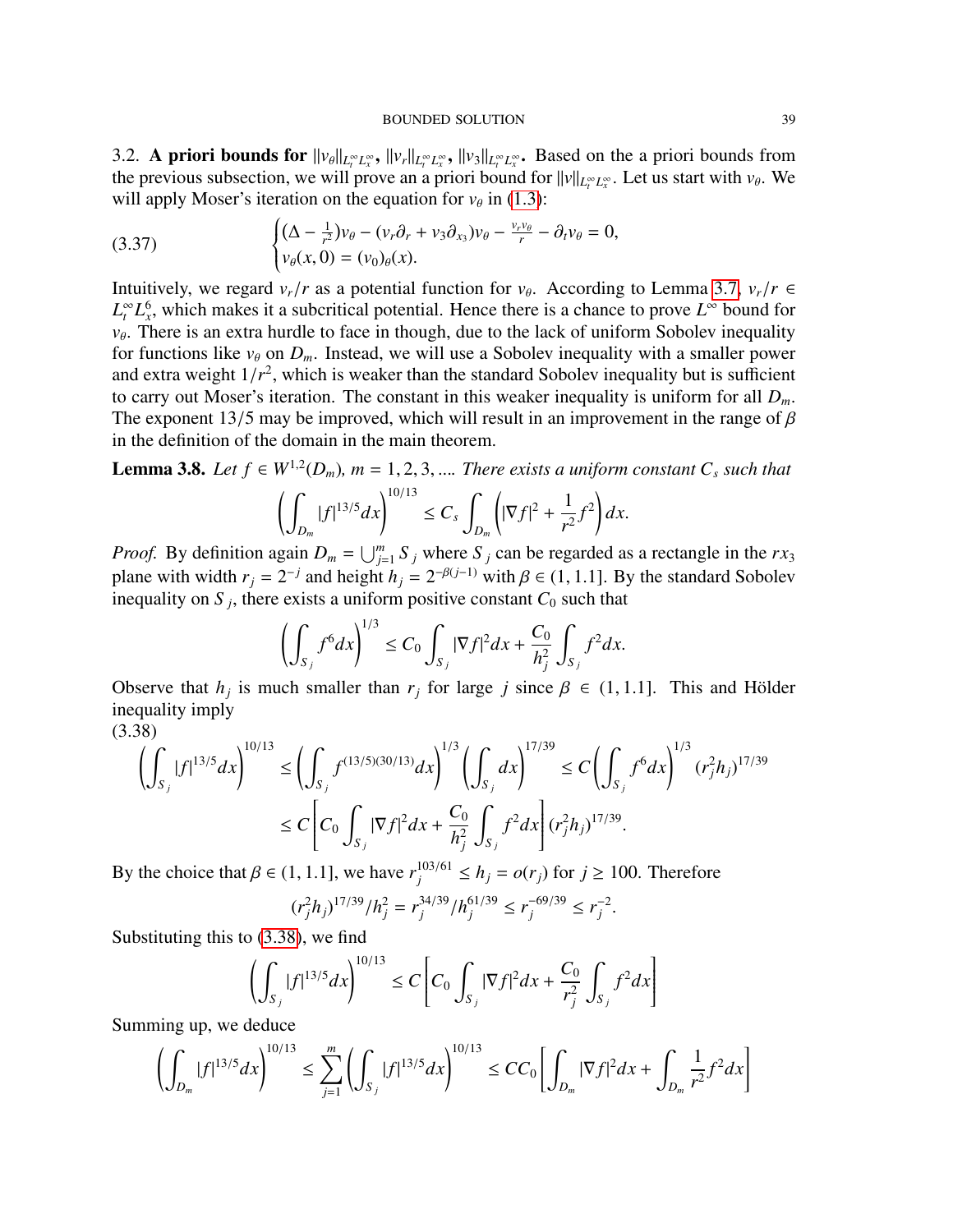<span id="page-38-0"></span>3.2. **A priori bounds for**  $||v_{\theta}||_{L^{\infty}_{t}L^{\infty}_{x}}$ ,  $||v_{r}||_{L^{\infty}_{t}L^{\infty}_{x}}$ ,  $||v_{3}||_{L^{\infty}_{t}L^{\infty}_{x}}$ . Based on the a priori bounds from the arguious subsection, we will prove an a priori bound for the start with  $v$ the previous subsection, we will prove an a priori bound for  $||v||_{L_t^{\infty}L_x^{\infty}}$ . Let us start with  $v_{\theta}$ . We will apply Moser's iteration on the countion for  $v_{\theta}$ , in (1.3). will apply Moser's iteration on the equation for  $v_{\theta}$  in [\(1.3\)](#page-1-0):

<span id="page-38-3"></span>(3.37) 
$$
\begin{cases} (\Delta - \frac{1}{r^2})v_{\theta} - (v_r \partial_r + v_3 \partial_{x_3})v_{\theta} - \frac{v_r v_{\theta}}{r} - \partial_t v_{\theta} = 0, \\ v_{\theta}(x, 0) = (v_0)_{\theta}(x). \end{cases}
$$

Intuitively, we regard  $v_r/r$  as a potential function for  $v_\theta$ . According to Lemma [3.7,](#page-34-1)  $v_r/r \in I^{\infty}$  bound for  $I^{\infty}$  bound for  $L_t^{\infty} L_x^6$ , which makes it a subcritical potential. Hence there is a chance to prove  $L^{\infty}$  bound for  $v_{\theta}$ . There is an extra hurdle to face in though, due to the lack of uniform Sobolev inequality<br>for functions like  $y_{\theta}$  or  $D$ . Instead, we will use a Sobolev inequality with a smaller now an for functions like  $v_{\theta}$  on  $D_m$ . Instead, we will use a Sobolev inequality with a smaller power and extra weight  $1/r^2$ , which is weaker than the standard Sobolev inequality but is sufficient<br>to carry out Moser's iteration. The constant in this weaker inequality is uniform for all D to carry out Moser's iteration. The constant in this weaker inequality is uniform for all *Dm*. The exponent 13/5 may be improved, which will result in an improvement in the range of  $\beta$ in the definition of the domain in the main theorem.

<span id="page-38-2"></span>**Lemma 3.8.** *Let*  $f \in W^{1,2}(D_m)$ ,  $m = 1, 2, 3, ...$  *There exists a uniform constant*  $C_s$  *such that* 

$$
\left(\int_{D_m} |f|^{13/5} dx\right)^{10/13} \leq C_s \int_{D_m} \left(|\nabla f|^2 + \frac{1}{r^2} f^2\right) dx.
$$

*Proof.* By definition again  $D_m = \bigcup_{j=1}^m S_j$  where  $S_j$  can be regarded as a rectangle in the  $rx_3$ plane with width  $r_j = 2^{-j}$  and height  $h_j = 2^{-\beta(j-1)}$  with  $\beta \in (1, 1.1]$ . By the standard Sobolev<br>inequality on S<sub>ing</sub> there exists a uniform positive constant  $C_0$  such that inequality on  $S_j$ , there exists a uniform positive constant  $C_0$  such that

$$
\left(\int_{S_j} f^6 dx\right)^{1/3} \leq C_0 \int_{S_j} |\nabla f|^2 dx + \frac{C_0}{h_j^2} \int_{S_j} f^2 dx.
$$

Observe that  $h_j$  is much smaller than  $r_j$  for large  $j$  since  $\beta \in (1, 1.1]$ . This and Hölder inequality imply inequality imply

<span id="page-38-1"></span>
$$
(3.38)
$$

$$
\left(\int_{S_j} |f|^{13/5} dx\right)^{10/13} \le \left(\int_{S_j} f^{(13/5)(30/13)} dx\right)^{1/3} \left(\int_{S_j} dx\right)^{17/39} \le C \left(\int_{S_j} f^6 dx\right)^{1/3} (r_j^2 h_j)^{17/39}
$$

$$
\le C \left[C_0 \int_{S_j} |\nabla f|^2 dx + \frac{C_0}{h_j^2} \int_{S_j} f^2 dx\right] (r_j^2 h_j)^{17/39}.
$$

By the choice that  $\beta \in (1, 1.1]$ , we have  $r_j^{103/61} \le h_j = o(r_j)$  for  $j \ge 100$ . Therefore

$$
(r_j^2 h_j)^{17/39}/h_j^2 = r_j^{34/39}/h_j^{61/39} \le r_j^{-69/39} \le r_j^{-2}.
$$

Substituting this to [\(3.38\)](#page-38-1), we find

$$
\left(\int_{S_j} |f|^{13/5} dx\right)^{10/13} \le C \left[C_0 \int_{S_j} |\nabla f|^2 dx + \frac{C_0}{r_j^2} \int_{S_j} f^2 dx\right]
$$

Summing up, we deduce

$$
\left(\int_{D_m} |f|^{13/5} dx\right)^{10/13} \le \sum_{j=1}^m \left(\int_{S_j} |f|^{13/5} dx\right)^{10/13} \le CC_0 \left[\int_{D_m} |\nabla f|^2 dx + \int_{D_m} \frac{1}{r^2} f^2 dx\right]
$$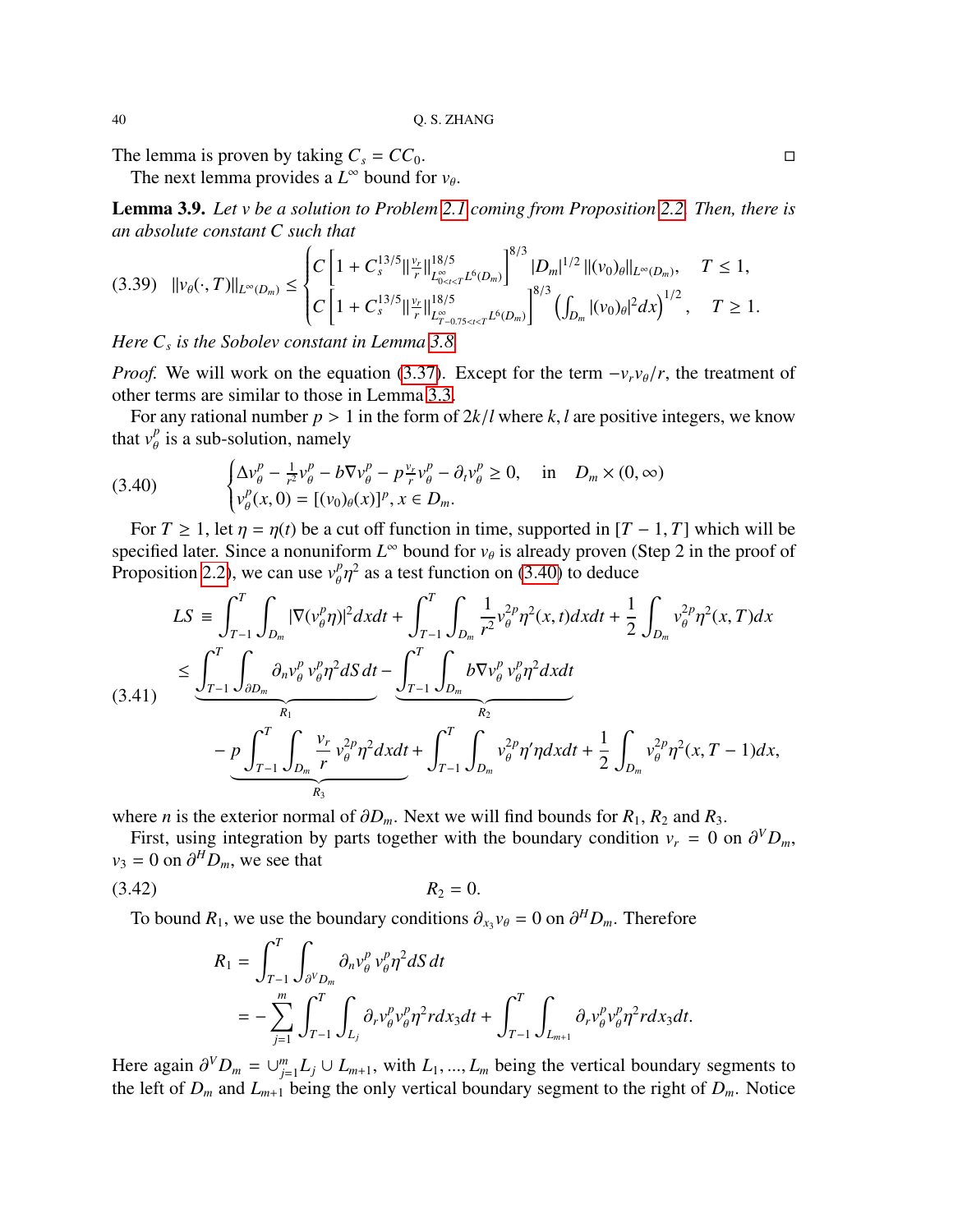The lemma is proven by taking  $C_s = CC_0$ .

The next lemma provides a  $L^{\infty}$  bound for  $v_{\theta}$ .

<span id="page-39-3"></span>Lemma 3.9. *Let v be a solution to Problem [2.1](#page-6-1) coming from Proposition [2.2.](#page-7-3) Then, there is an absolute constant C such that*

$$
(3.39)\quad ||v_{\theta}(\cdot,T)||_{L^{\infty}(D_m)} \leq \begin{cases} C\left[1+C_s^{13/5}||\frac{v_r}{r}||_{L^{\infty}_{0<\epsilon
$$

*Here C<sup>s</sup> is the Sobolev constant in Lemma [3.8.](#page-38-2)*

*Proof.* We will work on the equation [\(3.37\)](#page-38-3). Except for the term  $-v_r v_{\theta}/r$ , the treatment of other terms are similar to those in Lemma [3.3.](#page-28-3)

For any rational number  $p > 1$  in the form of  $2k/l$  where  $k, l$  are positive integers, we know that  $v_p^p$  is a sub-solution, namely

<span id="page-39-0"></span>(3.40) 
$$
\begin{cases} \Delta v_{\theta}^p - \frac{1}{r^2} v_{\theta}^p - b \nabla v_{\theta}^p - p \frac{v_r}{r} v_{\theta}^p - \partial_t v_{\theta}^p \ge 0, & \text{in} \quad D_m \times (0, \infty) \\ v_{\theta}^p(x, 0) = [(v_0)_{\theta}(x)]^p, x \in D_m. \end{cases}
$$

For *T* ≥ 1, let  $\eta = \eta(t)$  be a cut off function in time, supported in [*T* − 1, *T*] which will be ecified later. Since a nonuniform  $I^{\infty}$  bound for  $\nu_{\alpha}$  is already proven (Step 2 in the proof of specified later. Since a nonuniform  $L^{\infty}$  bound for  $v_{\theta}$  is already proven (Step 2 in the proof of **Proposition 2.2)**, we get use  $v_{\theta}^{p-2}$  as a test function on (3.40) to deduce Proposition [2.2\)](#page-7-3), we can use  $v_p^p$  $2$  as a test function on [\(3.40\)](#page-39-0) to deduce

<span id="page-39-2"></span>
$$
LS \equiv \int_{T-1}^{T} \int_{D_m} |\nabla (v_{\theta}^p \eta)|^2 dxdt + \int_{T-1}^{T} \int_{D_m} \frac{1}{r^2} v_{\theta}^{2p} \eta^2(x, t) dxdt + \frac{1}{2} \int_{D_m} v_{\theta}^{2p} \eta^2(x, T) dx
$$
  
\n
$$
\leq \underbrace{\int_{T-1}^{T} \int_{\partial D_m} \partial_n v_{\theta}^p v_{\theta}^p \eta^2 dS dt}_{R_1} - \underbrace{\int_{T-1}^{T} \int_{D_m} b \nabla v_{\theta}^p v_{\theta}^p \eta^2 dxdt}_{R_2}
$$
  
\n
$$
- p \underbrace{\int_{T-1}^{T} \int_{D_m} \frac{v_r}{r} v_{\theta}^{2p} \eta^2 dxdt}_{R_3} + \int_{T-1}^{T} \int_{D_m} v_{\theta}^{2p} \eta' \eta dxdt + \frac{1}{2} \int_{D_m} v_{\theta}^{2p} \eta^2(x, T-1) dx,
$$

where *n* is the exterior normal of  $\partial D_m$ . Next we will find bounds for  $R_1, R_2$  and  $R_3$ .

First, using integration by parts together with the boundary condition  $v_r = 0$  on  $\partial^V D_m$ ,  $-0$  on  $\partial^H D$  we see that  $v_3 = 0$  on  $\partial^H D_m$ , we see that

$$
(3.42) \t\t R_2 = 0.
$$

To bound  $R_1$ , we use the boundary conditions  $\partial_{x_3} v_\theta = 0$  on  $\partial^H D_m$ . Therefore

<span id="page-39-1"></span>
$$
R_{1} = \int_{T-1}^{T} \int_{\partial^{V}D_{m}} \partial_{n}v_{\theta}^{p} v_{\theta}^{p} \eta^{2} dS dt
$$
  
= 
$$
- \sum_{j=1}^{m} \int_{T-1}^{T} \int_{L_{j}} \partial_{r}v_{\theta}^{p} v_{\theta}^{p} \eta^{2} r dx_{3} dt + \int_{T-1}^{T} \int_{L_{m+1}} \partial_{r}v_{\theta}^{p} v_{\theta}^{p} \eta^{2} r dx_{3} dt.
$$

Here again  $\partial^V D_m = \bigcup_{j=1}^m$ <br>the left of *D* and *L*  $L_{j=1}^{m} L_j ∪ L_{m+1}$ , with  $L_1, ..., L_m$  being the vertical boundary segments to be inglu vertical boundary segment to the right of *D*. Notice the left of  $D_m$  and  $L_{m+1}$  being the only vertical boundary segment to the right of  $D_m$ . Notice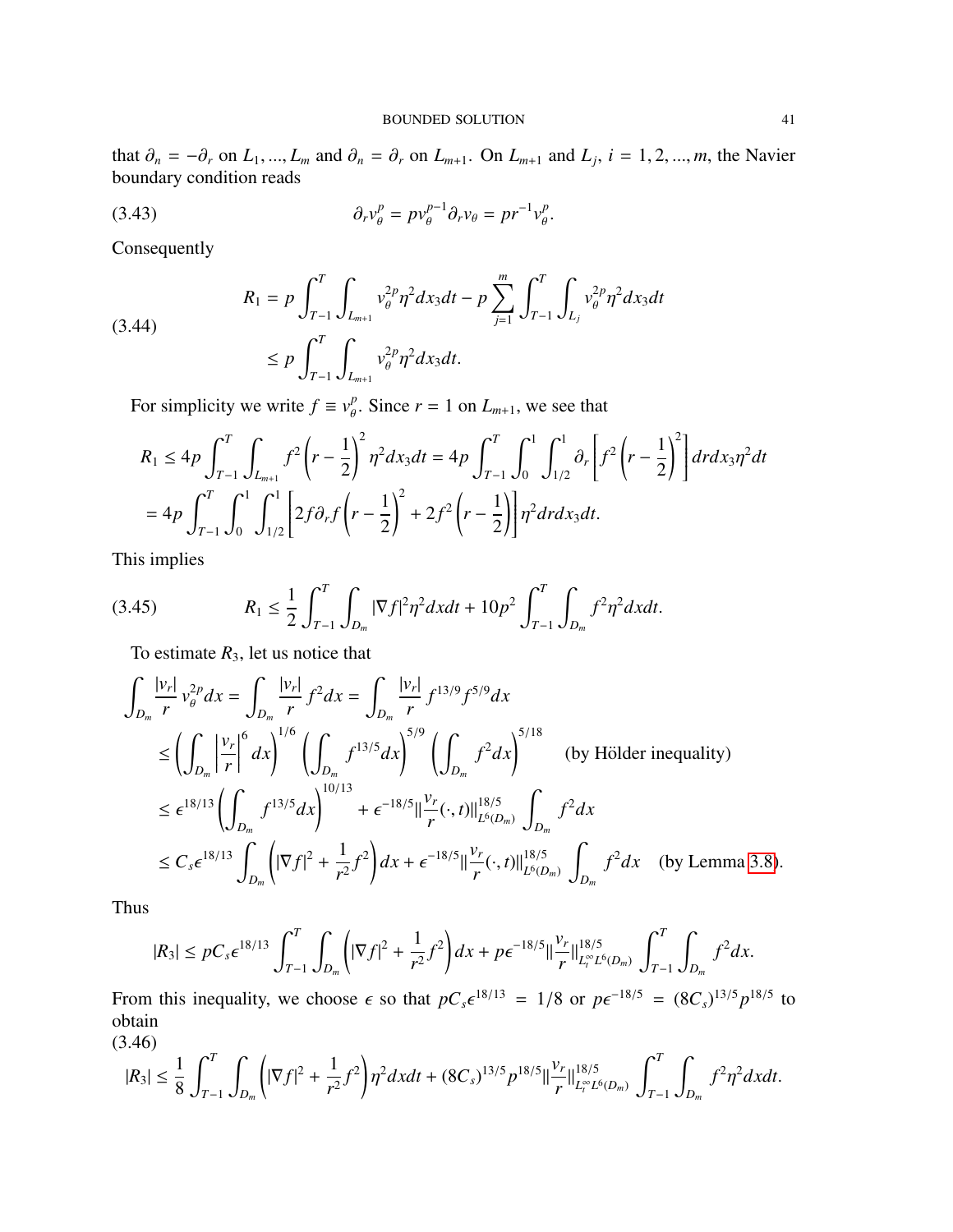that  $\partial_n = -\partial_r$  on  $L_1, ..., L_m$  and  $\partial_n = \partial_r$  on  $L_{m+1}$ . On  $L_{m+1}$  and  $L_j$ ,  $i = 1, 2, ..., m$ , the Navier boundary condition reads boundary condition reads

(3.43) 
$$
\partial_r v_\theta^p = p v_\theta^{p-1} \partial_r v_\theta = p r^{-1} v_\theta^p.
$$

Consequently

(3.44)  

$$
R_{1} = p \int_{T-1}^{T} \int_{L_{m+1}} v_{\theta}^{2p} \eta^{2} dx_{3} dt - p \sum_{j=1}^{m} \int_{T-1}^{T} \int_{L_{j}} v_{\theta}^{2p} \eta^{2} dx_{3} dt
$$

$$
\leq p \int_{T-1}^{T} \int_{L_{m+1}} v_{\theta}^{2p} \eta^{2} dx_{3} dt.
$$

For simplicity we write  $f \equiv v_p^p$  $\int_{\theta}^{p}$ . Since  $r = 1$  on  $L_{m+1}$ , we see that

$$
R_1 \le 4p \int_{T-1}^T \int_{L_{m+1}} f^2 \left( r - \frac{1}{2} \right)^2 \eta^2 dx_3 dt = 4p \int_{T-1}^T \int_0^1 \int_{1/2}^1 \partial_r \left[ f^2 \left( r - \frac{1}{2} \right)^2 \right] dr dx_3 \eta^2 dt
$$
  
=  $4p \int_{T-1}^T \int_0^1 \int_{1/2}^1 \left[ 2f \partial_r f \left( r - \frac{1}{2} \right)^2 + 2f^2 \left( r - \frac{1}{2} \right) \right] \eta^2 dr dx_3 dt.$ 

This implies

(3.45) 
$$
R_1 \leq \frac{1}{2} \int_{T-1}^T \int_{D_m} |\nabla f|^2 \eta^2 dx dt + 10 p^2 \int_{T-1}^T \int_{D_m} f^2 \eta^2 dx dt.
$$

<span id="page-40-1"></span>To estimate  $R_3$ , let us notice that

$$
\int_{D_m} \frac{|v_r|}{r} v_\theta^{2p} dx = \int_{D_m} \frac{|v_r|}{r} f^2 dx = \int_{D_m} \frac{|v_r|}{r} f^{13/9} f^{5/9} dx
$$
\n
$$
\leq \left( \int_{D_m} \left| \frac{v_r}{r} \right|^6 dx \right)^{1/6} \left( \int_{D_m} f^{13/5} dx \right)^{5/9} \left( \int_{D_m} f^2 dx \right)^{5/18} \quad \text{(by Hölder inequality)}
$$
\n
$$
\leq \epsilon^{18/13} \left( \int_{D_m} f^{13/5} dx \right)^{10/13} + \epsilon^{-18/5} \left| \frac{v_r}{r} (\cdot, t) \right|_{L^6(D_m)}^{18/5} \int_{D_m} f^2 dx
$$
\n
$$
\leq C_s \epsilon^{18/13} \int_{D_m} \left( |\nabla f|^2 + \frac{1}{r^2} f^2 \right) dx + \epsilon^{-18/5} \left| \frac{v_r}{r} (\cdot, t) \right|_{L^6(D_m)}^{18/5} \int_{D_m} f^2 dx \quad \text{(by Lemma 3.8)}.
$$

Thus

$$
|R_3| \leq pC_s \epsilon^{18/13} \int_{T-1}^T \int_{D_m} \left( |\nabla f|^2 + \frac{1}{r^2} f^2 \right) dx + p \epsilon^{-18/5} ||\frac{\nu_r}{r}||_{L_t^{\infty} L^6(D_m)}^{18/5} \int_{T-1}^T \int_{D_m} f^2 dx.
$$

From this inequality, we choose  $\epsilon$  so that  $pC_s \epsilon^{18/13} = 1/8$  or  $p\epsilon^{-18/5} = (8C_s)^{13/5} p^{18/5}$  to obtain obtain

(3.46)

<span id="page-40-0"></span>
$$
|R_3| \leq \frac{1}{8} \int_{T-1}^T \int_{D_m} \left( |\nabla f|^2 + \frac{1}{r^2} f^2 \right) \eta^2 dx dt + (8C_s)^{13/5} p^{18/5} \Big\| \frac{v_r}{r} \Big\|_{L_t^\infty L^6(D_m)}^{18/5} \int_{T-1}^T \int_{D_m} f^2 \eta^2 dx dt.
$$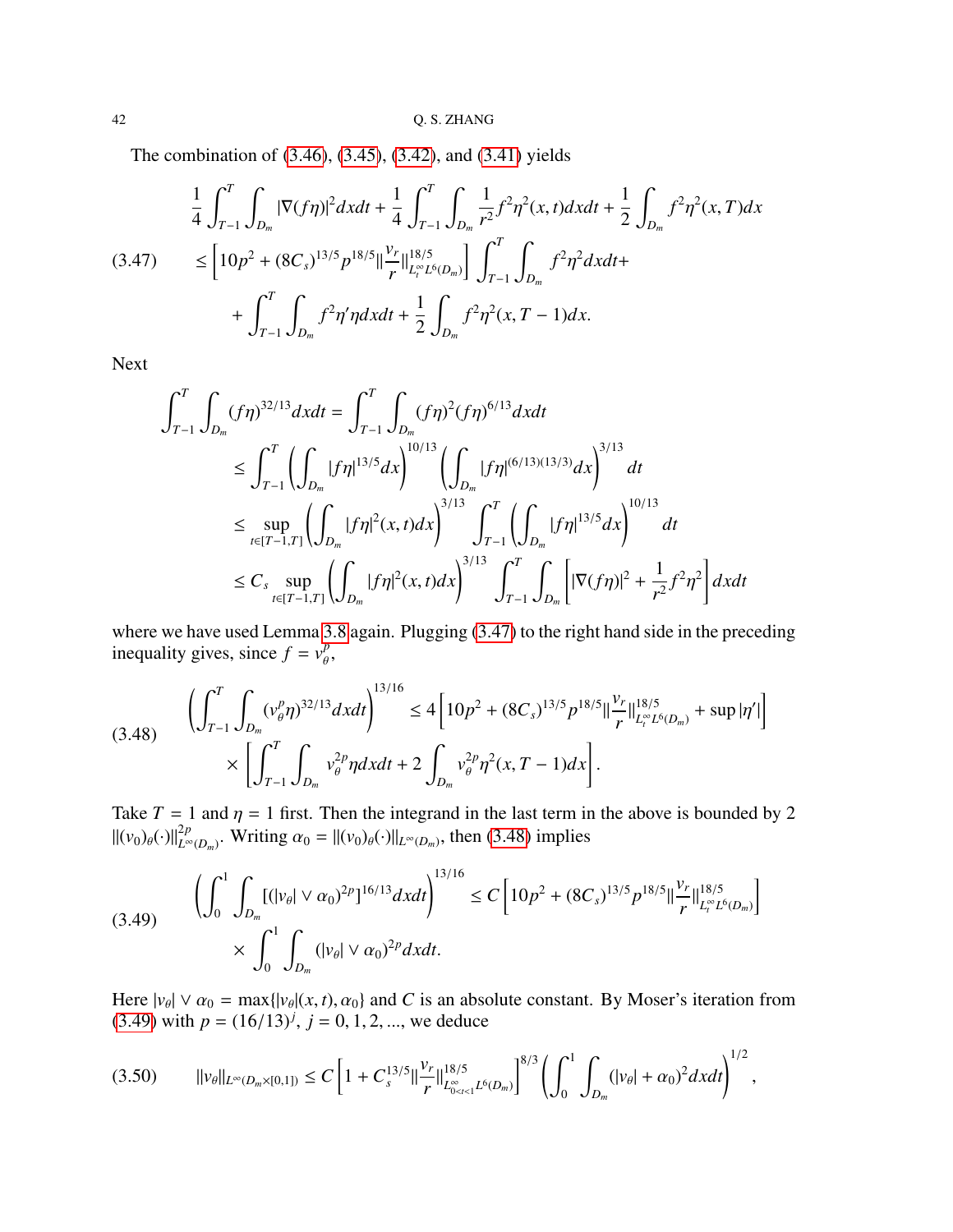The combination of [\(3.46\)](#page-40-0), [\(3.45\)](#page-40-1), [\(3.42\)](#page-39-1), and [\(3.41\)](#page-39-2) yields

<span id="page-41-0"></span>
$$
\frac{1}{4} \int_{T-1}^{T} \int_{D_m} |\nabla (f\eta)|^2 dxdt + \frac{1}{4} \int_{T-1}^{T} \int_{D_m} \frac{1}{r^2} f^2 \eta^2(x, t) dxdt + \frac{1}{2} \int_{D_m} f^2 \eta^2(x, T) dx
$$
\n
$$
\leq [10p^2 + (8C_s)^{13/5} p^{18/5}] \frac{\nu_r}{r} ||_{L_r^{\infty} L^6(D_m)}^{18/5}] \int_{T-1}^{T} \int_{D_m} f^2 \eta^2 dxdt + \int_{T-1}^{T} \int_{D_m} f^2 \eta' \eta dxdt + \frac{1}{2} \int_{D_m} f^2 \eta^2(x, T - 1) dx.
$$

Next

$$
\int_{T-1}^{T} \int_{D_m} (f\eta)^{32/13} dxdt = \int_{T-1}^{T} \int_{D_m} (f\eta)^2 (f\eta)^{6/13} dxdt
$$
\n
$$
\leq \int_{T-1}^{T} \left( \int_{D_m} |f\eta|^{13/5} dx \right)^{10/13} \left( \int_{D_m} |f\eta|^{(6/13)(13/3)} dx \right)^{3/13} dt
$$
\n
$$
\leq \sup_{t \in [T-1,T]} \left( \int_{D_m} |f\eta|^2(x,t) dx \right)^{3/13} \int_{T-1}^{T} \left( \int_{D_m} |f\eta|^{13/5} dx \right)^{10/13} dt
$$
\n
$$
\leq C_s \sup_{t \in [T-1,T]} \left( \int_{D_m} |f\eta|^2(x,t) dx \right)^{3/13} \int_{T-1}^{T} \int_{D_m} \left[ |\nabla (f\eta)|^2 + \frac{1}{r^2} f^2 \eta^2 \right] dxdt
$$

where we have used Lemma [3.8](#page-38-2) again. Plugging  $(3.47)$  to the right hand side in the preceding inequality gives, since  $f = v_p^p$ ,

<span id="page-41-1"></span>
$$
(3.48) \qquad \left(\int_{T-1}^{T} \int_{D_m} (v_\theta^p \eta)^{32/13} dxdt\right)^{13/16} \le 4 \left[10p^2 + (8C_s)^{13/5} p^{18/5} ||\frac{v_r}{r}||_{L_t^{\infty} L^6(D_m)}^{18/5} + \sup |\eta'| \right] \times \left[\int_{T-1}^{T} \int_{D_m} v_\theta^{2p} \eta dxdt + 2 \int_{D_m} v_\theta^{2p} \eta^2(x, T-1) dx\right].
$$

Take  $T = 1$  and  $\eta = 1$  first. Then the integrand in the last term in the above is bounded by 2  $\|(\nu_0)_{\theta}(\cdot)\|_{L^{\infty}}^{2p}$  $L^2_{\infty}(D_m)$ . Writing  $\alpha_0 = ||(v_0)_{\theta}(\cdot)||_{L^{\infty}(D_m)}$ , then [\(3.48\)](#page-41-1) implies

<span id="page-41-2"></span>
$$
(3.49) \qquad \left(\int_0^1 \int_{D_m} [(|v_\theta| \vee \alpha_0)^{2p}]^{16/13} dxdt\right)^{13/16} \le C \left[10p^2 + (8C_s)^{13/5} p^{18/5} ||\frac{v_r}{r}||_{L_t^\infty L^6(D_m)}^{18/5}\right] \times \int_0^1 \int_{D_m} (|v_\theta| \vee \alpha_0)^{2p} dxdt.
$$

Here  $|v_{\theta}| \vee \alpha_0 = \max\{|v_{\theta}|(x, t), \alpha_0\}$  and *C* is an absolute constant. By Moser's iteration from (3.49) with  $n = (16/13)^j$  i = 0.1.2 we deduce [\(3.49\)](#page-41-2) with  $p = (16/13)^j$ ,  $j = 0, 1, 2, \dots$ , we deduce

<span id="page-41-3"></span>
$$
(3.50) \qquad \|\nu_{\theta}\|_{L^{\infty}(D_m\times[0,1])}\leq C\left[1+C_s^{13/5}\|\frac{\nu_r}{r}\|_{L^{\infty}_{0<1}L^6(D_m)}^{18/5}\right]^{8/3}\left(\int_0^1\int_{D_m}(|\nu_{\theta}|+\alpha_0)^2dxdt\right)^{1/2},
$$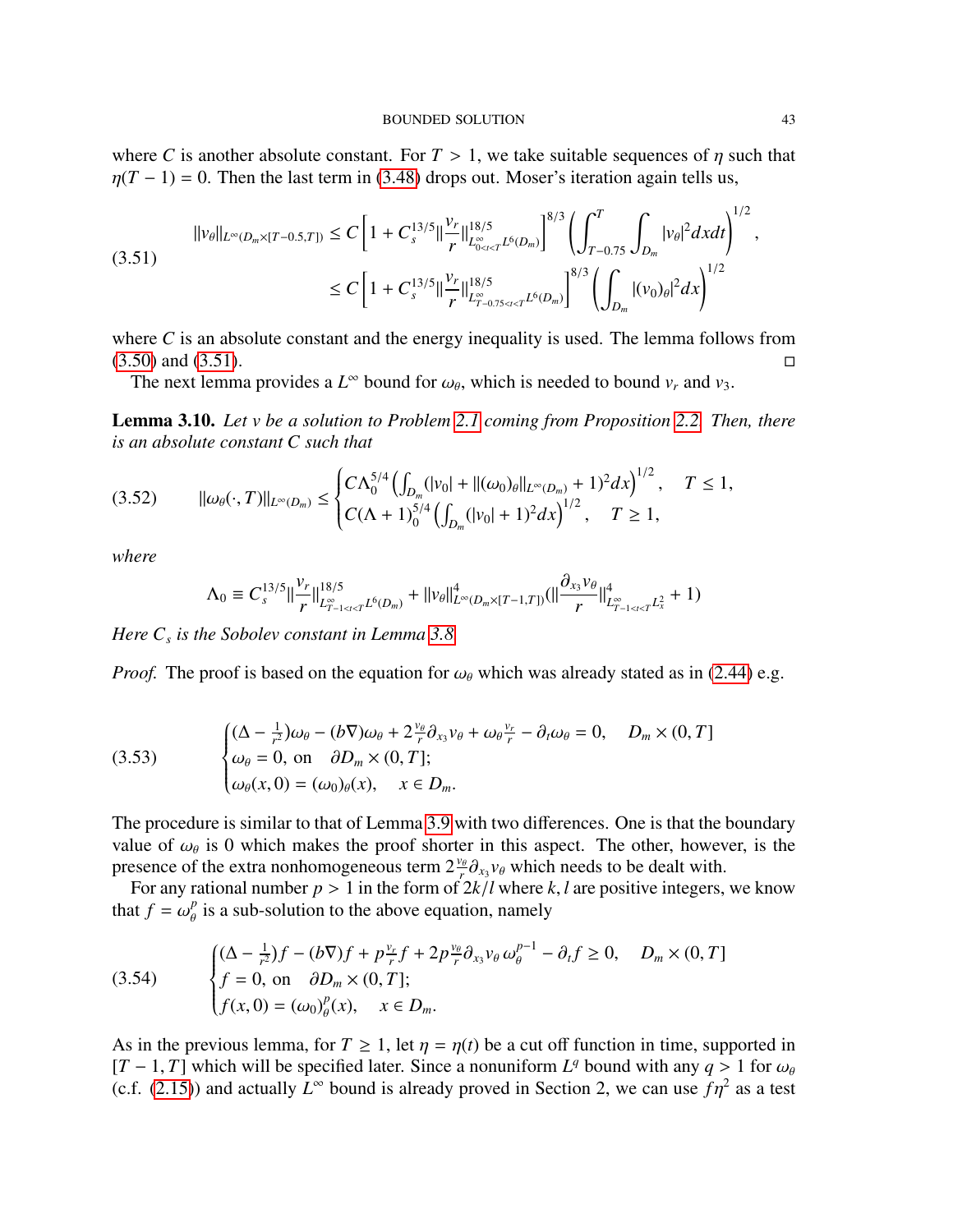where *C* is another absolute constant. For  $T > 1$ , we take suitable sequences of  $\eta$  such that  $\eta(T - 1) = 0$ . Then the last term in [\(3.48\)](#page-41-1) drops out. Moser's iteration again tells us,

<span id="page-42-1"></span>
$$
||v_{\theta}||_{L^{\infty}(D_m \times [T-0.5,T])} \le C \left[ 1 + C_s^{13/5} ||\frac{v_r}{r}||_{L^{\infty}_{0 \le t < T} L^6(D_m)}^{18/5} \right]^{8/3} \left( \int_{T-0.75}^T \int_{D_m} |v_{\theta}|^2 dxdt \right)^{1/2}
$$
  

$$
\le C \left[ 1 + C_s^{13/5} ||\frac{v_r}{r}||_{L^{\infty}_{T-0.75 \le t < T} L^6(D_m)}^{18/5} \right]^{8/3} \left( \int_{D_m} |(v_0)_{\theta}|^2 dx \right)^{1/2}
$$

where *C* is an absolute constant and the energy inequality is used. The lemma follows from  $(3.50)$  and  $(3.51)$ .

The next lemma provides a  $L^{\infty}$  bound for  $\omega_{\theta}$ , which is needed to bound  $v_r$  and  $v_3$ .

<span id="page-42-0"></span>Lemma 3.10. *Let v be a solution to Problem [2.1](#page-6-1) coming from Proposition [2.2.](#page-7-3) Then, there is an absolute constant C such that*

$$
(3.52) \qquad \|\omega_{\theta}(\cdot,T)\|_{L^{\infty}(D_m)} \leq \begin{cases} C\Lambda_0^{5/4} \left(\int_{D_m} (|v_0| + |(\omega_0)_{\theta}||_{L^{\infty}(D_m)} + 1)^2 dx\right)^{1/2}, & T \leq 1, \\ C(\Lambda + 1)_0^{5/4} \left(\int_{D_m} (|v_0| + 1)^2 dx\right)^{1/2}, & T \geq 1, \end{cases}
$$

*where*

$$
\Lambda_0 \equiv C_s^{13/5} \|\frac{v_r}{r}\|_{L^{\infty}_{T-1 \leq t \leq T} L^6(D_m)}^{18/5} + \|v_\theta\|_{L^{\infty}(D_m \times [T-1,T])}^4 (\|\frac{\partial_{x_3} v_\theta}{r}\|_{L^{\infty}_{T-1 \leq t \leq T} L^2_x}^4 + 1)
$$

*Here C<sup>s</sup> is the Sobolev constant in Lemma [3.8.](#page-38-2)*

*Proof.* The proof is based on the equation for  $\omega_\theta$  which was already stated as in [\(2.44\)](#page-19-1) e.g.

(3.53) 
$$
\begin{cases} (\Delta - \frac{1}{r^2})\omega_{\theta} - (b\nabla)\omega_{\theta} + 2\frac{v_{\theta}}{r}\partial_{x_3}v_{\theta} + \omega_{\theta}\frac{v_r}{r} - \partial_t\omega_{\theta} = 0, \quad D_m \times (0, T] \\ \omega_{\theta} = 0, \text{ on } \partial D_m \times (0, T]; \\ \omega_{\theta}(x, 0) = (\omega_0)_{\theta}(x), \quad x \in D_m. \end{cases}
$$

The procedure is similar to that of Lemma [3.9](#page-39-3) with two differences. One is that the boundary value of  $\omega_{\theta}$  is 0 which makes the proof shorter in this aspect. The other, however, is the presence of the extra nonhomogeneous term  $2\frac{v_{\theta}}{a}$ ,  $v_{\theta}$  which needs to be dealt with presence of the extra nonhomogeneous term  $2\frac{v_\theta}{r}\partial_{x_3}v_\theta$  which needs to be dealt with. *O<sub>x3</sub>*<br>≀k /

For any rational number  $p > 1$  in the form of  $2k/l$  where  $k, l$  are positive integers, we know that  $f = \omega_{\theta}^{p}$  is a sub-solution to the above equation, namely

<span id="page-42-2"></span>(3.54) 
$$
\begin{cases} (\Delta - \frac{1}{r^2})f - (b\nabla)f + p\frac{v_r}{r}f + 2p\frac{v_\theta}{r}\partial_{x_3}v_\theta \omega_\theta^{p-1} - \partial_t f \ge 0, & D_m \times (0, T] \\ f = 0, & \text{on } \partial D_m \times (0, T]; \\ f(x, 0) = (\omega_0)_\theta^p(x), & x \in D_m. \end{cases}
$$

As in the previous lemma, for  $T \ge 1$ , let  $\eta = \eta(t)$  be a cut off function in time, supported in  $[T-1, T]$  which will be specified later. Since a nonuniform  $L^q$  bound with any  $q > 1$  for  $\omega_\theta$ <br>(c f (2.15)) and actually  $L^\infty$  bound is already proved in Section 2, we can use  $\epsilon n^2$  as a test (c.f. [\(2.15\)](#page-11-1)) and actually  $L^{\infty}$  bound is already proved in Section 2, we can use  $f\eta^2$  as a test

,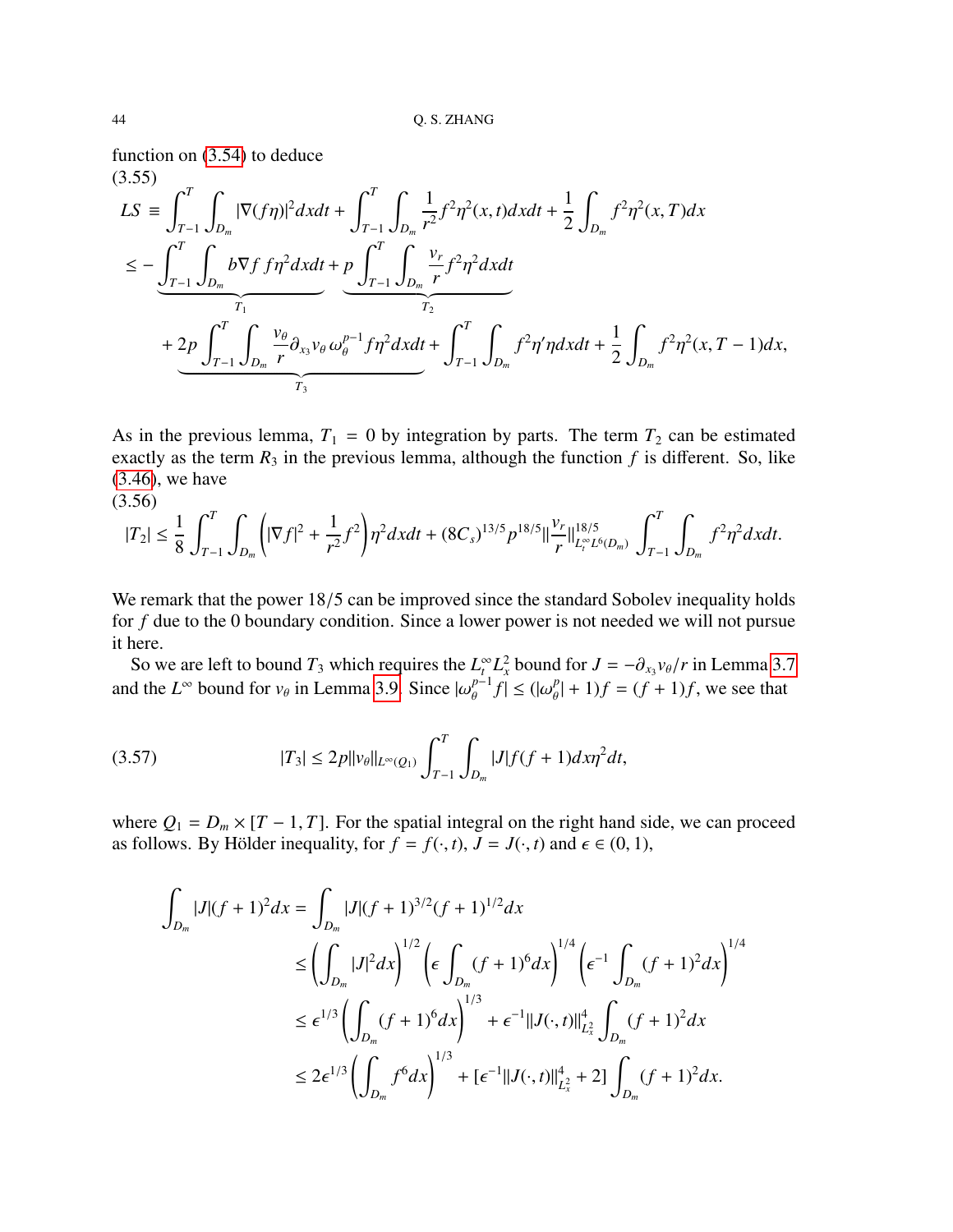function on [\(3.54\)](#page-42-2) to deduce  $(3.55)$ 

<span id="page-43-2"></span>
$$
LS \equiv \int_{T-1}^{T} \int_{D_m} |\nabla (f\eta)|^2 dxdt + \int_{T-1}^{T} \int_{D_m} \frac{1}{r^2} f^2 \eta^2(x, t) dxdt + \frac{1}{2} \int_{D_m} f^2 \eta^2(x, T) dx
$$
  
\n
$$
\leq - \underbrace{\int_{T-1}^{T} \int_{D_m} b \nabla f f \eta^2 dxdt}_{T_1} + \underbrace{p \int_{T-1}^{T} \int_{D_m} \frac{v_r}{r} f^2 \eta^2 dxdt}_{T_2}
$$
  
\n
$$
+ 2p \int_{T-1}^{T} \int_{D_m} \frac{v_\theta}{r} \partial_{x_3} v_\theta \omega_\theta^{p-1} f \eta^2 dxdt + \int_{T-1}^{T} \int_{D_m} f^2 \eta' \eta dxdt + \frac{1}{2} \int_{D_m} f^2 \eta^2(x, T-1) dx,
$$

As in the previous lemma,  $T_1 = 0$  by integration by parts. The term  $T_2$  can be estimated exactly as the term  $R_3$  in the previous lemma, although the function  $f$  is different. So, like [\(3.46\)](#page-40-0), we have (3.56)

<span id="page-43-1"></span>
$$
|T_2| \leq \frac{1}{8} \int_{T-1}^T \int_{D_m} \left( |\nabla f|^2 + \frac{1}{r^2} f^2 \right) \eta^2 dx dt + (8C_s)^{13/5} p^{18/5} ||\frac{\nu_r}{r}||_{L_r^{\infty} L^6(D_m)}^{18/5} \int_{T-1}^T \int_{D_m} f^2 \eta^2 dx dt.
$$

We remark that the power 18/5 can be improved since the standard Sobolev inequality holds for *f* due to the 0 boundary condition. Since a lower power is not needed we will not pursue it here.

So we are left to bound  $T_3$  which requires the  $L_t^{\infty} L_x^2$  bound for  $J = -\partial_{x_3} v_{\theta}/r$  in Lemma [3.7](#page-34-1)<br>and the  $L^{\infty}$  bound for  $v_{\theta}$  in Lemma [3.9.](#page-39-3) Since  $|\omega_{\theta}^{p-1}f| \leq (|\omega_{\theta}^p| + 1)f = (f + 1)f$ , we see that  $\left|\frac{p-1}{\theta}f\right| \leq \left(\left|\omega_{\theta}^p\right)\right|$  $| + 1$ *f* =  $(f + 1)$ *f*, we see that

<span id="page-43-0"></span>
$$
(3.57) \t\t |T_3| \le 2p||v_\theta||_{L^\infty(Q_1)} \int_{T-1}^T \int_{D_m} |J| f(f+1) dx \eta^2 dt,
$$

where  $Q_1 = D_m \times [T - 1, T]$ . For the spatial integral on the right hand side, we can proceed as follows. By Hölder inequality, for  $f = f(\cdot, t)$ ,  $J = J(\cdot, t)$  and  $\epsilon \in (0, 1)$ ,

$$
\int_{D_m} |J|(f+1)^2 dx = \int_{D_m} |J|(f+1)^{3/2} (f+1)^{1/2} dx
$$
\n
$$
\leq \left( \int_{D_m} |J|^2 dx \right)^{1/2} \left( \epsilon \int_{D_m} (f+1)^6 dx \right)^{1/4} \left( \epsilon^{-1} \int_{D_m} (f+1)^2 dx \right)^{1/4}
$$
\n
$$
\leq \epsilon^{1/3} \left( \int_{D_m} (f+1)^6 dx \right)^{1/3} + \epsilon^{-1} ||J(\cdot,t)||_{L_x^2}^4 \int_{D_m} (f+1)^2 dx
$$
\n
$$
\leq 2\epsilon^{1/3} \left( \int_{D_m} f^6 dx \right)^{1/3} + \left[ \epsilon^{-1} ||J(\cdot,t)||_{L_x^2}^4 + 2 \right] \int_{D_m} (f+1)^2 dx.
$$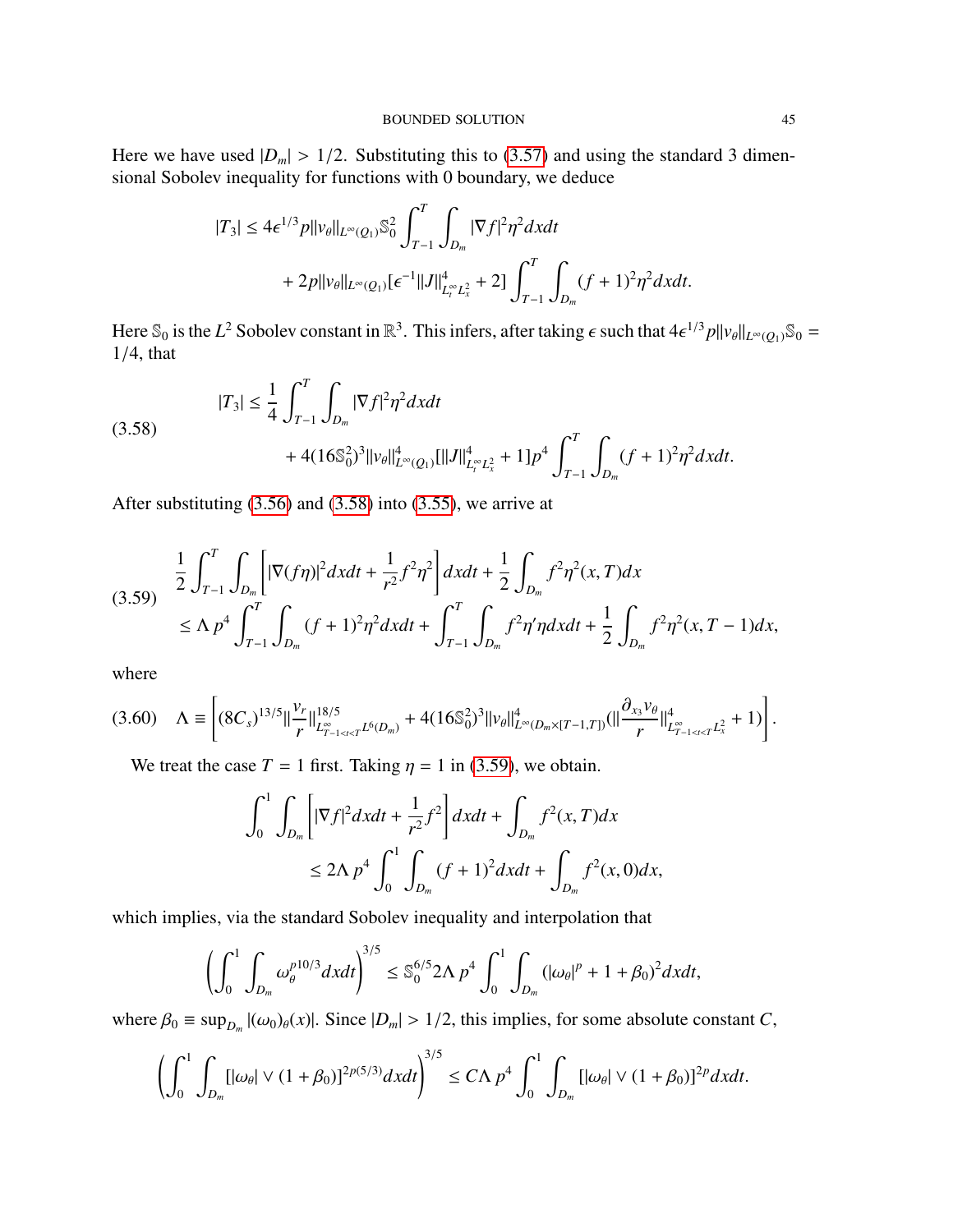Here we have used  $|D_m| > 1/2$ . Substituting this to [\(3.57\)](#page-43-0) and using the standard 3 dimensional Sobolev inequality for functions with 0 boundary, we deduce

$$
|T_3| \le 4\epsilon^{1/3} p ||v_\theta||_{L^\infty(Q_1)} \mathbb{S}_0^2 \int_{T-1}^T \int_{D_m} |\nabla f|^2 \eta^2 dxdt
$$
  
+ 2p ||v\_\theta||\_{L^\infty(Q\_1)} [\epsilon^{-1} ||J||\_{L\_t^\infty L\_x^2}^4 + 2]  $\int_{T-1}^T \int_{D_m} (f+1)^2 \eta^2 dxdt$ .

Here  $\mathbb{S}_0$  is the *L*<sup>2</sup> Sobolev constant in  $\mathbb{R}^3$ . This infers, after taking  $\epsilon$  such that  $4\epsilon^{1/3}p||v_\theta||_{L^\infty(Q_1)}\mathbb{S}_0 =$ <br>1/4 that <sup>1</sup>/4, that

<span id="page-44-0"></span>
$$
|T_3| \le \frac{1}{4} \int_{T-1}^T \int_{D_m} |\nabla f|^2 \eta^2 dx dt
$$
  
+  $4(16\mathbb{S}_0^2)^3 ||v_\theta||_{L^\infty(Q_1)}^4 [||J||_{L_t^\infty L_x^2}^4 + 1] p^4 \int_{T-1}^T \int_{D_m} (f+1)^2 \eta^2 dx dt.$ 

After substituting [\(3.56\)](#page-43-1) and [\(3.58\)](#page-44-0) into [\(3.55\)](#page-43-2), we arrive at

<span id="page-44-1"></span>
$$
(3.59) \quad \frac{1}{2} \int_{T-1}^{T} \int_{D_m} \left[ |\nabla (f\eta)|^2 dxdt + \frac{1}{r^2} f^2 \eta^2 \right] dxdt + \frac{1}{2} \int_{D_m} f^2 \eta^2(x,T) dx
$$
\n
$$
\leq \Lambda p^4 \int_{T-1}^{T} \int_{D_m} (f+1)^2 \eta^2 dxdt + \int_{T-1}^{T} \int_{D_m} f^2 \eta' \eta dxdt + \frac{1}{2} \int_{D_m} f^2 \eta^2(x,T-1) dx,
$$

where

<span id="page-44-2"></span>
$$
(3.60) \quad \Lambda \equiv \left[ (8C_s)^{13/5} || \frac{v_r}{r} ||_{L^{\infty}_{T-1 \leq t \leq T} L^6(D_m)}^{18/5} + 4(16\mathbb{S}_0^2)^3 ||v_\theta||_{L^{\infty}(D_m \times [T-1,T])}^4 (|| \frac{\partial_{x_3} v_\theta}{r} ||_{L^{\infty}_{T-1 \leq t \leq T} L^2_x}^4 + 1) \right].
$$

We treat the case  $T = 1$  first. Taking  $\eta = 1$  in [\(3.59\)](#page-44-1), we obtain.

$$
\int_0^1 \int_{D_m} \left[ |\nabla f|^2 dxdt + \frac{1}{r^2} f^2 \right] dxdt + \int_{D_m} f^2(x, T) dx
$$
  

$$
\leq 2\Lambda p^4 \int_0^1 \int_{D_m} (f+1)^2 dxdt + \int_{D_m} f^2(x, 0) dx,
$$

which implies, via the standard Sobolev inequality and interpolation that

$$
\left(\int_0^1 \int_{D_m} \omega_\theta^{p10/3} dxdt\right)^{3/5} \leq \mathbb{S}_0^{6/5} 2\Lambda p^4 \int_0^1 \int_{D_m} (|\omega_\theta|^p + 1 + \beta_0)^2 dxdt,
$$

where  $\beta_0 \equiv \sup_{D_m} |(\omega_0)_{\theta}(x)|$ . Since  $|D_m| > 1/2$ , this implies, for some absolute constant *C*,

$$
\left(\int_0^1 \int_{D_m} [|\omega_\theta| \vee (1+\beta_0)]^{2p(5/3)} dxdt\right)^{3/5} \le C\Lambda p^4 \int_0^1 \int_{D_m} [|\omega_\theta| \vee (1+\beta_0)]^{2p} dxdt.
$$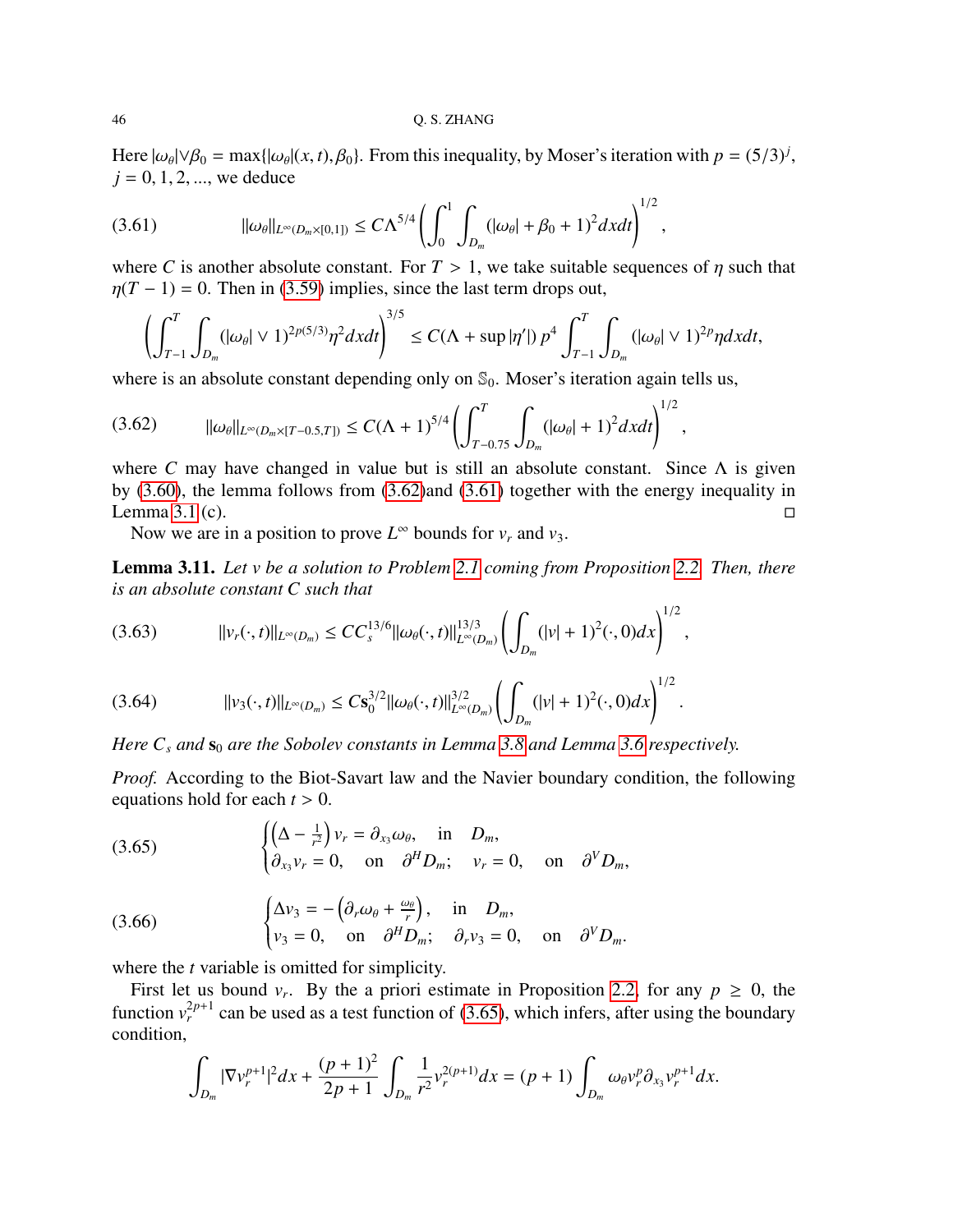Here  $|\omega_{\theta}| \vee \beta_0 = \max\{|\omega_{\theta}|(x, t), \beta_0\}$ . From this inequality, by Moser's iteration with  $p = (5/3)^j$ ,  $j = 0, 1, 2$  we deduce  $j = 0, 1, 2, \dots$ , we deduce

<span id="page-45-1"></span>
$$
(3.61) \t\t ||\omega_{\theta}||_{L^{\infty}(D_m\times[0,1])}\leq C\Lambda^{5/4}\left(\int_0^1\int_{D_m}(|\omega_{\theta}|+\beta_0+1)^2dxdt\right)^{1/2},
$$

where *C* is another absolute constant. For  $T > 1$ , we take suitable sequences of  $\eta$  such that  $\eta(T - 1) = 0$ . Then in [\(3.59\)](#page-44-1) implies, since the last term drops out,

$$
\left(\int_{T-1}^T \int_{D_m} (|\omega_\theta| \vee 1)^{2p(5/3)} \eta^2 dxdt\right)^{3/5} \leq C(\Lambda + \sup |\eta'|) p^4 \int_{T-1}^T \int_{D_m} (|\omega_\theta| \vee 1)^{2p} \eta dxdt,
$$

where is an absolute constant depending only on  $\mathcal{S}_0$ . Moser's iteration again tells us,

<span id="page-45-0"></span>
$$
(3.62) \qquad \|\omega_{\theta}\|_{L^{\infty}(D_m\times[T-0.5,T])}\leq C(\Lambda+1)^{5/4}\left(\int_{T-0.75}^{T}\int_{D_m}(|\omega_{\theta}|+1)^2dxdt\right)^{1/2},
$$

where *C* may have changed in value but is still an absolute constant. Since  $\Lambda$  is given by [\(3.60\)](#page-44-2), the lemma follows from [\(3.62\)](#page-45-0)and [\(3.61\)](#page-45-1) together with the energy inequality in Lemma [3.1](#page-27-1) (c).  $\Box$ 

Now we are in a position to prove  $L^{\infty}$  bounds for  $v_r$  and  $v_3$ .

<span id="page-45-6"></span>Lemma 3.11. *Let v be a solution to Problem [2.1](#page-6-1) coming from Proposition [2.2.](#page-7-3) Then, there is an absolute constant C such that*

<span id="page-45-3"></span>
$$
(3.63) \t\t\t ||v_r(\cdot,t)||_{L^{\infty}(D_m)} \le CC_s^{13/6}||\omega_{\theta}(\cdot,t)||_{L^{\infty}(D_m)}^{13/3}\left(\int_{D_m} (|v|+1)^2(\cdot,0)dx\right)^{1/2},
$$

<span id="page-45-5"></span>
$$
(3.64) \t\t\t ||v_3(\cdot,t)||_{L^{\infty}(D_m)} \leq Cs_0^{3/2}||\omega_{\theta}(\cdot,t)||_{L^{\infty}(D_m)}^{3/2}\left(\int_{D_m} (|v|+1)^2(\cdot,0)dx\right)^{1/2}.
$$

*Here*  $C_s$  *and*  $\mathbf{s}_0$  *are the Sobolev constants in Lemma* [3.8](#page-38-2)*and Lemma* [3.6](#page-33-0) *respectively.* 

*Proof.* According to the Biot-Savart law and the Navier boundary condition, the following equations hold for each *<sup>t</sup>* > 0.

<span id="page-45-2"></span>(3.65) 
$$
\begin{cases} \left(\Delta - \frac{1}{r^2}\right) v_r = \partial_{x_3} \omega_\theta, & \text{in } D_m, \\ \partial_{x_3} v_r = 0, & \text{on } \partial^H D_m; \quad v_r = 0, & \text{on } \partial^V D_m, \end{cases}
$$

<span id="page-45-4"></span>(3.66) 
$$
\begin{cases} \Delta v_3 = -(\partial_r \omega_\theta + \frac{\omega_\theta}{r}), & \text{in } D_m, \\ v_3 = 0, & \text{on } \partial^H D_m; \partial_r v_3 = 0, & \text{on } \partial^V D_m. \end{cases}
$$

where the *t* variable is omitted for simplicity.

First let us bound  $v_r$ . By the a priori estimate in Proposition [2.2,](#page-7-3) for any  $p \ge 0$ , the function  $v_r^{2p+1}$  can be used as a test function of [\(3.65\)](#page-45-2), which infers, after using the boundary condition,

$$
\int_{D_m} |\nabla v_r^{p+1}|^2 dx + \frac{(p+1)^2}{2p+1} \int_{D_m} \frac{1}{r^2} v_r^{2(p+1)} dx = (p+1) \int_{D_m} \omega_\theta v_r^p \partial_{x_3} v_r^{p+1} dx.
$$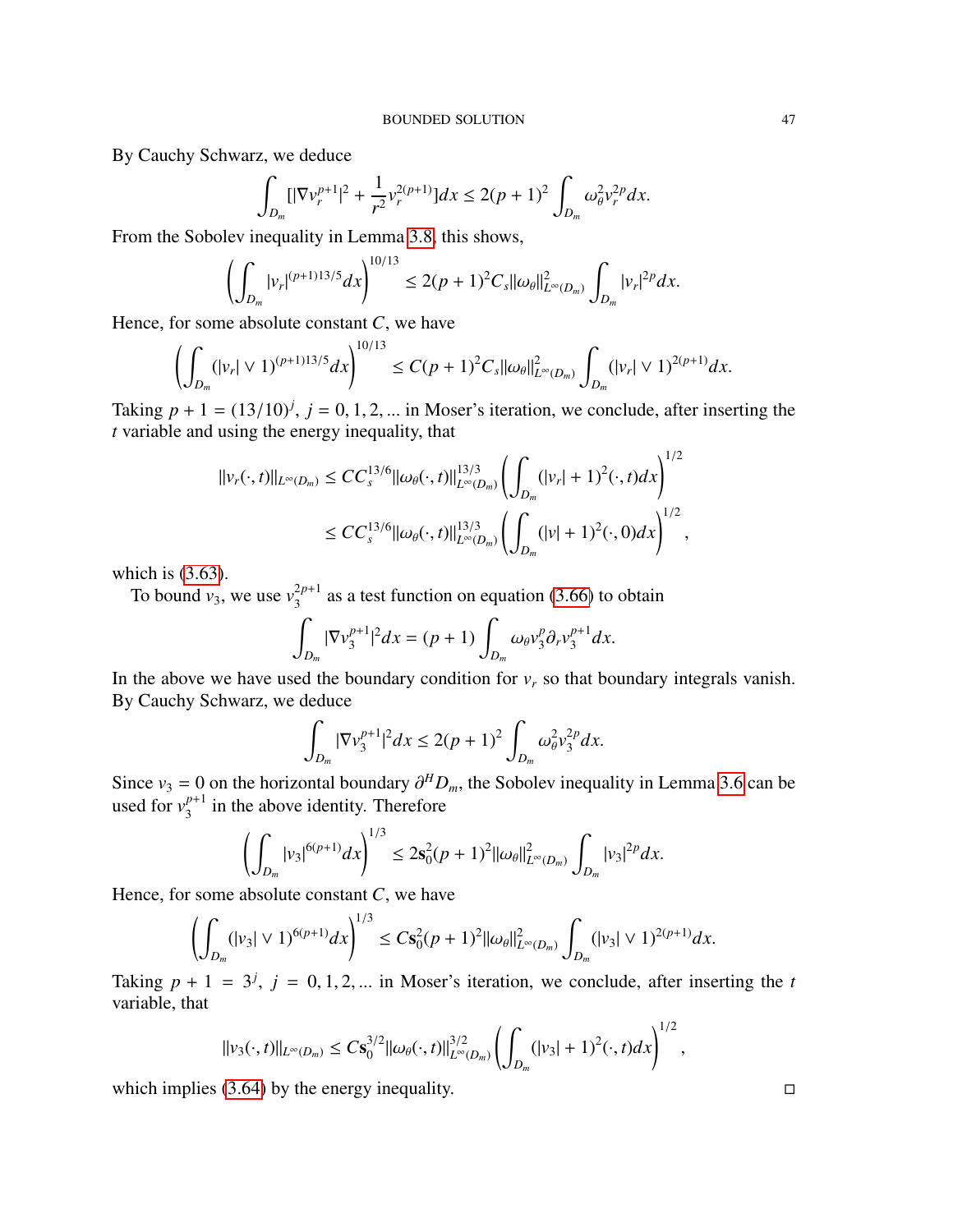By Cauchy Schwarz, we deduce

$$
\int_{D_m} [|\nabla v_r^{p+1}|^2 + \frac{1}{r^2} v_r^{2(p+1)}] dx \le 2(p+1)^2 \int_{D_m} \omega_\theta^2 v_r^{2p} dx.
$$

From the Sobolev inequality in Lemma [3.8,](#page-38-2) this shows,

$$
\left(\int_{D_m} |v_r|^{(p+1)13/5} dx\right)^{10/13} \le 2(p+1)^2 C_s ||\omega_\theta||_{L^\infty(D_m)}^2 \int_{D_m} |v_r|^{2p} dx.
$$

Hence, for some absolute constant *C*, we have

$$
\left(\int_{D_m} (|v_r| \vee 1)^{(p+1)13/5} dx\right)^{10/13} \le C(p+1)^2 C_s ||\omega_\theta||^2_{L^\infty(D_m)} \int_{D_m} (|v_r| \vee 1)^{2(p+1)} dx.
$$

Taking  $p + 1 = (13/10)^j$ ,  $j = 0, 1, 2, ...$  in Moser's iteration, we conclude, after inserting the transition of the energy inequality that *t* variable and using the energy inequality, that

$$
\|v_r(\cdot,t)\|_{L^{\infty}(D_m)} \le CC_s^{13/6} \|\omega_\theta(\cdot,t)\|_{L^{\infty}(D_m)}^{13/3} \left(\int_{D_m} (|v_r|+1)^2(\cdot,t)dx\right)^{1/2}
$$
  

$$
\le CC_s^{13/6} \|\omega_\theta(\cdot,t)\|_{L^{\infty}(D_m)}^{13/3} \left(\int_{D_m} (|v|+1)^2(\cdot,0)dx\right)^{1/2},
$$

which is [\(3.63\)](#page-45-3).

To bound  $v_3$ , we use  $v_3^{2p+1}$  $3^{2p+1}$  as a test function on equation [\(3.66\)](#page-45-4) to obtain

$$
\int_{D_m} |\nabla v_3^{p+1}|^2 dx = (p+1) \int_{D_m} \omega_\theta v_3^p \partial_r v_3^{p+1} dx.
$$

In the above we have used the boundary condition for  $v_r$  so that boundary integrals vanish. By Cauchy Schwarz, we deduce

$$
\int_{D_m} |\nabla v_3^{p+1}|^2 dx \le 2(p+1)^2 \int_{D_m} \omega_\theta^2 v_3^{2p} dx.
$$

Since  $v_3 = 0$  on the horizontal boundary  $\partial^H D_m$ , the Sobolev inequality in Lemma [3.6](#page-33-0) can be used for  $v^{p+1}$  in the above identity. Therefore used for  $v_3^{p+1}$  $j_3^{p+1}$  in the above identity. Therefore

$$
\left(\int_{D_m} |v_3|^{6(p+1)} dx\right)^{1/3} \leq 2\mathbf{s}_0^2 (p+1)^2 ||\omega_\theta||^2_{L^\infty(D_m)} \int_{D_m} |v_3|^{2p} dx.
$$

Hence, for some absolute constant *C*, we have

$$
\left(\int_{D_m} (|v_3| \vee 1)^{6(p+1)} dx\right)^{1/3} \leq C \mathbf{s}_0^2 (p+1)^2 ||\omega_\theta||^2_{L^\infty(D_m)} \int_{D_m} (|v_3| \vee 1)^{2(p+1)} dx.
$$

Taking  $p + 1 = 3^j$ ,  $j = 0, 1, 2, ...$  in Moser's iteration, we conclude, after inserting the *t* variable that variable, that

$$
\|v_3(\cdot,t)\|_{L^{\infty}(D_m)} \leq C \mathbf{s}_0^{3/2} \|\omega_{\theta}(\cdot,t)\|_{L^{\infty}(D_m)}^{3/2} \left(\int_{D_m} (|v_3|+1)^2(\cdot,t) dx\right)^{1/2},
$$

which implies [\(3.64\)](#page-45-5) by the energy inequality.  $\Box$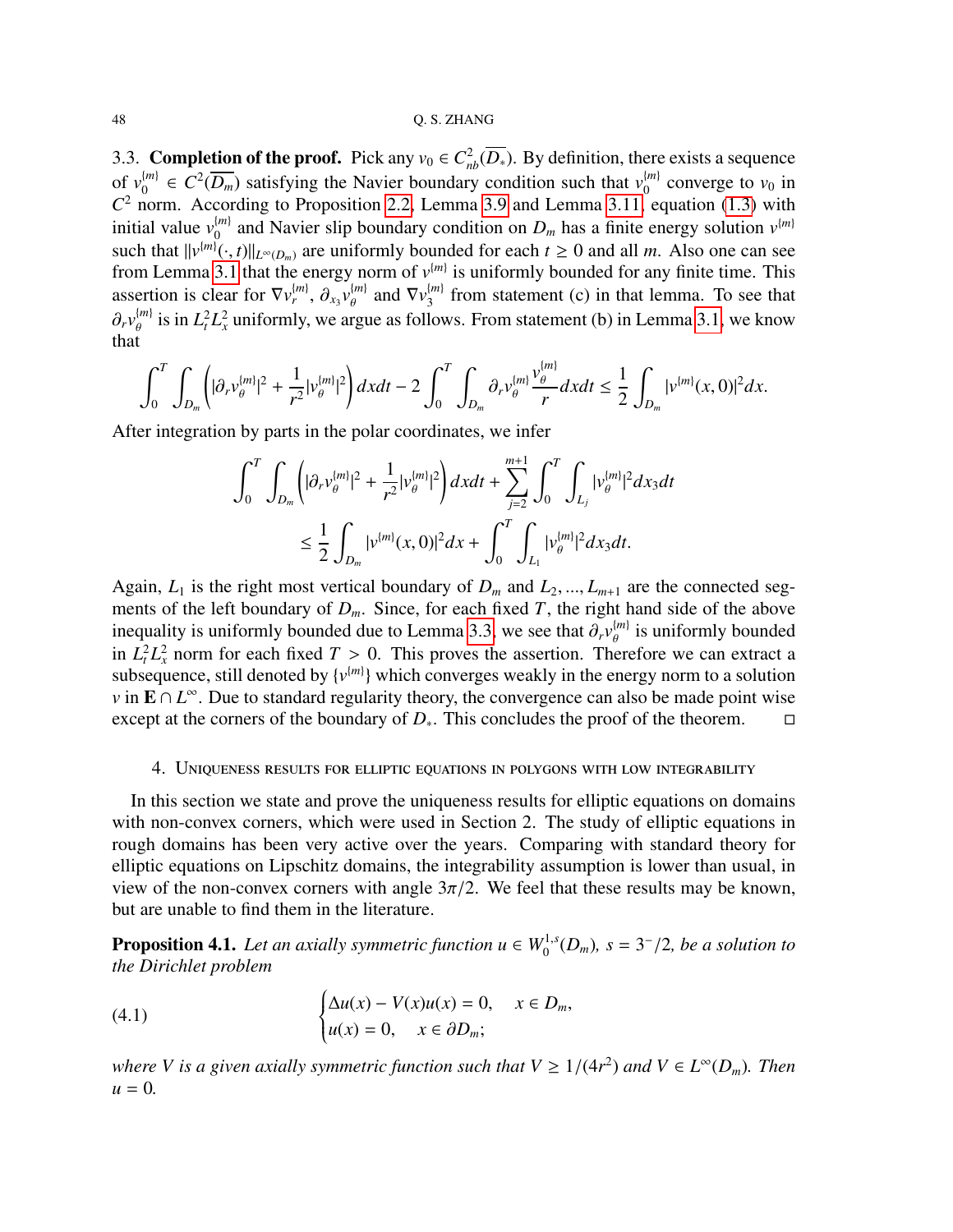<span id="page-47-0"></span>3.3. **Completion of the proof.** Pick any  $v_0 \in C_{nb}^2(\overline{D_*})$ . By definition, there exists a sequence of  $v_0^{\{m\}}$  $\mathcal{C}^2(\overline{D_m})$  satisfying the Navier boundary condition such that  $v_0^{(m)}$  $\binom{m}{0}$  converge to  $v_0$  in  $C<sup>2</sup>$  norm. According to Proposition [2.2,](#page-7-3) Lemma [3.9](#page-39-3) and Lemma [3.11,](#page-45-6) equation [\(1.3\)](#page-1-0) with initial value  $v_0^{\{m\}}$  $\binom{m}{0}$  and Navier slip boundary condition on  $D_m$  has a finite energy solution  $v^{(m)}$ such that  $||v^{(m)}(\cdot, t)||_{L^{\infty}(D_m)}$  are uniformly bounded for each  $t \ge 0$  and all *m*. Also one can see<br>from Lemma 3.1 that the energy norm of  $v^{(m)}$  is uniformly bounded for any finite time. This from Lemma [3.1](#page-27-2) that the energy norm of  $v^{(m)}$  is uniformly bounded for any finite time. This assertion is clear for  $\nabla v_r^{(m)}$ ,  $\partial_{xy} v_\theta^{(m)}$  and  $\nabla v_3^{(m)}$  $\partial_r v_{\theta}^{(m)}$  is in  $L_t^2 L_x^2$  uniformly, we argue as follows. From statement (b) in Lemma [3.1,](#page-27-2) we know  $\binom{m}{3}$  from statement (c) in that lemma. To see that that

$$
\int_0^T \int_{D_m} \left( |\partial_r v_{\theta}^{[m]}|^2 + \frac{1}{r^2} |v_{\theta}^{[m]}|^2 \right) dx dt - 2 \int_0^T \int_{D_m} \partial_r v_{\theta}^{[m]} \frac{v_{\theta}^{[m]}}{r} dx dt \leq \frac{1}{2} \int_{D_m} |v^{[m]}(x,0)|^2 dx.
$$

After integration by parts in the polar coordinates, we infer

$$
\int_0^T \int_{D_m} \left( |\partial_r v_{\theta}^{[m]}|^2 + \frac{1}{r^2} |v_{\theta}^{[m]}|^2 \right) dx dt + \sum_{j=2}^{m+1} \int_0^T \int_{L_j} |v_{\theta}^{[m]}|^2 dx_3 dt
$$
  

$$
\leq \frac{1}{2} \int_{D_m} |v^{[m]}(x,0)|^2 dx + \int_0^T \int_{L_1} |v_{\theta}^{[m]}|^2 dx_3 dt.
$$

Again,  $L_1$  is the right most vertical boundary of  $D_m$  and  $L_2, ..., L_{m+1}$  are the connected segments of the left boundary of  $D_m$ . Since, for each fixed *T*, the right hand side of the above inequality is uniformly bounded due to Lemma [3.3,](#page-28-3) we see that  $\partial_r v_{\theta}^{[m]}$  is uniformly bounded<br>in  $I^2I^2$  norm for each fixed  $T > 0$ . This proves the assertion. Therefore we can extract a in  $L_t^2 L_x^2$  norm for each fixed  $T > 0$ . This proves the assertion. Therefore we can extract a subsequence still denoted by  $\{y^{[m]}\}$  which converges weakly in the energy norm to a solution subsequence, still denoted by  $\{v^{(m)}\}$  which converges weakly in the energy norm to a solution *v* in **E** ∩ *L*<sup>∞</sup>. Due to standard regularity theory, the convergence can also be made point wise except at the corners of the boundary of  $D_{*}$ . This concludes the proof of the theorem.  $\square$ 

# <span id="page-47-1"></span>4. Uniqueness results for elliptic equations in polygons with low integrability

In this section we state and prove the uniqueness results for elliptic equations on domains with non-convex corners, which were used in Section 2. The study of elliptic equations in rough domains has been very active over the years. Comparing with standard theory for elliptic equations on Lipschitz domains, the integrability assumption is lower than usual, in view of the non-convex corners with angle  $3\pi/2$ . We feel that these results may be known, but are unable to find them in the literature.

<span id="page-47-2"></span>**Proposition 4.1.** Let an axially symmetric function  $u \in W_0^{1,s}(D_m)$ ,  $s = 3^-/2$ , be a solution to the Dirichlet problem *the Dirichlet problem*

<span id="page-47-3"></span>(4.1) 
$$
\begin{cases} \Delta u(x) - V(x)u(x) = 0, & x \in D_m, \\ u(x) = 0, & x \in \partial D_m; \end{cases}
$$

*where V is a given axially symmetric function such that*  $V \geq 1/(4r^2)$  *and*  $V \in L^{\infty}(D_m)$ *. Then*<br>*u* – 0  $u = 0$ .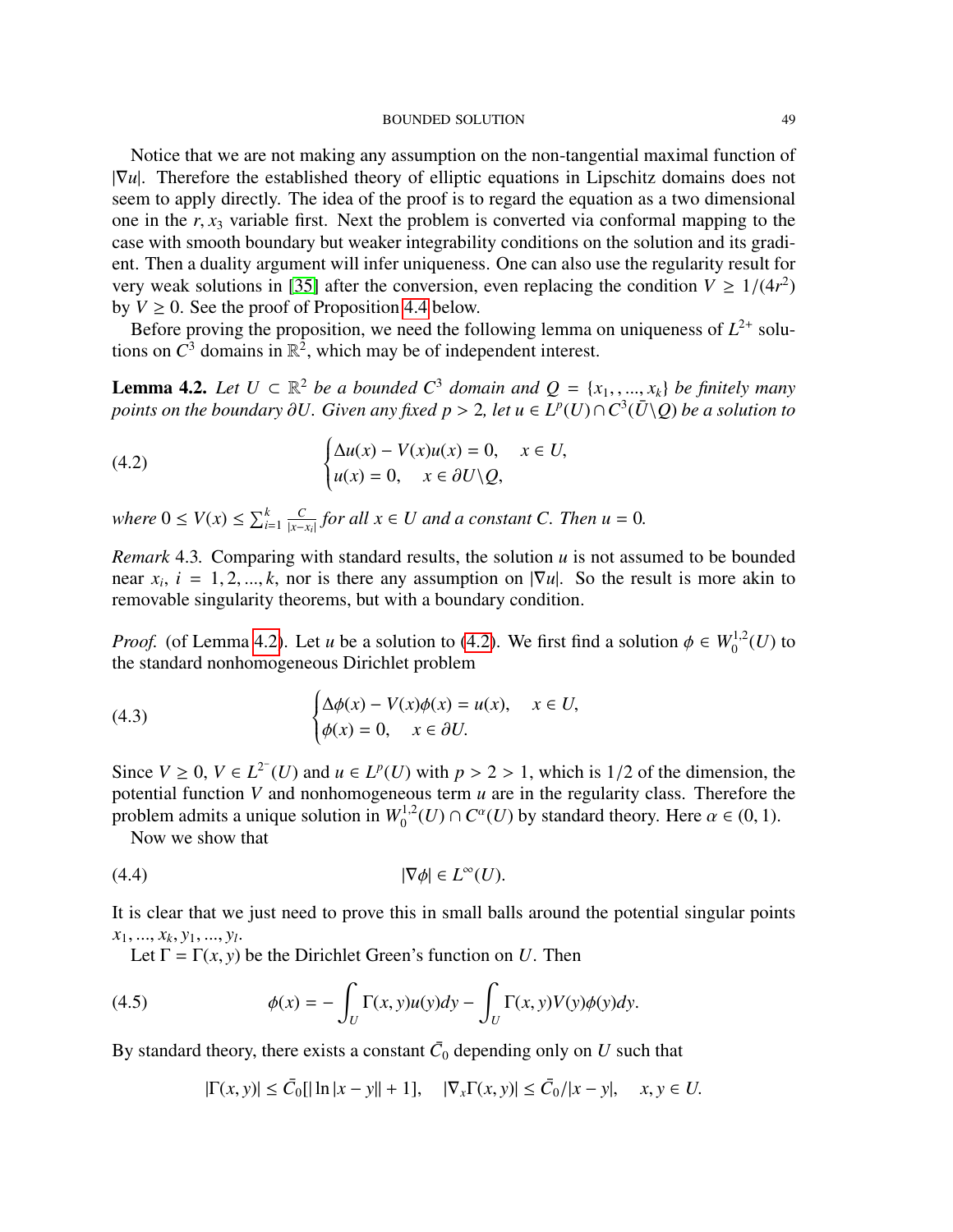#### BOUNDED SOLUTION 49

Notice that we are not making any assumption on the non-tangential maximal function of |∇*u*|. Therefore the established theory of elliptic equations in Lipschitz domains does not seem to apply directly. The idea of the proof is to regard the equation as a two dimensional one in the *<sup>r</sup>*, *<sup>x</sup>*<sup>3</sup> variable first. Next the problem is converted via conformal mapping to the case with smooth boundary but weaker integrability conditions on the solution and its gradient. Then a duality argument will infer uniqueness. One can also use the regularity result for very weak solutions in [\[35\]](#page-56-8) after the conversion, even replacing the condition  $V \ge 1/(4r^2)$ <br>by  $V \ge 0$ . See the proof of Proposition 4.4 below by  $V \geq 0$ . See the proof of Proposition [4.4](#page-53-0) below.

Before proving the proposition, we need the following lemma on uniqueness of  $L^{2+}$  solutions on  $\tilde{C}^3$  domains in  $\mathbb{R}^2$ , which may be of independent interest.

<span id="page-48-0"></span>**Lemma 4.2.** *Let U* ⊂  $\mathbb{R}^2$  *be a bounded C*<sup>3</sup> *domain and*  $Q = \{x_1, \ldots, x_k\}$  *be finitely many points on the boundary ∂U. Given any fixed*  $p > 2$ , *let*  $u \in I^p(U) \cap C^3(\overline{I}) \cap O$  *be a solution to points on the boundary* ∂U. Given any fixed  $p > 2$ , let  $u ∈ L<sup>p</sup>(U) ∩ C<sup>3</sup>(\bar{U} \setminus Q)$  be a solution to

<span id="page-48-1"></span>(4.2) 
$$
\begin{cases} \Delta u(x) - V(x)u(x) = 0, & x \in U, \\ u(x) = 0, & x \in \partial U \setminus Q, \end{cases}
$$

*where*  $0 \leq V(x) \leq \sum_{i=1}^{k} \frac{C}{|x-i}$  $\frac{C}{|x-x_i|}$  *for all x* ∈ *U* and a constant C. Then  $u = 0$ . |

*Remark* 4.3*.* Comparing with standard results, the solution *u* is not assumed to be bounded near  $x_i$ ,  $i = 1, 2, ..., k$ , nor is there any assumption on  $|\nabla u|$ . So the result is more akin to removable singularity theorems but with a boundary condition removable singularity theorems, but with a boundary condition.

*Proof.* (of Lemma [4.2\)](#page-48-0). Let *u* be a solution to [\(4.2\)](#page-48-1). We first find a solution  $\phi \in W_0^{1,2}(U)$  to the standard nonhomogeneous Dirichlet problem the standard nonhomogeneous Dirichlet problem

(4.3) 
$$
\begin{cases} \Delta \phi(x) - V(x)\phi(x) = u(x), & x \in U, \\ \phi(x) = 0, & x \in \partial U. \end{cases}
$$

Since  $V \ge 0$ ,  $V \in L^{2^{-}}(U)$  and  $u \in L^{p}(U)$  with  $p > 2 > 1$ , which is 1/2 of the dimension, the potential function *V* and nonhomogeneous term *u* are in the regularity class. Therefore the potential function *V* and nonhomogeneous term *u* are in the regularity class. Therefore the problem admits a unique solution in  $W_0^{1,2}(U) \cap C^{\alpha}(U)$  by standard theory. Here  $\alpha \in (0,1)$ .<br>Now we show that

<span id="page-48-3"></span>Now we show that

$$
|\nabla \phi| \in L^{\infty}(U).
$$

It is clear that we just need to prove this in small balls around the potential singular points  $x_1, ..., x_k, y_1, ..., y_l.$ <br> **Let**  $\Gamma - \Gamma(x, y)$  $, y_1, ..., y_l$ <br>-  $\Gamma(r, y)$ 

Let  $\Gamma = \Gamma(x, y)$  be the Dirichlet Green's function on *U*. Then

(4.5) 
$$
\phi(x) = -\int_U \Gamma(x, y)u(y)dy - \int_U \Gamma(x, y)V(y)\phi(y)dy.
$$

By standard theory, there exists a constant  $\bar{C}_0$  depending only on  $U$  such that

<span id="page-48-2"></span> $|\Gamma(x, y)| \le \bar{C}_0[|\ln|x - y|| + 1], \quad |\nabla_x \Gamma(x, y)| \le \bar{C}_0/|x - y|, \quad x, y \in U.$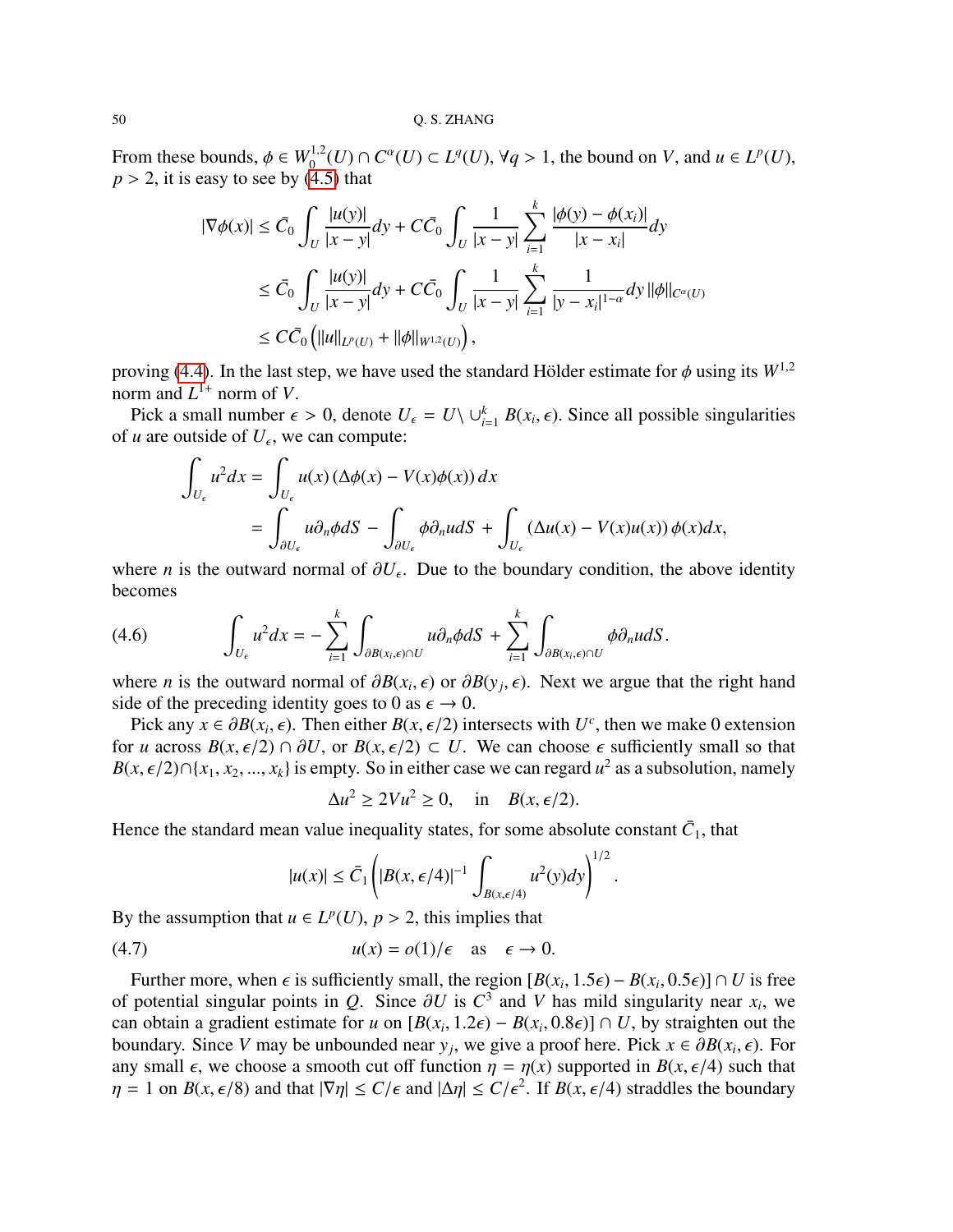From these bounds,  $\phi \in W_0^{1,2}(U) \cap C^{\alpha}(U) \subset L^q(U)$ ,  $\forall q > 1$ , the bound on *V*, and  $u \in L^p(U)$ ,  $n > 2$  it is easy to see by (4.5) that  $p > 2$ , it is easy to see by [\(4.5\)](#page-48-2) that

$$
|\nabla \phi(x)| \leq \bar{C}_0 \int_U \frac{|u(y)|}{|x - y|} dy + C \bar{C}_0 \int_U \frac{1}{|x - y|} \sum_{i=1}^k \frac{|\phi(y) - \phi(x_i)|}{|x - x_i|} dy
$$
  
\n
$$
\leq \bar{C}_0 \int_U \frac{|u(y)|}{|x - y|} dy + C \bar{C}_0 \int_U \frac{1}{|x - y|} \sum_{i=1}^k \frac{1}{|y - x_i|^{1 - \alpha}} dy ||\phi||_{C^{\alpha}(U)}
$$
  
\n
$$
\leq C \bar{C}_0 \left( ||u||_{L^p(U)} + ||\phi||_{W^{1,2}(U)} \right),
$$

proving [\(4.4\)](#page-48-3). In the last step, we have used the standard Hölder estimate for  $\phi$  using its  $W^{1,2}$ norm and  $L^{1+}$  norm of *V*.

Pick a small number  $\epsilon > 0$ , denote  $U_{\epsilon} = U \setminus \bigcup_{i=1}^{k} B(x_i, \epsilon)$ . Since all possible singularities *u* are outside of *II* we can compute: of *u* are outside of  $U_{\epsilon}$ , we can compute:

$$
\int_{U_{\epsilon}} u^2 dx = \int_{U_{\epsilon}} u(x) \left(\Delta \phi(x) - V(x) \phi(x)\right) dx
$$
  
= 
$$
\int_{\partial U_{\epsilon}} u \partial_n \phi dS - \int_{\partial U_{\epsilon}} \phi \partial_n u dS + \int_{U_{\epsilon}} \left(\Delta u(x) - V(x) u(x)\right) \phi(x) dx,
$$

where *n* is the outward normal of  $\partial U_{\epsilon}$ . Due to the boundary condition, the above identity becomes becomes

<span id="page-49-1"></span>(4.6) 
$$
\int_{U_{\epsilon}} u^2 dx = - \sum_{i=1}^k \int_{\partial B(x_i,\epsilon) \cap U} u \partial_n \phi dS + \sum_{i=1}^k \int_{\partial B(x_i,\epsilon) \cap U} \phi \partial_n u dS.
$$

where *n* is the outward normal of  $\partial B(x_i, \epsilon)$  or  $\partial B(y_j, \epsilon)$ . Next we argue that the right hand side of the preceding identity goes to 0 as  $\epsilon \to 0$ side of the preceding identity goes to 0 as  $\epsilon \to 0$ .

Pick any  $x \in \partial B(x_i, \epsilon)$ . Then either  $B(x, \epsilon/2)$  intersects with  $U^c$ , then we make 0 extension<br>*cu* across  $B(x, \epsilon/2) \cap \partial U$  or  $B(x, \epsilon/2) \subset U$ . We can choose  $\epsilon$  sufficiently small so that for *u* across  $B(x, \epsilon/2) \cap \partial U$ , or  $B(x, \epsilon/2) \subset U$ . We can choose  $\epsilon$  sufficiently small so that *B*(*x*,  $\epsilon$ /2)∩{*x*<sub>1</sub>, *x*<sub>2</sub>, ..., *x*<sub>*k*</sub>} is empty. So in either case we can regard *u*<sup>2</sup> as a subsolution, namely

$$
\Delta u^2 \ge 2Vu^2 \ge 0, \quad \text{in} \quad B(x, \epsilon/2).
$$

Hence the standard mean value inequality states, for some absolute constant  $\bar{C}_1$ , that

<span id="page-49-0"></span>
$$
|u(x)| \le \bar{C}_1 \left( |B(x, \epsilon/4)|^{-1} \int_{B(x, \epsilon/4)} u^2(y) dy \right)^{1/2}
$$

By the assumption that  $u \in L^p(U)$ ,  $p > 2$ , this implies that

(4.7) 
$$
u(x) = o(1)/\epsilon \quad \text{as} \quad \epsilon \to 0.
$$

Further more, when  $\epsilon$  is sufficiently small, the region  $[B(x_i, 1.5\epsilon) - B(x_i, 0.5\epsilon)] \cap U$  is free notential singular points in  $\Omega$ . Since  $\partial U$  is  $C^3$  and  $V$  has mild singularity near  $x_i$ , we of potential singular points in *Q*. Since  $\partial U$  is  $C^3$  and *V* has mild singularity near *x<sub>i</sub>*, we can obtain a gradient estimate for *u* on  $[R(x, 1, 2\epsilon) - R(x, 0, 8\epsilon)] \cap U$  by straighten out the can obtain a gradient estimate for *u* on  $[B(x_i, 1.2\epsilon) - B(x_i, 0.8\epsilon)] \cap U$ , by straighten out the boundary. Since *V* may be unbounded near *y*, we give a proof here. Pick  $x \in \partial B(x, \epsilon)$ . For boundary. Since *V* may be unbounded near *y<sub>j</sub>*, we give a proof here. Pick *x* ∈  $\partial B(x_i, \epsilon)$ . For any small  $\epsilon$ , we choose a smooth cut off function  $n = n(x)$  supported in  $B(x \epsilon/4)$  such that any small  $\epsilon$ , we choose a smooth cut off function  $\eta = \eta(x)$  supported in  $B(x, \epsilon/4)$  such that  $\eta = 1$  on  $B(x, \epsilon/8)$  and that  $|\nabla \eta| \le C/\epsilon$  and  $|\Delta \eta| \le C/\epsilon^2$ . If  $B(x, \epsilon/4)$  straddles the boundary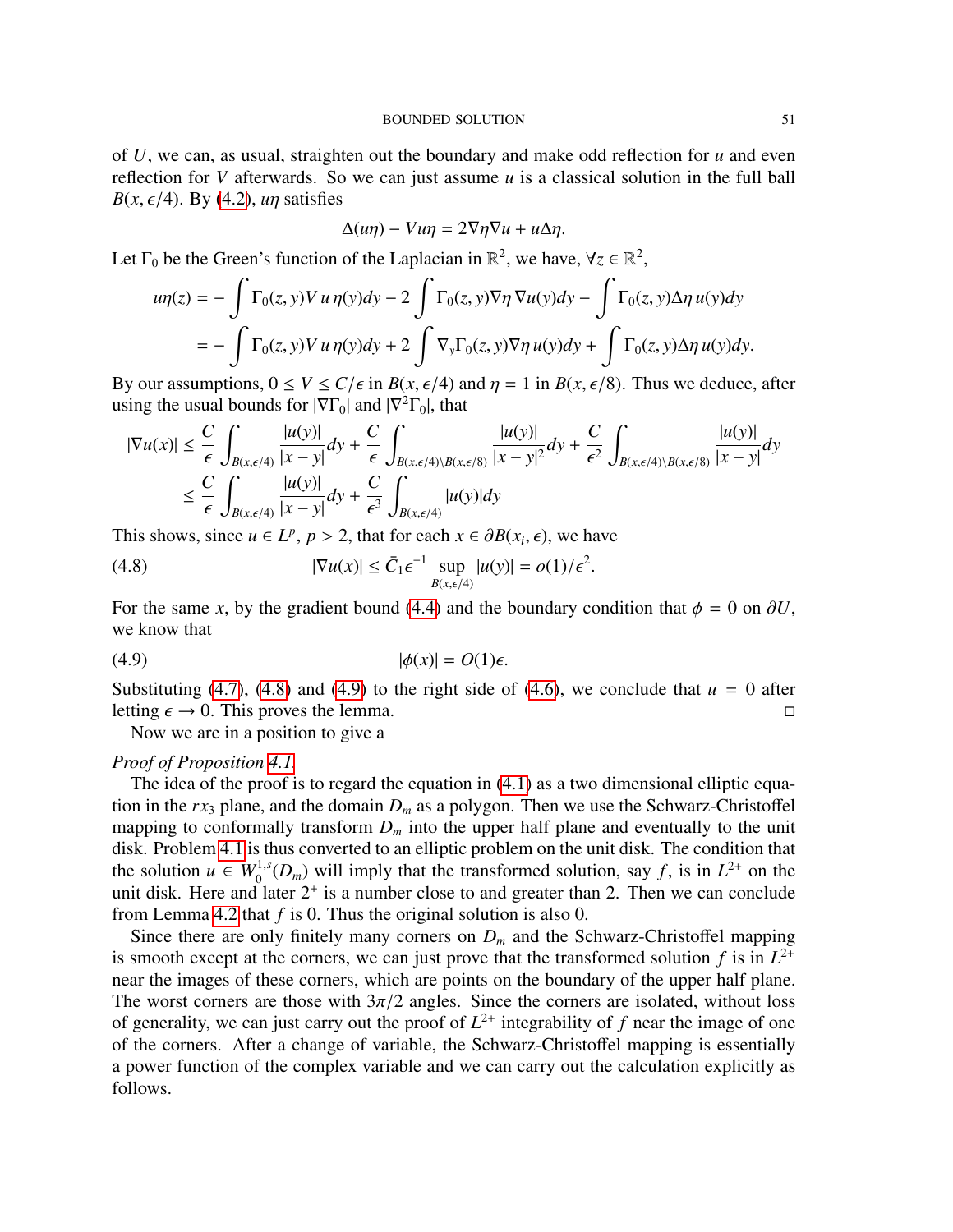of *U*, we can, as usual, straighten out the boundary and make odd reflection for *u* and even reflection for *V* afterwards. So we can just assume *u* is a classical solution in the full ball  $B(x, \epsilon/4)$ . By [\(4.2\)](#page-48-1), *un* satisfies

$$
\Delta(u\eta) - Vu\eta = 2\nabla\eta\nabla u + u\Delta\eta.
$$

Let  $\Gamma_0$  be the Green's function of the Laplacian in  $\mathbb{R}^2$ , we have,  $\forall z \in \mathbb{R}^2$ ,

$$
u\eta(z) = -\int \Gamma_0(z, y) V u \eta(y) dy - 2 \int \Gamma_0(z, y) \nabla \eta \nabla u(y) dy - \int \Gamma_0(z, y) \Delta \eta u(y) dy
$$
  
= 
$$
- \int \Gamma_0(z, y) V u \eta(y) dy + 2 \int \nabla_y \Gamma_0(z, y) \nabla \eta u(y) dy + \int \Gamma_0(z, y) \Delta \eta u(y) dy.
$$

By our assumptions,  $0 \le V \le C/\epsilon$  in  $B(x, \epsilon/4)$  and  $\eta = 1$  in  $B(x, \epsilon/8)$ . Thus we deduce, after using the usual bounds for  $|\nabla \Gamma_0|$  and  $|\nabla^2 \Gamma_0|$ , that

$$
|\nabla u(x)| \leq \frac{C}{\epsilon} \int_{B(x,\epsilon/4)} \frac{|u(y)|}{|x-y|} dy + \frac{C}{\epsilon} \int_{B(x,\epsilon/4)\setminus B(x,\epsilon/8)} \frac{|u(y)|}{|x-y|^2} dy + \frac{C}{\epsilon^2} \int_{B(x,\epsilon/4)\setminus B(x,\epsilon/8)} \frac{|u(y)|}{|x-y|} dy
$$
  

$$
\leq \frac{C}{\epsilon} \int_{B(x,\epsilon/4)} \frac{|u(y)|}{|x-y|} dy + \frac{C}{\epsilon^3} \int_{B(x,\epsilon/4)} |u(y)| dy
$$

This shows, since  $u \in L^p$ ,  $p > 2$ , that for each  $x \in \partial B(x_i, \epsilon)$ , we have

<span id="page-50-0"></span>(4.8) 
$$
|\nabla u(x)| \leq \bar{C}_1 \epsilon^{-1} \sup_{B(x,\epsilon/4)} |u(y)| = o(1)/\epsilon^2
$$

For the same *x*, by the gradient bound [\(4.4\)](#page-48-3) and the boundary condition that  $\phi = 0$  on  $\partial U$ , we know that we know that

$$
|\phi(x)| = O(1)\epsilon.
$$

Substituting [\(4.7\)](#page-49-0), [\(4.8\)](#page-50-0) and [\(4.9\)](#page-50-1) to the right side of [\(4.6\)](#page-49-1), we conclude that  $u = 0$  after letting  $\epsilon \to 0$ . This proves the lemma.

<span id="page-50-1"></span>Now we are in a position to give a

# *Proof of Proposition [4.1.](#page-47-2)*

The idea of the proof is to regard the equation in  $(4.1)$  as a two dimensional elliptic equation in the  $rx_3$  plane, and the domain  $D_m$  as a polygon. Then we use the Schwarz-Christoffel mapping to conformally transform  $D_m$  into the upper half plane and eventually to the unit disk. Problem [4.1](#page-47-3) is thus converted to an elliptic problem on the unit disk. The condition that the solution  $u \in W_0^{1,s}(D_m)$  will imply that the transformed solution, say f, is in  $L^{2+}$  on the unit disk. Here and later  $2^+$  is a number close to and greater than 2. Then we can conclude from Lemma [4.2](#page-48-0) that *f* is 0. Thus the original solution is also 0.

Since there are only finitely many corners on  $D_m$  and the Schwarz-Christoffel mapping is smooth except at the corners, we can just prove that the transformed solution  $f$  is in  $L^{2+}$ near the images of these corners, which are points on the boundary of the upper half plane. The worst corners are those with  $3\pi/2$  angles. Since the corners are isolated, without loss of generality, we can just carry out the proof of  $L^{2+}$  integrability of f near the image of one of the corners. After a change of variable, the Schwarz-Christoffel mapping is essentially a power function of the complex variable and we can carry out the calculation explicitly as follows.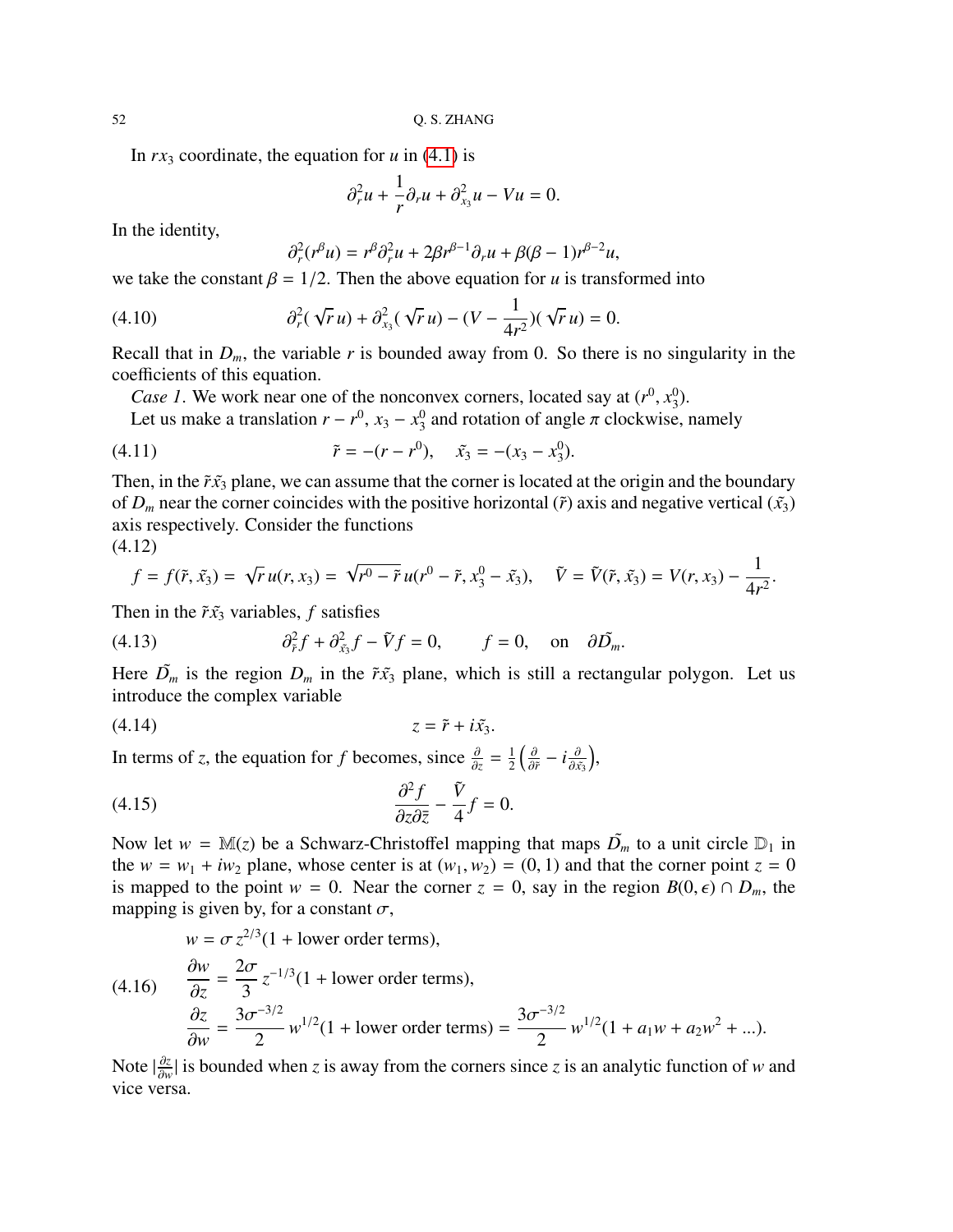In  $rx_3$  coordinate, the equation for  $u$  in [\(4.1\)](#page-47-3) is

$$
\partial_r^2 u + \frac{1}{r} \partial_r u + \partial_{x_3}^2 u - Vu = 0.
$$

In the identity,

$$
\partial_r^2(r^\beta u) = r^\beta \partial_r^2 u + 2\beta r^{\beta - 1} \partial_r u + \beta(\beta - 1) r^{\beta - 2} u,
$$

we take the constant  $\beta = 1/2$ . Then the above equation for *u* is transformed into

(4.10) 
$$
\partial_r^2(\sqrt{r}u) + \partial_{x_3}^2(\sqrt{r}u) - (V - \frac{1}{4r^2})(\sqrt{r}u) = 0.
$$

Recall that in  $D_m$ , the variable r is bounded away from 0. So there is no singularity in the coefficients of this equation.

*Case 1*. We work near one of the nonconvex corners, located say at  $(r^0, x_3^0)$ <br>Let us make a translation  $r = r^0$ ,  $x_2 = r^0$  and rotation of angle  $\pi$  clockwise  $_{3}^{0}).$ 

Let us make a translation  $r - r^0$ ,  $x_3 - x_3^0$  $\frac{0}{3}$  and rotation of angle  $\pi$  clockwise, namely

(4.11) 
$$
\tilde{r} = -(r - r^0), \quad \tilde{x}_3 = -(x_3 - x_3^0).
$$

Then, in the  $\tilde{r}x_3$  plane, we can assume that the corner is located at the origin and the boundary of  $D_m$  near the corner coincides with the positive horizontal ( $\tilde{r}$ ) axis and negative vertical ( $\tilde{x}_3$ ) axis respectively. Consider the functions

$$
(4.12)
$$

$$
f = f(\tilde{r}, \tilde{x}_3) = \sqrt{r} u(r, x_3) = \sqrt{r^0 - \tilde{r}} u(r^0 - \tilde{r}, x_3^0 - \tilde{x}_3), \quad \tilde{V} = \tilde{V}(\tilde{r}, \tilde{x}_3) = V(r, x_3) - \frac{1}{4r^2}.
$$

Then in the  $\tilde{r}x_3$  variables, *f* satisfies

(4.13) 
$$
\partial_{\tilde{r}}^2 f + \partial_{\tilde{x}_3}^2 f - \tilde{V}f = 0, \quad f = 0, \quad \text{on} \quad \partial \tilde{D}_m.
$$

Here  $\tilde{D}_m$  is the region  $D_m$  in the  $\tilde{r}x_3$  plane, which is still a rectangular polygon. Let us introduce the complex variable

$$
(4.14) \t\t\t z = \tilde{r} + i\tilde{x}_3.
$$

In terms of *z*, the equation for *f* becomes, since  $\frac{\partial}{\partial z} = \frac{1}{2}$  $rac{1}{2} \left( \frac{\partial}{\partial \tilde{r}} - i \frac{\partial}{\partial \tilde{x_3}} \right)$ ,

<span id="page-51-1"></span>(4.15) 
$$
\frac{\partial^2 f}{\partial z \partial \overline{z}} - \frac{\tilde{V}}{4} f = 0.
$$

Now let  $w = M(z)$  be a Schwarz-Christoffel mapping that maps  $\tilde{D_m}$  to a unit circle  $D_1$  in the  $w = w_1 + iw_2$  plane, whose center is at  $(w_1, w_2) = (0, 1)$  and that the corner point  $z = 0$ is mapped to the point  $w = 0$ . Near the corner  $z = 0$ , say in the region  $B(0, \epsilon) \cap D_m$ , the mapping is given by, for a constant  $\sigma$ ,

<span id="page-51-0"></span>
$$
w = \sigma z^{2/3} (1 + \text{lower order terms}),
$$
  
(4.16) 
$$
\frac{\partial w}{\partial z} = \frac{2\sigma}{3} z^{-1/3} (1 + \text{lower order terms}),
$$

$$
\frac{\partial z}{\partial w} = \frac{3\sigma^{-3/2}}{2} w^{1/2} (1 + \text{lower order terms}) = \frac{3\sigma^{-3/2}}{2} w^{1/2} (1 + a_1 w + a_2 w^2 + \dots).
$$

 $\frac{\partial w}{\partial w} = 2$  is bounded when *z* is away from the corners since *z* is an analytic function of *w* and vice versa.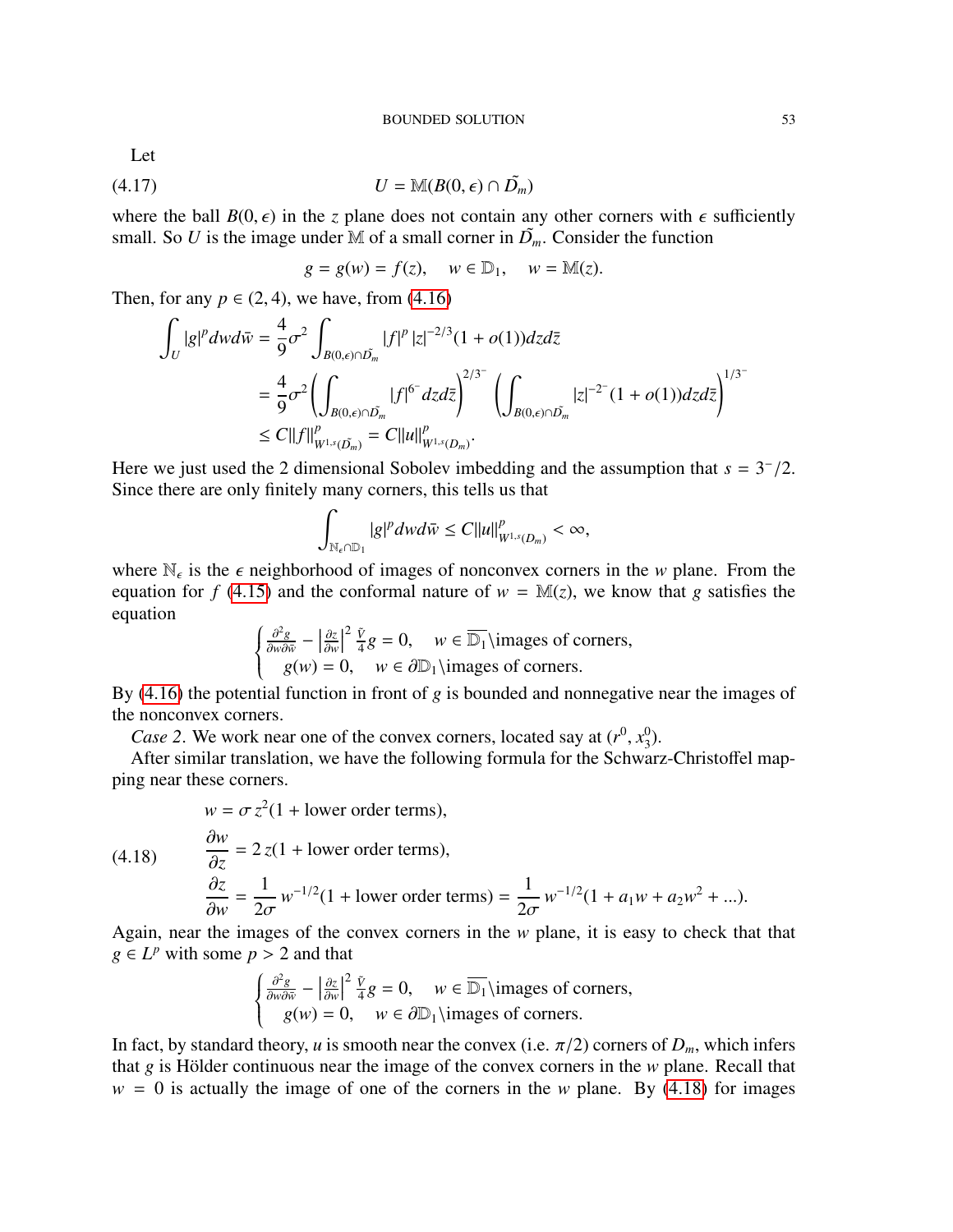Let

$$
(4.17) \t\t\t U = \mathbb{M}(B(0,\epsilon) \cap \tilde{D_m})
$$

where the ball  $B(0, \epsilon)$  in the *z* plane does not contain any other corners with  $\epsilon$  sufficiently small. So *U* is the image under M of a small corner in  $\tilde{D}$ . Consider the function small. So *U* is the image under M of a small corner in  $\tilde{D_m}$ . Consider the function

<span id="page-52-1"></span>
$$
g = g(w) = f(z), \quad w \in \mathbb{D}_1, \quad w = \mathbb{M}(z).
$$

Then, for any  $p \in (2, 4)$ , we have, from  $(4.16)$ 

$$
\int_{U} |g|^{p} dwd\bar{w} = \frac{4}{9} \sigma^{2} \int_{B(0,\epsilon) \cap \tilde{D}_{m}} |f|^{p} |z|^{-2/3} (1 + o(1)) dz d\bar{z}
$$
\n
$$
= \frac{4}{9} \sigma^{2} \left( \int_{B(0,\epsilon) \cap \tilde{D}_{m}} |f|^{6^{-}} dz d\bar{z} \right)^{2/3^{-}} \left( \int_{B(0,\epsilon) \cap \tilde{D}_{m}} |z|^{-2^{-}} (1 + o(1)) dz d\bar{z} \right)^{1/3^{-}}
$$
\n
$$
\leq C ||f||_{W^{1,s}(\tilde{D}_{m})}^{p} = C ||u||_{W^{1,s}(D_{m})}^{p}.
$$

Here we just used the 2 dimensional Sobolev imbedding and the assumption that  $s = 3^{-}/2$ .<br>Since there are only finitely many corpers this tells us that Since there are only finitely many corners, this tells us that

$$
\int_{\mathbb{N}_{\epsilon}\cap\mathbb{D}_1}|g|^p dwd\bar{w}\leq C||u||^p_{W^{1,s}(D_m)}<\infty,
$$

where  $\mathbb{N}_{\epsilon}$  is the  $\epsilon$  neighborhood of images of nonconvex corners in the *w* plane. From the equation for  $f$  (4.15) and the conformal nature of  $w = \mathbb{M}(\tau)$ , we know that *a* satisfies the equation for *f* [\(4.15\)](#page-51-1) and the conformal nature of  $w = M(z)$ , we know that *g* satisfies the equation

$$
\begin{cases}\n\frac{\partial^2 g}{\partial w \partial \bar{w}} - \left| \frac{\partial z}{\partial w} \right|^2 \frac{\tilde{v}}{4} g = 0, \quad w \in \overline{\mathbb{D}_1} \text{ \text{images of corners,}} \\
g(w) = 0, \quad w \in \partial \mathbb{D}_1 \text{ \text{images of corners.}}\n\end{cases}
$$

By [\(4.16\)](#page-51-0) the potential function in front of *g* is bounded and nonnegative near the images of the nonconvex corners.

*Case 2.* We work near one of the convex corners, located say at  $(r^0, x_3^0)$ <br>After similar translation, we have the following formula for the Schwa  $_{3}^{0}).$ 

After similar translation, we have the following formula for the Schwarz-Christoffel mapping near these corners.

$$
w = \sigma z^2 (1 + \text{lower order terms}),
$$

$$
(4.18)
$$

<span id="page-52-0"></span>
$$
\frac{\partial w}{\partial z} = 2 z (1 + \text{lower order terms}),
$$
  
\n
$$
\frac{\partial z}{\partial w} = \frac{1}{2\sigma} w^{-1/2} (1 + \text{lower order terms}) = \frac{1}{2\sigma} w^{-1/2} (1 + a_1 w + a_2 w^2 + \dots).
$$

 $\frac{\partial w}{\partial \sigma}$  2*σ*<sup>2</sup> 2*σ*<sup>2</sup> 2*σ*<sup>2*σ*</sup>
<sup>2*σ*</sup>
<sup>2*σ*</sup>
<sup>2*σ*</sup>
<sup>2*σ*</sup>
<sup>2*σ*</sup>
<sup>2*σ*</sup>
<sup>2*σ*</sup>
<sup>2*σ*</sup>
<sup>2*σ*</sup>
<sup>2*σ*</sup>
<sup>2*σ*</sup>
<sup>2*σ*</sup>
<sup>2*σ*</sup>
<sup>2*σ*</sup>
<sup>2*σ*</sup>
<sup>2*σ*</sup>
<sup>2*σ*</sup>
<sup>2*σ*</sup>
<sup>2*σ*</sup>
<sup>2*σ*</sup>
<sup>2*α*</sup> *g* ∈ *L*<sup>*p*</sup> with some *p* > 2 and that

$$
\begin{cases}\n\frac{\partial^2 g}{\partial w \partial \bar{w}} - \left| \frac{\partial z}{\partial w} \right|^2 \frac{\tilde{v}}{4} g = 0, \quad w \in \overline{\mathbb{D}_1} \text{images of corners,} \\
g(w) = 0, \quad w \in \partial \mathbb{D}_1 \text{images of corners.}\n\end{cases}
$$

In fact, by standard theory, *u* is smooth near the convex (i.e.  $\pi/2$ ) corners of  $D_m$ , which infers that *o* is Hölder continuous near the image of the convex corners in the *w* plane. Recall that that  $g$  is Hölder continuous near the image of the convex corners in the  $w$  plane. Recall that  $w = 0$  is actually the image of one of the corners in the *w* plane. By [\(4.18\)](#page-52-0) for images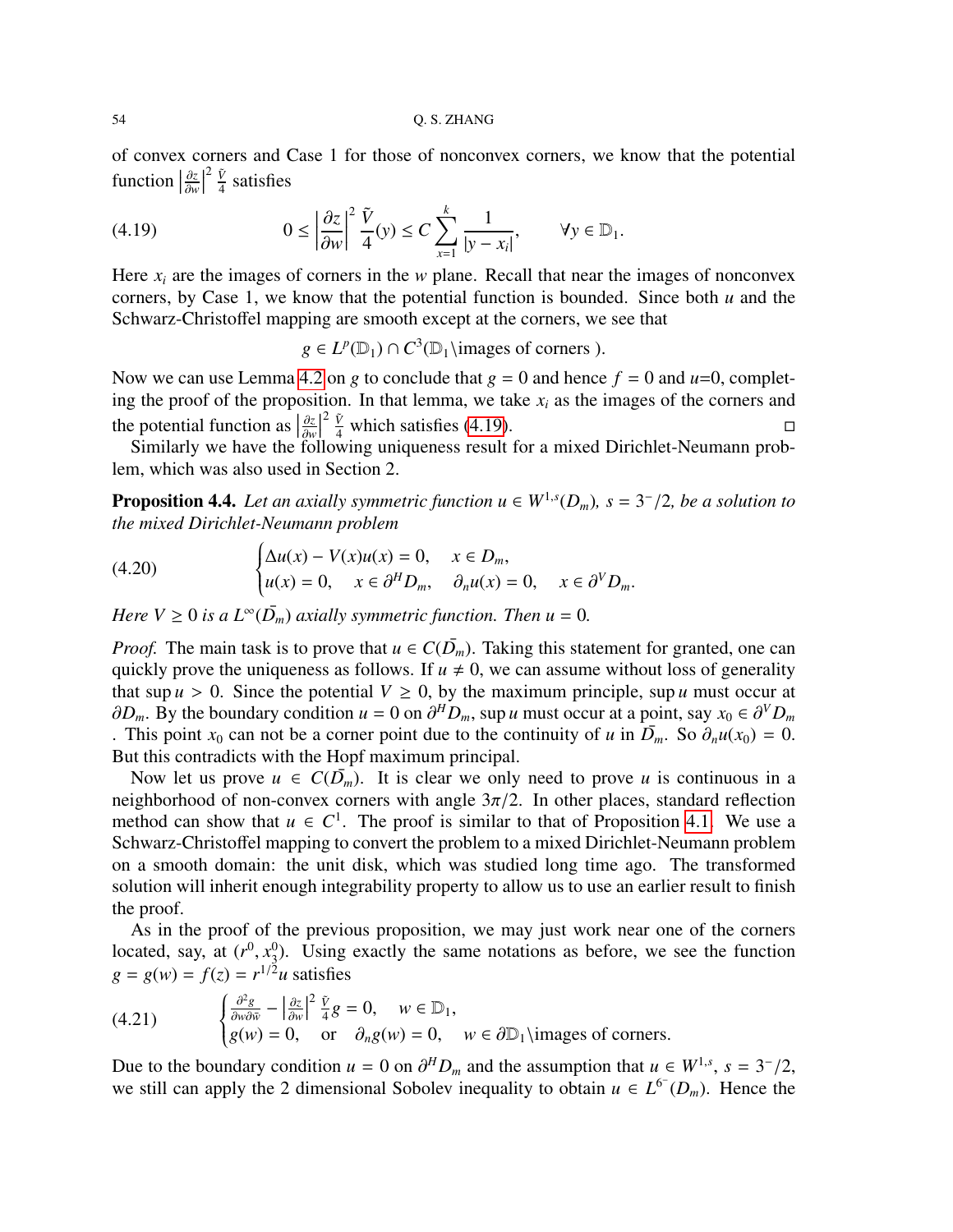of convex corners and Case 1 for those of nonconvex corners, we know that the potential function  $\left|\frac{\partial z}{\partial w}\right|$ ∂*w*  $\begin{array}{c} \n \downarrow \\ \n \downarrow \n \end{array}$ 2  $\tilde{V}$  $\frac{V}{4}$  satisfies

(4.19) 
$$
0 \leq \left| \frac{\partial z}{\partial w} \right|^2 \frac{\tilde{V}}{4}(y) \leq C \sum_{x=1}^k \frac{1}{|y - x_i|}, \quad \forall y \in \mathbb{D}_1.
$$

Here  $x_i$  are the images of corners in the *w* plane. Recall that near the images of nonconvex corners, by Case 1, we know that the potential function is bounded. Since both *u* and the Schwarz-Christoffel mapping are smooth except at the corners, we see that

<span id="page-53-1"></span>*g* ∈  $L^p(\mathbb{D}_1) \cap C^3(\mathbb{D}_1)$  images of corners ).

Now we can use Lemma [4.2](#page-48-0) on *g* to conclude that  $g = 0$  and hence  $f = 0$  and  $u=0$ , completing the proof of the proposition. In that lemma, we take  $x_i$  as the images of the corners and the potential function as  $\left|\frac{\partial z}{\partial n}\right|$  $\begin{array}{c} \n \downarrow \\ \n \downarrow \n \end{array}$  $\frac{2 \tilde{V}}{4}$  which satisfies [\(4.19\)](#page-53-1).

∂w<br>f∩ Similarly we have the following uniqueness result for a mixed Dirichlet-Neumann problem, which was also used in Section 2.

<span id="page-53-0"></span>**Proposition 4.4.** Let an axially symmetric function  $u \in W^{1,s}(D_m)$ ,  $s = 3^{-}/2$ , be a solution to the mixed Dirichlet-Neumann problem *the mixed Dirichlet-Neumann problem*

(4.20) 
$$
\begin{cases} \Delta u(x) - V(x)u(x) = 0, & x \in D_m, \\ u(x) = 0, & x \in \partial^H D_m, \quad \partial_n u(x) = 0, & x \in \partial^V D_m. \end{cases}
$$

*Here*  $V \geq 0$  *is a*  $L^{\infty}(\overline{D}_m)$  *axially symmetric function. Then*  $u = 0$ *.* 

*Proof.* The main task is to prove that  $u \in C(\overline{D}_m)$ . Taking this statement for granted, one can quickly prove the uniqueness as follows. If  $u \neq 0$ , we can assume without loss of generality that sup  $u > 0$ . Since the potential  $V \ge 0$ , by the maximum principle, sup *u* must occur at  $\partial D_m$ . By the boundary condition  $u = 0$  on  $\partial^H D_m$ , sup *u* must occur at a point, say  $x_0 \in \partial^V D_m$ <br>This point  $x_0$  can not be a corner point due to the continuity of *u* in  $\overline{D}$ . So  $\partial_u u(x_0) = 0$ . This point  $x_0$  can not be a corner point due to the continuity of *u* in  $\overline{D}_m$ . So  $\partial_n u(x_0) = 0$ . But this contradicts with the Hopf maximum principal.

Now let us prove  $u \in C(D_m)$ . It is clear we only need to prove *u* is continuous in a neighborhood of non-convex corners with angle  $3\pi/2$ . In other places, standard reflection method can show that  $u \in C^1$ . The proof is similar to that of Proposition [4.1.](#page-47-3) We use a Schwarz-Christoffel mapping to convert the problem to a mixed Dirichlet-Neumann problem on a smooth domain: the unit disk, which was studied long time ago. The transformed solution will inherit enough integrability property to allow us to use an earlier result to finish the proof.

As in the proof of the previous proposition, we may just work near one of the corners located, say, at  $(r^0, x_3^0)$  $_3^0$ ). Using exactly the same notations as before, we see the function  $g = g(w) = f(z) = r^{1/2}u$  satisfies

<span id="page-53-2"></span>(4.21) 
$$
\begin{cases} \frac{\partial^2 g}{\partial w \partial \bar{w}} - \left| \frac{\partial z}{\partial w} \right|^2 \frac{\tilde{v}}{4} g = 0, \quad w \in \mathbb{D}_1, \\ g(w) = 0, \quad \text{or} \quad \partial_n g(w) = 0, \quad w \in \partial \mathbb{D}_1 \setminus \text{images of corners.} \end{cases}
$$

Due to the boundary condition *u* = 0 on  $\partial^H D_m$  and the assumption that *u* ∈ *W*<sup>1,*s*</sup>, *s* = 3<sup>−</sup>/2, we still can apply the 2 dimensional Sobolev inequality to obtain *u* ∈ *I*<sup>6−</sup>*(D*). Hence the we still can apply the 2 dimensional Sobolev inequality to obtain  $u \in L^{6}(D_m)$ . Hence the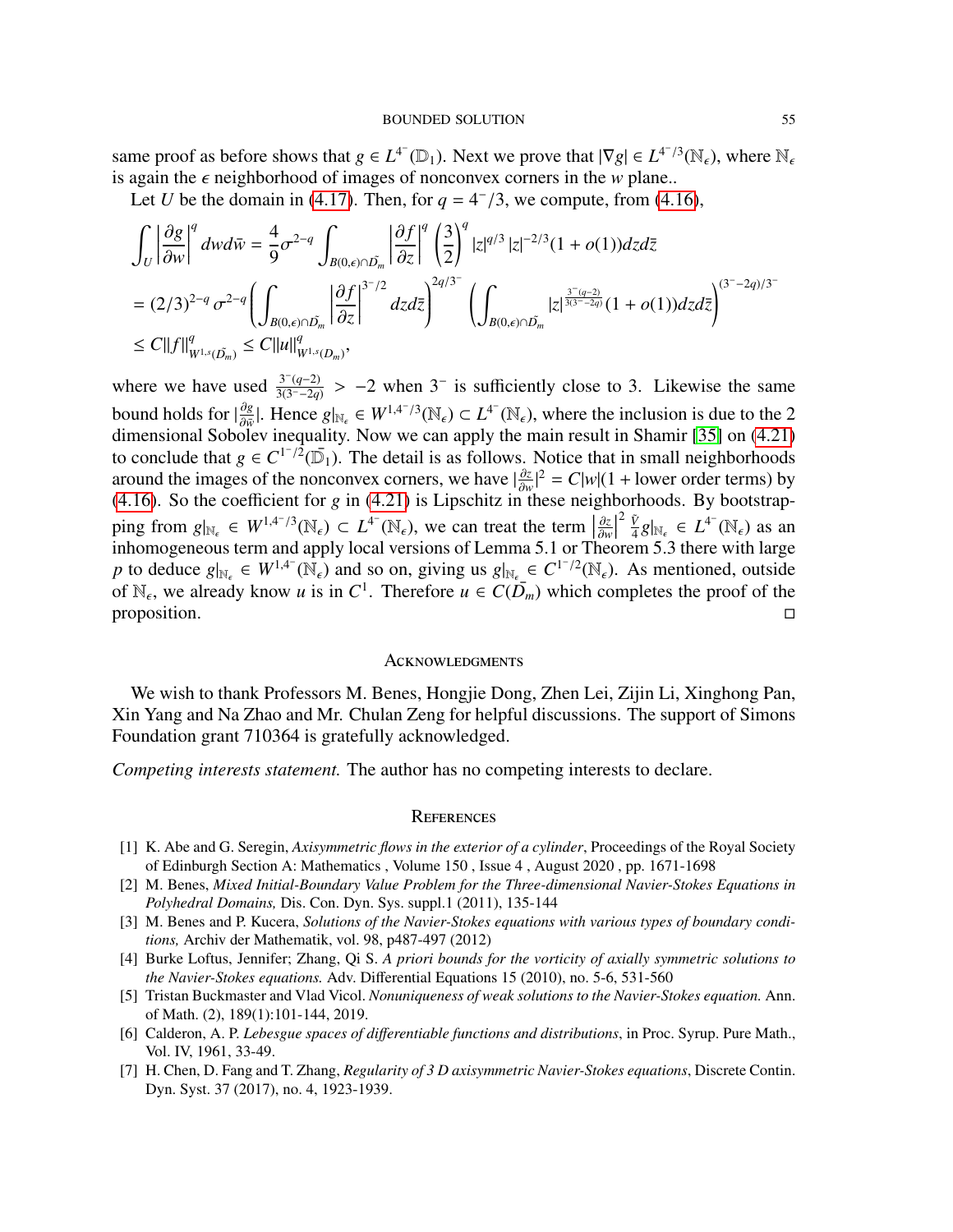same proof as before shows that  $g \in L^{4^{-}}(\mathbb{D}_{1})$ . Next we prove that  $|\nabla g| \in L^{4^{-}/3}(\mathbb{N}_{\epsilon})$ , where  $\mathbb{N}_{\epsilon}$ is again the  $\epsilon$  neighborhood of images of nonconvex corners in the *w* plane..

Let *U* be the domain in [\(4.17\)](#page-52-1). Then, for  $q = 4^{-}/3$ , we compute, from [\(4.16\)](#page-51-0),

$$
\int_{U} \left| \frac{\partial g}{\partial w} \right|^{q} dw d\bar{w} = \frac{4}{9} \sigma^{2-q} \int_{B(0,\epsilon) \cap \tilde{D}_{m}} \left| \frac{\partial f}{\partial z} \right|^{q} \left( \frac{3}{2} \right)^{q} |z|^{q/3} |z|^{-2/3} (1 + o(1)) dz d\bar{z}
$$
\n
$$
= (2/3)^{2-q} \sigma^{2-q} \left( \int_{B(0,\epsilon) \cap \tilde{D}_{m}} \left| \frac{\partial f}{\partial z} \right|^{3-2} dz d\bar{z} \right)^{2q/3} \left( \int_{B(0,\epsilon) \cap \tilde{D}_{m}} |z|^{\frac{3-(q-2)}{3(3-\frac{2q}{q})}} (1 + o(1)) dz d\bar{z} \right)^{(3-\frac{2q}{3-\frac{2q}{q})}
$$
\n
$$
\leq C ||f||_{W^{1,s}(\tilde{D}_{m})}^{q} \leq C ||u||_{W^{1,s}(D_{m})}^{q},
$$

where we have used  $\frac{3^-(q-2)}{3(3^--2q)}$  $\frac{3^{-(q-2)}}{3(3^{-(q-2)})} > -2$  when 3<sup>-</sup> is sufficiently close to 3. Likewise the same bound holds for  $|\frac{\partial g}{\partial w}|$ . Hence  $g|_{\mathbb{N}_{\epsilon}} \in W^{1,4^{-}/3}(\mathbb{N}_{\epsilon}) \subset L^{4^{-}}(\mathbb{N}_{\epsilon})$ , where the inclusion is due to the 2<br>dimensional Sobolar incorplity. Now we can engly the main result in Shamin [25] on (4.21). dimensional Sobolev inequality. Now we can apply the main result in Shamir [\[35\]](#page-56-8) on [\(4.21\)](#page-53-2) to conclude that  $g \in C^{1/2}(\overline{\mathbb{D}}_1)$ . The detail is as follows. Notice that in small neighborhoods around the images of the nonconvex corners, we have  $\frac{\partial z}{\partial w}$  $\frac{\partial z}{\partial w}|^2 = C|w|(1 + \text{lower order terms})$  by [\(4.16\)](#page-51-0). So the coefficient for *g* in [\(4.21\)](#page-53-2) is Lipschitz in these neighborhoods. By bootstrapping from  $g|_{\mathbb{N}_{\epsilon}} \in W^{1,4^{-}/3}(\mathbb{N}_{\epsilon}) \subset L^{4^{-}}(\mathbb{N}_{\epsilon})$ , we can treat the term  $\left|\frac{\partial z}{\partial w}\right|$ ∂*w*  $\frac{1}{2}$ 2 *V*˜ ping from  $g|_{\mathbb{N}_{\epsilon}} \in W^{1,4^{-}/3}(\mathbb{N}_{\epsilon}) \subset L^{4^{-}}(\mathbb{N}_{\epsilon})$ , we can treat the term  $\left|\frac{\partial z}{\partial w}\right|^2 \frac{\tilde{V}}{4} g|_{\mathbb{N}_{\epsilon}} \in L^{4^{-}}(\mathbb{N}_{\epsilon})$  as an inhomogeneous term and apply local versions of Lemma 5.1 or Theorem 5.3 th *p* to deduce  $g|_{N_{\epsilon}} \in W^{1,4^{-}}(\mathbb{N}_{\epsilon})$  and so on, giving us  $g|_{N_{\epsilon}} \in C^{1^{-}/2}(\mathbb{N}_{\epsilon})$ . As mentioned, outside of  $\mathbb{N}_{\epsilon}$  we already know usin  $C^{1}$ . Therefore  $u \in C(\overline{D}_{\epsilon})$  which completes the greaf of the of  $\mathbb{N}_{\epsilon}$ , we already know *u* is in  $C^1$ . Therefore  $u \in C(\overline{D}_m)$  which completes the proof of the proposition.  $\square$ 

#### <span id="page-54-0"></span>**ACKNOWLEDGMENTS**

We wish to thank Professors M. Benes, Hongjie Dong, Zhen Lei, Zijin Li, Xinghong Pan, Xin Yang and Na Zhao and Mr. Chulan Zeng for helpful discussions. The support of Simons Foundation grant 710364 is gratefully acknowledged.

*Competing interests statement.* The author has no competing interests to declare.

#### <span id="page-54-1"></span>**REFERENCES**

- <span id="page-54-7"></span>[1] K. Abe and G. Seregin, *Axisymmetric flows in the exterior of a cylinder*, Proceedings of the Royal Society of Edinburgh Section A: Mathematics , Volume 150 , Issue 4 , August 2020 , pp. 1671-1698
- <span id="page-54-5"></span>[2] M. Benes, *Mixed Initial-Boundary Value Problem for the Three-dimensional Navier-Stokes Equations in Polyhedral Domains,* Dis. Con. Dyn. Sys. suppl.1 (2011), 135-144
- <span id="page-54-6"></span>[3] M. Benes and P. Kucera, *Solutions of the Navier-Stokes equations with various types of boundary conditions,* Archiv der Mathematik, vol. 98, p487-497 (2012)
- <span id="page-54-2"></span>[4] Burke Loftus, Jennifer; Zhang, Qi S. *A priori bounds for the vorticity of axially symmetric solutions to the Navier-Stokes equations.* Adv. Differential Equations 15 (2010), no. 5-6, 531-560
- <span id="page-54-4"></span>[5] Tristan Buckmaster and Vlad Vicol. *Nonuniqueness of weak solutions to the Navier-Stokes equation.* Ann. of Math. (2), 189(1):101-144, 2019.
- <span id="page-54-8"></span>[6] Calderon, A. P. *Lebesgue spaces of di*ff*erentiable functions and distributions*, in Proc. Syrup. Pure Math., Vol. IV, 1961, 33-49.
- <span id="page-54-3"></span>[7] H. Chen, D. Fang and T. Zhang, *Regularity of 3 D axisymmetric Navier-Stokes equations*, Discrete Contin. Dyn. Syst. 37 (2017), no. 4, 1923-1939.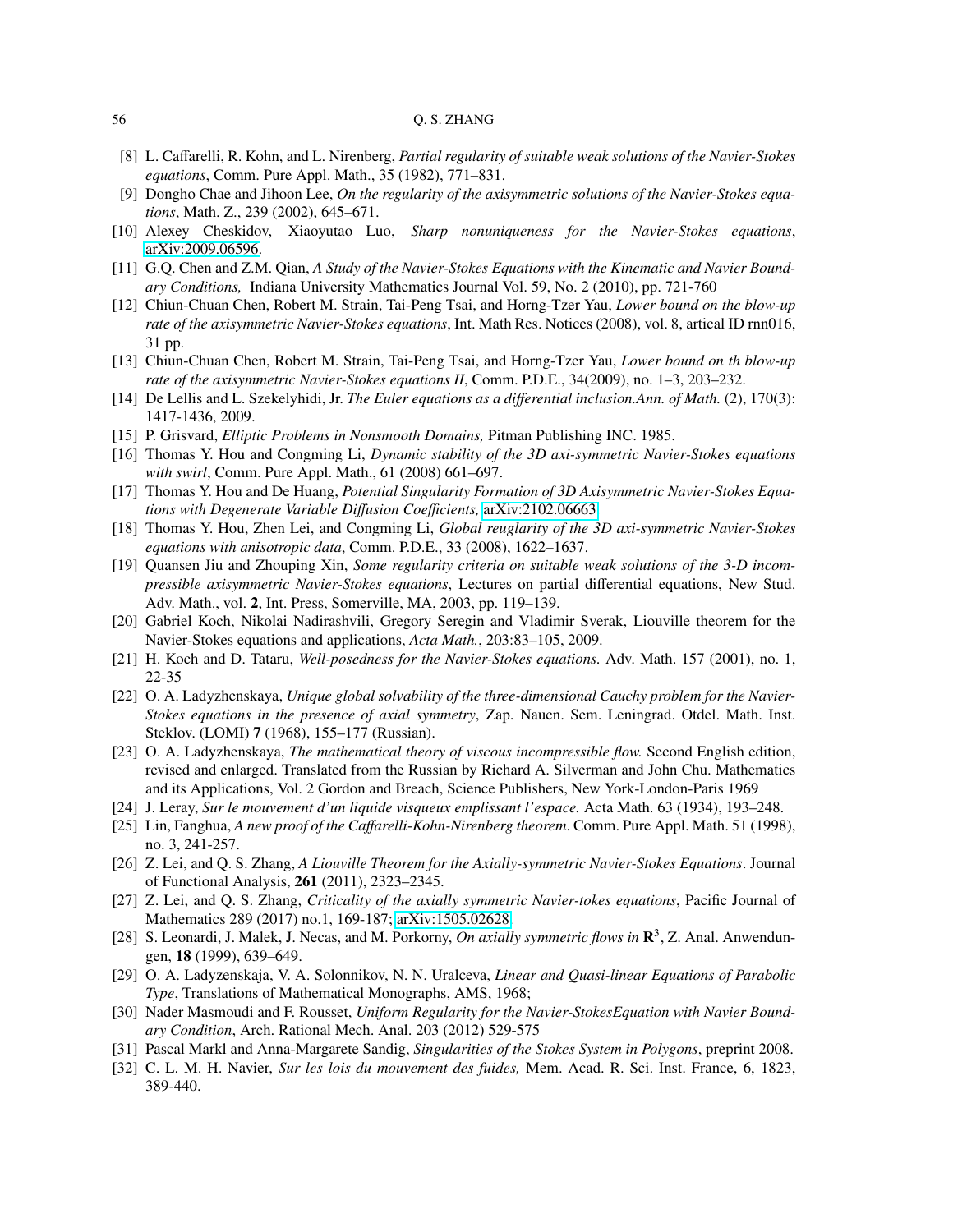- <span id="page-55-3"></span>[8] L. Caffarelli, R. Kohn, and L. Nirenberg, *Partial regularity of suitable weak solutions of the Navier-Stokes equations*, Comm. Pure Appl. Math., 35 (1982), 771–831.
- <span id="page-55-7"></span>[9] Dongho Chae and Jihoon Lee, *On the regularity of the axisymmetric solutions of the Navier-Stokes equations*, Math. Z., 239 (2002), 645–671.
- <span id="page-55-18"></span>[10] Alexey Cheskidov, Xiaoyutao Luo, *Sharp nonuniqueness for the Navier-Stokes equations*, [arXiv:2009.06596.](http://arxiv.org/abs/2009.06596)
- <span id="page-55-21"></span>[11] G.Q. Chen and Z.M. Qian, *A Study of the Navier-Stokes Equations with the Kinematic and Navier Boundary Conditions,* Indiana University Mathematics Journal Vol. 59, No. 2 (2010), pp. 721-760
- <span id="page-55-9"></span>[12] Chiun-Chuan Chen, Robert M. Strain, Tai-Peng Tsai, and Horng-Tzer Yau, *Lower bound on the blow-up rate of the axisymmetric Navier-Stokes equations*, Int. Math Res. Notices (2008), vol. 8, artical ID rnn016, 31 pp.
- <span id="page-55-10"></span>[13] Chiun-Chuan Chen, Robert M. Strain, Tai-Peng Tsai, and Horng-Tzer Yau, *Lower bound on th blow-up rate of the axisymmetric Navier-Stokes equations II*, Comm. P.D.E., 34(2009), no. 1–3, 203–232.
- <span id="page-55-17"></span>[14] De Lellis and L. Szekelyhidi, Jr. *The Euler equations as a di*ff*erential inclusion.Ann. of Math.* (2), 170(3): 1417-1436, 2009.
- <span id="page-55-24"></span>[15] P. Grisvard, *Elliptic Problems in Nonsmooth Domains,* Pitman Publishing INC. 1985.
- <span id="page-55-5"></span>[16] Thomas Y. Hou and Congming Li, *Dynamic stability of the 3D axi-symmetric Navier-Stokes equations with swirl*, Comm. Pure Appl. Math., 61 (2008) 661–697.
- <span id="page-55-19"></span>[17] Thomas Y. Hou and De Huang, *Potential Singularity Formation of 3D Axisymmetric Navier-Stokes Equations with Degenerate Variable Di*ff*usion Coe*ffi*cients,* [arXiv:2102.06663.](http://arxiv.org/abs/2102.06663)
- <span id="page-55-6"></span>[18] Thomas Y. Hou, Zhen Lei, and Congming Li, *Global reuglarity of the 3D axi-symmetric Navier-Stokes equations with anisotropic data*, Comm. P.D.E., 33 (2008), 1622–1637.
- <span id="page-55-8"></span>[19] Quansen Jiu and Zhouping Xin, *Some regularity criteria on suitable weak solutions of the 3-D incompressible axisymmetric Navier-Stokes equations*, Lectures on partial differential equations, New Stud. Adv. Math., vol. 2, Int. Press, Somerville, MA, 2003, pp. 119–139.
- <span id="page-55-11"></span>[20] Gabriel Koch, Nikolai Nadirashvili, Gregory Seregin and Vladimir Sverak, Liouville theorem for the Navier-Stokes equations and applications, *Acta Math.*, 203:83–105, 2009.
- <span id="page-55-13"></span>[21] H. Koch and D. Tataru, *Well-posedness for the Navier-Stokes equations.* Adv. Math. 157 (2001), no. 1, 22-35
- <span id="page-55-1"></span>[22] O. A. Ladyzhenskaya, *Unique global solvability of the three-dimensional Cauchy problem for the Navier-Stokes equations in the presence of axial symmetry*, Zap. Naucn. Sem. Leningrad. Otdel. Math. Inst. Steklov. (LOMI) 7 (1968), 155–177 (Russian).
- <span id="page-55-16"></span>[23] O. A. Ladyzhenskaya, *The mathematical theory of viscous incompressible flow.* Second English edition, revised and enlarged. Translated from the Russian by Richard A. Silverman and John Chu. Mathematics and its Applications, Vol. 2 Gordon and Breach, Science Publishers, New York-London-Paris 1969
- <span id="page-55-0"></span>[24] J. Leray, *Sur le mouvement d'un liquide visqueux emplissant l'espace.* Acta Math. 63 (1934), 193–248.
- <span id="page-55-4"></span>[25] Lin, Fanghua, *A new proof of the Ca*ff*arelli-Kohn-Nirenberg theorem*. Comm. Pure Appl. Math. 51 (1998), no. 3, 241-257.
- <span id="page-55-12"></span>[26] Z. Lei, and Q. S. Zhang, *A Liouville Theorem for the Axially-symmetric Navier-Stokes Equations*. Journal of Functional Analysis, 261 (2011), 2323–2345.
- <span id="page-55-14"></span>[27] Z. Lei, and Q. S. Zhang, *Criticality of the axially symmetric Navier-tokes equations*, Pacific Journal of Mathematics 289 (2017) no.1, 169-187; [arXiv:1505.02628.](http://arxiv.org/abs/1505.02628)
- <span id="page-55-2"></span>[28] S. Leonardi, J. Malek, J. Necas, and M. Porkorny, *On axially symmetric flows in*  $\mathbb{R}^3$ , Z. Anal. Anwendungen, 18 (1999), 639–649.
- <span id="page-55-23"></span>[29] O. A. Ladyzenskaja, V. A. Solonnikov, N. N. Uralceva, *Linear and Quasi-linear Equations of Parabolic Type*, Translations of Mathematical Monographs, AMS, 1968;
- <span id="page-55-22"></span>[30] Nader Masmoudi and F. Rousset, *Uniform Regularity for the Navier-StokesEquation with Navier Boundary Condition*, Arch. Rational Mech. Anal. 203 (2012) 529-575
- <span id="page-55-20"></span>[31] Pascal Markl and Anna-Margarete Sandig, *Singularities of the Stokes System in Polygons*, preprint 2008.
- <span id="page-55-15"></span>[32] C. L. M. H. Navier, *Sur les lois du mouvement des fuides,* Mem. Acad. R. Sci. Inst. France, 6, 1823, 389-440.